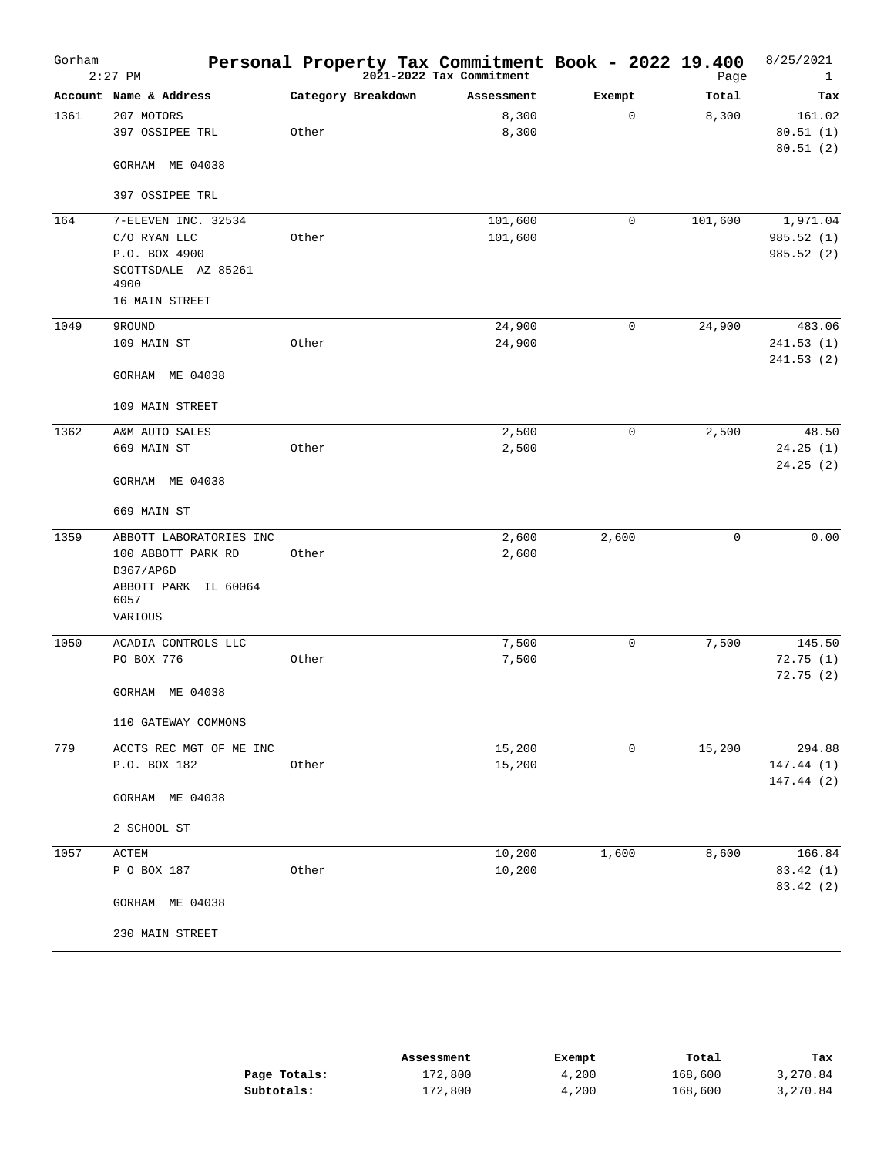| Gorham | $2:27$ PM                                                                                             | Personal Property Tax Commitment Book - 2022 19.400 | 2021-2022 Tax Commitment |              | Page    | 8/25/2021<br>1                      |
|--------|-------------------------------------------------------------------------------------------------------|-----------------------------------------------------|--------------------------|--------------|---------|-------------------------------------|
|        | Account Name & Address                                                                                | Category Breakdown                                  | Assessment               | Exempt       | Total   | Tax                                 |
| 1361   | 207 MOTORS<br>397 OSSIPEE TRL                                                                         | Other                                               | 8,300<br>8,300           | $\mathbf 0$  | 8,300   | 161.02<br>80.51(1)<br>80.51(2)      |
|        | GORHAM ME 04038                                                                                       |                                                     |                          |              |         |                                     |
|        | 397 OSSIPEE TRL                                                                                       |                                                     |                          |              |         |                                     |
| 164    | 7-ELEVEN INC. 32534<br>C/O RYAN LLC<br>P.O. BOX 4900<br>SCOTTSDALE AZ 85261<br>4900<br>16 MAIN STREET | Other                                               | 101,600<br>101,600       | 0            | 101,600 | 1,971.04<br>985.52(1)<br>985.52 (2) |
| 1049   | 9ROUND                                                                                                |                                                     | 24,900                   | $\mathbf 0$  | 24,900  | 483.06                              |
|        | 109 MAIN ST                                                                                           | Other                                               | 24,900                   |              |         | 241.53(1)<br>241.53(2)              |
|        | GORHAM ME 04038                                                                                       |                                                     |                          |              |         |                                     |
|        | 109 MAIN STREET                                                                                       |                                                     |                          |              |         |                                     |
| 1362   | A&M AUTO SALES                                                                                        |                                                     | 2,500                    | $\mathbf 0$  | 2,500   | 48.50                               |
|        | 669 MAIN ST                                                                                           | Other                                               | 2,500                    |              |         | 24.25(1)<br>24.25(2)                |
|        | GORHAM ME 04038                                                                                       |                                                     |                          |              |         |                                     |
|        | 669 MAIN ST                                                                                           |                                                     |                          |              |         |                                     |
| 1359   | ABBOTT LABORATORIES INC<br>100 ABBOTT PARK RD<br>D367/AP6D                                            | Other                                               | 2,600<br>2,600           | 2,600        | 0       | 0.00                                |
|        | ABBOTT PARK IL 60064<br>6057<br>VARIOUS                                                               |                                                     |                          |              |         |                                     |
| 1050   | ACADIA CONTROLS LLC                                                                                   |                                                     | 7,500                    | $\mathbf 0$  | 7,500   | 145.50                              |
|        | PO BOX 776                                                                                            | Other                                               | 7,500                    |              |         | 72.75(1)                            |
|        | GORHAM ME 04038                                                                                       |                                                     |                          |              |         | 72.75(2)                            |
|        | 110 GATEWAY COMMONS                                                                                   |                                                     |                          |              |         |                                     |
| 779    | ACCTS REC MGT OF ME INC                                                                               |                                                     | 15,200                   | $\mathsf{O}$ | 15,200  | 294.88                              |
|        | P.O. BOX 182                                                                                          | Other                                               | 15,200                   |              |         | 147.44 (1)<br>147.44 (2)            |
|        | GORHAM ME 04038                                                                                       |                                                     |                          |              |         |                                     |
|        | 2 SCHOOL ST                                                                                           |                                                     |                          |              |         |                                     |
| 1057   | ACTEM                                                                                                 |                                                     | 10,200                   | 1,600        | 8,600   | 166.84                              |
|        | P O BOX 187                                                                                           | Other                                               | 10,200                   |              |         | 83.42 (1)<br>83.42 (2)              |
|        | GORHAM ME 04038                                                                                       |                                                     |                          |              |         |                                     |
|        | 230 MAIN STREET                                                                                       |                                                     |                          |              |         |                                     |

|              | Assessment | Exempt | Total   | Tax      |
|--------------|------------|--------|---------|----------|
| Page Totals: | 172,800    | 4,200  | 168,600 | 3,270.84 |
| Subtotals:   | 172,800    | 4,200  | 168,600 | 3,270.84 |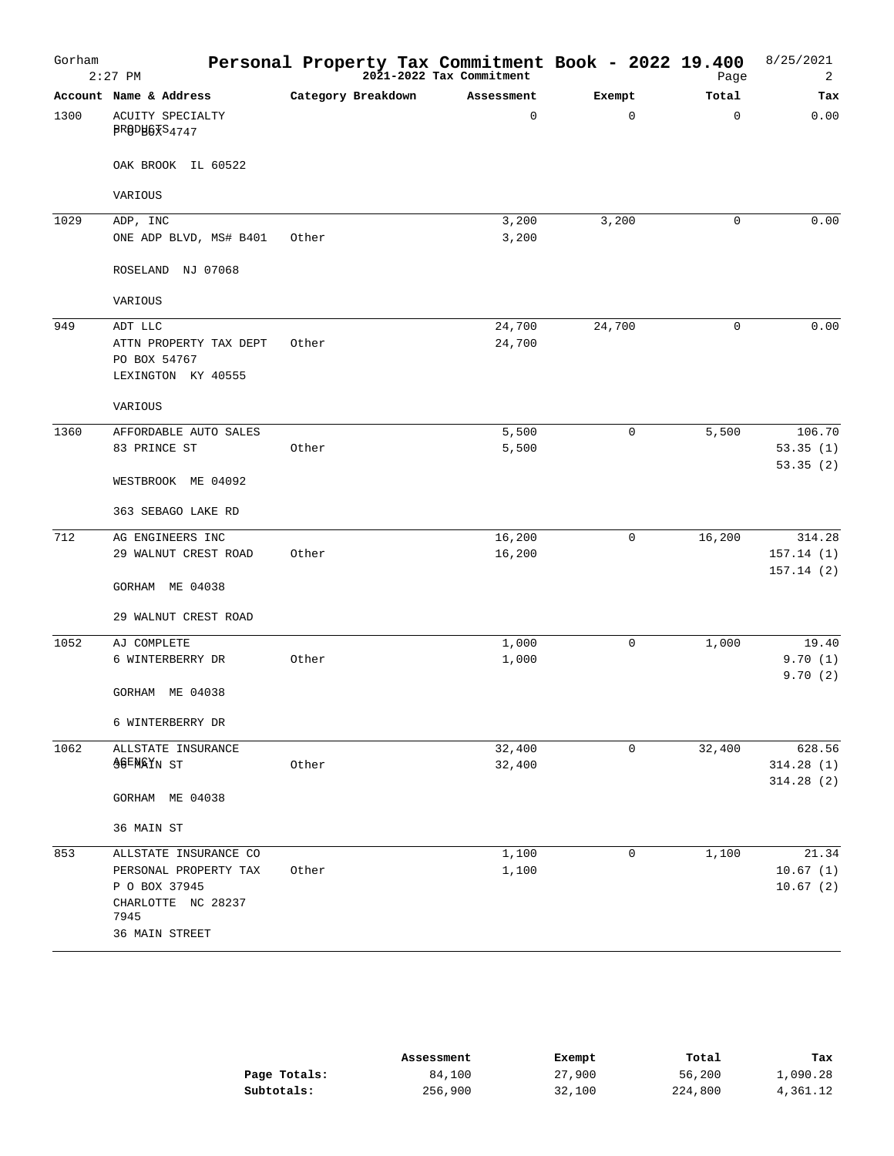| Gorham | $2:27$ PM                                   | Personal Property Tax Commitment Book - 2022 19.400<br>Page |                |             | Page        | 8/25/2021<br>2         |
|--------|---------------------------------------------|-------------------------------------------------------------|----------------|-------------|-------------|------------------------|
|        | Account Name & Address                      | Category Breakdown                                          | Assessment     | Exempt      | Total       | Tax                    |
| 1300   | <b>ACUITY SPECIALTY</b><br>BRODBOXS4747     |                                                             | $\mathbf{0}$   | $\mathbf 0$ | $\mathbf 0$ | 0.00                   |
|        | OAK BROOK IL 60522                          |                                                             |                |             |             |                        |
|        | VARIOUS                                     |                                                             |                |             |             |                        |
| 1029   | ADP, INC<br>ONE ADP BLVD, MS# B401          | Other                                                       | 3,200<br>3,200 | 3,200       | 0           | 0.00                   |
|        |                                             |                                                             |                |             |             |                        |
|        | NJ 07068<br>ROSELAND                        |                                                             |                |             |             |                        |
|        | VARIOUS                                     |                                                             |                |             |             |                        |
| 949    | ADT LLC                                     |                                                             | 24,700         | 24,700      | $\mathbf 0$ | 0.00                   |
|        | ATTN PROPERTY TAX DEPT<br>PO BOX 54767      | Other                                                       | 24,700         |             |             |                        |
|        | LEXINGTON KY 40555                          |                                                             |                |             |             |                        |
|        | VARIOUS                                     |                                                             |                |             |             |                        |
| 1360   | AFFORDABLE AUTO SALES                       |                                                             | 5,500          | 0           | 5,500       | 106.70                 |
|        | 83 PRINCE ST                                | Other                                                       | 5,500          |             |             | 53.35(1)               |
|        | WESTBROOK ME 04092                          |                                                             |                |             |             | 53.35(2)               |
|        | 363 SEBAGO LAKE RD                          |                                                             |                |             |             |                        |
| 712    | AG ENGINEERS INC                            |                                                             | 16,200         | 0           | 16,200      | 314.28                 |
|        | 29 WALNUT CREST ROAD                        | Other                                                       | 16,200         |             |             | 157.14(1)              |
|        | GORHAM ME 04038                             |                                                             |                |             |             | 157.14(2)              |
|        | 29 WALNUT CREST ROAD                        |                                                             |                |             |             |                        |
| 1052   | AJ COMPLETE                                 |                                                             | 1,000          | $\mathbf 0$ | 1,000       | 19.40                  |
|        | 6 WINTERBERRY DR                            | Other                                                       | 1,000          |             |             | 9.70(1)<br>9.70(2)     |
|        | GORHAM ME 04038                             |                                                             |                |             |             |                        |
|        | 6 WINTERBERRY DR                            |                                                             |                |             |             |                        |
| 1062   | ALLSTATE INSURANCE                          |                                                             | 32,400         | $\mathbf 0$ | 32,400      | 628.56                 |
|        | <b>AGENRIN ST</b>                           | Other                                                       | 32,400         |             |             | 314.28(1)<br>314.28(2) |
|        | GORHAM ME 04038                             |                                                             |                |             |             |                        |
|        | 36 MAIN ST                                  |                                                             |                |             |             |                        |
| 853    | ALLSTATE INSURANCE CO                       |                                                             | 1,100          | 0           | 1,100       | 21.34                  |
|        | PERSONAL PROPERTY TAX                       | Other                                                       | 1,100          |             |             | 10.67(1)               |
|        | P O BOX 37945<br>CHARLOTTE NC 28237<br>7945 |                                                             |                |             |             | 10.67(2)               |
|        | 36 MAIN STREET                              |                                                             |                |             |             |                        |

|              | Assessment | Exempt | Total   | Tax      |
|--------------|------------|--------|---------|----------|
| Page Totals: | 84,100     | 27,900 | 56,200  | 1,090.28 |
| Subtotals:   | 256,900    | 32,100 | 224,800 | 4,361.12 |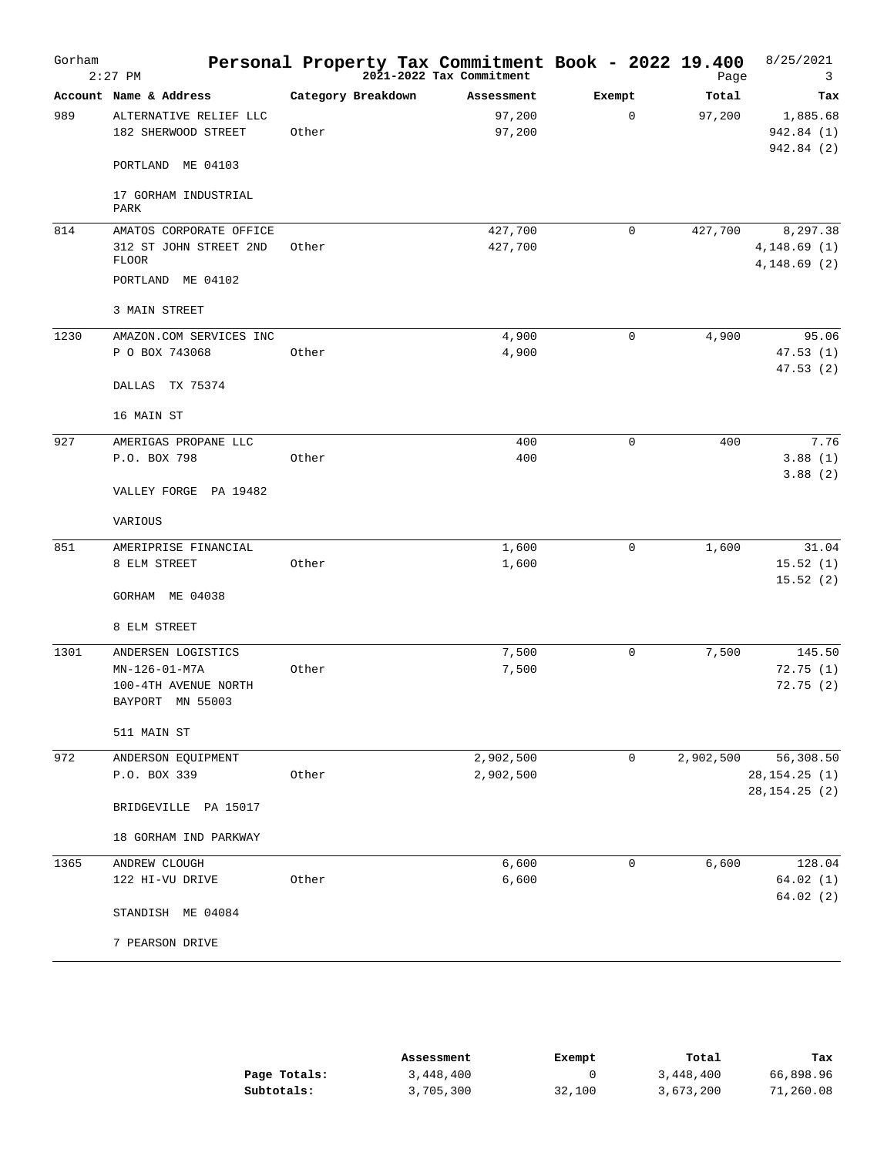| Gorham | $2:27$ PM                                     |       |                    | Personal Property Tax Commitment Book - 2022 19.400<br>$20\overline{2}1 - 2022$ Tax Commitment |        |             | Page      | 8/25/2021<br>3                     |
|--------|-----------------------------------------------|-------|--------------------|------------------------------------------------------------------------------------------------|--------|-------------|-----------|------------------------------------|
|        | Account Name & Address                        |       | Category Breakdown | Assessment                                                                                     | Exempt |             | Total     | Tax                                |
| 989    | ALTERNATIVE RELIEF LLC<br>182 SHERWOOD STREET | Other |                    | 97,200<br>97,200                                                                               |        | 0           | 97,200    | 1,885.68<br>942.84 (1)             |
|        | PORTLAND ME 04103                             |       |                    |                                                                                                |        |             |           | 942.84 (2)                         |
|        | 17 GORHAM INDUSTRIAL<br>PARK                  |       |                    |                                                                                                |        |             |           |                                    |
| 814    | AMATOS CORPORATE OFFICE                       |       |                    | 427,700                                                                                        |        | 0           | 427,700   | 8,297.38                           |
|        | 312 ST JOHN STREET 2ND<br>FLOOR               | Other |                    | 427,700                                                                                        |        |             |           | 4,148.69(1)<br>4,148.69(2)         |
|        | PORTLAND ME 04102                             |       |                    |                                                                                                |        |             |           |                                    |
|        | 3 MAIN STREET                                 |       |                    |                                                                                                |        |             |           |                                    |
| 1230   | AMAZON.COM SERVICES INC                       |       |                    | 4,900                                                                                          |        | 0           | 4,900     | 95.06                              |
|        | P O BOX 743068                                | Other |                    | 4,900                                                                                          |        |             |           | 47.53(1)<br>47.53(2)               |
|        | DALLAS TX 75374                               |       |                    |                                                                                                |        |             |           |                                    |
|        | 16 MAIN ST                                    |       |                    |                                                                                                |        |             |           |                                    |
| 927    | AMERIGAS PROPANE LLC                          |       |                    | 400                                                                                            |        | 0           | 400       | 7.76                               |
|        | P.O. BOX 798                                  | Other |                    | 400                                                                                            |        |             |           | 3.88(1)<br>3.88(2)                 |
|        | VALLEY FORGE PA 19482                         |       |                    |                                                                                                |        |             |           |                                    |
|        | VARIOUS                                       |       |                    |                                                                                                |        |             |           |                                    |
| 851    | AMERIPRISE FINANCIAL                          |       |                    | 1,600                                                                                          |        | $\mathbf 0$ | 1,600     | 31.04                              |
|        | 8 ELM STREET                                  | Other |                    | 1,600                                                                                          |        |             |           | 15.52(1)                           |
|        | GORHAM ME 04038                               |       |                    |                                                                                                |        |             |           | 15.52(2)                           |
|        | 8 ELM STREET                                  |       |                    |                                                                                                |        |             |           |                                    |
| 1301   | ANDERSEN LOGISTICS                            |       |                    | 7,500                                                                                          |        | $\mathbf 0$ | 7,500     | 145.50                             |
|        | $MN-126-01-M7A$                               | Other |                    | 7,500                                                                                          |        |             |           | 72.75(1)                           |
|        | 100-4TH AVENUE NORTH                          |       |                    |                                                                                                |        |             |           | 72.75(2)                           |
|        | BAYPORT MN 55003                              |       |                    |                                                                                                |        |             |           |                                    |
|        | 511 MAIN ST                                   |       |                    |                                                                                                |        |             |           |                                    |
| 972    | ANDERSON EQUIPMENT                            |       |                    | 2,902,500                                                                                      |        | 0           | 2,902,500 | 56,308.50                          |
|        | P.O. BOX 339                                  | Other |                    | 2,902,500                                                                                      |        |             |           | 28, 154. 25 (1)<br>28, 154. 25 (2) |
|        | BRIDGEVILLE PA 15017                          |       |                    |                                                                                                |        |             |           |                                    |
|        | 18 GORHAM IND PARKWAY                         |       |                    |                                                                                                |        |             |           |                                    |
| 1365   | ANDREW CLOUGH                                 |       |                    | 6,600                                                                                          |        | 0           | 6,600     | 128.04                             |
|        | 122 HI-VU DRIVE                               | Other |                    | 6,600                                                                                          |        |             |           | 64.02 (1)                          |
|        | STANDISH ME 04084                             |       |                    |                                                                                                |        |             |           | 64.02(2)                           |
|        | 7 PEARSON DRIVE                               |       |                    |                                                                                                |        |             |           |                                    |

|              | Assessment | Exempt | Total     | Tax       |
|--------------|------------|--------|-----------|-----------|
| Page Totals: | 3,448,400  |        | 3,448,400 | 66,898.96 |
| Subtotals:   | 3,705,300  | 32,100 | 3,673,200 | 71,260.08 |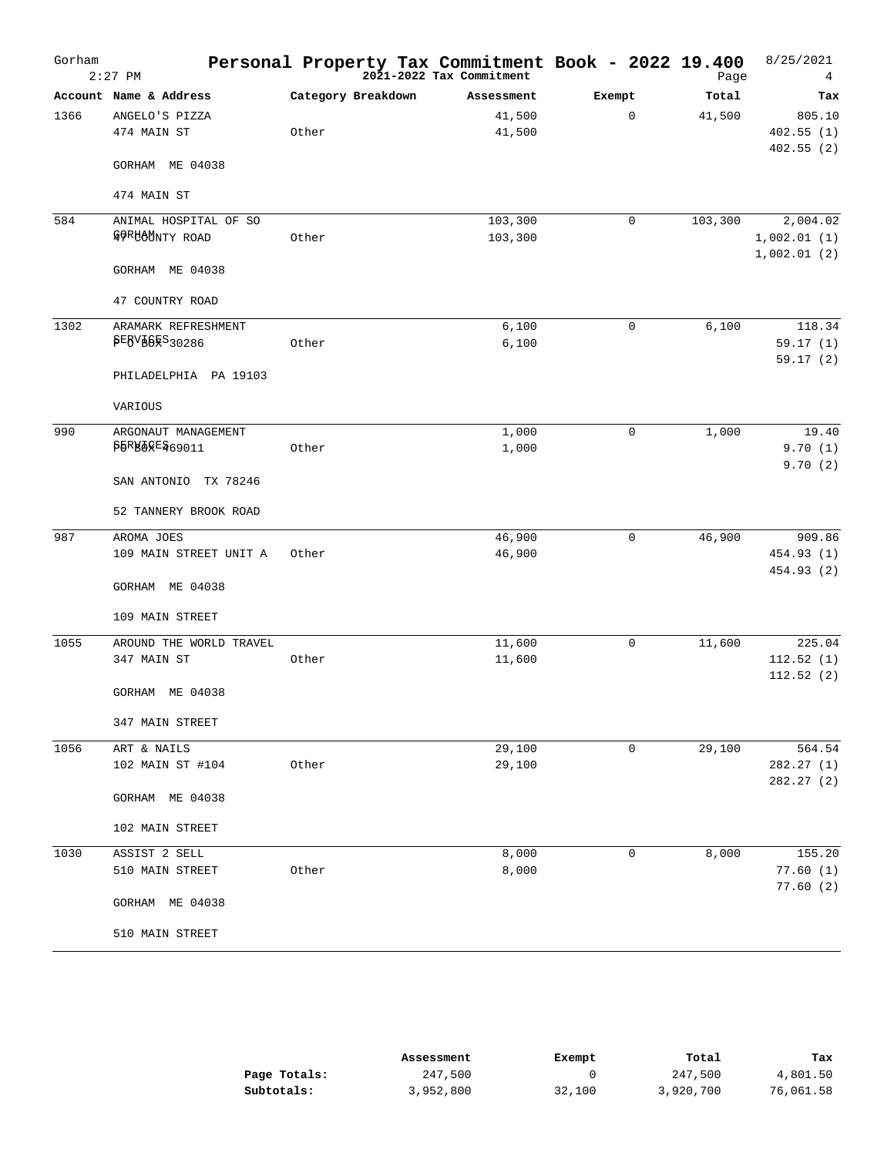| Gorham | $2:27$ PM                             | Personal Property Tax Commitment Book - 2022 19.400 | 2021-2022 Tax Commitment |                | Page    | 8/25/2021<br>4             |
|--------|---------------------------------------|-----------------------------------------------------|--------------------------|----------------|---------|----------------------------|
|        | Account Name & Address                | Category Breakdown                                  | Assessment               | Exempt         | Total   | Tax                        |
| 1366   | ANGELO'S PIZZA                        |                                                     | 41,500                   | $\overline{0}$ | 41,500  | 805.10                     |
|        | 474 MAIN ST                           | Other                                               | 41,500                   |                |         | 402.55(1)<br>402.55(2)     |
|        | GORHAM ME 04038                       |                                                     |                          |                |         |                            |
|        | 474 MAIN ST                           |                                                     |                          |                |         |                            |
| 584    | ANIMAL HOSPITAL OF SO                 |                                                     | 103,300                  | 0              | 103,300 | 2,004.02                   |
|        | GORUOUNTY ROAD                        | Other                                               | 103,300                  |                |         | 1,002.01(1)<br>1,002.01(2) |
|        | GORHAM ME 04038                       |                                                     |                          |                |         |                            |
|        | 47 COUNTRY ROAD                       |                                                     |                          |                |         |                            |
| 1302   | ARAMARK REFRESHMENT                   |                                                     | 6,100                    | 0              | 6,100   | 118.34                     |
|        | <b>PEBVEGES30286</b>                  | Other                                               | 6,100                    |                |         | 59.17(1)<br>59.17(2)       |
|        | PHILADELPHIA PA 19103                 |                                                     |                          |                |         |                            |
|        | VARIOUS                               |                                                     |                          |                |         |                            |
| 990    | ARGONAUT MANAGEMENT                   |                                                     | 1,000                    | 0              | 1,000   | 19.40                      |
|        | <b>\$&amp;R#&amp;&amp;E&amp;69011</b> | Other                                               | 1,000                    |                |         | 9.70(1)<br>9.70(2)         |
|        | SAN ANTONIO TX 78246                  |                                                     |                          |                |         |                            |
|        | 52 TANNERY BROOK ROAD                 |                                                     |                          |                |         |                            |
| 987    | AROMA JOES                            |                                                     | 46,900                   | 0              | 46,900  | 909.86                     |
|        | 109 MAIN STREET UNIT A                | Other                                               | 46,900                   |                |         | 454.93 (1)                 |
|        | GORHAM ME 04038                       |                                                     |                          |                |         | 454.93 (2)                 |
|        | 109 MAIN STREET                       |                                                     |                          |                |         |                            |
| 1055   | AROUND THE WORLD TRAVEL               |                                                     | 11,600                   | 0              | 11,600  | 225.04                     |
|        | 347 MAIN ST                           | Other                                               | 11,600                   |                |         | 112.52(1)<br>112.52(2)     |
|        | GORHAM ME 04038                       |                                                     |                          |                |         |                            |
|        | 347 MAIN STREET                       |                                                     |                          |                |         |                            |
| 1056   | ART & NAILS                           |                                                     | 29,100                   | $\mathbf 0$    | 29,100  | 564.54                     |
|        | 102 MAIN ST #104                      | Other                                               | 29,100                   |                |         | 282.27 (1)<br>282.27 (2)   |
|        | GORHAM ME 04038                       |                                                     |                          |                |         |                            |
|        | 102 MAIN STREET                       |                                                     |                          |                |         |                            |
| 1030   | ASSIST 2 SELL                         |                                                     | 8,000                    | 0              | 8,000   | 155.20                     |
|        | 510 MAIN STREET                       | Other                                               | 8,000                    |                |         | 77.60(1)<br>77.60(2)       |
|        | GORHAM ME 04038                       |                                                     |                          |                |         |                            |
|        | 510 MAIN STREET                       |                                                     |                          |                |         |                            |

|              | Assessment | Exempt | Total     | Tax       |
|--------------|------------|--------|-----------|-----------|
| Page Totals: | 247,500    |        | 247,500   | 4,801.50  |
| Subtotals:   | 3,952,800  | 32,100 | 3,920,700 | 76,061.58 |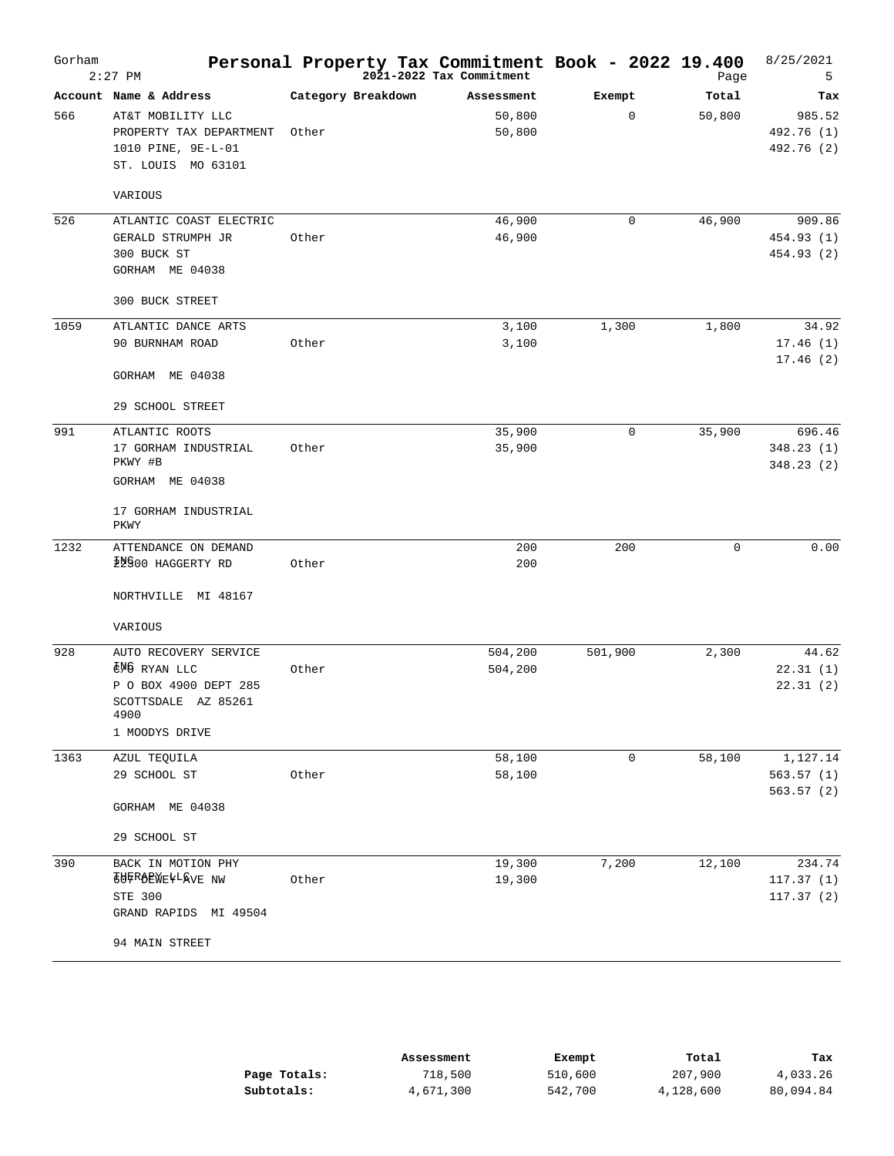| Gorham | $2:27$ PM                                                                                                       | Personal Property Tax Commitment Book - 2022 19.400 | 2021-2022 Tax Commitment |             | Page   | 8/25/2021<br>5                     |
|--------|-----------------------------------------------------------------------------------------------------------------|-----------------------------------------------------|--------------------------|-------------|--------|------------------------------------|
|        | Account Name & Address                                                                                          | Category Breakdown                                  | Assessment               | Exempt      | Total  | Tax                                |
| 566    | AT&T MOBILITY LLC<br>PROPERTY TAX DEPARTMENT<br>1010 PINE, 9E-L-01<br>ST. LOUIS MO 63101                        | Other                                               | 50,800<br>50,800         | 0           | 50,800 | 985.52<br>492.76 (1)<br>492.76 (2) |
|        | VARIOUS                                                                                                         |                                                     |                          |             |        |                                    |
| 526    | ATLANTIC COAST ELECTRIC<br>GERALD STRUMPH JR<br>300 BUCK ST<br>GORHAM ME 04038                                  | Other                                               | 46,900<br>46,900         | $\mathbf 0$ | 46,900 | 909.86<br>454.93 (1)<br>454.93 (2) |
|        | 300 BUCK STREET                                                                                                 |                                                     |                          |             |        |                                    |
| 1059   | ATLANTIC DANCE ARTS<br>90 BURNHAM ROAD<br>GORHAM ME 04038                                                       | Other                                               | 3,100<br>3,100           | 1,300       | 1,800  | 34.92<br>17.46(1)<br>17.46(2)      |
|        | 29 SCHOOL STREET                                                                                                |                                                     |                          |             |        |                                    |
| 991    | ATLANTIC ROOTS<br>17 GORHAM INDUSTRIAL<br>PKWY #B<br>GORHAM ME 04038                                            | Other                                               | 35,900<br>35,900         | $\mathbf 0$ | 35,900 | 696.46<br>348.23(1)<br>348.23(2)   |
|        | 17 GORHAM INDUSTRIAL<br>PKWY                                                                                    |                                                     |                          |             |        |                                    |
| 1232   | ATTENDANCE ON DEMAND<br>22900 HAGGERTY RD                                                                       | Other                                               | 200<br>200               | 200         | 0      | 0.00                               |
|        | NORTHVILLE MI 48167                                                                                             |                                                     |                          |             |        |                                    |
|        | VARIOUS                                                                                                         |                                                     |                          |             |        |                                    |
| 928    | AUTO RECOVERY SERVICE<br>EMG RYAN LLC<br>P O BOX 4900 DEPT 285<br>SCOTTSDALE AZ 85261<br>4900<br>1 MOODYS DRIVE | Other                                               | 504,200<br>504,200       | 501,900     | 2,300  | 44.62<br>22.31(1)<br>22.31(2)      |
| 1363   | AZUL TEQUILA                                                                                                    |                                                     | 58,100                   | 0           | 58,100 | 1,127.14                           |
|        | 29 SCHOOL ST                                                                                                    | Other                                               | 58,100                   |             |        | 563.57(1)<br>563.57(2)             |
|        | GORHAM ME 04038                                                                                                 |                                                     |                          |             |        |                                    |
|        | 29 SCHOOL ST                                                                                                    |                                                     |                          |             |        |                                    |
| 390    | BACK IN MOTION PHY<br><b>SHERBEWEFLAVE NW</b><br>STE 300<br>GRAND RAPIDS MI 49504                               | Other                                               | 19,300<br>19,300         | 7,200       | 12,100 | 234.74<br>117.37(1)<br>117.37(2)   |
|        | 94 MAIN STREET                                                                                                  |                                                     |                          |             |        |                                    |

|              | Assessment | Exempt  | Total     | Tax       |
|--------------|------------|---------|-----------|-----------|
| Page Totals: | 718,500    | 510,600 | 207,900   | 4,033.26  |
| Subtotals:   | 4,671,300  | 542,700 | 4,128,600 | 80,094.84 |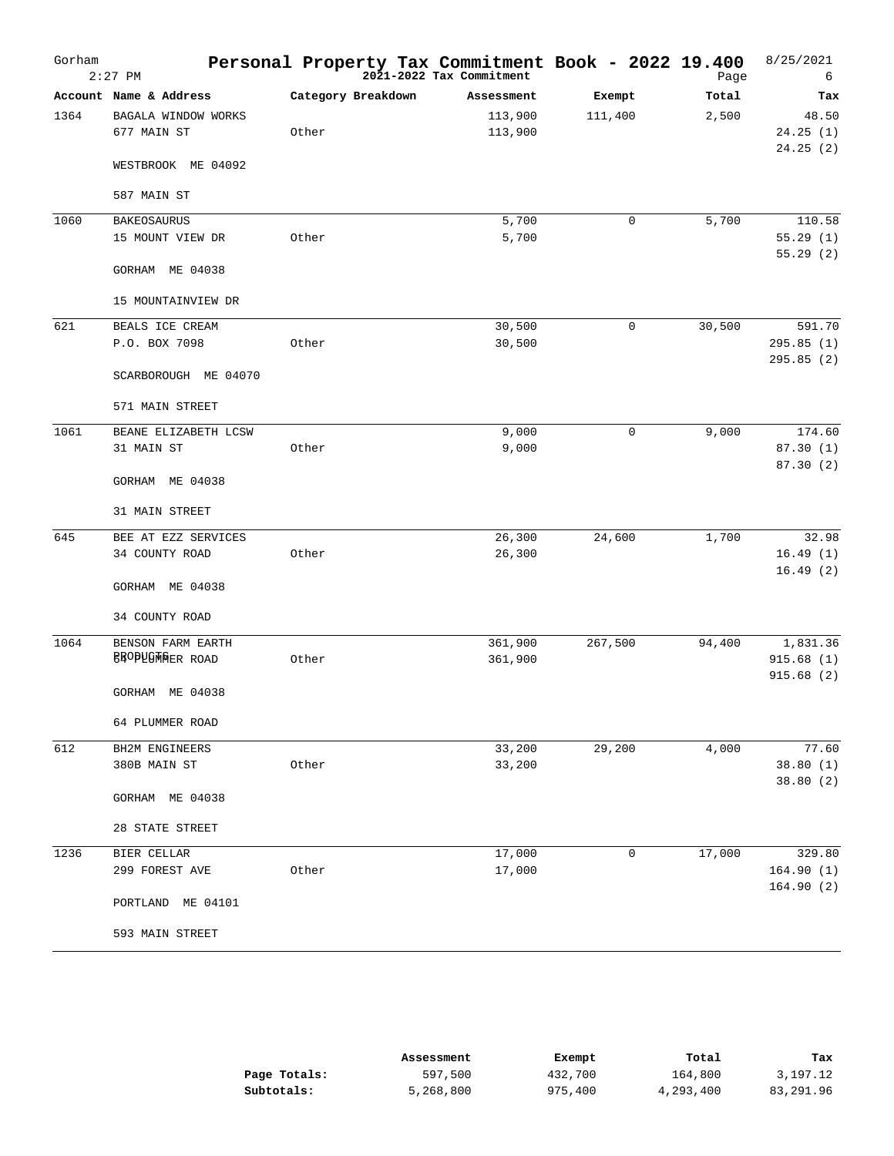| Gorham | $2:27$ PM                          | Personal Property Tax Commitment Book - 2022 19.400 | 2021-2022 Tax Commitment |         | Page   | 8/25/2021<br>6                |
|--------|------------------------------------|-----------------------------------------------------|--------------------------|---------|--------|-------------------------------|
|        | Account Name & Address             | Category Breakdown                                  | Assessment               | Exempt  | Total  | Tax                           |
| 1364   | BAGALA WINDOW WORKS<br>677 MAIN ST | Other                                               | 113,900<br>113,900       | 111,400 | 2,500  | 48.50<br>24.25(1)<br>24.25(2) |
|        | WESTBROOK ME 04092                 |                                                     |                          |         |        |                               |
|        | 587 MAIN ST                        |                                                     |                          |         |        |                               |
| 1060   | <b>BAKEOSAURUS</b>                 |                                                     | 5,700                    | 0       | 5,700  | 110.58                        |
|        | 15 MOUNT VIEW DR                   | Other                                               | 5,700                    |         |        | 55.29(1)<br>55.29(2)          |
|        | GORHAM ME 04038                    |                                                     |                          |         |        |                               |
|        | 15 MOUNTAINVIEW DR                 |                                                     |                          |         |        |                               |
| 621    | BEALS ICE CREAM                    |                                                     | 30,500                   | 0       | 30,500 | 591.70                        |
|        | P.O. BOX 7098                      | Other                                               | 30,500                   |         |        | 295.85(1)                     |
|        | SCARBOROUGH ME 04070               |                                                     |                          |         |        | 295.85 (2)                    |
|        | 571 MAIN STREET                    |                                                     |                          |         |        |                               |
| 1061   | BEANE ELIZABETH LCSW               |                                                     | 9,000                    | 0       | 9,000  | 174.60                        |
|        | 31 MAIN ST                         | Other                                               | 9,000                    |         |        | 87.30 (1)                     |
|        | GORHAM ME 04038                    |                                                     |                          |         |        | 87.30(2)                      |
|        | 31 MAIN STREET                     |                                                     |                          |         |        |                               |
| 645    | BEE AT EZZ SERVICES                |                                                     | 26,300                   | 24,600  | 1,700  | 32.98                         |
|        | 34 COUNTY ROAD                     | Other                                               | 26,300                   |         |        | 16.49(1)<br>16.49(2)          |
|        | GORHAM ME 04038                    |                                                     |                          |         |        |                               |
|        | 34 COUNTY ROAD                     |                                                     |                          |         |        |                               |
| 1064   | BENSON FARM EARTH                  |                                                     | 361,900                  | 267,500 | 94,400 | 1,831.36                      |
|        | <b>BROPEGWAER ROAD</b>             | Other                                               | 361,900                  |         |        | 915.68(1)                     |
|        | GORHAM ME 04038                    |                                                     |                          |         |        | 915.68(2)                     |
|        | 64 PLUMMER ROAD                    |                                                     |                          |         |        |                               |
| 612    | BH2M ENGINEERS                     |                                                     | 33,200                   | 29,200  | 4,000  | 77.60                         |
|        | 380B MAIN ST                       | Other                                               | 33,200                   |         |        | 38.80 (1)                     |
|        | GORHAM ME 04038                    |                                                     |                          |         |        | 38.80 (2)                     |
|        | 28 STATE STREET                    |                                                     |                          |         |        |                               |
| 1236   | BIER CELLAR                        |                                                     | 17,000                   | 0       | 17,000 | 329.80                        |
|        | 299 FOREST AVE                     | Other                                               | 17,000                   |         |        | 164.90(1)<br>164.90(2)        |
|        | PORTLAND<br>ME 04101               |                                                     |                          |         |        |                               |
|        | 593 MAIN STREET                    |                                                     |                          |         |        |                               |

|              | Assessment | Exempt  | Total     | Tax       |
|--------------|------------|---------|-----------|-----------|
| Page Totals: | 597,500    | 432,700 | 164,800   | 3,197.12  |
| Subtotals:   | 5,268,800  | 975,400 | 4,293,400 | 83,291.96 |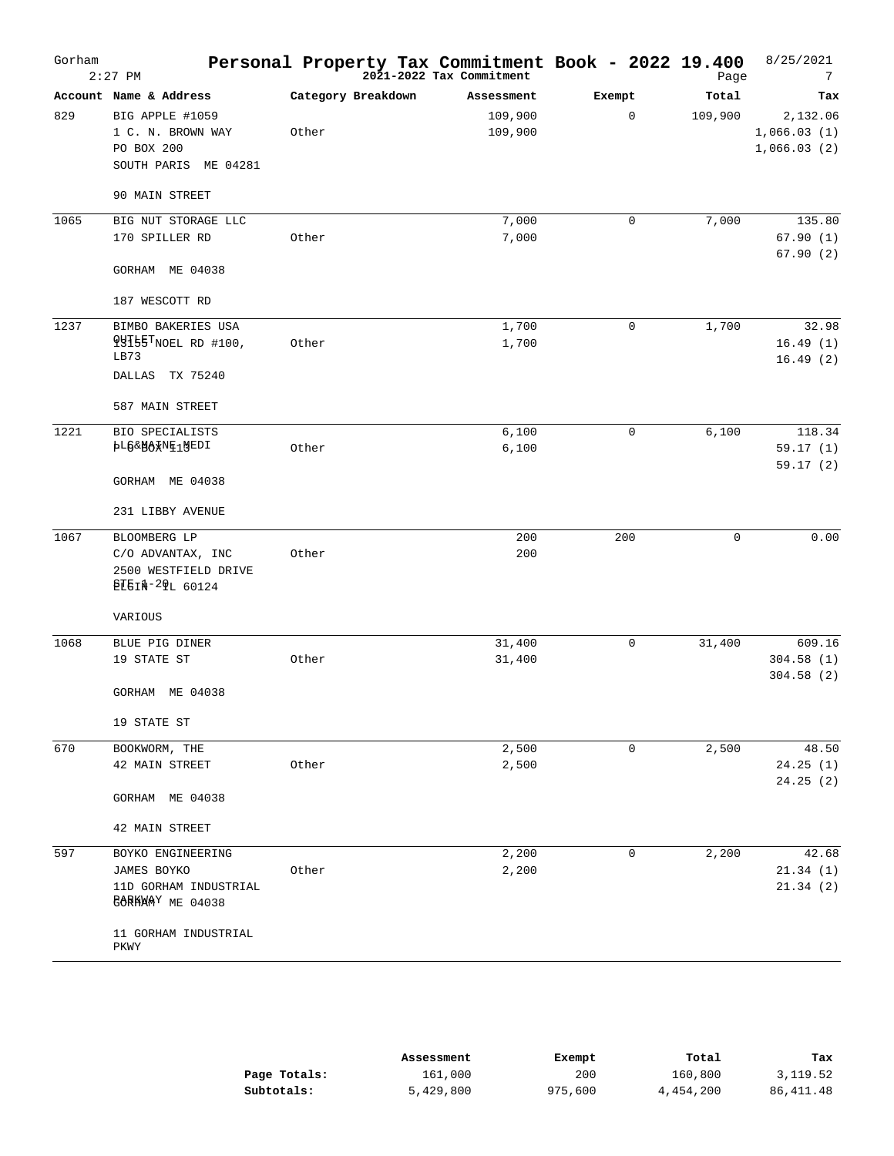| Gorham | $2:27$ PM                                                                  | Personal Property Tax Commitment Book - 2022 19.400 | 2021-2022 Tax Commitment |             | Page    | 8/25/2021<br>7                         |
|--------|----------------------------------------------------------------------------|-----------------------------------------------------|--------------------------|-------------|---------|----------------------------------------|
|        | Account Name & Address                                                     | Category Breakdown                                  | Assessment               | Exempt      | Total   | Tax                                    |
| 829    | BIG APPLE #1059<br>1 C. N. BROWN WAY<br>PO BOX 200<br>SOUTH PARIS ME 04281 | Other                                               | 109,900<br>109,900       | $\mathbf 0$ | 109,900 | 2,132.06<br>1,066.03(1)<br>1,066.03(2) |
|        | 90 MAIN STREET                                                             |                                                     |                          |             |         |                                        |
| 1065   | BIG NUT STORAGE LLC                                                        |                                                     | 7,000                    | $\mathbf 0$ | 7,000   | 135.80                                 |
|        | 170 SPILLER RD                                                             | Other                                               | 7,000                    |             |         | 67.90(1)<br>67.90(2)                   |
|        | GORHAM ME 04038                                                            |                                                     |                          |             |         |                                        |
|        | 187 WESCOTT RD                                                             |                                                     |                          |             |         |                                        |
| 1237   | BIMBO BAKERIES USA                                                         |                                                     | 1,700                    | $\mathbf 0$ | 1,700   | 32.98                                  |
|        | 99T55TNOEL RD #100,<br>LB73                                                | Other                                               | 1,700                    |             |         | 16.49(1)<br>16.49(2)                   |
|        | DALLAS TX 75240                                                            |                                                     |                          |             |         |                                        |
|        | 587 MAIN STREET                                                            |                                                     |                          |             |         |                                        |
| 1221   | BIO SPECIALISTS                                                            |                                                     | 6,100                    | $\mathbf 0$ | 6,100   | 118.34                                 |
|        | <b>PTG&amp;W9\MEJWEDI</b>                                                  | Other                                               | 6,100                    |             |         | 59.17(1)                               |
|        | GORHAM ME 04038                                                            |                                                     |                          |             |         | 59.17(2)                               |
|        | 231 LIBBY AVENUE                                                           |                                                     |                          |             |         |                                        |
| 1067   | BLOOMBERG LP                                                               |                                                     | 200                      | 200         | 0       | 0.00                                   |
|        | C/O ADVANTAX, INC<br>2500 WESTFIELD DRIVE<br><b>£E8IN-20L 60124</b>        | Other                                               | 200                      |             |         |                                        |
|        | VARIOUS                                                                    |                                                     |                          |             |         |                                        |
| 1068   | BLUE PIG DINER                                                             |                                                     | 31,400                   | $\mathbf 0$ | 31,400  | 609.16                                 |
|        | 19 STATE ST                                                                | Other                                               | 31,400                   |             |         | 304.58(1)                              |
|        | GORHAM ME 04038                                                            |                                                     |                          |             |         | 304.58(2)                              |
|        | 19 STATE ST                                                                |                                                     |                          |             |         |                                        |
| 670    | BOOKWORM, THE                                                              |                                                     | 2,500                    | $\mathbf 0$ | 2,500   | 48.50                                  |
|        | 42 MAIN STREET                                                             | Other                                               | 2,500                    |             |         | 24.25(1)                               |
|        | GORHAM ME 04038                                                            |                                                     |                          |             |         | 24.25(2)                               |
|        | 42 MAIN STREET                                                             |                                                     |                          |             |         |                                        |
| 597    | BOYKO ENGINEERING                                                          |                                                     | 2,200                    | $\mathbf 0$ | 2,200   | 42.68                                  |
|        | JAMES BOYKO                                                                | Other                                               | 2,200                    |             |         | 21.34(1)                               |
|        | 11D GORHAM INDUSTRIAL<br><b>EORHMAY</b> ME 04038                           |                                                     |                          |             |         | 21.34(2)                               |
|        | 11 GORHAM INDUSTRIAL<br>PKWY                                               |                                                     |                          |             |         |                                        |

|              | Assessment | Exempt  | Total     | тах       |
|--------------|------------|---------|-----------|-----------|
| Page Totals: | 161,000    | 200     | 160,800   | 3,119.52  |
| Subtotals:   | 5,429,800  | 975,600 | 4,454,200 | 86,411.48 |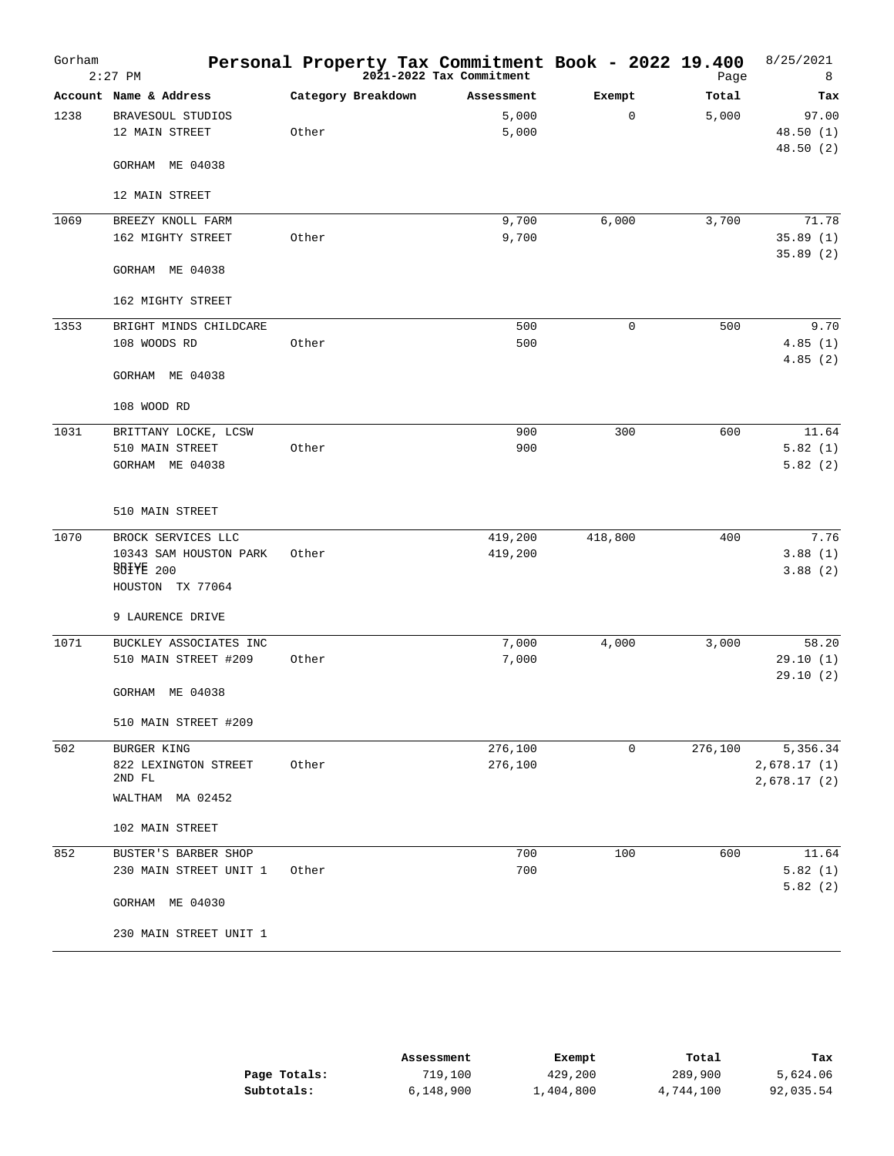| Gorham | $2:27$ PM                      | Personal Property Tax Commitment Book - 2022 19.400 | 2021-2022 Tax Commitment |             | Page    | 8/25/2021<br>8             |
|--------|--------------------------------|-----------------------------------------------------|--------------------------|-------------|---------|----------------------------|
|        | Account Name & Address         | Category Breakdown                                  | Assessment               | Exempt      | Total   | Tax                        |
| 1238   | BRAVESOUL STUDIOS              |                                                     | 5,000                    | 0           | 5,000   | 97.00                      |
|        | 12 MAIN STREET                 | Other                                               | 5,000                    |             |         | 48.50(1)                   |
|        | GORHAM ME 04038                |                                                     |                          |             |         | 48.50(2)                   |
|        | 12 MAIN STREET                 |                                                     |                          |             |         |                            |
| 1069   | BREEZY KNOLL FARM              |                                                     | 9,700                    | 6,000       | 3,700   | 71.78                      |
|        | 162 MIGHTY STREET              | Other                                               | 9,700                    |             |         | 35.89(1)                   |
|        | GORHAM ME 04038                |                                                     |                          |             |         | 35.89(2)                   |
|        | 162 MIGHTY STREET              |                                                     |                          |             |         |                            |
| 1353   | BRIGHT MINDS CHILDCARE         |                                                     | 500                      | 0           | 500     | 9.70                       |
|        | 108 WOODS RD                   | Other                                               | 500                      |             |         | 4.85(1)                    |
|        | GORHAM ME 04038                |                                                     |                          |             |         | 4.85(2)                    |
|        | 108 WOOD RD                    |                                                     |                          |             |         |                            |
| 1031   | BRITTANY LOCKE, LCSW           |                                                     | 900                      | 300         | 600     | 11.64                      |
|        | 510 MAIN STREET                | Other                                               | 900                      |             |         | 5.82(1)                    |
|        | GORHAM ME 04038                |                                                     |                          |             |         | 5.82(2)                    |
|        | 510 MAIN STREET                |                                                     |                          |             |         |                            |
| 1070   | BROCK SERVICES LLC             |                                                     | 419,200                  | 418,800     | 400     | 7.76                       |
|        | 10343 SAM HOUSTON PARK         | Other                                               | 419,200                  |             |         | 3.88(1)                    |
|        | <b>BBIYE 200</b>               |                                                     |                          |             |         | 3.88(2)                    |
|        | HOUSTON TX 77064               |                                                     |                          |             |         |                            |
|        | 9 LAURENCE DRIVE               |                                                     |                          |             |         |                            |
| 1071   | BUCKLEY ASSOCIATES INC         |                                                     | 7,000                    | 4,000       | 3,000   | 58.20                      |
|        | 510 MAIN STREET #209           | Other                                               | 7,000                    |             |         | 29.10(1)                   |
|        | GORHAM ME 04038                |                                                     |                          |             |         | 29.10(2)                   |
|        | 510 MAIN STREET #209           |                                                     |                          |             |         |                            |
| 502    | BURGER KING                    |                                                     | 276,100                  | $\mathbf 0$ | 276,100 | 5,356.34                   |
|        | 822 LEXINGTON STREET<br>2ND FL | Other                                               | 276,100                  |             |         | 2,678.17(1)<br>2,678.17(2) |
|        | WALTHAM<br>MA 02452            |                                                     |                          |             |         |                            |
|        | 102 MAIN STREET                |                                                     |                          |             |         |                            |
| 852    | BUSTER'S BARBER SHOP           |                                                     | 700                      | 100         | 600     | 11.64                      |
|        | 230 MAIN STREET UNIT 1         | Other                                               | 700                      |             |         | 5.82(1)<br>5.82(2)         |
|        | GORHAM ME 04030                |                                                     |                          |             |         |                            |
|        | 230 MAIN STREET UNIT 1         |                                                     |                          |             |         |                            |

|              | Assessment | Exempt    | Total     | Tax       |
|--------------|------------|-----------|-----------|-----------|
| Page Totals: | 719,100    | 429,200   | 289,900   | 5,624.06  |
| Subtotals:   | 6,148,900  | 1,404,800 | 4,744,100 | 92,035.54 |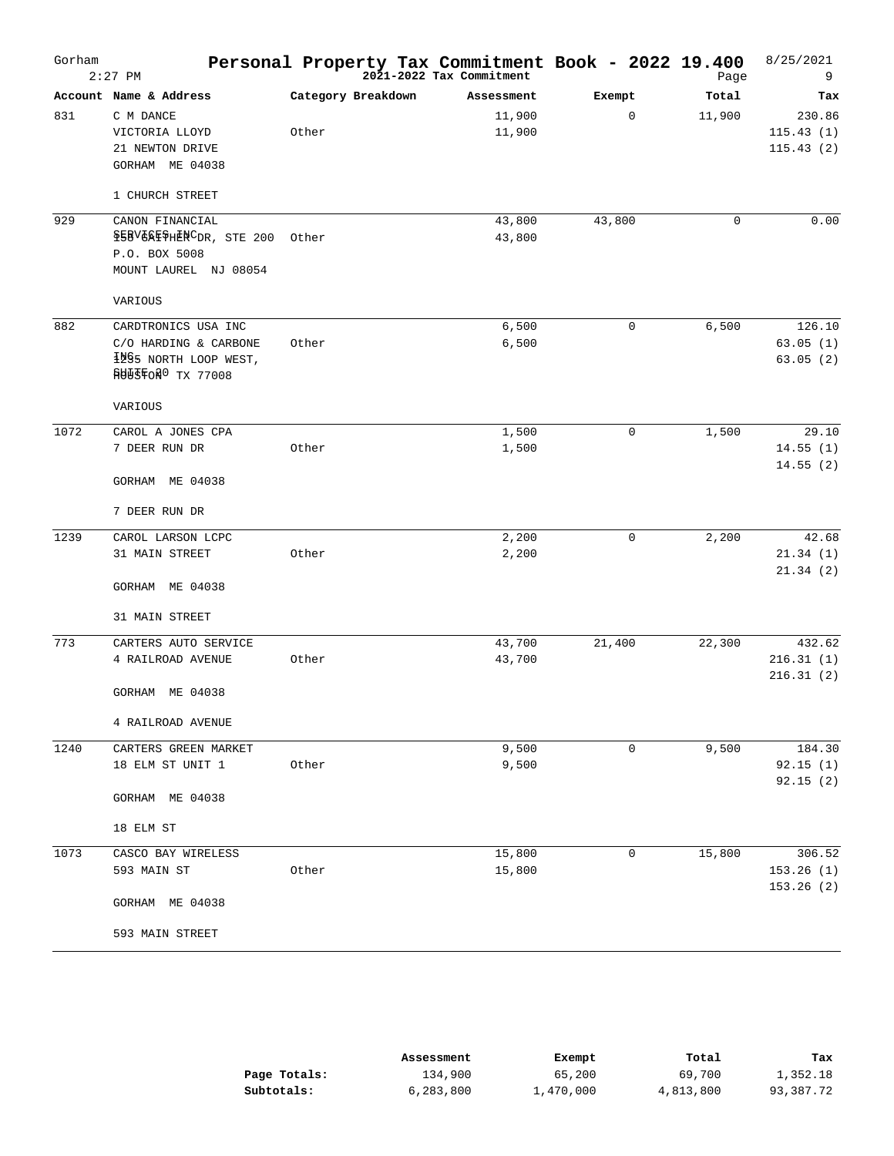| Gorham | $2:27$ PM                                                                                            |                    | Personal Property Tax Commitment Book - 2022 19.400<br>2021-2022 Tax Commitment |             | Page        | 8/25/2021<br>9                   |
|--------|------------------------------------------------------------------------------------------------------|--------------------|---------------------------------------------------------------------------------|-------------|-------------|----------------------------------|
|        | Account Name & Address                                                                               | Category Breakdown | Assessment                                                                      | Exempt      | Total       | Tax                              |
| 831    | C M DANCE<br>VICTORIA LLOYD<br>21 NEWTON DRIVE<br>GORHAM ME 04038                                    | Other              | 11,900<br>11,900                                                                | $\mathbf 0$ | 11,900      | 230.86<br>115.43(1)<br>115.43(2) |
|        | 1 CHURCH STREET                                                                                      |                    |                                                                                 |             |             |                                  |
| 929    | CANON FINANCIAL<br><b>\$58V&amp;&amp;F+HENCDR, STE 200</b><br>P.O. BOX 5008<br>MOUNT LAUREL NJ 08054 | Other              | 43,800<br>43,800                                                                | 43,800      | $\mathbf 0$ | 0.00                             |
|        | VARIOUS                                                                                              |                    |                                                                                 |             |             |                                  |
| 882    | CARDTRONICS USA INC<br>C/O HARDING & CARBONE<br>1095 NORTH LOOP WEST,<br><b>fig#FFof0 TX 77008</b>   | Other              | 6,500<br>6,500                                                                  | 0           | 6,500       | 126.10<br>63.05(1)<br>63.05(2)   |
|        | VARIOUS                                                                                              |                    |                                                                                 |             |             |                                  |
| 1072   | CAROL A JONES CPA<br>7 DEER RUN DR                                                                   | Other              | 1,500<br>1,500                                                                  | $\mathbf 0$ | 1,500       | 29.10<br>14.55(1)<br>14.55(2)    |
|        | GORHAM ME 04038                                                                                      |                    |                                                                                 |             |             |                                  |
|        | 7 DEER RUN DR                                                                                        |                    |                                                                                 |             |             |                                  |
| 1239   | CAROL LARSON LCPC<br>31 MAIN STREET                                                                  | Other              | 2,200<br>2,200                                                                  | 0           | 2,200       | 42.68<br>21.34(1)<br>21.34(2)    |
|        | GORHAM ME 04038                                                                                      |                    |                                                                                 |             |             |                                  |
|        | 31 MAIN STREET                                                                                       |                    |                                                                                 |             |             |                                  |
| 773    | CARTERS AUTO SERVICE<br>4 RAILROAD AVENUE                                                            | Other              | 43,700<br>43,700                                                                | 21,400      | 22,300      | 432.62<br>216.31(1)<br>216.31(2) |
|        | GORHAM ME 04038                                                                                      |                    |                                                                                 |             |             |                                  |
|        | 4 RAILROAD AVENUE                                                                                    |                    |                                                                                 |             |             |                                  |
| 1240   | CARTERS GREEN MARKET<br>18 ELM ST UNIT 1                                                             | Other              | 9,500<br>9,500                                                                  | 0           | 9,500       | 184.30<br>92.15(1)<br>92.15(2)   |
|        | GORHAM ME 04038                                                                                      |                    |                                                                                 |             |             |                                  |
|        | 18 ELM ST                                                                                            |                    |                                                                                 |             |             |                                  |
| 1073   | CASCO BAY WIRELESS<br>593 MAIN ST                                                                    | Other              | 15,800<br>15,800                                                                | 0           | 15,800      | 306.52<br>153.26(1)<br>153.26(2) |
|        | GORHAM ME 04038<br>593 MAIN STREET                                                                   |                    |                                                                                 |             |             |                                  |

|              | Assessment | Exempt    | Total     | Tax       |
|--------------|------------|-----------|-----------|-----------|
| Page Totals: | 134,900    | 65,200    | 69,700    | 1,352.18  |
| Subtotals:   | 6,283,800  | 1,470,000 | 4,813,800 | 93,387.72 |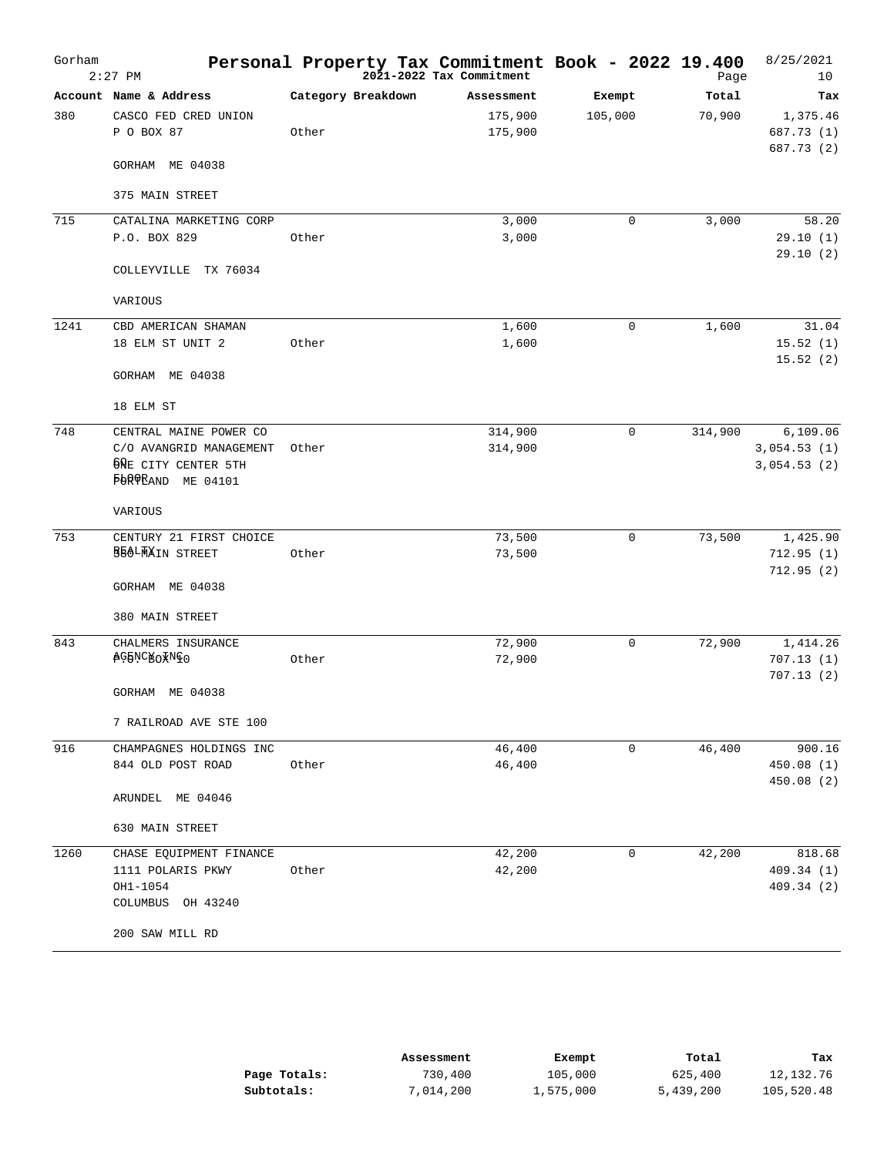| Gorham | $2:27$ PM                                    | Personal Property Tax Commitment Book - 2022 19.400 | 2021-2022 Tax Commitment |              | Page    | 8/25/2021<br>10                      |
|--------|----------------------------------------------|-----------------------------------------------------|--------------------------|--------------|---------|--------------------------------------|
|        | Account Name & Address                       | Category Breakdown                                  | Assessment               | Exempt       | Total   | Tax                                  |
| 380    | CASCO FED CRED UNION<br>P O BOX 87           | Other                                               | 175,900<br>175,900       | 105,000      | 70,900  | 1,375.46<br>687.73 (1)<br>687.73 (2) |
|        | GORHAM ME 04038                              |                                                     |                          |              |         |                                      |
|        | 375 MAIN STREET                              |                                                     |                          |              |         |                                      |
| 715    | CATALINA MARKETING CORP<br>P.O. BOX 829      | Other                                               | 3,000<br>3,000           | $\mathbf 0$  | 3,000   | 58.20<br>29.10(1)<br>29.10(2)        |
|        | COLLEYVILLE TX 76034                         |                                                     |                          |              |         |                                      |
|        | VARIOUS                                      |                                                     |                          |              |         |                                      |
| 1241   | CBD AMERICAN SHAMAN                          |                                                     | 1,600                    | $\mathbf 0$  | 1,600   | 31.04                                |
|        | 18 ELM ST UNIT 2                             | Other                                               | 1,600                    |              |         | 15.52(1)<br>15.52(2)                 |
|        | GORHAM ME 04038                              |                                                     |                          |              |         |                                      |
|        | 18 ELM ST                                    |                                                     |                          |              |         |                                      |
| 748    | CENTRAL MAINE POWER CO                       |                                                     | 314,900                  | 0            | 314,900 | 6,109.06                             |
|        | C/O AVANGRID MANAGEMENT                      | Other                                               | 314,900                  |              |         | 3,054.53(1)                          |
|        | <b>60E CITY CENTER 5TH</b>                   |                                                     |                          |              |         | 3,054.53(2)                          |
|        | FORPRAND ME 04101                            |                                                     |                          |              |         |                                      |
|        | VARIOUS                                      |                                                     |                          |              |         |                                      |
| 753    | CENTURY 21 FIRST CHOICE                      |                                                     | 73,500                   | 0            | 73,500  | 1,425.90                             |
|        | <b>BBOLWAIN STREET</b>                       | Other                                               | 73,500                   |              |         | 712.95(1)                            |
|        | GORHAM ME 04038                              |                                                     |                          |              |         | 712.95 (2)                           |
|        | 380 MAIN STREET                              |                                                     |                          |              |         |                                      |
| 843    | CHALMERS INSURANCE                           |                                                     | 72,900                   | 0            | 72,900  | 1,414.26                             |
|        | <b>AGENCHOXNE0</b>                           | Other                                               | 72,900                   |              |         | 707.13(1)                            |
|        | GORHAM ME 04038                              |                                                     |                          |              |         | 707.13(2)                            |
|        | 7 RAILROAD AVE STE 100                       |                                                     |                          |              |         |                                      |
|        |                                              |                                                     |                          |              |         |                                      |
| 916    | CHAMPAGNES HOLDINGS INC<br>844 OLD POST ROAD | Other                                               | 46,400<br>46,400         | $\mathsf{O}$ | 46,400  | 900.16<br>450.08 (1)                 |
|        |                                              |                                                     |                          |              |         | 450.08 (2)                           |
|        | ARUNDEL ME 04046                             |                                                     |                          |              |         |                                      |
|        | 630 MAIN STREET                              |                                                     |                          |              |         |                                      |
| 1260   | CHASE EQUIPMENT FINANCE                      |                                                     | 42,200                   | 0            | 42,200  | 818.68                               |
|        | 1111 POLARIS PKWY                            | Other                                               | 42,200                   |              |         | 409.34 (1)                           |
|        | OH1-1054<br>COLUMBUS OH 43240                |                                                     |                          |              |         | 409.34 (2)                           |
|        | 200 SAW MILL RD                              |                                                     |                          |              |         |                                      |

|              | Assessment | Exempt    | Total     | Tax        |
|--------------|------------|-----------|-----------|------------|
| Page Totals: | 730,400    | 105,000   | 625,400   | 12,132.76  |
| Subtotals:   | 7,014,200  | 1,575,000 | 5,439,200 | 105,520.48 |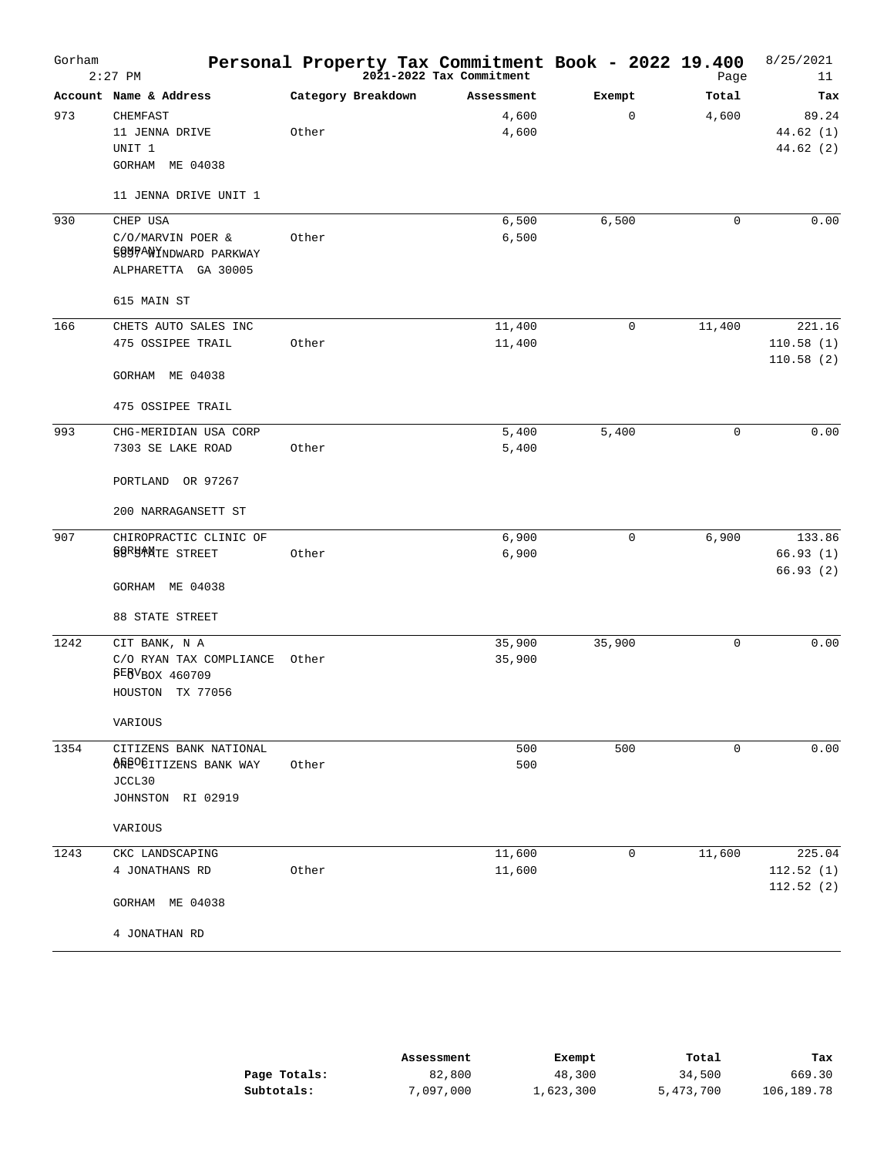| Gorham | $2:27$ PM                                  | Personal Property Tax Commitment Book - 2022 19.400<br>Page 2021-2022 Tax Commitment |            |             | Page        | 8/25/2021<br>11        |
|--------|--------------------------------------------|--------------------------------------------------------------------------------------|------------|-------------|-------------|------------------------|
|        | Account Name & Address                     | Category Breakdown                                                                   | Assessment | Exempt      | Total       | Tax                    |
| 973    | CHEMFAST                                   |                                                                                      | 4,600      | 0           | 4,600       | 89.24                  |
|        | 11 JENNA DRIVE<br>UNIT 1                   | Other                                                                                | 4,600      |             |             | 44.62(1)<br>44.62(2)   |
|        | GORHAM ME 04038                            |                                                                                      |            |             |             |                        |
|        | 11 JENNA DRIVE UNIT 1                      |                                                                                      |            |             |             |                        |
| 930    | CHEP USA                                   |                                                                                      | 6,500      | 6,500       | $\mathbf 0$ | 0.00                   |
|        | C/O/MARVIN POER &<br>SOMPANINDWARD PARKWAY | Other                                                                                | 6,500      |             |             |                        |
|        | ALPHARETTA GA 30005                        |                                                                                      |            |             |             |                        |
|        | 615 MAIN ST                                |                                                                                      |            |             |             |                        |
| 166    | CHETS AUTO SALES INC                       |                                                                                      | 11,400     | $\mathbf 0$ | 11,400      | 221.16                 |
|        | 475 OSSIPEE TRAIL                          | Other                                                                                | 11,400     |             |             | 110.58(1)              |
|        | GORHAM ME 04038                            |                                                                                      |            |             |             | 110.58(2)              |
|        | 475 OSSIPEE TRAIL                          |                                                                                      |            |             |             |                        |
| 993    | CHG-MERIDIAN USA CORP                      |                                                                                      | 5,400      | 5,400       | $\mathbf 0$ | 0.00                   |
|        | 7303 SE LAKE ROAD                          | Other                                                                                | 5,400      |             |             |                        |
|        | PORTLAND OR 97267                          |                                                                                      |            |             |             |                        |
|        | 200 NARRAGANSETT ST                        |                                                                                      |            |             |             |                        |
| 907    | CHIROPRACTIC CLINIC OF                     |                                                                                      | 6,900      | $\mathbf 0$ | 6,900       | 133.86                 |
|        | <b>GORUMNTE STREET</b>                     | Other                                                                                | 6,900      |             |             | 66.93(1)<br>66.93(2)   |
|        | GORHAM ME 04038                            |                                                                                      |            |             |             |                        |
|        | 88 STATE STREET                            |                                                                                      |            |             |             |                        |
| 1242   | CIT BANK, N A                              |                                                                                      | 35,900     | 35,900      | 0           | 0.00                   |
|        | C/O RYAN TAX COMPLIANCE                    | Other                                                                                | 35,900     |             |             |                        |
|        | <b>PEBVBOX 460709</b><br>HOUSTON TX 77056  |                                                                                      |            |             |             |                        |
|        | VARIOUS                                    |                                                                                      |            |             |             |                        |
| 1354   | CITIZENS BANK NATIONAL                     |                                                                                      | 500        | 500         | 0           | 0.00                   |
|        | OREOCITIZENS BANK WAY                      | Other                                                                                | 500        |             |             |                        |
|        | JCCL30<br>JOHNSTON RI 02919                |                                                                                      |            |             |             |                        |
|        | VARIOUS                                    |                                                                                      |            |             |             |                        |
| 1243   | CKC LANDSCAPING                            |                                                                                      | 11,600     | $\mathbf 0$ | 11,600      | 225.04                 |
|        | 4 JONATHANS RD                             | Other                                                                                | 11,600     |             |             | 112.52(1)<br>112.52(2) |
|        | GORHAM ME 04038                            |                                                                                      |            |             |             |                        |
|        | 4 JONATHAN RD                              |                                                                                      |            |             |             |                        |

|              | Assessment | Exempt    | Total     | Tax        |
|--------------|------------|-----------|-----------|------------|
| Page Totals: | 82,800     | 48,300    | 34,500    | 669.30     |
| Subtotals:   | 7,097,000  | 1,623,300 | 5,473,700 | 106,189.78 |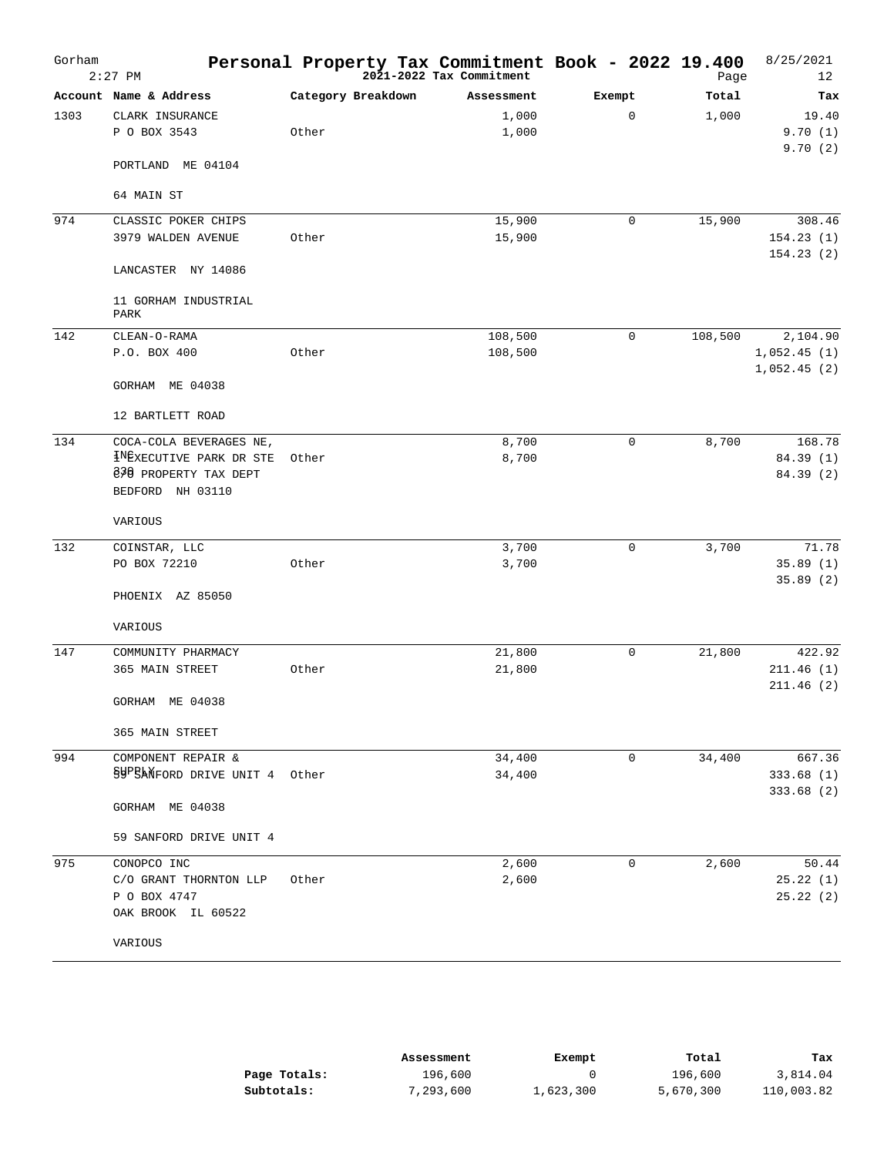| Gorham | $2:27$ PM                                 | Personal Property Tax Commitment Book - 2022 19.400 | 2021-2022 Tax Commitment |             | Page    | 8/25/2021<br>12            |
|--------|-------------------------------------------|-----------------------------------------------------|--------------------------|-------------|---------|----------------------------|
|        | Account Name & Address                    | Category Breakdown                                  | Assessment               | Exempt      | Total   | Tax                        |
| 1303   | CLARK INSURANCE                           |                                                     | 1,000                    | 0           | 1,000   | 19.40                      |
|        | P O BOX 3543                              | Other                                               | 1,000                    |             |         | 9.70(1)<br>9.70(2)         |
|        | PORTLAND ME 04104                         |                                                     |                          |             |         |                            |
|        | 64 MAIN ST                                |                                                     |                          |             |         |                            |
| 974    | CLASSIC POKER CHIPS                       |                                                     | 15,900                   | $\mathbf 0$ | 15,900  | 308.46                     |
|        | 3979 WALDEN AVENUE                        | Other                                               | 15,900                   |             |         | 154.23(1)<br>154.23(2)     |
|        | LANCASTER NY 14086                        |                                                     |                          |             |         |                            |
|        | 11 GORHAM INDUSTRIAL<br>PARK              |                                                     |                          |             |         |                            |
| 142    | CLEAN-O-RAMA                              |                                                     | 108,500                  | $\mathbf 0$ | 108,500 | 2,104.90                   |
|        | P.O. BOX 400                              | Other                                               | 108,500                  |             |         | 1,052.45(1)<br>1,052.45(2) |
|        | GORHAM ME 04038                           |                                                     |                          |             |         |                            |
|        | 12 BARTLETT ROAD                          |                                                     |                          |             |         |                            |
| 134    | COCA-COLA BEVERAGES NE,                   |                                                     | 8,700                    | 0           | 8,700   | 168.78                     |
|        | INEXECUTIVE PARK DR STE                   | Other                                               | 8,700                    |             |         | 84.39 (1)                  |
|        | 830 PROPERTY TAX DEPT<br>BEDFORD NH 03110 |                                                     |                          |             |         | 84.39 (2)                  |
|        | VARIOUS                                   |                                                     |                          |             |         |                            |
| 132    | COINSTAR, LLC                             |                                                     | 3,700                    | $\mathsf 0$ | 3,700   | 71.78                      |
|        | PO BOX 72210                              | Other                                               | 3,700                    |             |         | 35.89(1)<br>35.89(2)       |
|        | PHOENIX AZ 85050                          |                                                     |                          |             |         |                            |
|        | VARIOUS                                   |                                                     |                          |             |         |                            |
| 147    | COMMUNITY PHARMACY                        |                                                     | 21,800                   | $\mathbf 0$ | 21,800  | 422.92                     |
|        | 365 MAIN STREET                           | Other                                               | 21,800                   |             |         | 211.46(1)                  |
|        | GORHAM ME 04038                           |                                                     |                          |             |         | 211.46(2)                  |
|        | 365 MAIN STREET                           |                                                     |                          |             |         |                            |
| 994    | COMPONENT REPAIR &                        |                                                     | 34,400                   | 0           | 34,400  | 667.36                     |
|        | SUPEANFORD DRIVE UNIT 4 Other             |                                                     | 34,400                   |             |         | 333.68(1)<br>333.68 (2)    |
|        | GORHAM ME 04038                           |                                                     |                          |             |         |                            |
|        | 59 SANFORD DRIVE UNIT 4                   |                                                     |                          |             |         |                            |
| 975    | CONOPCO INC                               |                                                     | 2,600                    | 0           | 2,600   | 50.44                      |
|        | C/O GRANT THORNTON LLP                    | Other                                               | 2,600                    |             |         | 25.22(1)                   |
|        | P O BOX 4747<br>OAK BROOK IL 60522        |                                                     |                          |             |         | 25.22(2)                   |
|        | VARIOUS                                   |                                                     |                          |             |         |                            |

|              | Assessment | Exempt    | Total     | Tax        |
|--------------|------------|-----------|-----------|------------|
| Page Totals: | 196,600    |           | 196,600   | 3,814.04   |
| Subtotals:   | 7,293,600  | 1,623,300 | 5,670,300 | 110,003.82 |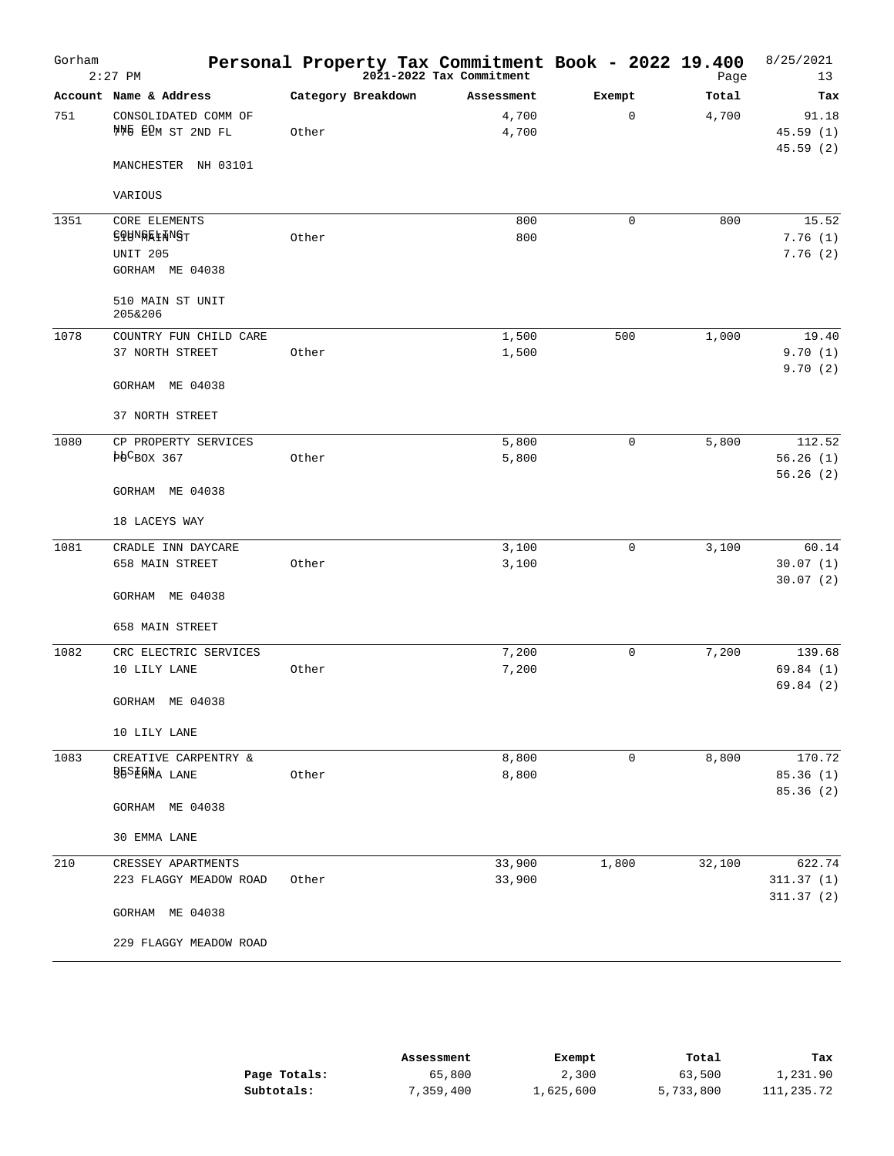| Gorham | $2:27$ PM                                                             | Personal Property Tax Commitment Book - 2022 19.400 | 2021-2022 Tax Commitment |              | Page   | 8/25/2021<br>13               |
|--------|-----------------------------------------------------------------------|-----------------------------------------------------|--------------------------|--------------|--------|-------------------------------|
|        | Account Name & Address                                                | Category Breakdown                                  | Assessment               | Exempt       | Total  | Tax                           |
| 751    | CONSOLIDATED COMM OF<br>NNB ERM ST 2ND FL                             | Other                                               | 4,700<br>4,700           | 0            | 4,700  | 91.18<br>45.59(1)<br>45.59(2) |
|        | MANCHESTER NH 03101                                                   |                                                     |                          |              |        |                               |
|        | VARIOUS                                                               |                                                     |                          |              |        |                               |
| 1351   | CORE ELEMENTS                                                         |                                                     | 800                      | $\mathbf 0$  | 800    | 15.52                         |
|        | <b>SOUNGALENNST</b>                                                   | Other                                               | 800                      |              |        | 7.76(1)                       |
|        | UNIT 205<br>GORHAM ME 04038                                           |                                                     |                          |              |        | 7.76(2)                       |
|        | 510 MAIN ST UNIT<br>205&206                                           |                                                     |                          |              |        |                               |
| 1078   | COUNTRY FUN CHILD CARE                                                |                                                     | 1,500                    | 500          | 1,000  | 19.40                         |
|        | 37 NORTH STREET                                                       | Other                                               | 1,500                    |              |        | 9.70(1)<br>9.70(2)            |
|        | GORHAM ME 04038                                                       |                                                     |                          |              |        |                               |
|        | 37 NORTH STREET                                                       |                                                     |                          |              |        |                               |
| 1080   | CP PROPERTY SERVICES                                                  |                                                     | 5,800                    | $\mathbf{0}$ | 5,800  | 112.52                        |
|        | $\frac{1}{2}$ $\frac{1}{2}$ $\frac{1}{2}$ $\frac{1}{2}$ $\frac{1}{2}$ | Other                                               | 5,800                    |              |        | 56.26(1)<br>56.26(2)          |
|        | GORHAM ME 04038                                                       |                                                     |                          |              |        |                               |
|        | 18 LACEYS WAY                                                         |                                                     |                          |              |        |                               |
| 1081   | CRADLE INN DAYCARE                                                    |                                                     | 3,100                    | $\mathbf{0}$ | 3,100  | 60.14                         |
|        | 658 MAIN STREET                                                       | Other                                               | 3,100                    |              |        | 30.07(1)<br>30.07(2)          |
|        | GORHAM ME 04038                                                       |                                                     |                          |              |        |                               |
|        | 658 MAIN STREET                                                       |                                                     |                          |              |        |                               |
| 1082   | CRC ELECTRIC SERVICES                                                 |                                                     | 7,200                    | $\mathbf 0$  | 7,200  | 139.68                        |
|        | 10 LILY LANE                                                          | Other                                               | 7,200                    |              |        | 69.84(1)                      |
|        | GORHAM ME 04038                                                       |                                                     |                          |              |        | 69.84(2)                      |
|        | 10 LILY LANE                                                          |                                                     |                          |              |        |                               |
| 1083   | CREATIVE CARPENTRY &                                                  |                                                     | 8,800                    | 0            | 8,800  | 170.72                        |
|        | <b>BBSEGMA LANE</b>                                                   | Other                                               | 8,800                    |              |        | 85.36 (1)<br>85.36 (2)        |
|        | GORHAM ME 04038                                                       |                                                     |                          |              |        |                               |
|        | 30 EMMA LANE                                                          |                                                     |                          |              |        |                               |
| 210    | CRESSEY APARTMENTS                                                    |                                                     | 33,900                   | 1,800        | 32,100 | 622.74                        |
|        | 223 FLAGGY MEADOW ROAD                                                | Other                                               | 33,900                   |              |        | 311.37(1)<br>311.37(2)        |
|        | GORHAM ME 04038                                                       |                                                     |                          |              |        |                               |
|        | 229 FLAGGY MEADOW ROAD                                                |                                                     |                          |              |        |                               |

|              | Assessment | Exempt    | Total     | Tax        |
|--------------|------------|-----------|-----------|------------|
| Page Totals: | 65,800     | 2,300     | 63,500    | 1,231.90   |
| Subtotals:   | 7,359,400  | 1,625,600 | 5,733,800 | 111,235.72 |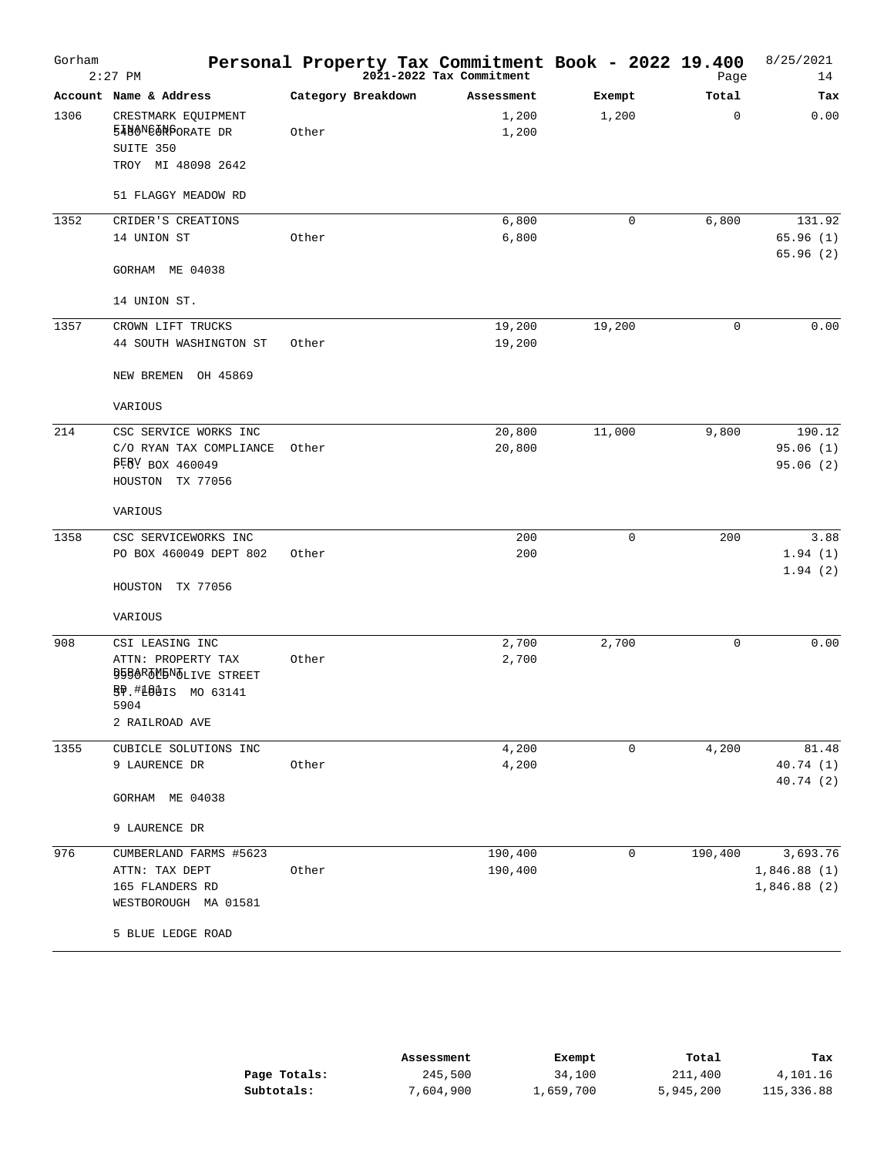| Gorham | $2:27$ PM                                                                                                      | Personal Property Tax Commitment Book - 2022 19.400<br>Page 2021-2022 Tax Commitment |                    |        | Page        | 8/25/2021<br>14                        |
|--------|----------------------------------------------------------------------------------------------------------------|--------------------------------------------------------------------------------------|--------------------|--------|-------------|----------------------------------------|
|        | Account Name & Address                                                                                         | Category Breakdown                                                                   | Assessment         | Exempt | Total       | Tax                                    |
| 1306   | CRESTMARK EQUIPMENT<br>5400N@6RPORATE DR<br>SUITE 350<br>TROY MI 48098 2642                                    | Other                                                                                | 1,200<br>1,200     | 1,200  | 0           | 0.00                                   |
|        | 51 FLAGGY MEADOW RD                                                                                            |                                                                                      |                    |        |             |                                        |
| 1352   | CRIDER'S CREATIONS<br>14 UNION ST                                                                              | Other                                                                                | 6,800<br>6,800     | 0      | 6,800       | 131.92<br>65.96(1)<br>65.96(2)         |
|        | GORHAM ME 04038                                                                                                |                                                                                      |                    |        |             |                                        |
|        | 14 UNION ST.                                                                                                   |                                                                                      |                    |        |             |                                        |
| 1357   | CROWN LIFT TRUCKS<br>44 SOUTH WASHINGTON ST<br>NEW BREMEN OH 45869                                             | Other                                                                                | 19,200<br>19,200   | 19,200 | $\mathbf 0$ | 0.00                                   |
|        | VARIOUS                                                                                                        |                                                                                      |                    |        |             |                                        |
| 214    | CSC SERVICE WORKS INC<br>C/O RYAN TAX COMPLIANCE<br><b>FEBY BOX 460049</b><br>HOUSTON TX 77056                 | Other                                                                                | 20,800<br>20,800   | 11,000 | 9,800       | 190.12<br>95.06(1)<br>95.06(2)         |
|        | VARIOUS                                                                                                        |                                                                                      |                    |        |             |                                        |
| 1358   | CSC SERVICEWORKS INC<br>PO BOX 460049 DEPT 802                                                                 | Other                                                                                | 200<br>200         | 0      | 200         | 3.88<br>1.94(1)<br>1.94(2)             |
|        | HOUSTON TX 77056                                                                                               |                                                                                      |                    |        |             |                                        |
|        | VARIOUS                                                                                                        |                                                                                      |                    |        |             |                                        |
| 908    | CSI LEASING INC<br>ATTN: PROPERTY TAX<br>9590R5MBN6LIVE STREET<br>BP.#1001S MO 63141<br>5904<br>2 RAILROAD AVE | Other                                                                                | 2,700<br>2,700     | 2,700  | 0           | 0.00                                   |
| 1355   | CUBICLE SOLUTIONS INC<br>9 LAURENCE DR                                                                         | Other                                                                                | 4,200<br>4,200     | 0      | 4,200       | 81.48<br>40.74(1)<br>40.74(2)          |
|        | GORHAM ME 04038                                                                                                |                                                                                      |                    |        |             |                                        |
|        | 9 LAURENCE DR                                                                                                  |                                                                                      |                    |        |             |                                        |
| 976    | CUMBERLAND FARMS #5623<br>ATTN: TAX DEPT<br>165 FLANDERS RD<br>WESTBOROUGH MA 01581                            | Other                                                                                | 190,400<br>190,400 | 0      | 190,400     | 3,693.76<br>1,846.88(1)<br>1,846.88(2) |
|        | 5 BLUE LEDGE ROAD                                                                                              |                                                                                      |                    |        |             |                                        |

|              | Assessment | Exempt    | Total     | Tax        |
|--------------|------------|-----------|-----------|------------|
| Page Totals: | 245,500    | 34,100    | 211,400   | 4,101.16   |
| Subtotals:   | 7,604,900  | 1,659,700 | 5,945,200 | 115,336.88 |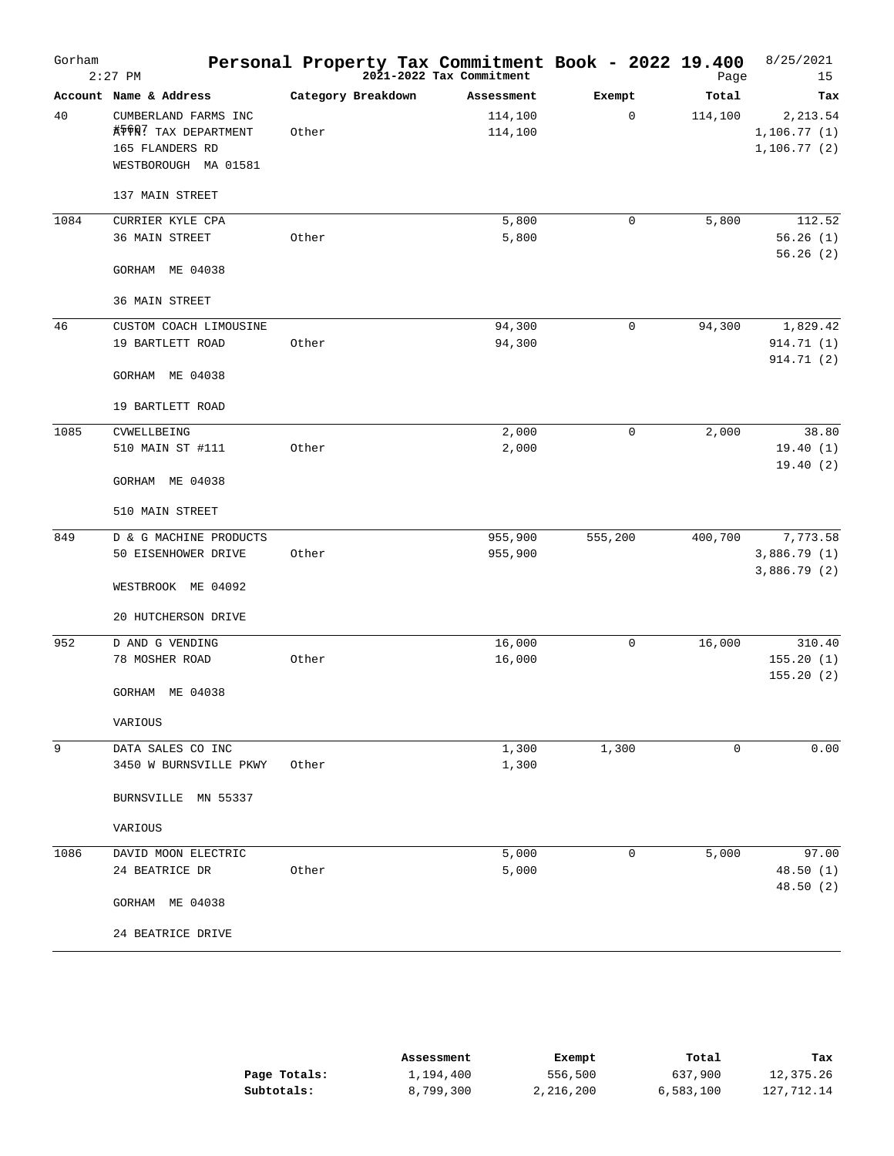| Gorham | $2:27$ PM                                                                                      | Personal Property Tax Commitment Book - 2022 19.400 | 2021-2022 Tax Commitment |         | Page         | 8/25/2021<br>15                          |
|--------|------------------------------------------------------------------------------------------------|-----------------------------------------------------|--------------------------|---------|--------------|------------------------------------------|
|        | Account Name & Address                                                                         | Category Breakdown                                  | Assessment               | Exempt  | Total        | Tax                                      |
| 40     | CUMBERLAND FARMS INC<br><b>#FFA7</b> TAX DEPARTMENT<br>165 FLANDERS RD<br>WESTBOROUGH MA 01581 | Other                                               | 114,100<br>114,100       | 0       | 114,100      | 2, 213.54<br>1, 106.77(1)<br>1,106.77(2) |
|        | 137 MAIN STREET                                                                                |                                                     |                          |         |              |                                          |
| 1084   | CURRIER KYLE CPA<br>36 MAIN STREET                                                             | Other                                               | 5,800<br>5,800           | 0       | 5,800        | 112.52<br>56.26(1)<br>56.26(2)           |
|        | GORHAM ME 04038                                                                                |                                                     |                          |         |              |                                          |
|        | 36 MAIN STREET                                                                                 |                                                     |                          |         |              |                                          |
| 46     | CUSTOM COACH LIMOUSINE<br>19 BARTLETT ROAD                                                     | Other                                               | 94,300<br>94,300         | 0       | 94,300       | 1,829.42<br>914.71 (1)<br>914.71(2)      |
|        | GORHAM ME 04038<br>19 BARTLETT ROAD                                                            |                                                     |                          |         |              |                                          |
| 1085   | CVWELLBEING                                                                                    |                                                     | 2,000                    | 0       | 2,000        | 38.80                                    |
|        | 510 MAIN ST #111                                                                               | Other                                               | 2,000                    |         |              | 19.40(1)<br>19.40(2)                     |
|        | GORHAM ME 04038                                                                                |                                                     |                          |         |              |                                          |
|        | 510 MAIN STREET                                                                                |                                                     |                          |         |              |                                          |
| 849    | D & G MACHINE PRODUCTS<br>50 EISENHOWER DRIVE                                                  | Other                                               | 955,900<br>955,900       | 555,200 | 400,700      | 7,773.58<br>3,886.79(1)<br>3,886.79(2)   |
|        | WESTBROOK ME 04092                                                                             |                                                     |                          |         |              |                                          |
|        | 20 HUTCHERSON DRIVE                                                                            |                                                     |                          |         |              |                                          |
| 952    | D AND G VENDING<br>78 MOSHER ROAD                                                              | Other                                               | 16,000<br>16,000         | 0       | 16,000       | 310.40<br>155.20(1)<br>155.20(2)         |
|        | GORHAM ME 04038                                                                                |                                                     |                          |         |              |                                          |
|        | VARIOUS                                                                                        |                                                     |                          |         |              |                                          |
| 9      | DATA SALES CO INC<br>3450 W BURNSVILLE PKWY                                                    | Other                                               | 1,300<br>1,300           | 1,300   | $\mathsf{O}$ | 0.00                                     |
|        | BURNSVILLE MN 55337                                                                            |                                                     |                          |         |              |                                          |
|        | VARIOUS                                                                                        |                                                     |                          |         |              |                                          |
| 1086   | DAVID MOON ELECTRIC<br>24 BEATRICE DR                                                          | Other                                               | 5,000<br>5,000           | 0       | 5,000        | 97.00<br>48.50 (1)<br>48.50 (2)          |
|        | GORHAM ME 04038                                                                                |                                                     |                          |         |              |                                          |
|        | 24 BEATRICE DRIVE                                                                              |                                                     |                          |         |              |                                          |

|              | Assessment | Exempt    | Total     | тах        |
|--------------|------------|-----------|-----------|------------|
| Page Totals: | 1,194,400  | 556,500   | 637,900   | 12,375.26  |
| Subtotals:   | 8,799,300  | 2,216,200 | 6,583,100 | 127,712.14 |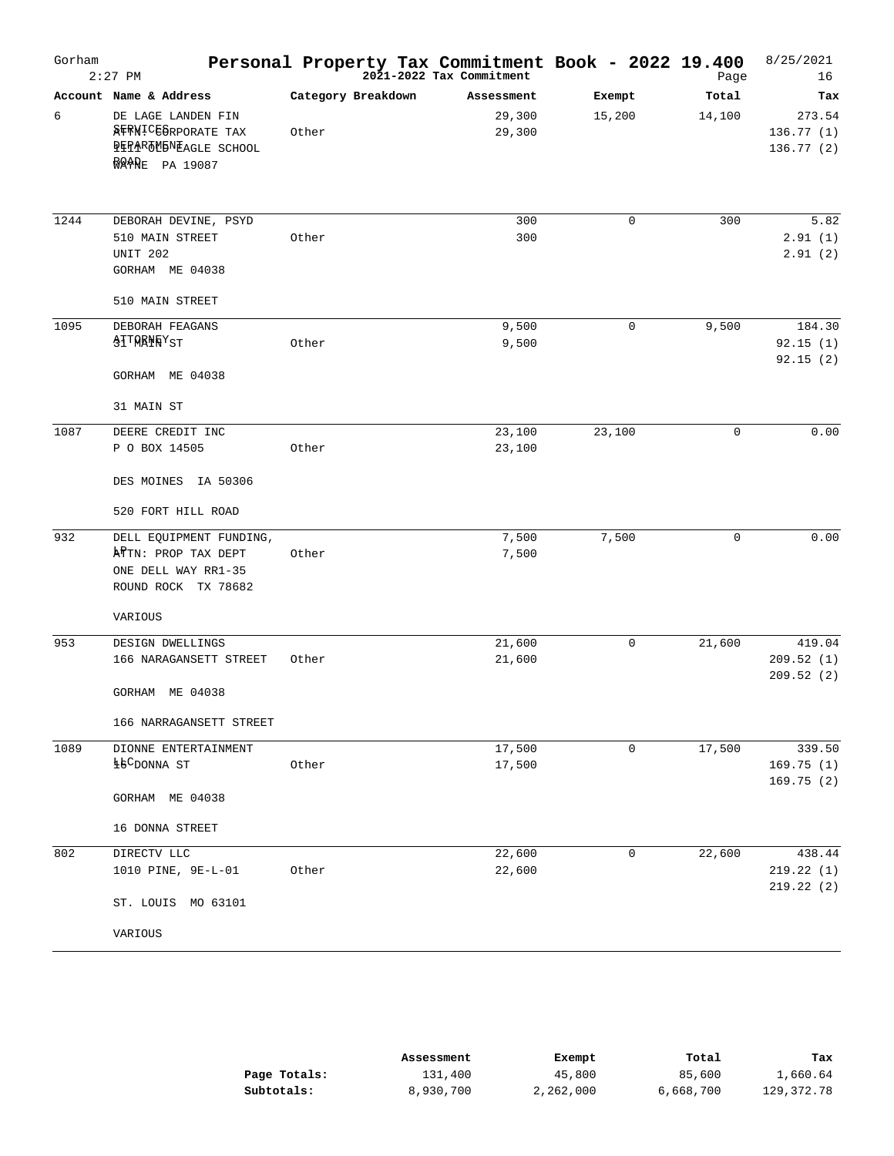| Gorham | $2:27$ PM                                                                                         | Personal Property Tax Commitment Book - 2022 19.400 | 2021-2022 Tax Commitment |              | Page        | 8/25/2021<br>16                  |
|--------|---------------------------------------------------------------------------------------------------|-----------------------------------------------------|--------------------------|--------------|-------------|----------------------------------|
|        | Account Name & Address                                                                            | Category Breakdown                                  | Assessment               | Exempt       | Total       | Tax                              |
| 6      | DE LAGE LANDEN FIN<br><b>ATRNICESRPORATE TAX</b><br>PIPAR5MBNEAGLE SCHOOL<br><b>网络RE</b> PA 19087 | Other                                               | 29,300<br>29,300         | 15,200       | 14,100      | 273.54<br>136.77(1)<br>136.77(2) |
| 1244   | DEBORAH DEVINE, PSYD                                                                              |                                                     | 300                      | $\mathbf{0}$ | 300         | 5.82                             |
|        | 510 MAIN STREET<br>UNIT 202<br>GORHAM ME 04038                                                    | Other                                               | 300                      |              |             | 2.91(1)<br>2.91(2)               |
|        | 510 MAIN STREET                                                                                   |                                                     |                          |              |             |                                  |
| 1095   | DEBORAH FEAGANS                                                                                   |                                                     | 9,500                    | 0            | 9,500       | 184.30                           |
|        | <b>ATTWANNYST</b>                                                                                 | Other                                               | 9,500                    |              |             | 92.15(1)                         |
|        | GORHAM ME 04038                                                                                   |                                                     |                          |              |             | 92.15(2)                         |
|        | 31 MAIN ST                                                                                        |                                                     |                          |              |             |                                  |
| 1087   | DEERE CREDIT INC                                                                                  |                                                     | 23,100                   | 23,100       | $\mathbf 0$ | 0.00                             |
|        | P O BOX 14505                                                                                     | Other                                               | 23,100                   |              |             |                                  |
|        | DES MOINES IA 50306                                                                               |                                                     |                          |              |             |                                  |
|        | 520 FORT HILL ROAD                                                                                |                                                     |                          |              |             |                                  |
| 932    | DELL EQUIPMENT FUNDING,<br>ATIN: PROP TAX DEPT<br>ONE DELL WAY RR1-35<br>ROUND ROCK TX 78682      | Other                                               | 7,500<br>7,500           | 7,500        | $\mathbf 0$ | 0.00                             |
|        | VARIOUS                                                                                           |                                                     |                          |              |             |                                  |
| 953    | DESIGN DWELLINGS                                                                                  |                                                     | 21,600                   | 0            | 21,600      | 419.04                           |
|        | 166 NARAGANSETT STREET                                                                            | Other                                               | 21,600                   |              |             | 209.52(1)                        |
|        | GORHAM ME 04038                                                                                   |                                                     |                          |              |             | 209.52(2)                        |
|        | 166 NARRAGANSETT STREET                                                                           |                                                     |                          |              |             |                                  |
| 1089   | DIONNE ENTERTAINMENT                                                                              |                                                     | 17,500                   | 0            | 17,500      | 339.50                           |
|        | 46 <sup>C</sup> DONNA ST                                                                          | Other                                               | 17,500                   |              |             | 169.75(1)                        |
|        | GORHAM ME 04038                                                                                   |                                                     |                          |              |             | 169.75(2)                        |
|        | 16 DONNA STREET                                                                                   |                                                     |                          |              |             |                                  |
| 802    | DIRECTV LLC                                                                                       |                                                     | 22,600                   | $\mathbf 0$  | 22,600      | 438.44                           |
|        | 1010 PINE, 9E-L-01                                                                                | Other                                               | 22,600                   |              |             | 219.22 (1)<br>219.22(2)          |
|        | ST. LOUIS MO 63101                                                                                |                                                     |                          |              |             |                                  |
|        | VARIOUS                                                                                           |                                                     |                          |              |             |                                  |

|              | Assessment | Exempt    | Total     | Tax        |
|--------------|------------|-----------|-----------|------------|
| Page Totals: | 131,400    | 45,800    | 85,600    | 1,660.64   |
| Subtotals:   | 8,930,700  | 2,262,000 | 6,668,700 | 129,372.78 |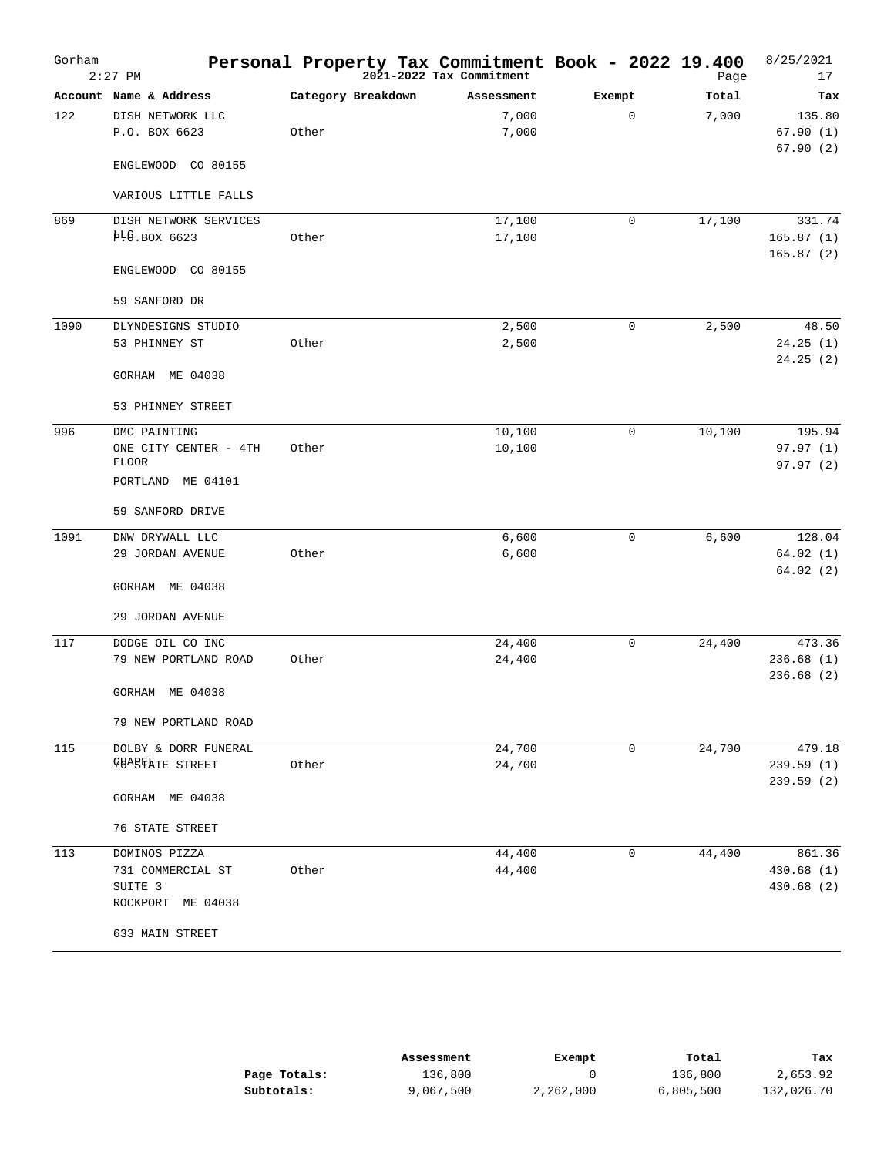| Gorham | $2:27$ PM                             | Personal Property Tax Commitment Book - 2022 19.400 | 2021-2022 Tax Commitment |             | Page   | 8/25/2021<br>17      |
|--------|---------------------------------------|-----------------------------------------------------|--------------------------|-------------|--------|----------------------|
|        | Account Name & Address                | Category Breakdown                                  | Assessment               | Exempt      | Total  | Tax                  |
| 122    | DISH NETWORK LLC                      |                                                     | 7,000                    | 0           | 7,000  | 135.80               |
|        | P.O. BOX 6623                         | Other                                               | 7,000                    |             |        | 67.90(1)             |
|        | ENGLEWOOD CO 80155                    |                                                     |                          |             |        | 67.90(2)             |
|        | VARIOUS LITTLE FALLS                  |                                                     |                          |             |        |                      |
| 869    | DISH NETWORK SERVICES                 |                                                     | 17,100                   | $\mathbf 0$ | 17,100 | 331.74               |
|        | №5.вох 6623                           | Other                                               | 17,100                   |             |        | 165.87(1)            |
|        | ENGLEWOOD CO 80155                    |                                                     |                          |             |        | 165.87(2)            |
|        | 59 SANFORD DR                         |                                                     |                          |             |        |                      |
| 1090   | DLYNDESIGNS STUDIO                    |                                                     | 2,500                    | $\mathbf 0$ | 2,500  | 48.50                |
|        | 53 PHINNEY ST                         | Other                                               | 2,500                    |             |        | 24.25(1)             |
|        | GORHAM ME 04038                       |                                                     |                          |             |        | 24.25(2)             |
|        |                                       |                                                     |                          |             |        |                      |
|        | 53 PHINNEY STREET                     |                                                     |                          |             |        |                      |
| 996    | DMC PAINTING                          |                                                     | 10,100                   | $\mathbf 0$ | 10,100 | 195.94               |
|        | ONE CITY CENTER - 4TH<br><b>FLOOR</b> | Other                                               | 10,100                   |             |        | 97.97(1)<br>97.97(2) |
|        | PORTLAND ME 04101                     |                                                     |                          |             |        |                      |
|        | 59 SANFORD DRIVE                      |                                                     |                          |             |        |                      |
| 1091   | DNW DRYWALL LLC                       |                                                     | 6,600                    | $\mathbf 0$ | 6,600  | 128.04               |
|        | 29 JORDAN AVENUE                      | Other                                               | 6,600                    |             |        | 64.02(1)             |
|        | GORHAM ME 04038                       |                                                     |                          |             |        | 64.02(2)             |
|        |                                       |                                                     |                          |             |        |                      |
|        | 29 JORDAN AVENUE                      |                                                     |                          |             |        |                      |
| 117    | DODGE OIL CO INC                      |                                                     | 24,400                   | 0           | 24,400 | 473.36               |
|        | 79 NEW PORTLAND ROAD                  | Other                                               | 24,400                   |             |        | 236.68(1)            |
|        | GORHAM ME 04038                       |                                                     |                          |             |        | 236.68(2)            |
|        | 79 NEW PORTLAND ROAD                  |                                                     |                          |             |        |                      |
| 115    | DOLBY & DORR FUNERAL                  |                                                     | 24,700                   | $\mathbf 0$ | 24,700 | 479.18               |
|        | <b>CHABFATE STREET</b>                | Other                                               | 24,700                   |             |        | 239.59(1)            |
|        |                                       |                                                     |                          |             |        | 239.59 (2)           |
|        | GORHAM ME 04038                       |                                                     |                          |             |        |                      |
|        | 76 STATE STREET                       |                                                     |                          |             |        |                      |
| 113    | DOMINOS PIZZA                         |                                                     | 44,400                   | $\mathbf 0$ | 44,400 | 861.36               |
|        | 731 COMMERCIAL ST                     | Other                                               | 44,400                   |             |        | 430.68 (1)           |
|        | SUITE 3<br>ROCKPORT ME 04038          |                                                     |                          |             |        | 430.68 (2)           |
|        |                                       |                                                     |                          |             |        |                      |
|        | 633 MAIN STREET                       |                                                     |                          |             |        |                      |

|              | Assessment | Exempt    | Total     | Tax        |
|--------------|------------|-----------|-----------|------------|
| Page Totals: | 136,800    |           | 136,800   | 2,653.92   |
| Subtotals:   | 9,067,500  | 2,262,000 | 6,805,500 | 132,026.70 |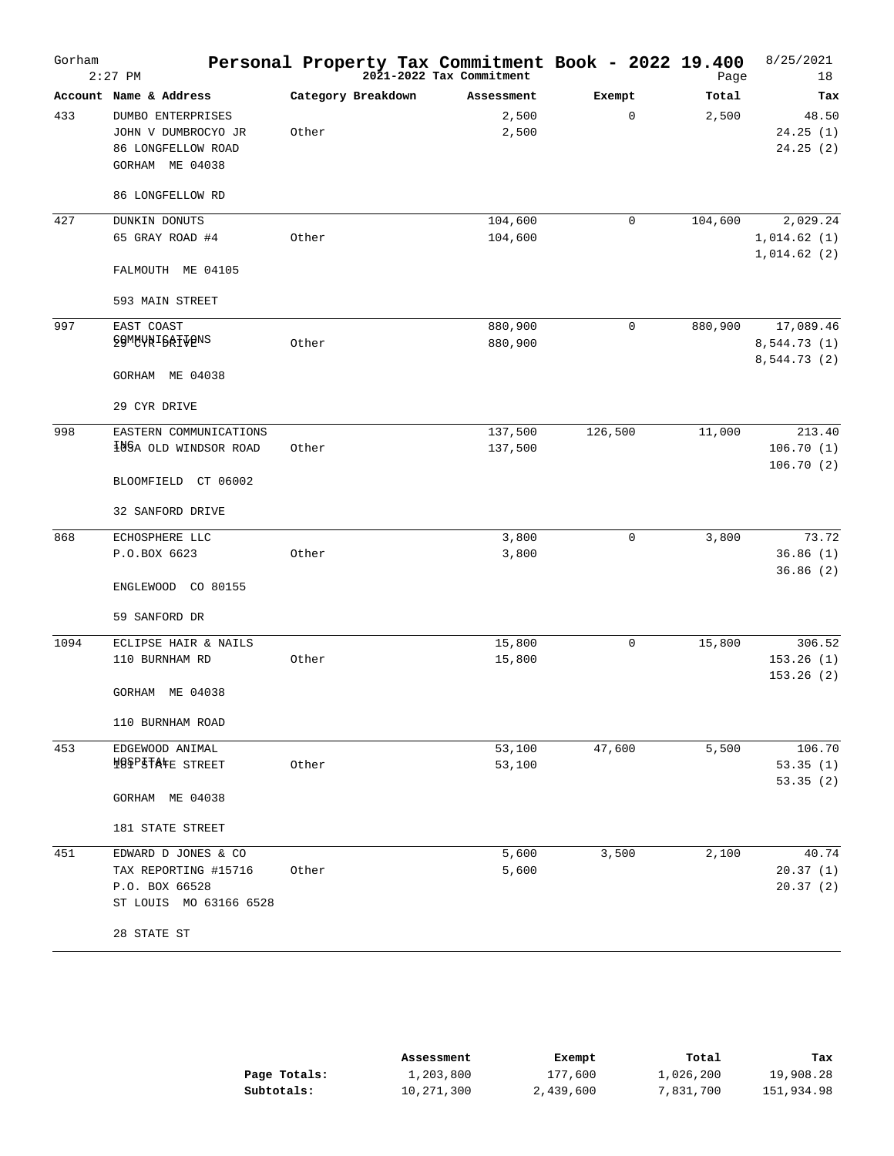| Gorham | $2:27$ PM                                                                                | Personal Property Tax Commitment Book - 2022 19.400 | 2021-2022 Tax Commitment |             | Page    | 8/25/2021<br>18                         |
|--------|------------------------------------------------------------------------------------------|-----------------------------------------------------|--------------------------|-------------|---------|-----------------------------------------|
|        | Account Name & Address                                                                   | Category Breakdown                                  | Assessment               | Exempt      | Total   | Tax                                     |
| 433    | <b>DUMBO ENTERPRISES</b><br>JOHN V DUMBROCYO JR<br>86 LONGFELLOW ROAD<br>GORHAM ME 04038 | Other                                               | 2,500<br>2,500           | $\mathbf 0$ | 2,500   | 48.50<br>24.25(1)<br>24.25(2)           |
|        | 86 LONGFELLOW RD                                                                         |                                                     |                          |             |         |                                         |
| 427    | DUNKIN DONUTS                                                                            |                                                     | 104,600                  | 0           | 104,600 | 2,029.24                                |
|        | 65 GRAY ROAD #4                                                                          | Other                                               | 104,600                  |             |         | 1,014.62(1)<br>1,014.62(2)              |
|        | FALMOUTH ME 04105                                                                        |                                                     |                          |             |         |                                         |
|        | 593 MAIN STREET                                                                          |                                                     |                          |             |         |                                         |
| 997    | EAST COAST<br><b>SOWATAI BAITRENS</b>                                                    | Other                                               | 880,900<br>880,900       | $\mathbf 0$ | 880,900 | 17,089.46<br>8,544.73(1)<br>8,544.73(2) |
|        | GORHAM ME 04038                                                                          |                                                     |                          |             |         |                                         |
|        | 29 CYR DRIVE                                                                             |                                                     |                          |             |         |                                         |
| 998    | EASTERN COMMUNICATIONS                                                                   |                                                     | 137,500                  | 126,500     | 11,000  | 213.40                                  |
|        | 109A OLD WINDSOR ROAD                                                                    | Other                                               | 137,500                  |             |         | 106.70(1)<br>106.70(2)                  |
|        | BLOOMFIELD CT 06002                                                                      |                                                     |                          |             |         |                                         |
|        | 32 SANFORD DRIVE                                                                         |                                                     |                          |             |         |                                         |
| 868    | ECHOSPHERE LLC                                                                           |                                                     | 3,800                    | 0           | 3,800   | 73.72                                   |
|        | P.O.BOX 6623                                                                             | Other                                               | 3,800                    |             |         | 36.86(1)<br>36.86(2)                    |
|        | ENGLEWOOD CO 80155                                                                       |                                                     |                          |             |         |                                         |
|        | 59 SANFORD DR                                                                            |                                                     |                          |             |         |                                         |
| 1094   | ECLIPSE HAIR & NAILS                                                                     |                                                     | 15,800                   | $\mathbf 0$ | 15,800  | 306.52                                  |
|        | 110 BURNHAM RD                                                                           | Other                                               | 15,800                   |             |         | 153.26(1)<br>153.26(2)                  |
|        | GORHAM ME 04038                                                                          |                                                     |                          |             |         |                                         |
|        | 110 BURNHAM ROAD                                                                         |                                                     |                          |             |         |                                         |
| 453    | EDGEWOOD ANIMAL                                                                          |                                                     | 53,100                   | 47,600      | 5,500   | 106.70                                  |
|        | <b>HOPPSTATE STREET</b>                                                                  | Other                                               | 53,100                   |             |         | 53.35(1)<br>53.35(2)                    |
|        | GORHAM ME 04038                                                                          |                                                     |                          |             |         |                                         |
|        | 181 STATE STREET                                                                         |                                                     |                          |             |         |                                         |
| 451    | EDWARD D JONES & CO                                                                      |                                                     | 5,600                    | 3,500       | 2,100   | 40.74                                   |
|        | TAX REPORTING #15716<br>P.O. BOX 66528                                                   | Other                                               | 5,600                    |             |         | 20.37(1)<br>20.37(2)                    |
|        | ST LOUIS MO 63166 6528                                                                   |                                                     |                          |             |         |                                         |
|        | 28 STATE ST                                                                              |                                                     |                          |             |         |                                         |

|              | Assessment | Exempt    | Total     | Tax        |
|--------------|------------|-----------|-----------|------------|
| Page Totals: | 1,203,800  | 177,600   | 1,026,200 | 19,908.28  |
| Subtotals:   | 10,271,300 | 2,439,600 | 7,831,700 | 151,934.98 |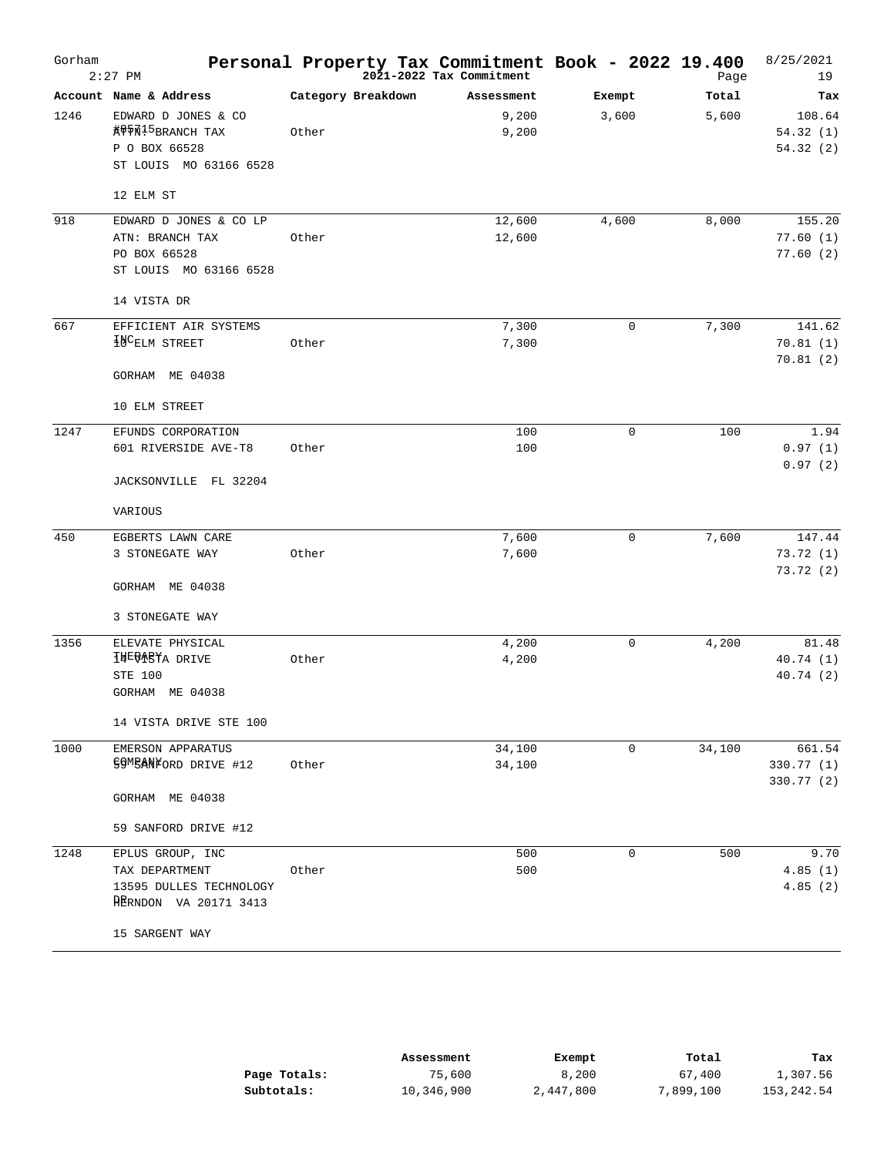| Gorham | $2:27$ PM                                                                                                | Personal Property Tax Commitment Book - 2022 19.400 | 2021-2022 Tax Commitment |             | Page   | 8/25/2021<br>19                 |
|--------|----------------------------------------------------------------------------------------------------------|-----------------------------------------------------|--------------------------|-------------|--------|---------------------------------|
|        | Account Name & Address                                                                                   | Category Breakdown                                  | Assessment               | Exempt      | Total  | Tax                             |
| 1246   | EDWARD D JONES & CO<br><b>其空空闪</b> <sup>15</sup> BRANCH TAX<br>P O BOX 66528<br>ST LOUIS MO 63166 6528   | Other                                               | 9,200<br>9,200           | 3,600       | 5,600  | 108.64<br>54.32(1)<br>54.32(2)  |
|        | 12 ELM ST                                                                                                |                                                     |                          |             |        |                                 |
| 918    | EDWARD D JONES & CO LP<br>ATN: BRANCH TAX<br>PO BOX 66528<br>ST LOUIS MO 63166 6528<br>14 VISTA DR       | Other                                               | 12,600<br>12,600         | 4,600       | 8,000  | 155.20<br>77.60(1)<br>77.60(2)  |
|        |                                                                                                          |                                                     |                          |             |        |                                 |
| 667    | EFFICIENT AIR SYSTEMS<br>HOCELM STREET<br>GORHAM ME 04038                                                | Other                                               | 7,300<br>7,300           | $\mathbf 0$ | 7,300  | 141.62<br>70.81(1)<br>70.81(2)  |
|        | 10 ELM STREET                                                                                            |                                                     |                          |             |        |                                 |
| 1247   | EFUNDS CORPORATION<br>601 RIVERSIDE AVE-T8<br>JACKSONVILLE FL 32204                                      | Other                                               | 100<br>100               | $\mathbf 0$ | 100    | 1.94<br>0.97(1)<br>0.97(2)      |
|        | VARIOUS                                                                                                  |                                                     |                          |             |        |                                 |
| 450    | EGBERTS LAWN CARE<br>3 STONEGATE WAY<br>GORHAM ME 04038                                                  | Other                                               | 7,600<br>7,600           | 0           | 7,600  | 147.44<br>73.72 (1)<br>73.72(2) |
|        | 3 STONEGATE WAY                                                                                          |                                                     |                          |             |        |                                 |
| 1356   | ELEVATE PHYSICAL<br>THERABYA DRIVE<br><b>STE 100</b><br>GORHAM ME 04038<br>14 VISTA DRIVE STE 100        | Other                                               | 4,200<br>4,200           | $\mathbf 0$ | 4,200  | 81.48<br>40.74 (1)<br>40.74 (2) |
| 1000   | EMERSON APPARATUS                                                                                        |                                                     | 34,100                   | $\mathbf 0$ | 34,100 | 661.54                          |
|        | <b>GOMBANFORD DRIVE #12</b>                                                                              | Other                                               | 34,100                   |             |        | 330.77 (1)<br>330.77 (2)        |
|        | GORHAM ME 04038<br>59 SANFORD DRIVE #12                                                                  |                                                     |                          |             |        |                                 |
| 1248   | EPLUS GROUP, INC<br>TAX DEPARTMENT<br>13595 DULLES TECHNOLOGY<br>PERNDON VA 20171 3413<br>15 SARGENT WAY | Other                                               | 500<br>500               | $\mathbf 0$ | 500    | 9.70<br>4.85(1)<br>4.85(2)      |

|              | Assessment | Exempt    | Total     | Tax        |
|--------------|------------|-----------|-----------|------------|
| Page Totals: | 75,600     | 8,200     | 67,400    | 1,307.56   |
| Subtotals:   | 10,346,900 | 2,447,800 | 7,899,100 | 153,242.54 |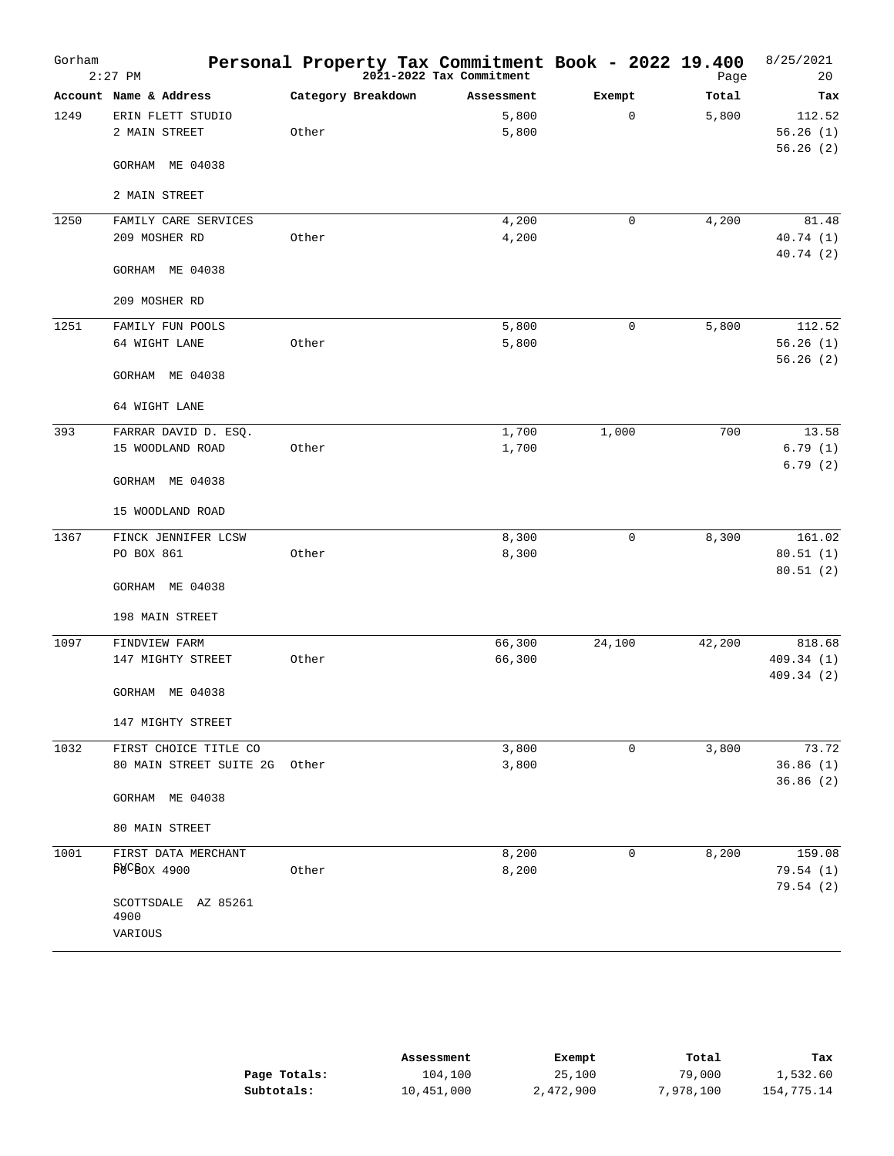| Gorham | $2:27$ PM                     | Personal Property Tax Commitment Book - 2022 19.400 | 2021-2022 Tax Commitment |             | Page   | 8/25/2021<br>20        |
|--------|-------------------------------|-----------------------------------------------------|--------------------------|-------------|--------|------------------------|
|        | Account Name & Address        | Category Breakdown                                  | Assessment               | Exempt      | Total  | Tax                    |
| 1249   | ERIN FLETT STUDIO             |                                                     | 5,800                    | 0           | 5,800  | 112.52                 |
|        | 2 MAIN STREET                 | Other                                               | 5,800                    |             |        | 56.26(1)<br>56.26(2)   |
|        | GORHAM ME 04038               |                                                     |                          |             |        |                        |
|        | 2 MAIN STREET                 |                                                     |                          |             |        |                        |
| 1250   | FAMILY CARE SERVICES          |                                                     | 4,200                    | $\mathbf 0$ | 4,200  | 81.48                  |
|        | 209 MOSHER RD                 | Other                                               | 4,200                    |             |        | 40.74 (1)<br>40.74 (2) |
|        | GORHAM ME 04038               |                                                     |                          |             |        |                        |
|        | 209 MOSHER RD                 |                                                     |                          |             |        |                        |
| 1251   | FAMILY FUN POOLS              |                                                     | 5,800                    | 0           | 5,800  | 112.52                 |
|        | 64 WIGHT LANE                 | Other                                               | 5,800                    |             |        | 56.26(1)               |
|        | GORHAM ME 04038               |                                                     |                          |             |        | 56.26(2)               |
|        | 64 WIGHT LANE                 |                                                     |                          |             |        |                        |
| 393    | FARRAR DAVID D. ESQ.          |                                                     | 1,700                    | 1,000       | 700    | 13.58                  |
|        | 15 WOODLAND ROAD              | Other                                               | 1,700                    |             |        | 6.79(1)                |
|        | GORHAM ME 04038               |                                                     |                          |             |        | 6.79(2)                |
|        | 15 WOODLAND ROAD              |                                                     |                          |             |        |                        |
| 1367   | FINCK JENNIFER LCSW           |                                                     | 8,300                    | $\mathbf 0$ | 8,300  | 161.02                 |
|        | PO BOX 861                    | Other                                               | 8,300                    |             |        | 80.51(1)               |
|        | GORHAM ME 04038               |                                                     |                          |             |        | 80.51(2)               |
|        | 198 MAIN STREET               |                                                     |                          |             |        |                        |
| 1097   | FINDVIEW FARM                 |                                                     | 66,300                   | 24,100      | 42,200 | 818.68                 |
|        | 147 MIGHTY STREET             | Other                                               | 66,300                   |             |        | 409.34 (1)             |
|        | GORHAM ME 04038               |                                                     |                          |             |        | 409.34 (2)             |
|        | 147 MIGHTY STREET             |                                                     |                          |             |        |                        |
| 1032   | FIRST CHOICE TITLE CO         |                                                     | 3,800                    | $\mathbf 0$ | 3,800  | 73.72                  |
|        | 80 MAIN STREET SUITE 2G Other |                                                     | 3,800                    |             |        | 36.86(1)<br>36.86(2)   |
|        | GORHAM ME 04038               |                                                     |                          |             |        |                        |
|        | 80 MAIN STREET                |                                                     |                          |             |        |                        |
| 1001   | FIRST DATA MERCHANT           |                                                     | 8,200                    | $\mathbf 0$ | 8,200  | 159.08                 |
|        | P <sub>8</sub> CBox 4900      | Other                                               | 8,200                    |             |        | 79.54(1)<br>79.54(2)   |
|        | SCOTTSDALE AZ 85261<br>4900   |                                                     |                          |             |        |                        |
|        | VARIOUS                       |                                                     |                          |             |        |                        |

|              | Assessment | Exempt    | Total     | Tax        |
|--------------|------------|-----------|-----------|------------|
| Page Totals: | 104,100    | 25,100    | 79,000    | 1,532.60   |
| Subtotals:   | 10,451,000 | 2,472,900 | 7,978,100 | 154,775.14 |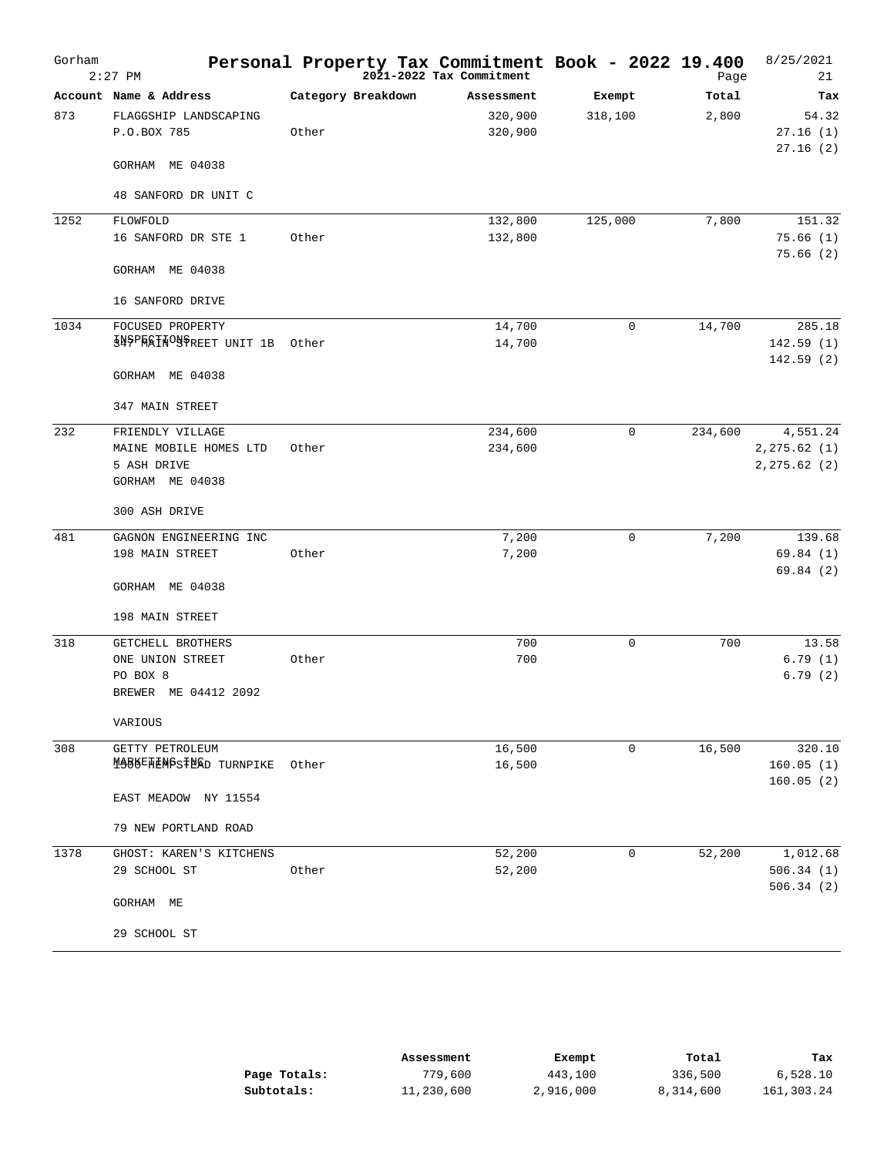| Gorham | $2:27$ PM                                  | Personal Property Tax Commitment Book - 2022 19.400 | 2021-2022 Tax Commitment |              | Page    | 8/25/2021<br>21        |
|--------|--------------------------------------------|-----------------------------------------------------|--------------------------|--------------|---------|------------------------|
|        | Account Name & Address                     | Category Breakdown                                  | Assessment               | Exempt       | Total   | Tax                    |
| 873    | FLAGGSHIP LANDSCAPING                      |                                                     | 320,900                  | 318,100      | 2,800   | 54.32                  |
|        | P.O.BOX 785                                | Other                                               | 320,900                  |              |         | 27.16(1)<br>27.16(2)   |
|        | GORHAM ME 04038                            |                                                     |                          |              |         |                        |
|        | 48 SANFORD DR UNIT C                       |                                                     |                          |              |         |                        |
| 1252   | FLOWFOLD                                   |                                                     | 132,800                  | 125,000      | 7,800   | 151.32                 |
|        | 16 SANFORD DR STE 1                        | Other                                               | 132,800                  |              |         | 75.66(1)<br>75.66(2)   |
|        | GORHAM ME 04038                            |                                                     |                          |              |         |                        |
|        | 16 SANFORD DRIVE                           |                                                     |                          |              |         |                        |
| 1034   | FOCUSED PROPERTY                           |                                                     | 14,700                   | 0            | 14,700  | 285.18                 |
|        | 346PARTNONFREET UNIT 1B                    | Other                                               | 14,700                   |              |         | 142.59(1)<br>142.59(2) |
|        | GORHAM ME 04038                            |                                                     |                          |              |         |                        |
|        | 347 MAIN STREET                            |                                                     |                          |              |         |                        |
| 232    | FRIENDLY VILLAGE                           |                                                     | 234,600                  | 0            | 234,600 | 4,551.24               |
|        | MAINE MOBILE HOMES LTD                     | Other                                               | 234,600                  |              |         | 2, 275.62 (1)          |
|        | 5 ASH DRIVE                                |                                                     |                          |              |         | 2, 275.62 (2)          |
|        | GORHAM ME 04038                            |                                                     |                          |              |         |                        |
|        | 300 ASH DRIVE                              |                                                     |                          |              |         |                        |
| 481    | GAGNON ENGINEERING INC                     |                                                     | 7,200                    | 0            | 7,200   | 139.68                 |
|        | 198 MAIN STREET                            | Other                                               | 7,200                    |              |         | 69.84 (1)<br>69.84(2)  |
|        | GORHAM ME 04038                            |                                                     |                          |              |         |                        |
|        | 198 MAIN STREET                            |                                                     |                          |              |         |                        |
| 318    | GETCHELL BROTHERS                          |                                                     | 700                      | 0            | 700     | 13.58                  |
|        | ONE UNION STREET                           | Other                                               | 700                      |              |         | 6.79(1)                |
|        | PO BOX 8                                   |                                                     |                          |              |         | 6.79(2)                |
|        | BREWER ME 04412 2092                       |                                                     |                          |              |         |                        |
|        | VARIOUS                                    |                                                     |                          |              |         |                        |
| 308    | GETTY PETROLEUM<br>MARKETEMPSTMAD TURNPIKE | Other                                               | 16,500<br>16,500         | $\mathsf{O}$ | 16,500  | 320.10<br>160.05(1)    |
|        |                                            |                                                     |                          |              |         | 160.05(2)              |
|        | EAST MEADOW NY 11554                       |                                                     |                          |              |         |                        |
|        | 79 NEW PORTLAND ROAD                       |                                                     |                          |              |         |                        |
| 1378   | GHOST: KAREN'S KITCHENS                    |                                                     | 52,200                   | 0            | 52,200  | 1,012.68               |
|        | 29 SCHOOL ST                               | Other                                               | 52,200                   |              |         | 506.34(1)              |
|        | GORHAM ME                                  |                                                     |                          |              |         | 506.34(2)              |
|        | 29 SCHOOL ST                               |                                                     |                          |              |         |                        |

|              | Assessment | Exempt    | Total     | Tax        |
|--------------|------------|-----------|-----------|------------|
| Page Totals: | 779,600    | 443,100   | 336,500   | 6,528.10   |
| Subtotals:   | 11,230,600 | 2,916,000 | 8,314,600 | 161,303.24 |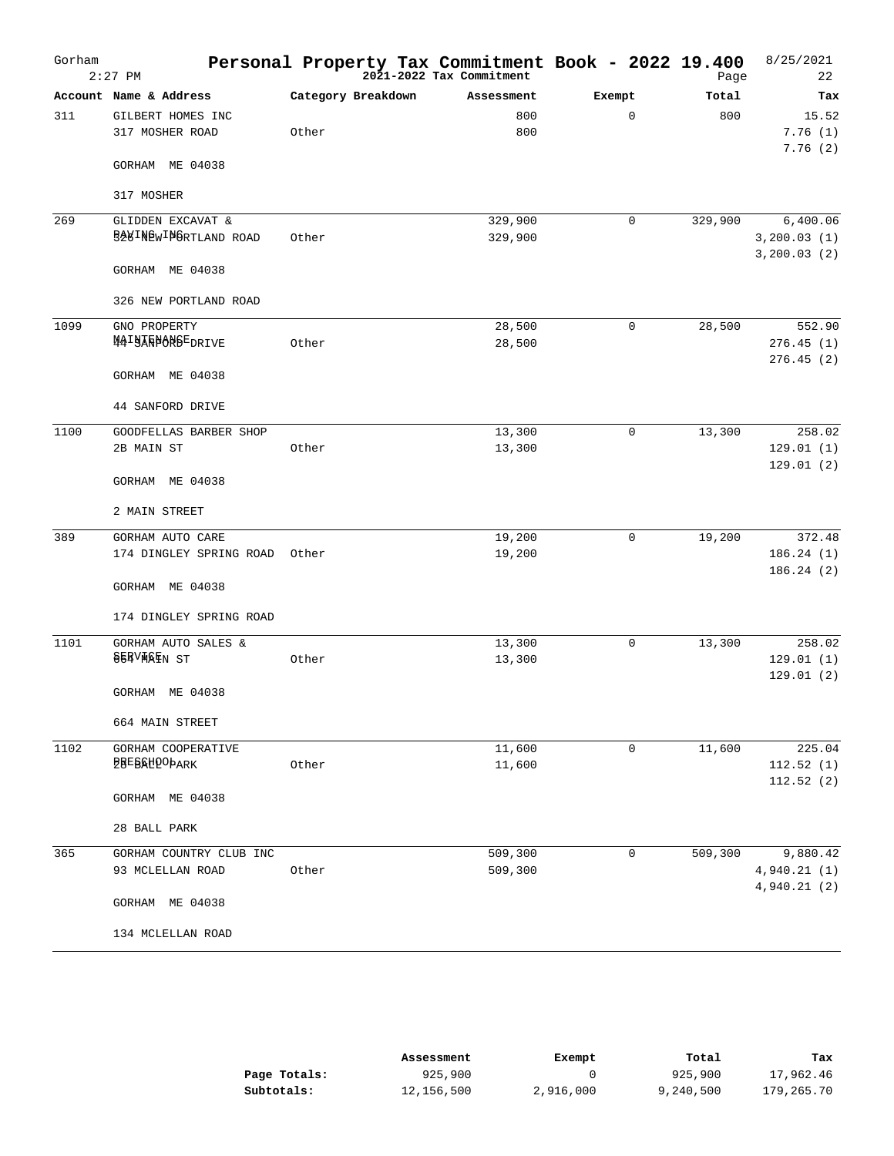| Gorham | $2:27$ PM                      | Personal Property Tax Commitment Book - 2022 19.400 | 2021-2022 Tax Commitment |             | Page    | 8/25/2021<br>22             |
|--------|--------------------------------|-----------------------------------------------------|--------------------------|-------------|---------|-----------------------------|
|        | Account Name & Address         | Category Breakdown                                  | Assessment               | Exempt      | Total   | Tax                         |
| 311    | GILBERT HOMES INC              |                                                     | 800                      | $\Omega$    | 800     | 15.52                       |
|        | 317 MOSHER ROAD                | Other                                               | 800                      |             |         | 7.76(1)<br>7.76(2)          |
|        | GORHAM ME 04038                |                                                     |                          |             |         |                             |
|        | 317 MOSHER                     |                                                     |                          |             |         |                             |
| 269    | <b>GLIDDEN EXCAVAT &amp;</b>   |                                                     | 329,900                  | 0           | 329,900 | 6,400.06                    |
|        | <b>BAWINEWINGRTLAND ROAD</b>   | Other                                               | 329,900                  |             |         | 3, 200.03(1)<br>3,200.03(2) |
|        | GORHAM ME 04038                |                                                     |                          |             |         |                             |
|        | 326 NEW PORTLAND ROAD          |                                                     |                          |             |         |                             |
| 1099   | GNO PROPERTY                   |                                                     | 28,500                   | $\mathbf 0$ | 28,500  | 552.90                      |
|        | <b>WAINARPONSEDRIVE</b>        | Other                                               | 28,500                   |             |         | 276.45(1)                   |
|        | GORHAM ME 04038                |                                                     |                          |             |         | 276.45(2)                   |
|        | 44 SANFORD DRIVE               |                                                     |                          |             |         |                             |
| 1100   | GOODFELLAS BARBER SHOP         |                                                     | 13,300                   | $\mathbf 0$ | 13,300  | 258.02                      |
|        | 2B MAIN ST                     | Other                                               | 13,300                   |             |         | 129.01(1)                   |
|        | GORHAM ME 04038                |                                                     |                          |             |         | 129.01(2)                   |
|        | 2 MAIN STREET                  |                                                     |                          |             |         |                             |
| 389    | GORHAM AUTO CARE               |                                                     | 19,200                   | $\mathsf 0$ | 19,200  | 372.48                      |
|        | 174 DINGLEY SPRING ROAD        | Other                                               | 19,200                   |             |         | 186.24(1)                   |
|        |                                |                                                     |                          |             |         | 186.24(2)                   |
|        | GORHAM ME 04038                |                                                     |                          |             |         |                             |
|        | 174 DINGLEY SPRING ROAD        |                                                     |                          |             |         |                             |
| 1101   | <b>GORHAM AUTO SALES &amp;</b> |                                                     | 13,300                   | $\mathbf 0$ | 13,300  | 258.02                      |
|        | 884VMAHN ST                    | Other                                               | 13,300                   |             |         | 129.01(1)                   |
|        | GORHAM ME 04038                |                                                     |                          |             |         | 129.01(2)                   |
|        | 664 MAIN STREET                |                                                     |                          |             |         |                             |
| 1102   | GORHAM COOPERATIVE             |                                                     | 11,600                   | $\mathbf 0$ | 11,600  | 225.04                      |
|        | <b>PRESSHOOPARK</b>            | Other                                               | 11,600                   |             |         | 112.52(1)                   |
|        | GORHAM ME 04038                |                                                     |                          |             |         | 112.52(2)                   |
|        | 28 BALL PARK                   |                                                     |                          |             |         |                             |
| 365    | GORHAM COUNTRY CLUB INC        |                                                     | 509,300                  | 0           | 509,300 | 9,880.42                    |
|        | 93 MCLELLAN ROAD               | Other                                               | 509,300                  |             |         | 4,940.21(1)<br>4,940.21(2)  |
|        | GORHAM ME 04038                |                                                     |                          |             |         |                             |
|        | 134 MCLELLAN ROAD              |                                                     |                          |             |         |                             |

|              | Assessment | Exempt    | Total     | Tax        |
|--------------|------------|-----------|-----------|------------|
| Page Totals: | 925,900    |           | 925,900   | 17,962.46  |
| Subtotals:   | 12,156,500 | 2,916,000 | 9,240,500 | 179,265.70 |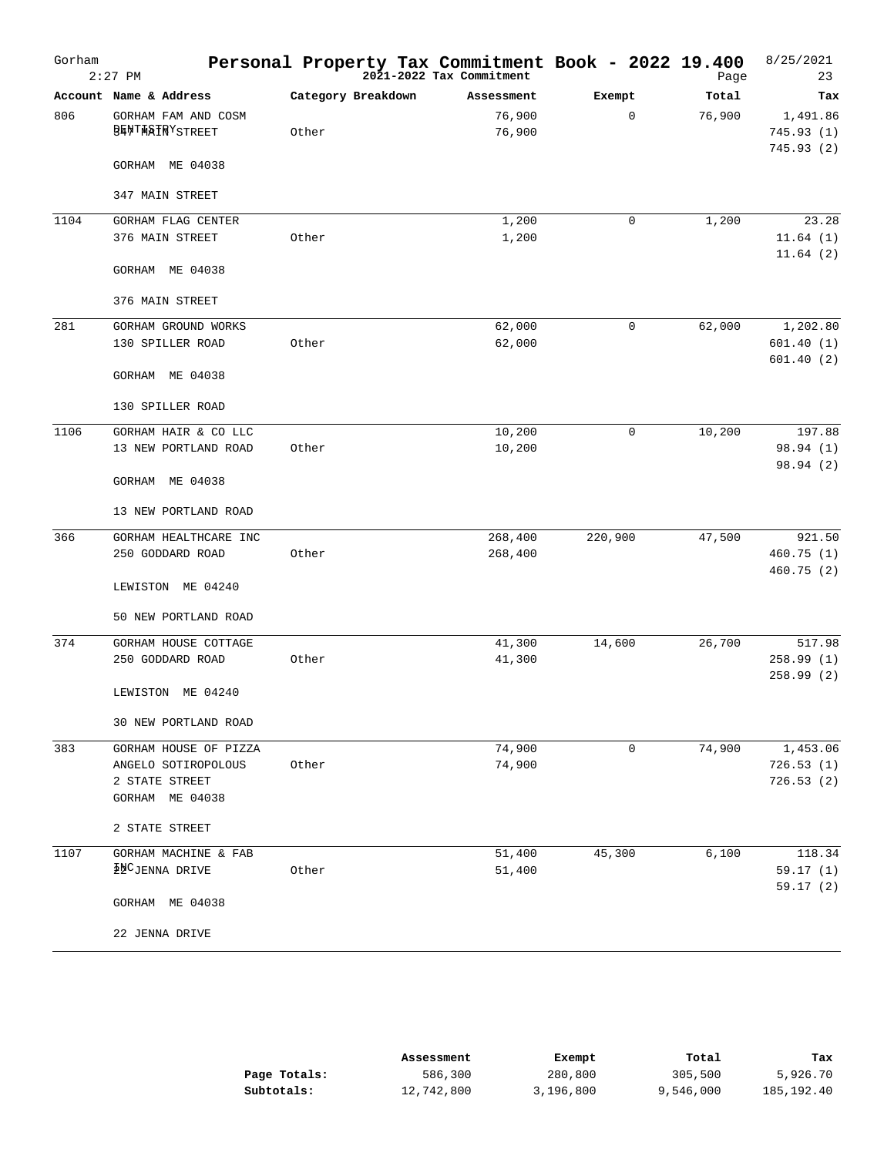| Gorham | $2:27$ PM                                     | Personal Property Tax Commitment Book - 2022 19.400 | 2021-2022 Tax Commitment |             | Page   | 8/25/2021<br>23                    |
|--------|-----------------------------------------------|-----------------------------------------------------|--------------------------|-------------|--------|------------------------------------|
|        | Account Name & Address                        | Category Breakdown                                  | Assessment               | Exempt      | Total  | Tax                                |
| 806    | GORHAM FAM AND COSM<br><b>BENTWATRYSTREET</b> | Other                                               | 76,900<br>76,900         | 0           | 76,900 | 1,491.86<br>745.93(1)<br>745.93(2) |
|        | GORHAM ME 04038                               |                                                     |                          |             |        |                                    |
|        | 347 MAIN STREET                               |                                                     |                          |             |        |                                    |
| 1104   | <b>GORHAM FLAG CENTER</b>                     |                                                     | 1,200                    | $\mathbf 0$ | 1,200  | 23.28                              |
|        | 376 MAIN STREET                               | Other                                               | 1,200                    |             |        | 11.64(1)<br>11.64(2)               |
|        | GORHAM ME 04038                               |                                                     |                          |             |        |                                    |
|        | 376 MAIN STREET                               |                                                     |                          |             |        |                                    |
| 281    | GORHAM GROUND WORKS                           |                                                     | 62,000                   | 0           | 62,000 | 1,202.80                           |
|        | 130 SPILLER ROAD                              | Other                                               | 62,000                   |             |        | 601.40(1)                          |
|        | GORHAM ME 04038                               |                                                     |                          |             |        | 601.40(2)                          |
|        | 130 SPILLER ROAD                              |                                                     |                          |             |        |                                    |
| 1106   | GORHAM HAIR & CO LLC                          |                                                     | 10,200                   | $\mathbf 0$ | 10,200 | 197.88                             |
|        | 13 NEW PORTLAND ROAD                          | Other                                               | 10,200                   |             |        | 98.94 (1)                          |
|        | GORHAM ME 04038                               |                                                     |                          |             |        | 98.94 (2)                          |
|        | 13 NEW PORTLAND ROAD                          |                                                     |                          |             |        |                                    |
| 366    | GORHAM HEALTHCARE INC                         |                                                     | 268,400                  | 220,900     | 47,500 | 921.50                             |
|        | 250 GODDARD ROAD                              | Other                                               | 268,400                  |             |        | 460.75(1)                          |
|        | LEWISTON ME 04240                             |                                                     |                          |             |        | 460.75(2)                          |
|        | 50 NEW PORTLAND ROAD                          |                                                     |                          |             |        |                                    |
| 374    | GORHAM HOUSE COTTAGE                          |                                                     | 41,300                   | 14,600      | 26,700 | 517.98                             |
|        | 250 GODDARD ROAD                              | Other                                               | 41,300                   |             |        | 258.99(1)                          |
|        | LEWISTON ME 04240                             |                                                     |                          |             |        | 258.99(2)                          |
|        | 30 NEW PORTLAND ROAD                          |                                                     |                          |             |        |                                    |
| 383    | GORHAM HOUSE OF PIZZA                         |                                                     | 74,900                   | $\mathbf 0$ | 74,900 | 1,453.06                           |
|        | ANGELO SOTIROPOLOUS                           | Other                                               | 74,900                   |             |        | 726.53(1)                          |
|        | 2 STATE STREET                                |                                                     |                          |             |        | 726.53(2)                          |
|        | GORHAM ME 04038                               |                                                     |                          |             |        |                                    |
|        | 2 STATE STREET                                |                                                     |                          |             |        |                                    |
| 1107   | GORHAM MACHINE & FAB                          |                                                     | 51,400                   | 45,300      | 6,100  | 118.34                             |
|        | 2 <sup>M</sup> CJENNA DRIVE                   | Other                                               | 51,400                   |             |        | 59.17(1)                           |
|        | GORHAM ME 04038                               |                                                     |                          |             |        | 59.17(2)                           |
|        | 22 JENNA DRIVE                                |                                                     |                          |             |        |                                    |

|              | Assessment | Exempt    | Total     | Tax        |
|--------------|------------|-----------|-----------|------------|
| Page Totals: | 586,300    | 280,800   | 305,500   | 5,926.70   |
| Subtotals:   | 12,742,800 | 3,196,800 | 9,546,000 | 185,192.40 |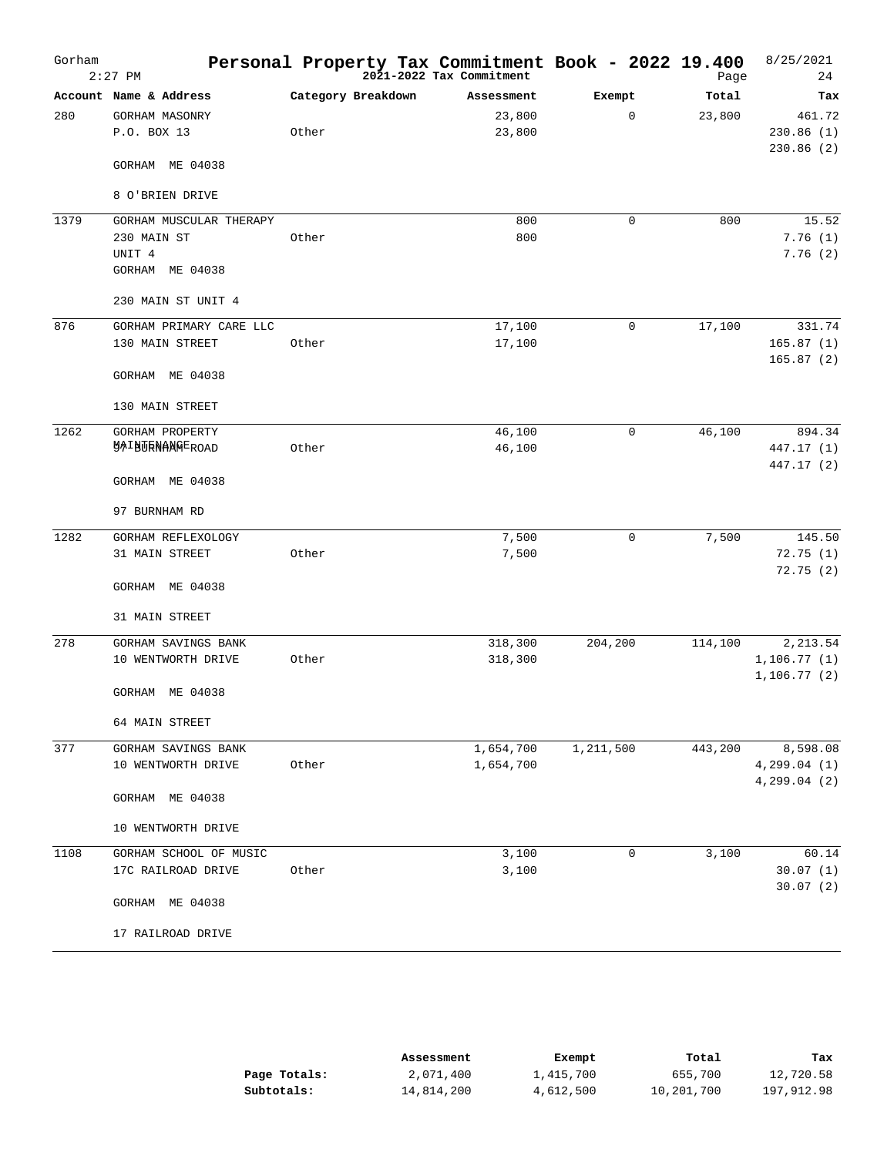| Gorham | $2:27$ PM               | Personal Property Tax Commitment Book - 2022 19.400 | 2021-2022 Tax Commitment |              | Page    | 8/25/2021<br>24        |
|--------|-------------------------|-----------------------------------------------------|--------------------------|--------------|---------|------------------------|
|        | Account Name & Address  | Category Breakdown                                  | Assessment               | Exempt       | Total   | Tax                    |
| 280    | GORHAM MASONRY          |                                                     | 23,800                   | 0            | 23,800  | 461.72                 |
|        | P.O. BOX 13             | Other                                               | 23,800                   |              |         | 230.86(1)<br>230.86(2) |
|        | GORHAM ME 04038         |                                                     |                          |              |         |                        |
|        | 8 O'BRIEN DRIVE         |                                                     |                          |              |         |                        |
| 1379   | GORHAM MUSCULAR THERAPY |                                                     | 800                      | $\mathbf{0}$ | 800     | 15.52                  |
|        | 230 MAIN ST             | Other                                               | 800                      |              |         | 7.76(1)                |
|        | UNIT <sub>4</sub>       |                                                     |                          |              |         | 7.76(2)                |
|        | GORHAM ME 04038         |                                                     |                          |              |         |                        |
|        | 230 MAIN ST UNIT 4      |                                                     |                          |              |         |                        |
| 876    | GORHAM PRIMARY CARE LLC |                                                     | 17,100                   | 0            | 17,100  | 331.74                 |
|        | 130 MAIN STREET         | Other                                               | 17,100                   |              |         | 165.87(1)              |
|        | GORHAM ME 04038         |                                                     |                          |              |         | 165.87(2)              |
|        | 130 MAIN STREET         |                                                     |                          |              |         |                        |
| 1262   | <b>GORHAM PROPERTY</b>  |                                                     | 46,100                   | $\mathbf{0}$ | 46,100  | 894.34                 |
|        | <b>MAINTENANNEROAD</b>  | Other                                               | 46,100                   |              |         | 447.17 (1)             |
|        |                         |                                                     |                          |              |         | 447.17 (2)             |
|        | GORHAM ME 04038         |                                                     |                          |              |         |                        |
|        | 97 BURNHAM RD           |                                                     |                          |              |         |                        |
| 1282   | GORHAM REFLEXOLOGY      |                                                     | 7,500                    | 0            | 7,500   | 145.50                 |
|        | 31 MAIN STREET          | Other                                               | 7,500                    |              |         | 72.75(1)               |
|        | GORHAM ME 04038         |                                                     |                          |              |         | 72.75(2)               |
|        |                         |                                                     |                          |              |         |                        |
|        | 31 MAIN STREET          |                                                     |                          |              |         |                        |
| 278    | GORHAM SAVINGS BANK     |                                                     | 318,300                  | 204,200      | 114,100 | 2,213.54               |
|        | 10 WENTWORTH DRIVE      | Other                                               | 318,300                  |              |         | 1, 106.77(1)           |
|        | GORHAM ME 04038         |                                                     |                          |              |         | 1,106.77(2)            |
|        | 64 MAIN STREET          |                                                     |                          |              |         |                        |
| 377    | GORHAM SAVINGS BANK     |                                                     | 1,654,700                | 1,211,500    | 443,200 | 8,598.08               |
|        | 10 WENTWORTH DRIVE      | Other                                               | 1,654,700                |              |         | 4,299.04(1)            |
|        |                         |                                                     |                          |              |         | 4,299.04(2)            |
|        | GORHAM ME 04038         |                                                     |                          |              |         |                        |
|        | 10 WENTWORTH DRIVE      |                                                     |                          |              |         |                        |
| 1108   | GORHAM SCHOOL OF MUSIC  |                                                     | 3,100                    | 0            | 3,100   | 60.14                  |
|        | 17C RAILROAD DRIVE      | Other                                               | 3,100                    |              |         | 30.07(1)               |
|        | GORHAM ME 04038         |                                                     |                          |              |         | 30.07(2)               |
|        | 17 RAILROAD DRIVE       |                                                     |                          |              |         |                        |
|        |                         |                                                     |                          |              |         |                        |

|              | Assessment | Exempt    | Total      | Tax        |
|--------------|------------|-----------|------------|------------|
| Page Totals: | 2,071,400  | 1,415,700 | 655,700    | 12,720.58  |
| Subtotals:   | 14,814,200 | 4,612,500 | 10,201,700 | 197,912.98 |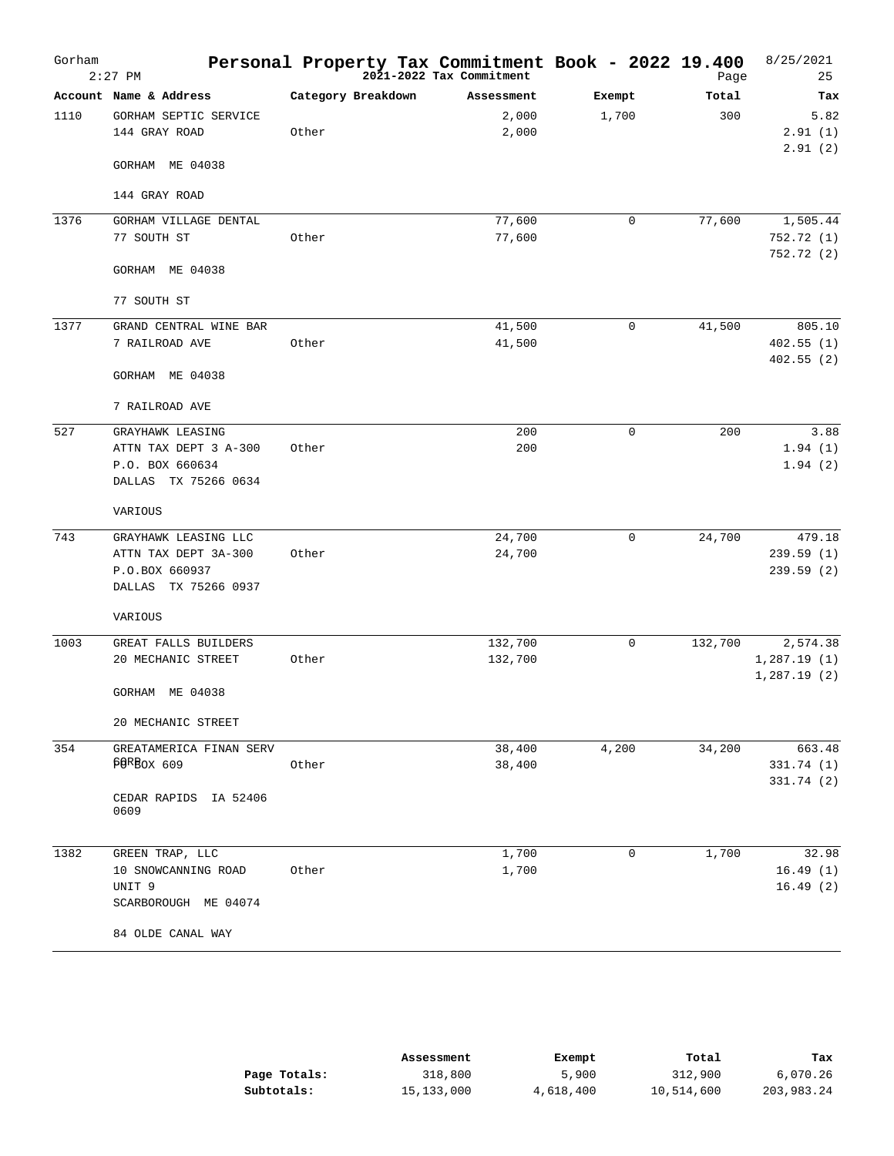| Gorham | $2:27$ PM                              | Personal Property Tax Commitment Book - 2022 19.400 | 2021-2022 Tax Commitment |              | Page    | 8/25/2021<br>25      |
|--------|----------------------------------------|-----------------------------------------------------|--------------------------|--------------|---------|----------------------|
|        | Account Name & Address                 | Category Breakdown                                  | Assessment               | Exempt       | Total   | Tax                  |
| 1110   | GORHAM SEPTIC SERVICE                  |                                                     | 2,000                    | 1,700        | 300     | 5.82                 |
|        | 144 GRAY ROAD                          | Other                                               | 2,000                    |              |         | 2.91(1)              |
|        | GORHAM ME 04038                        |                                                     |                          |              |         | 2.91(2)              |
|        | 144 GRAY ROAD                          |                                                     |                          |              |         |                      |
| 1376   | GORHAM VILLAGE DENTAL                  |                                                     | 77,600                   | 0            | 77,600  | 1,505.44             |
|        | 77 SOUTH ST                            | Other                                               | 77,600                   |              |         | 752.72 (1)           |
|        | GORHAM ME 04038                        |                                                     |                          |              |         | 752.72 (2)           |
|        | 77 SOUTH ST                            |                                                     |                          |              |         |                      |
| 1377   | GRAND CENTRAL WINE BAR                 |                                                     | 41,500                   | 0            | 41,500  | 805.10               |
|        | 7 RAILROAD AVE                         | Other                                               | 41,500                   |              |         | 402.55(1)            |
|        | GORHAM ME 04038                        |                                                     |                          |              |         | 402.55(2)            |
|        | 7 RAILROAD AVE                         |                                                     |                          |              |         |                      |
| 527    | GRAYHAWK LEASING                       |                                                     | 200                      | $\mathbf{0}$ | 200     | 3.88                 |
|        | ATTN TAX DEPT 3 A-300                  | Other                                               | 200                      |              |         | 1.94(1)              |
|        | P.O. BOX 660634                        |                                                     |                          |              |         | 1.94(2)              |
|        | DALLAS TX 75266 0634                   |                                                     |                          |              |         |                      |
|        | VARIOUS                                |                                                     |                          |              |         |                      |
| 743    | GRAYHAWK LEASING LLC                   |                                                     | 24,700                   | 0            | 24,700  | 479.18               |
|        | ATTN TAX DEPT 3A-300                   | Other                                               | 24,700                   |              |         | 239.59(1)            |
|        | P.O.BOX 660937                         |                                                     |                          |              |         | 239.59(2)            |
|        | DALLAS TX 75266 0937                   |                                                     |                          |              |         |                      |
|        | VARIOUS                                |                                                     |                          |              |         |                      |
| 1003   | GREAT FALLS BUILDERS                   |                                                     | 132,700                  | 0            | 132,700 | 2,574.38             |
|        | 20 MECHANIC STREET                     | Other                                               | 132,700                  |              |         | 1,287.19(1)          |
|        | GORHAM ME 04038                        |                                                     |                          |              |         | 1,287.19(2)          |
|        | 20 MECHANIC STREET                     |                                                     |                          |              |         |                      |
| 354    | GREATAMERICA FINAN SERV                |                                                     | 38,400                   | 4,200        | 34,200  | 663.48               |
|        | FØRBOX 609                             | Other                                               | 38,400                   |              |         | 331.74 (1)           |
|        | CEDAR RAPIDS IA 52406<br>0609          |                                                     |                          |              |         | 331.74 (2)           |
|        |                                        |                                                     |                          |              |         |                      |
| 1382   | GREEN TRAP, LLC<br>10 SNOWCANNING ROAD |                                                     | 1,700                    | 0            | 1,700   | 32.98                |
|        | UNIT 9                                 | Other                                               | 1,700                    |              |         | 16.49(1)<br>16.49(2) |
|        | SCARBOROUGH ME 04074                   |                                                     |                          |              |         |                      |
|        | 84 OLDE CANAL WAY                      |                                                     |                          |              |         |                      |

|              | Assessment | Exempt    | Total      | Tax        |
|--------------|------------|-----------|------------|------------|
| Page Totals: | 318,800    | 5,900     | 312,900    | 6,070.26   |
| Subtotals:   | 15,133,000 | 4,618,400 | 10,514,600 | 203,983.24 |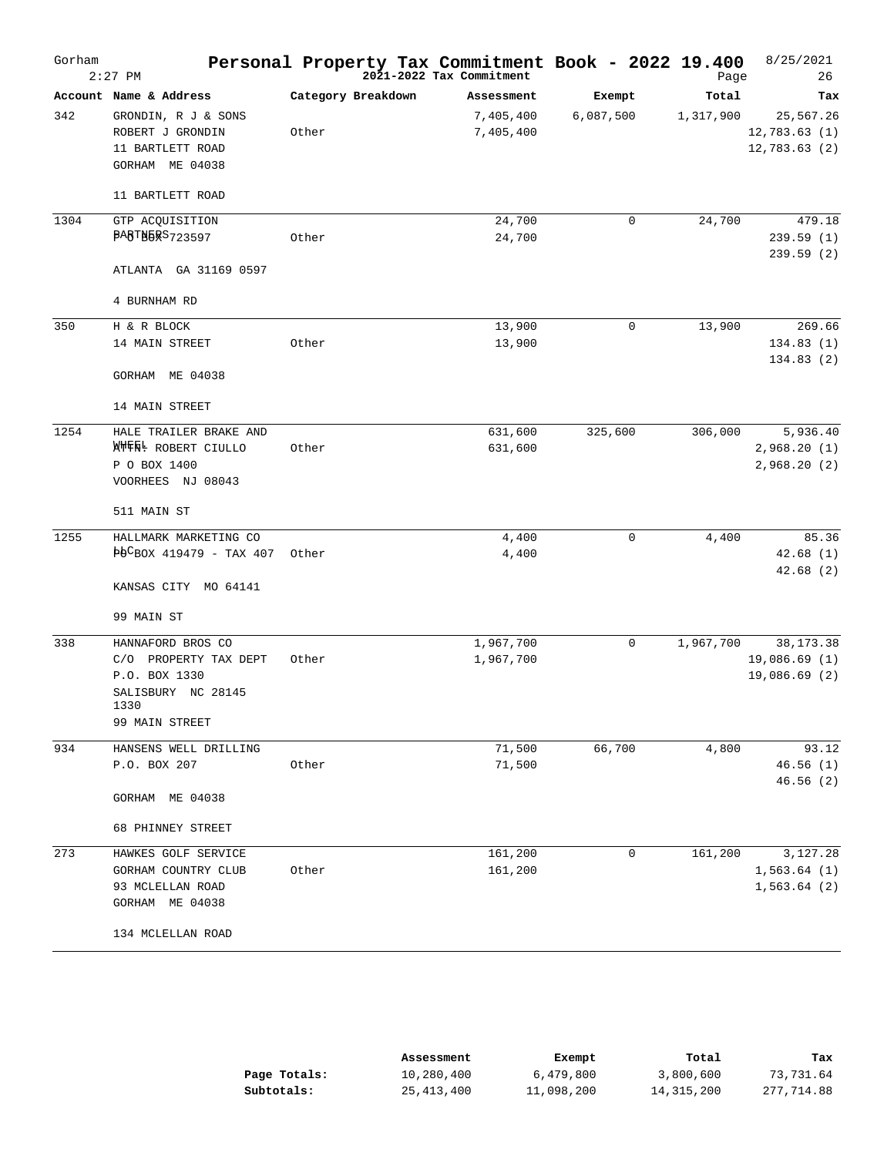| Gorham | $2:27$ PM                                                                      | Personal Property Tax Commitment Book - 2022 19.400 | 2021-2022 Tax Commitment |           | Page      | 8/25/2021<br>26                           |
|--------|--------------------------------------------------------------------------------|-----------------------------------------------------|--------------------------|-----------|-----------|-------------------------------------------|
|        | Account Name & Address                                                         | Category Breakdown                                  | Assessment               | Exempt    | Total     | Tax                                       |
| 342    | GRONDIN, R J & SONS<br>ROBERT J GRONDIN<br>11 BARTLETT ROAD<br>GORHAM ME 04038 | Other                                               | 7,405,400<br>7,405,400   | 6,087,500 | 1,317,900 | 25,567.26<br>12,783.63(1)<br>12,783.63(2) |
|        | 11 BARTLETT ROAD                                                               |                                                     |                          |           |           |                                           |
| 1304   | GTP ACQUISITION<br>BABTNERS723597                                              | Other                                               | 24,700<br>24,700         | 0         | 24,700    | 479.18<br>239.59(1)<br>239.59 (2)         |
|        | ATLANTA GA 31169 0597                                                          |                                                     |                          |           |           |                                           |
|        | 4 BURNHAM RD                                                                   |                                                     |                          |           |           |                                           |
| 350    | H & R BLOCK                                                                    |                                                     | 13,900                   | 0         | 13,900    | 269.66                                    |
|        | 14 MAIN STREET                                                                 | Other                                               | 13,900                   |           |           | 134.83(1)                                 |
|        | GORHAM ME 04038                                                                |                                                     |                          |           |           | 134.83(2)                                 |
|        | 14 MAIN STREET                                                                 |                                                     |                          |           |           |                                           |
| 1254   | HALE TRAILER BRAKE AND                                                         |                                                     | 631,600                  | 325,600   | 306,000   | 5,936.40                                  |
|        | <b>N###+ ROBERT CIULLO</b>                                                     | Other                                               | 631,600                  |           |           | 2,968.20(1)                               |
|        | P O BOX 1400                                                                   |                                                     |                          |           |           | 2,968.20(2)                               |
|        | VOORHEES NJ 08043                                                              |                                                     |                          |           |           |                                           |
|        | 511 MAIN ST                                                                    |                                                     |                          |           |           |                                           |
| 1255   | HALLMARK MARKETING CO                                                          |                                                     | 4,400                    | 0         | 4,400     | 85.36                                     |
|        | $\frac{1}{2}$ $\frac{1}{2}$ CBOX 419479 - TAX 407                              | Other                                               | 4,400                    |           |           | 42.68(1)<br>42.68(2)                      |
|        | KANSAS CITY MO 64141                                                           |                                                     |                          |           |           |                                           |
|        | 99 MAIN ST                                                                     |                                                     |                          |           |           |                                           |
| 338    | HANNAFORD BROS CO                                                              |                                                     | 1,967,700                | 0         | 1,967,700 | 38, 173. 38                               |
|        | C/O PROPERTY TAX DEPT                                                          | Other                                               | 1,967,700                |           |           | 19,086.69(1)                              |
|        | P.O. BOX 1330                                                                  |                                                     |                          |           |           | 19,086.69 (2)                             |
|        | SALISBURY NC 28145                                                             |                                                     |                          |           |           |                                           |
|        | 1330<br>99 MAIN STREET                                                         |                                                     |                          |           |           |                                           |
| 934    | HANSENS WELL DRILLING                                                          |                                                     | 71,500                   | 66,700    | 4,800     | 93.12                                     |
|        | P.O. BOX 207                                                                   | Other                                               | 71,500                   |           |           | 46.56(1)                                  |
|        | GORHAM ME 04038                                                                |                                                     |                          |           |           | 46.56(2)                                  |
|        | 68 PHINNEY STREET                                                              |                                                     |                          |           |           |                                           |
| 273    | HAWKES GOLF SERVICE                                                            |                                                     | 161,200                  | 0         | 161,200   | 3,127.28                                  |
|        | GORHAM COUNTRY CLUB                                                            | Other                                               | 161,200                  |           |           | 1,563.64(1)                               |
|        | 93 MCLELLAN ROAD<br>GORHAM ME 04038                                            |                                                     |                          |           |           | 1,563.64(2)                               |
|        | 134 MCLELLAN ROAD                                                              |                                                     |                          |           |           |                                           |

|              | Assessment | Exempt     | Total      | Tax        |
|--------------|------------|------------|------------|------------|
| Page Totals: | 10,280,400 | 6,479,800  | 3,800,600  | 73,731.64  |
| Subtotals:   | 25,413,400 | 11,098,200 | 14,315,200 | 277,714.88 |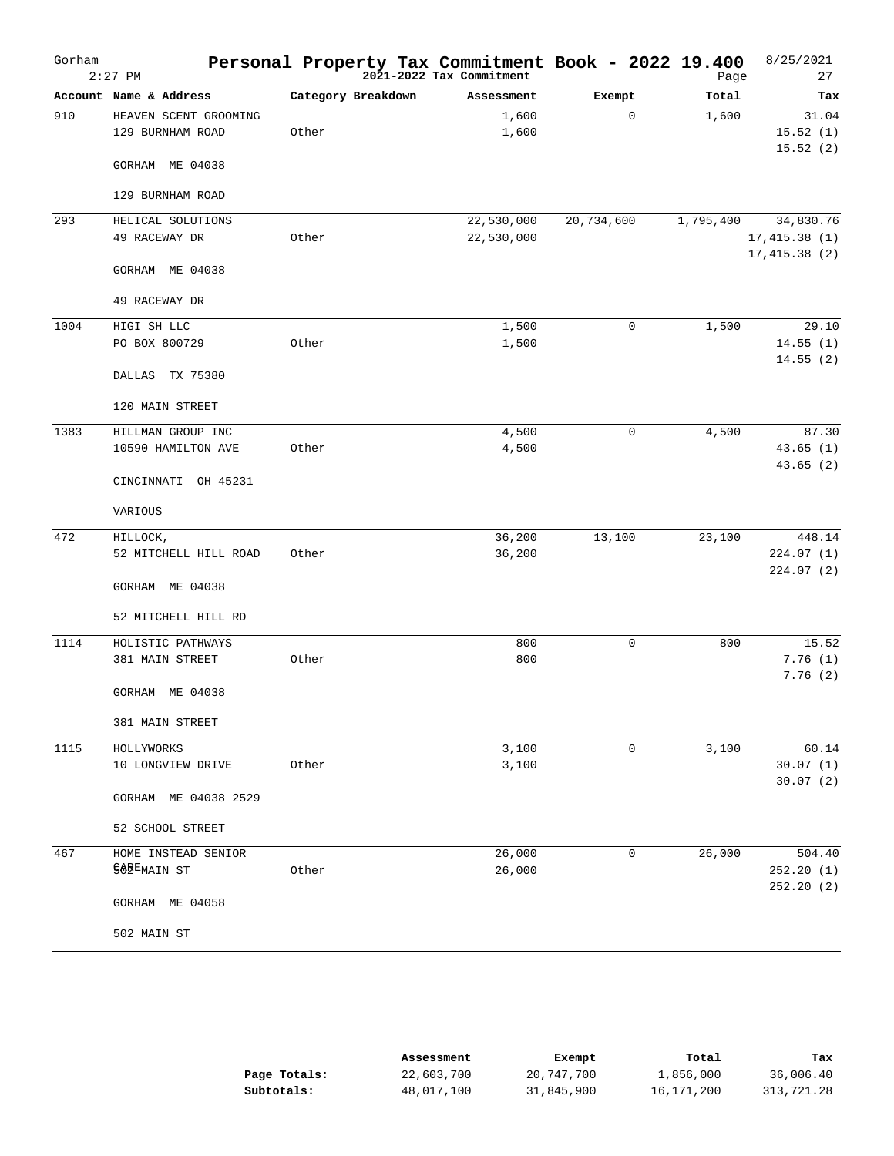| Gorham | $2:27$ PM              | Personal Property Tax Commitment Book - 2022 19.400 | 2021-2022 Tax Commitment |              | Page      | 8/25/2021<br>27              |
|--------|------------------------|-----------------------------------------------------|--------------------------|--------------|-----------|------------------------------|
|        | Account Name & Address | Category Breakdown                                  | Assessment               | Exempt       | Total     | Tax                          |
| 910    | HEAVEN SCENT GROOMING  |                                                     | 1,600                    | 0            | 1,600     | 31.04                        |
|        | 129 BURNHAM ROAD       | Other                                               | 1,600                    |              |           | 15.52(1)<br>15.52(2)         |
|        | GORHAM ME 04038        |                                                     |                          |              |           |                              |
|        | 129 BURNHAM ROAD       |                                                     |                          |              |           |                              |
| 293    | HELICAL SOLUTIONS      |                                                     | 22,530,000               | 20,734,600   | 1,795,400 | 34,830.76                    |
|        | 49 RACEWAY DR          | Other                                               | 22,530,000               |              |           | 17,415.38(1)<br>17,415.38(2) |
|        | GORHAM ME 04038        |                                                     |                          |              |           |                              |
|        | 49 RACEWAY DR          |                                                     |                          |              |           |                              |
| 1004   | HIGI SH LLC            |                                                     | 1,500                    | $\mathbf 0$  | 1,500     | 29.10                        |
|        | PO BOX 800729          | Other                                               | 1,500                    |              |           | 14.55(1)                     |
|        | DALLAS TX 75380        |                                                     |                          |              |           | 14.55(2)                     |
|        | 120 MAIN STREET        |                                                     |                          |              |           |                              |
| 1383   | HILLMAN GROUP INC      |                                                     | 4,500                    | $\mathbf 0$  | 4,500     | 87.30                        |
|        | 10590 HAMILTON AVE     | Other                                               | 4,500                    |              |           | 43.65(1)                     |
|        | CINCINNATI OH 45231    |                                                     |                          |              |           | 43.65 (2)                    |
|        | VARIOUS                |                                                     |                          |              |           |                              |
| 472    | HILLOCK,               |                                                     | 36,200                   | 13,100       | 23,100    | 448.14                       |
|        | 52 MITCHELL HILL ROAD  | Other                                               | 36,200                   |              |           | 224.07 (1)                   |
|        | GORHAM ME 04038        |                                                     |                          |              |           | 224.07(2)                    |
|        | 52 MITCHELL HILL RD    |                                                     |                          |              |           |                              |
| 1114   | HOLISTIC PATHWAYS      |                                                     | 800                      | $\mathsf 0$  | 800       | 15.52                        |
|        | 381 MAIN STREET        | Other                                               | 800                      |              |           | 7.76(1)<br>7.76(2)           |
|        | GORHAM ME 04038        |                                                     |                          |              |           |                              |
|        | 381 MAIN STREET        |                                                     |                          |              |           |                              |
| 1115   | HOLLYWORKS             |                                                     | 3,100                    | $\mathsf{O}$ | 3,100     | 60.14                        |
|        | 10 LONGVIEW DRIVE      | Other                                               | 3,100                    |              |           | 30.07(1)<br>30.07(2)         |
|        | GORHAM ME 04038 2529   |                                                     |                          |              |           |                              |
|        | 52 SCHOOL STREET       |                                                     |                          |              |           |                              |
| 467    | HOME INSTEAD SENIOR    |                                                     | 26,000                   | $\mathsf{O}$ | 26,000    | 504.40                       |
|        | SOBEMAIN ST            | Other                                               | 26,000                   |              |           | 252.20(1)<br>252.20(2)       |
|        | GORHAM ME 04058        |                                                     |                          |              |           |                              |
|        | 502 MAIN ST            |                                                     |                          |              |           |                              |

|              | Assessment | Exempt     | Total      | Tax        |
|--------------|------------|------------|------------|------------|
| Page Totals: | 22,603,700 | 20,747,700 | 1,856,000  | 36,006.40  |
| Subtotals:   | 48,017,100 | 31,845,900 | 16,171,200 | 313,721.28 |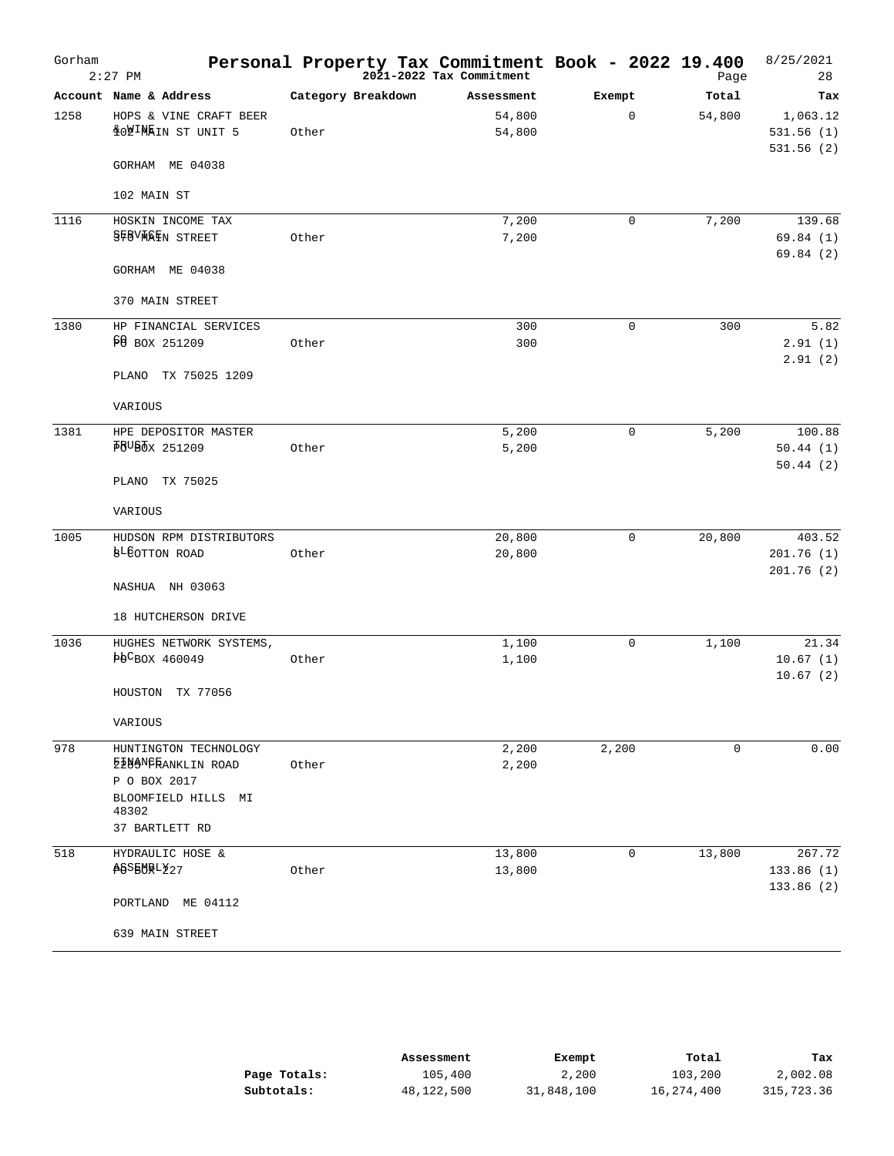| Gorham | $2:27$ PM                                                             | Personal Property Tax Commitment Book - 2022 19.400 | 2021-2022 Tax Commitment |              | Page        | 8/25/2021<br>28 |
|--------|-----------------------------------------------------------------------|-----------------------------------------------------|--------------------------|--------------|-------------|-----------------|
|        | Account Name & Address                                                | Category Breakdown                                  | Assessment               | Exempt       | Total       | Tax             |
| 1258   | HOPS & VINE CRAFT BEER                                                |                                                     | 54,800                   | 0            | 54,800      | 1,063.12        |
|        | <b>\$00IMAIN ST UNIT 5</b>                                            | Other                                               | 54,800                   |              |             | 531.56(1)       |
|        | GORHAM ME 04038                                                       |                                                     |                          |              |             | 531.56(2)       |
|        | 102 MAIN ST                                                           |                                                     |                          |              |             |                 |
| 1116   | HOSKIN INCOME TAX                                                     |                                                     | 7,200                    | 0            | 7,200       | 139.68          |
|        | SFRVMAIN STREET                                                       | Other                                               | 7,200                    |              |             | 69.84(1)        |
|        | GORHAM ME 04038                                                       |                                                     |                          |              |             | 69.84(2)        |
|        | 370 MAIN STREET                                                       |                                                     |                          |              |             |                 |
| 1380   | HP FINANCIAL SERVICES                                                 |                                                     | 300                      | $\mathbf{0}$ | 300         | 5.82            |
|        | 90 вох 251209                                                         | Other                                               | 300                      |              |             | 2.91(1)         |
|        | PLANO TX 75025 1209                                                   |                                                     |                          |              |             | 2.91(2)         |
|        | VARIOUS                                                               |                                                     |                          |              |             |                 |
| 1381   | HPE DEPOSITOR MASTER                                                  |                                                     | 5,200                    | 0            | 5,200       | 100.88          |
|        | FBUBBX 251209                                                         | Other                                               | 5,200                    |              |             | 50.44(1)        |
|        | PLANO TX 75025                                                        |                                                     |                          |              |             | 50.44(2)        |
|        | VARIOUS                                                               |                                                     |                          |              |             |                 |
| 1005   | HUDSON RPM DISTRIBUTORS                                               |                                                     | 20,800                   | 0            | 20,800      | 403.52          |
|        | <b>BLEOTTON ROAD</b>                                                  | Other                                               | 20,800                   |              |             | 201.76(1)       |
|        | NASHUA NH 03063                                                       |                                                     |                          |              |             | 201.76(2)       |
|        | 18 HUTCHERSON DRIVE                                                   |                                                     |                          |              |             |                 |
| 1036   | HUGHES NETWORK SYSTEMS,                                               |                                                     | 1,100                    | 0            | 1,100       | 21.34           |
|        | $\frac{1}{2}$ $\frac{1}{2}$ $\frac{1}{2}$ $\frac{1}{2}$ $\frac{1}{2}$ | Other                                               | 1,100                    |              |             | 10.67(1)        |
|        | HOUSTON TX 77056                                                      |                                                     |                          |              |             | 10.67(2)        |
|        | VARIOUS                                                               |                                                     |                          |              |             |                 |
| 978    | HUNTINGTON TECHNOLOGY<br><b>E10ANGRANKLIN ROAD</b>                    | Other                                               | 2,200<br>2,200           | 2,200        | $\mathbf 0$ | 0.00            |
|        | P O BOX 2017                                                          |                                                     |                          |              |             |                 |
|        | BLOOMFIELD HILLS MI<br>48302                                          |                                                     |                          |              |             |                 |
|        | 37 BARTLETT RD                                                        |                                                     |                          |              |             |                 |
| 518    | HYDRAULIC HOSE &                                                      |                                                     | 13,800                   | 0            | 13,800      | 267.72          |
|        | <b>ASSEMRLY27</b>                                                     | Other                                               | 13,800                   |              |             | 133.86(1)       |
|        | PORTLAND<br>ME 04112                                                  |                                                     |                          |              |             | 133.86 (2)      |
|        | 639 MAIN STREET                                                       |                                                     |                          |              |             |                 |

|              | Assessment | Exempt     | Total      | Tax        |
|--------------|------------|------------|------------|------------|
| Page Totals: | 105,400    | 2,200      | 103,200    | 2,002.08   |
| Subtotals:   | 48,122,500 | 31,848,100 | 16,274,400 | 315,723.36 |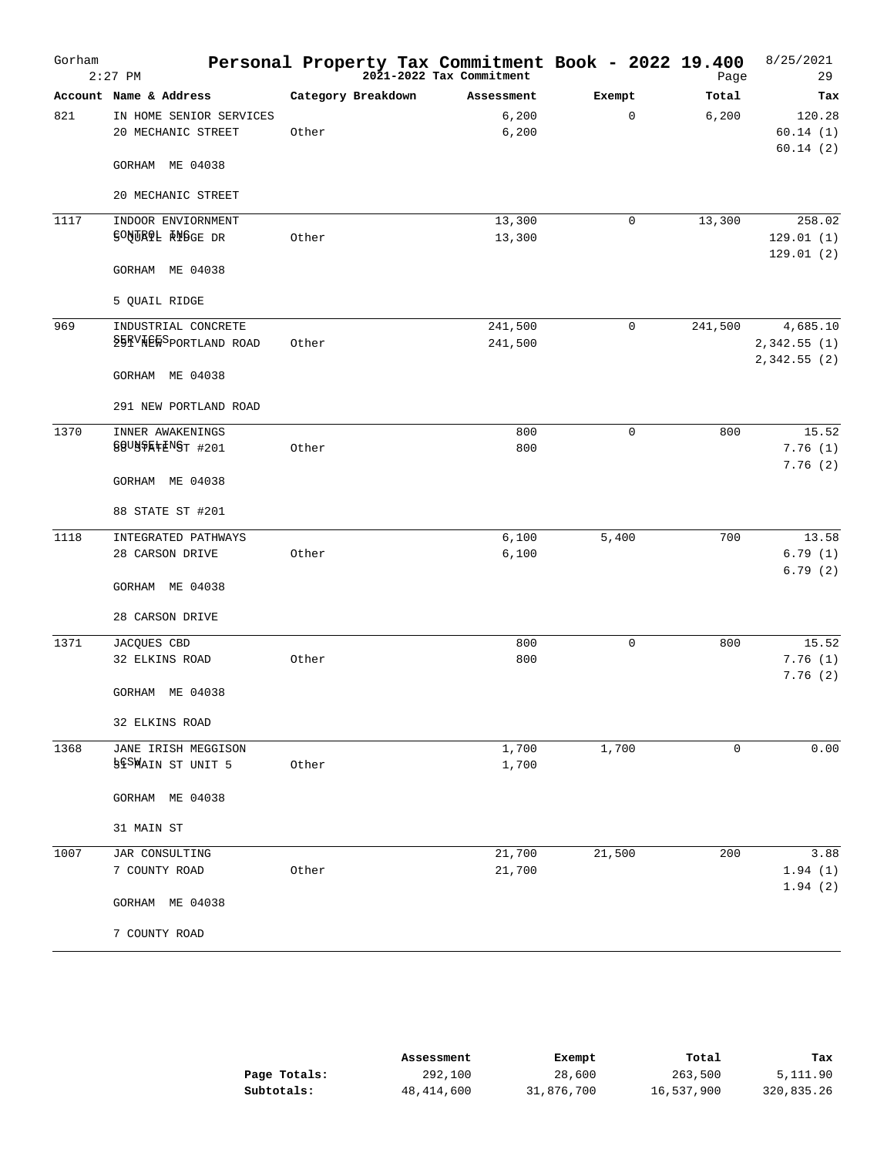| Gorham | $2:27$ PM                                     | Personal Property Tax Commitment Book - 2022 19.400 | 2021-2022 Tax Commitment |             | Page        | 8/25/2021<br>29                |
|--------|-----------------------------------------------|-----------------------------------------------------|--------------------------|-------------|-------------|--------------------------------|
|        | Account Name & Address                        | Category Breakdown                                  | Assessment               | Exempt      | Total       | Tax                            |
| 821    | IN HOME SENIOR SERVICES<br>20 MECHANIC STREET | Other                                               | 6,200<br>6,200           | 0           | 6,200       | 120.28<br>60.14(1)<br>60.14(2) |
|        | GORHAM ME 04038                               |                                                     |                          |             |             |                                |
|        | 20 MECHANIC STREET                            |                                                     |                          |             |             |                                |
| 1117   | INDOOR ENVIORNMENT                            |                                                     | 13,300                   | $\mathbf 0$ | 13,300      | 258.02                         |
|        | <b>SONERPL RNSGE DR</b>                       | Other                                               | 13,300                   |             |             | 129.01(1)<br>129.01(2)         |
|        | GORHAM ME 04038                               |                                                     |                          |             |             |                                |
|        | 5 QUAIL RIDGE                                 |                                                     |                          |             |             |                                |
| 969    | INDUSTRIAL CONCRETE                           |                                                     | 241,500                  | $\mathbf 0$ | 241,500     | 4,685.10                       |
|        | 25 VHE SPORTLAND ROAD                         | Other                                               | 241,500                  |             |             | 2,342.55(1)<br>2,342.55(2)     |
|        | GORHAM ME 04038                               |                                                     |                          |             |             |                                |
|        | 291 NEW PORTLAND ROAD                         |                                                     |                          |             |             |                                |
| 1370   | INNER AWAKENINGS                              |                                                     | 800                      | 0           | 800         | 15.52                          |
|        | GOUNTATENGT #201                              | Other                                               | 800                      |             |             | 7.76(1)<br>7.76(2)             |
|        | GORHAM ME 04038                               |                                                     |                          |             |             |                                |
|        | 88 STATE ST #201                              |                                                     |                          |             |             |                                |
| 1118   | INTEGRATED PATHWAYS                           |                                                     | 6,100                    | 5,400       | 700         | 13.58                          |
|        | 28 CARSON DRIVE                               | Other                                               | 6,100                    |             |             | 6.79(1)                        |
|        | GORHAM ME 04038                               |                                                     |                          |             |             | 6.79(2)                        |
|        | 28 CARSON DRIVE                               |                                                     |                          |             |             |                                |
| 1371   | JACQUES CBD                                   |                                                     | 800                      | $\mathbf 0$ | 800         | 15.52                          |
|        | 32 ELKINS ROAD                                | Other                                               | 800                      |             |             | 7.76(1)<br>7.76(2)             |
|        | GORHAM ME 04038                               |                                                     |                          |             |             |                                |
|        | 32 ELKINS ROAD                                |                                                     |                          |             |             |                                |
| 1368   | JANE IRISH MEGGISON                           |                                                     | 1,700                    | 1,700       | $\mathbf 0$ | 0.00                           |
|        | <b>B</b> CSMAIN ST UNIT 5                     | Other                                               | 1,700                    |             |             |                                |
|        | GORHAM ME 04038                               |                                                     |                          |             |             |                                |
|        | 31 MAIN ST                                    |                                                     |                          |             |             |                                |
| 1007   | JAR CONSULTING                                |                                                     | 21,700                   | 21,500      | 200         | 3.88                           |
|        | 7 COUNTY ROAD                                 | Other                                               | 21,700                   |             |             | 1.94(1)<br>1.94(2)             |
|        | GORHAM ME 04038                               |                                                     |                          |             |             |                                |
|        | 7 COUNTY ROAD                                 |                                                     |                          |             |             |                                |

|              | Assessment | Exempt     | Total      | Tax        |
|--------------|------------|------------|------------|------------|
| Page Totals: | 292,100    | 28,600     | 263,500    | 5,111.90   |
| Subtotals:   | 48,414,600 | 31,876,700 | 16,537,900 | 320,835.26 |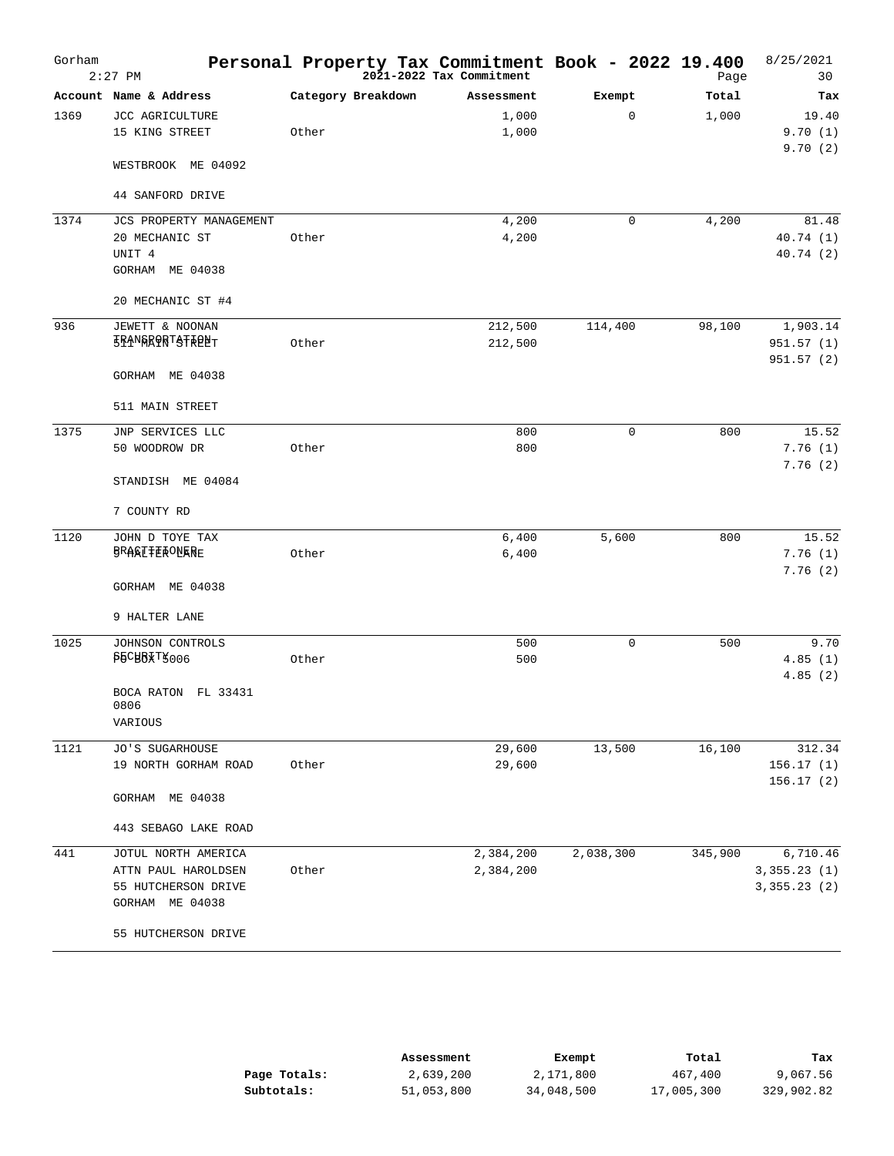| Gorham | $2:27$ PM                   | Personal Property Tax Commitment Book - 2022 19.400 | 2021-2022 Tax Commitment |             | Page    | 8/25/2021<br>30    |
|--------|-----------------------------|-----------------------------------------------------|--------------------------|-------------|---------|--------------------|
|        | Account Name & Address      | Category Breakdown                                  | Assessment               | Exempt      | Total   | Tax                |
| 1369   | <b>JCC AGRICULTURE</b>      |                                                     | 1,000                    | 0           | 1,000   | 19.40              |
|        | 15 KING STREET              | Other                                               | 1,000                    |             |         | 9.70(1)<br>9.70(2) |
|        | WESTBROOK ME 04092          |                                                     |                          |             |         |                    |
|        | 44 SANFORD DRIVE            |                                                     |                          |             |         |                    |
| 1374   | JCS PROPERTY MANAGEMENT     |                                                     | 4,200                    | $\mathbf 0$ | 4,200   | 81.48              |
|        | 20 MECHANIC ST              | Other                                               | 4,200                    |             |         | 40.74(1)           |
|        | UNIT 4                      |                                                     |                          |             |         | 40.74 (2)          |
|        | GORHAM ME 04038             |                                                     |                          |             |         |                    |
|        | 20 MECHANIC ST #4           |                                                     |                          |             |         |                    |
| 936    | JEWETT & NOONAN             |                                                     | 212,500                  | 114,400     | 98,100  | 1,903.14           |
|        | <b>FRANGRORT&amp;FRONT</b>  | Other                                               | 212,500                  |             |         | 951.57(1)          |
|        | GORHAM ME 04038             |                                                     |                          |             |         | 951.57 (2)         |
|        | 511 MAIN STREET             |                                                     |                          |             |         |                    |
| 1375   | JNP SERVICES LLC            |                                                     | 800                      | 0           | 800     | 15.52              |
|        | 50 WOODROW DR               | Other                                               | 800                      |             |         | 7.76(1)            |
|        | STANDISH ME 04084           |                                                     |                          |             |         | 7.76(2)            |
|        | 7 COUNTY RD                 |                                                     |                          |             |         |                    |
| 1120   | JOHN D TOYE TAX             |                                                     | 6,400                    | 5,600       | 800     | 15.52              |
|        | <b>BRAKEFERONARE</b>        | Other                                               | 6,400                    |             |         | 7.76(1)            |
|        |                             |                                                     |                          |             |         | 7.76(2)            |
|        | GORHAM ME 04038             |                                                     |                          |             |         |                    |
|        | 9 HALTER LANE               |                                                     |                          |             |         |                    |
| 1025   | JOHNSON CONTROLS            |                                                     | 500                      | $\mathbf 0$ | 500     | 9.70               |
|        | PECHBXT5006                 | Other                                               | 500                      |             |         | 4.85(1)            |
|        |                             |                                                     |                          |             |         | 4.85(2)            |
|        | BOCA RATON FL 33431<br>0806 |                                                     |                          |             |         |                    |
|        | VARIOUS                     |                                                     |                          |             |         |                    |
| 1121   | JO'S SUGARHOUSE             |                                                     | 29,600                   | 13,500      | 16,100  | 312.34             |
|        | 19 NORTH GORHAM ROAD        | Other                                               | 29,600                   |             |         | 156.17(1)          |
|        |                             |                                                     |                          |             |         | 156.17(2)          |
|        | GORHAM ME 04038             |                                                     |                          |             |         |                    |
|        | 443 SEBAGO LAKE ROAD        |                                                     |                          |             |         |                    |
| 441    | JOTUL NORTH AMERICA         |                                                     | 2,384,200                | 2,038,300   | 345,900 | 6,710.46           |
|        | ATTN PAUL HAROLDSEN         | Other                                               | 2,384,200                |             |         | 3,355.23(1)        |
|        | 55 HUTCHERSON DRIVE         |                                                     |                          |             |         | 3,355.23(2)        |
|        | GORHAM ME 04038             |                                                     |                          |             |         |                    |
|        | 55 HUTCHERSON DRIVE         |                                                     |                          |             |         |                    |

|              | Assessment | Exempt     | Total      | Tax        |
|--------------|------------|------------|------------|------------|
| Page Totals: | 2,639,200  | 2,171,800  | 467,400    | 9,067.56   |
| Subtotals:   | 51,053,800 | 34,048,500 | 17,005,300 | 329,902.82 |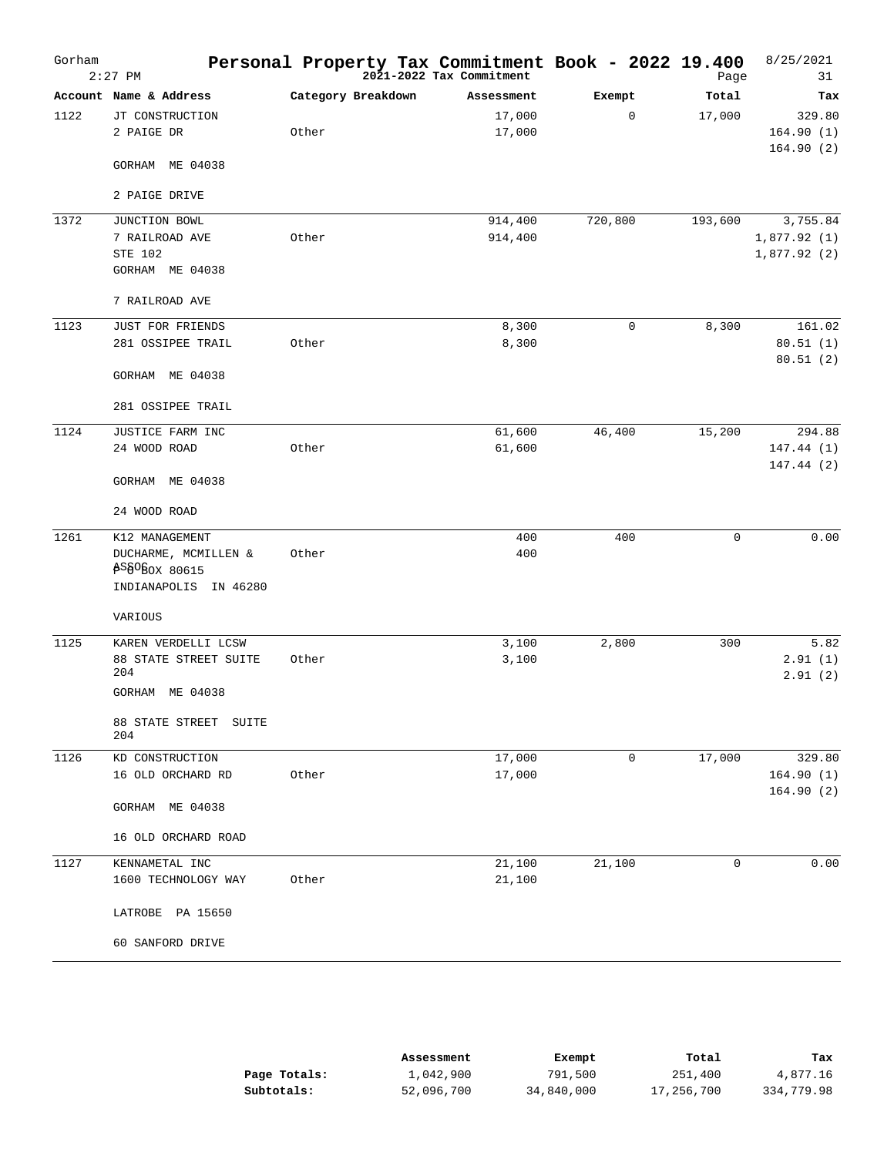| Gorham | $2:27$ PM                       | Personal Property Tax Commitment Book - 2022 19.400 | 2021-2022 Tax Commitment |             | Page    | 8/25/2021<br>31                  |
|--------|---------------------------------|-----------------------------------------------------|--------------------------|-------------|---------|----------------------------------|
|        | Account Name & Address          | Category Breakdown                                  | Assessment               | Exempt      | Total   | Tax                              |
| 1122   | JT CONSTRUCTION<br>2 PAIGE DR   | Other                                               | 17,000<br>17,000         | $\mathbf 0$ | 17,000  | 329.80<br>164.90(1)<br>164.90(2) |
|        | GORHAM ME 04038                 |                                                     |                          |             |         |                                  |
|        | 2 PAIGE DRIVE                   |                                                     |                          |             |         |                                  |
| 1372   | JUNCTION BOWL                   |                                                     | 914,400                  | 720,800     | 193,600 | 3,755.84                         |
|        | 7 RAILROAD AVE                  | Other                                               | 914,400                  |             |         | 1,877.92(1)                      |
|        | STE 102                         |                                                     |                          |             |         | 1,877.92(2)                      |
|        | GORHAM ME 04038                 |                                                     |                          |             |         |                                  |
|        | 7 RAILROAD AVE                  |                                                     |                          |             |         |                                  |
| 1123   | JUST FOR FRIENDS                |                                                     | 8,300                    | $\mathbf 0$ | 8,300   | 161.02                           |
|        | 281 OSSIPEE TRAIL               | Other                                               | 8,300                    |             |         | 80.51(1)                         |
|        | GORHAM ME 04038                 |                                                     |                          |             |         | 80.51(2)                         |
|        | 281 OSSIPEE TRAIL               |                                                     |                          |             |         |                                  |
| 1124   | JUSTICE FARM INC                |                                                     | 61,600                   | 46,400      | 15,200  | 294.88                           |
|        | 24 WOOD ROAD                    | Other                                               | 61,600                   |             |         | 147.44 (1)                       |
|        | GORHAM ME 04038                 |                                                     |                          |             |         | 147.44 (2)                       |
|        | 24 WOOD ROAD                    |                                                     |                          |             |         |                                  |
| 1261   | K12 MANAGEMENT                  |                                                     | 400                      | 400         | 0       | 0.00                             |
|        | DUCHARME, MCMILLEN &            | Other                                               | 400                      |             |         |                                  |
|        | <b>ASSOSOX 80615</b>            |                                                     |                          |             |         |                                  |
|        | INDIANAPOLIS IN 46280           |                                                     |                          |             |         |                                  |
|        | VARIOUS                         |                                                     |                          |             |         |                                  |
| 1125   | KAREN VERDELLI LCSW             |                                                     | 3,100                    | 2,800       | 300     | 5.82                             |
|        | 88 STATE STREET SUITE<br>204    | Other                                               | 3,100                    |             |         | 2.91(1)<br>2.91(2)               |
|        | GORHAM ME 04038                 |                                                     |                          |             |         |                                  |
|        | 88 STATE STREET<br>SUITE<br>204 |                                                     |                          |             |         |                                  |
| 1126   | KD CONSTRUCTION                 |                                                     | 17,000                   | $\mathbf 0$ | 17,000  | 329.80                           |
|        | 16 OLD ORCHARD RD               | Other                                               | 17,000                   |             |         | 164.90(1)                        |
|        | GORHAM ME 04038                 |                                                     |                          |             |         | 164.90(2)                        |
|        | 16 OLD ORCHARD ROAD             |                                                     |                          |             |         |                                  |
| 1127   | KENNAMETAL INC                  |                                                     | 21,100                   | 21,100      | 0       | 0.00                             |
|        | 1600 TECHNOLOGY WAY             | Other                                               | 21,100                   |             |         |                                  |
|        | LATROBE PA 15650                |                                                     |                          |             |         |                                  |
|        | 60 SANFORD DRIVE                |                                                     |                          |             |         |                                  |

|              | Assessment | Exempt     | Total      | Tax        |
|--------------|------------|------------|------------|------------|
| Page Totals: | 1,042,900  | 791,500    | 251,400    | 4,877.16   |
| Subtotals:   | 52,096,700 | 34,840,000 | 17,256,700 | 334,779.98 |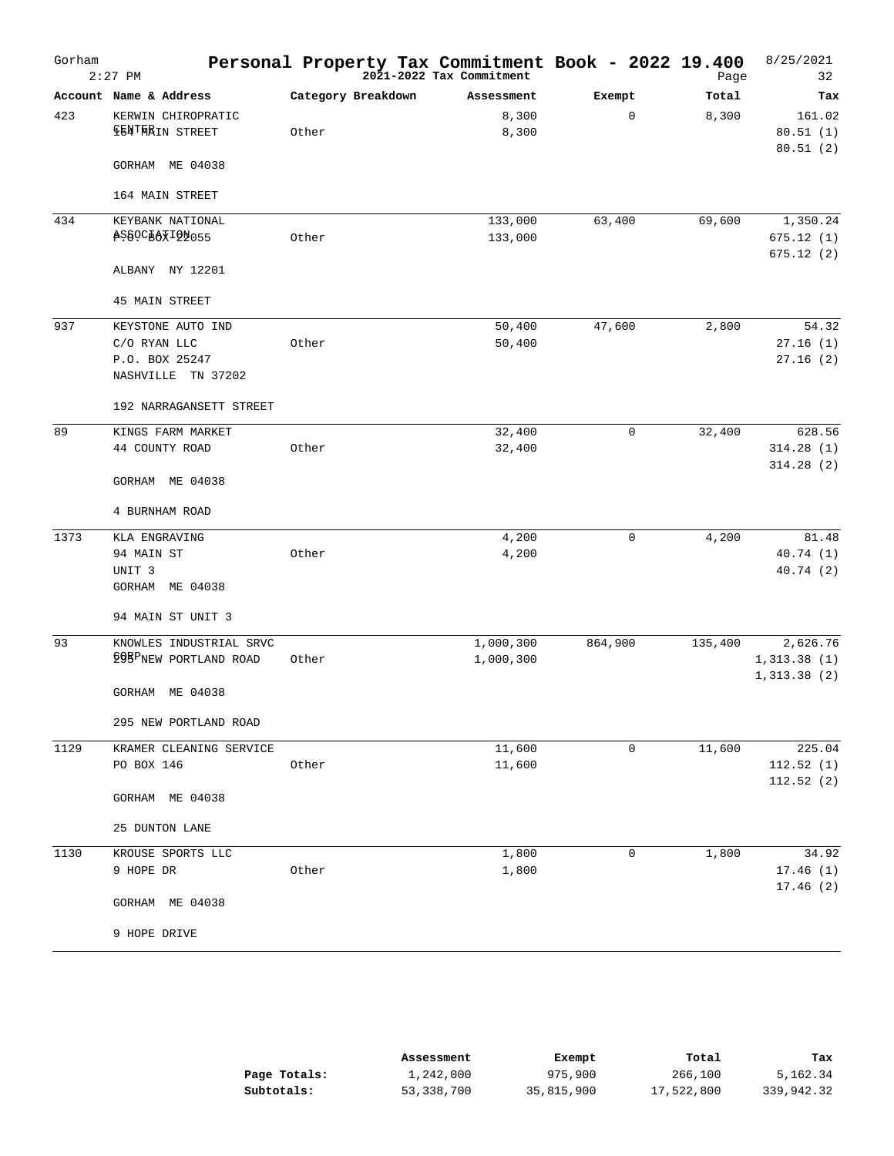| Account Name & Address<br>Category Breakdown<br>Total<br>Assessment<br>Exempt<br>0<br>423<br>8,300<br>8,300<br>KERWIN CHIROPRATIC<br><b>TENTWRIN STREET</b><br>8,300<br>Other<br>GORHAM ME 04038<br>164 MAIN STREET<br>434<br>63,400<br>69,600<br>KEYBANK NATIONAL<br>133,000<br><b>ASSOCHAXIQN055</b><br>Other<br>133,000<br>ALBANY NY 12201<br>45 MAIN STREET<br>47,600<br>2,800<br>937<br>KEYSTONE AUTO IND<br>50,400<br>C/O RYAN LLC<br>Other<br>50,400<br>P.O. BOX 25247<br>NASHVILLE TN 37202 | Gorham | $2:27$ PM               | Personal Property Tax Commitment Book - 2022 19.400 | 2021-2022 Tax Commitment | Page | 8/25/2021<br>32 |
|-----------------------------------------------------------------------------------------------------------------------------------------------------------------------------------------------------------------------------------------------------------------------------------------------------------------------------------------------------------------------------------------------------------------------------------------------------------------------------------------------------|--------|-------------------------|-----------------------------------------------------|--------------------------|------|-----------------|
|                                                                                                                                                                                                                                                                                                                                                                                                                                                                                                     |        |                         |                                                     |                          |      | Tax             |
|                                                                                                                                                                                                                                                                                                                                                                                                                                                                                                     |        |                         |                                                     |                          |      | 161.02          |
|                                                                                                                                                                                                                                                                                                                                                                                                                                                                                                     |        |                         |                                                     |                          |      | 80.51(1)        |
|                                                                                                                                                                                                                                                                                                                                                                                                                                                                                                     |        |                         |                                                     |                          |      | 80.51(2)        |
|                                                                                                                                                                                                                                                                                                                                                                                                                                                                                                     |        |                         |                                                     |                          |      |                 |
|                                                                                                                                                                                                                                                                                                                                                                                                                                                                                                     |        |                         |                                                     |                          |      | 1,350.24        |
|                                                                                                                                                                                                                                                                                                                                                                                                                                                                                                     |        |                         |                                                     |                          |      | 675.12(1)       |
|                                                                                                                                                                                                                                                                                                                                                                                                                                                                                                     |        |                         |                                                     |                          |      | 675.12 (2)      |
|                                                                                                                                                                                                                                                                                                                                                                                                                                                                                                     |        |                         |                                                     |                          |      |                 |
|                                                                                                                                                                                                                                                                                                                                                                                                                                                                                                     |        |                         |                                                     |                          |      | 54.32           |
|                                                                                                                                                                                                                                                                                                                                                                                                                                                                                                     |        |                         |                                                     |                          |      | 27.16(1)        |
|                                                                                                                                                                                                                                                                                                                                                                                                                                                                                                     |        |                         |                                                     |                          |      | 27.16(2)        |
|                                                                                                                                                                                                                                                                                                                                                                                                                                                                                                     |        |                         |                                                     |                          |      |                 |
|                                                                                                                                                                                                                                                                                                                                                                                                                                                                                                     |        | 192 NARRAGANSETT STREET |                                                     |                          |      |                 |
| 32,400<br>$\mathbf 0$<br>89<br>KINGS FARM MARKET<br>32,400                                                                                                                                                                                                                                                                                                                                                                                                                                          |        |                         |                                                     |                          |      | 628.56          |
| 44 COUNTY ROAD<br>Other<br>32,400                                                                                                                                                                                                                                                                                                                                                                                                                                                                   |        |                         |                                                     |                          |      | 314.28(1)       |
| GORHAM ME 04038                                                                                                                                                                                                                                                                                                                                                                                                                                                                                     |        |                         |                                                     |                          |      | 314.28(2)       |
| 4 BURNHAM ROAD                                                                                                                                                                                                                                                                                                                                                                                                                                                                                      |        |                         |                                                     |                          |      |                 |
| 1373<br>4,200<br>$\mathbf 0$<br>4,200<br>KLA ENGRAVING                                                                                                                                                                                                                                                                                                                                                                                                                                              |        |                         |                                                     |                          |      | 81.48           |
| 94 MAIN ST<br>Other<br>4,200                                                                                                                                                                                                                                                                                                                                                                                                                                                                        |        |                         |                                                     |                          |      | 40.74 (1)       |
| UNIT <sub>3</sub>                                                                                                                                                                                                                                                                                                                                                                                                                                                                                   |        |                         |                                                     |                          |      | 40.74(2)        |
| GORHAM ME 04038                                                                                                                                                                                                                                                                                                                                                                                                                                                                                     |        |                         |                                                     |                          |      |                 |
| 94 MAIN ST UNIT 3                                                                                                                                                                                                                                                                                                                                                                                                                                                                                   |        |                         |                                                     |                          |      |                 |
| KNOWLES INDUSTRIAL SRVC<br>93<br>1,000,300<br>864,900<br>135,400                                                                                                                                                                                                                                                                                                                                                                                                                                    |        |                         |                                                     |                          |      | 2,626.76        |
| <b>295PNEW PORTLAND ROAD</b><br>Other<br>1,000,300                                                                                                                                                                                                                                                                                                                                                                                                                                                  |        |                         |                                                     |                          |      | 1,313.38(1)     |
| GORHAM ME 04038                                                                                                                                                                                                                                                                                                                                                                                                                                                                                     |        |                         |                                                     |                          |      | 1,313.38(2)     |
| 295 NEW PORTLAND ROAD                                                                                                                                                                                                                                                                                                                                                                                                                                                                               |        |                         |                                                     |                          |      |                 |
| 1129<br>11,600<br>$\mathbf 0$<br>KRAMER CLEANING SERVICE<br>11,600                                                                                                                                                                                                                                                                                                                                                                                                                                  |        |                         |                                                     |                          |      | 225.04          |
| PO BOX 146<br>Other<br>11,600                                                                                                                                                                                                                                                                                                                                                                                                                                                                       |        |                         |                                                     |                          |      | 112.52(1)       |
| GORHAM ME 04038                                                                                                                                                                                                                                                                                                                                                                                                                                                                                     |        |                         |                                                     |                          |      | 112.52(2)       |
| 25 DUNTON LANE                                                                                                                                                                                                                                                                                                                                                                                                                                                                                      |        |                         |                                                     |                          |      |                 |
| 1130<br>$\mathbf 0$<br>1,800<br>KROUSE SPORTS LLC<br>1,800                                                                                                                                                                                                                                                                                                                                                                                                                                          |        |                         |                                                     |                          |      | 34.92           |
| 9 HOPE DR<br>1,800<br>Other                                                                                                                                                                                                                                                                                                                                                                                                                                                                         |        |                         |                                                     |                          |      | 17.46(1)        |
| GORHAM ME 04038                                                                                                                                                                                                                                                                                                                                                                                                                                                                                     |        |                         |                                                     |                          |      | 17.46(2)        |
| 9 HOPE DRIVE                                                                                                                                                                                                                                                                                                                                                                                                                                                                                        |        |                         |                                                     |                          |      |                 |

|              | Assessment | Exempt     | Total      | Tax        |
|--------------|------------|------------|------------|------------|
| Page Totals: | 1,242,000  | 975,900    | 266,100    | 5,162.34   |
| Subtotals:   | 53,338,700 | 35,815,900 | 17,522,800 | 339,942.32 |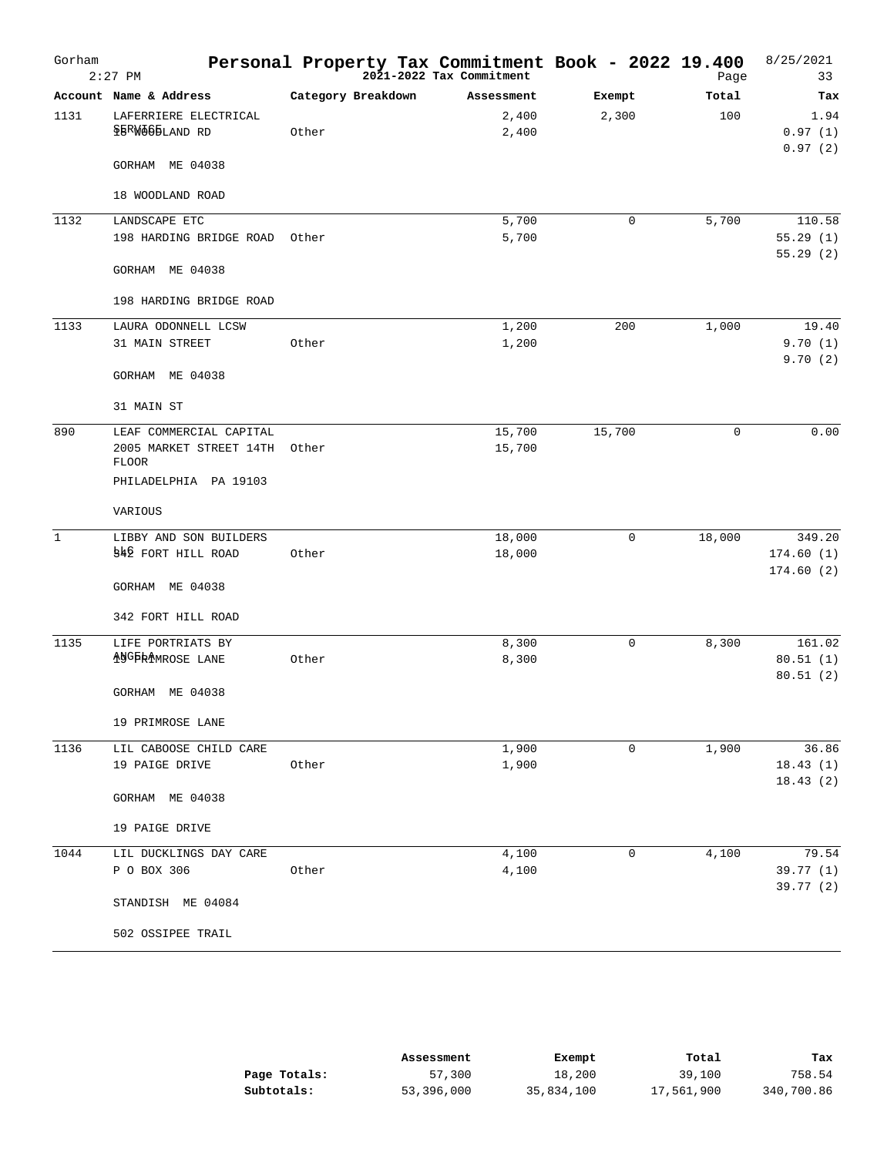| Gorham       | $2:27$ PM                               | Personal Property Tax Commitment Book - 2022 19.400 | 2021-2022 Tax Commitment |             | Page        | 8/25/2021<br>33        |
|--------------|-----------------------------------------|-----------------------------------------------------|--------------------------|-------------|-------------|------------------------|
|              | Account Name & Address                  | Category Breakdown                                  | Assessment               | Exempt      | Total       | Tax                    |
| 1131         | LAFERRIERE ELECTRICAL                   |                                                     | 2,400                    | 2,300       | 100         | 1.94                   |
|              | <b>\$BRW@GBLAND RD</b>                  | Other                                               | 2,400                    |             |             | 0.97(1)                |
|              | GORHAM ME 04038                         |                                                     |                          |             |             | 0.97(2)                |
|              | 18 WOODLAND ROAD                        |                                                     |                          |             |             |                        |
| 1132         | LANDSCAPE ETC                           |                                                     | 5,700                    | $\mathbf 0$ | 5,700       | 110.58                 |
|              | 198 HARDING BRIDGE ROAD Other           |                                                     | 5,700                    |             |             | 55.29(1)               |
|              | GORHAM ME 04038                         |                                                     |                          |             |             | 55.29(2)               |
|              | 198 HARDING BRIDGE ROAD                 |                                                     |                          |             |             |                        |
| 1133         | LAURA ODONNELL LCSW                     |                                                     | 1,200                    | 200         | 1,000       | 19.40                  |
|              | 31 MAIN STREET                          | Other                                               | 1,200                    |             |             | 9.70(1)                |
|              | GORHAM ME 04038                         |                                                     |                          |             |             | 9.70(2)                |
|              |                                         |                                                     |                          |             |             |                        |
|              | 31 MAIN ST                              |                                                     |                          |             |             |                        |
| 890          | LEAF COMMERCIAL CAPITAL                 |                                                     | 15,700                   | 15,700      | $\mathbf 0$ | 0.00                   |
|              | 2005 MARKET STREET 14TH<br><b>FLOOR</b> | Other                                               | 15,700                   |             |             |                        |
|              | PHILADELPHIA PA 19103                   |                                                     |                          |             |             |                        |
|              | VARIOUS                                 |                                                     |                          |             |             |                        |
| $\mathbf{1}$ | LIBBY AND SON BUILDERS                  |                                                     | 18,000                   | 0           | 18,000      | 349.20                 |
|              | 942 FORT HILL ROAD                      | Other                                               | 18,000                   |             |             | 174.60(1)              |
|              | GORHAM ME 04038                         |                                                     |                          |             |             | 174.60(2)              |
|              |                                         |                                                     |                          |             |             |                        |
|              | 342 FORT HILL ROAD                      |                                                     |                          |             |             |                        |
| 1135         | LIFE PORTRIATS BY                       |                                                     | 8,300                    | $\mathbf 0$ | 8,300       | 161.02                 |
|              | ANGERAMROSE LANE                        | Other                                               | 8,300                    |             |             | 80.51(1)               |
|              | GORHAM ME 04038                         |                                                     |                          |             |             | 80.51(2)               |
|              | 19 PRIMROSE LANE                        |                                                     |                          |             |             |                        |
| 1136         | LIL CABOOSE CHILD CARE                  |                                                     | 1,900                    | $\mathbf 0$ | 1,900       | 36.86                  |
|              | 19 PAIGE DRIVE                          | Other                                               | 1,900                    |             |             | 18.43(1)               |
|              | GORHAM ME 04038                         |                                                     |                          |             |             | 18.43(2)               |
|              | 19 PAIGE DRIVE                          |                                                     |                          |             |             |                        |
| 1044         | LIL DUCKLINGS DAY CARE                  |                                                     | 4,100                    | 0           | 4,100       | 79.54                  |
|              | P O BOX 306                             | Other                                               | 4,100                    |             |             | 39.77 (1)<br>39.77 (2) |
|              | STANDISH ME 04084                       |                                                     |                          |             |             |                        |
|              | 502 OSSIPEE TRAIL                       |                                                     |                          |             |             |                        |

|              | Assessment | Exempt     | Total      | Tax        |
|--------------|------------|------------|------------|------------|
| Page Totals: | 57,300     | 18,200     | 39,100     | 758.54     |
| Subtotals:   | 53,396,000 | 35,834,100 | 17,561,900 | 340,700.86 |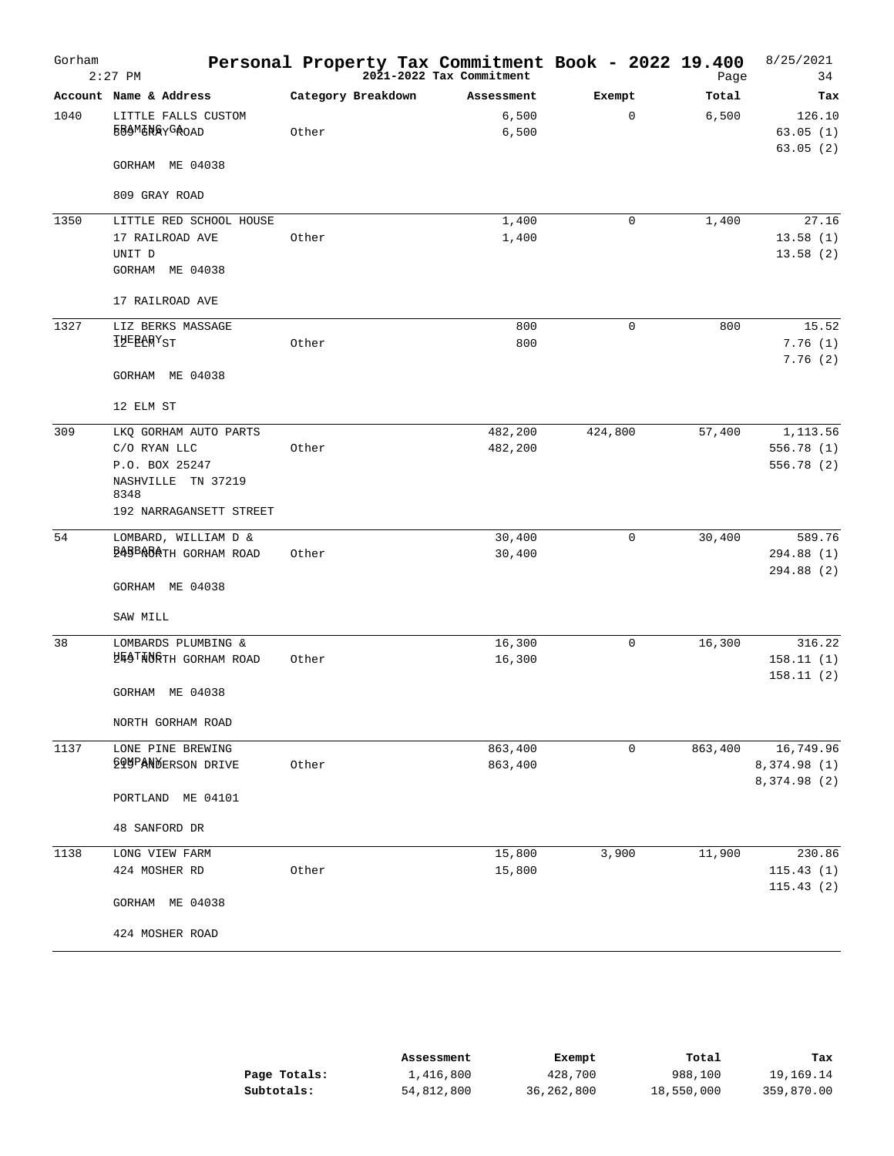| Gorham | $2:27$ PM                                    | Personal Property Tax Commitment Book - 2022 19.400 | 2021-2022 Tax Commitment |              | Page    | 8/25/2021<br>34                |
|--------|----------------------------------------------|-----------------------------------------------------|--------------------------|--------------|---------|--------------------------------|
|        | Account Name & Address                       | Category Breakdown                                  | Assessment               | Exempt       | Total   | Tax                            |
| 1040   | LITTLE FALLS CUSTOM<br><b>FRAMERRYGROAD</b>  | Other                                               | 6,500<br>6,500           | $\mathbf 0$  | 6,500   | 126.10<br>63.05(1)<br>63.05(2) |
|        | GORHAM ME 04038                              |                                                     |                          |              |         |                                |
|        | 809 GRAY ROAD                                |                                                     |                          |              |         |                                |
| 1350   | LITTLE RED SCHOOL HOUSE                      |                                                     | 1,400                    | 0            | 1,400   | 27.16                          |
|        | 17 RAILROAD AVE                              | Other                                               | 1,400                    |              |         | 13.58(1)                       |
|        | UNIT D<br>GORHAM ME 04038                    |                                                     |                          |              |         | 13.58(2)                       |
|        | 17 RAILROAD AVE                              |                                                     |                          |              |         |                                |
| 1327   | LIZ BERKS MASSAGE                            |                                                     | 800                      | $\mathbf 0$  | 800     | 15.52                          |
|        | <b>THERARYST</b>                             | Other                                               | 800                      |              |         | 7.76(1)                        |
|        | GORHAM ME 04038                              |                                                     |                          |              |         | 7.76(2)                        |
|        | 12 ELM ST                                    |                                                     |                          |              |         |                                |
| 309    | LKQ GORHAM AUTO PARTS                        |                                                     | 482,200                  | 424,800      | 57,400  | 1,113.56                       |
|        | C/O RYAN LLC                                 | Other                                               | 482,200                  |              |         | 556.78 (1)                     |
|        | P.O. BOX 25247<br>NASHVILLE TN 37219<br>8348 |                                                     |                          |              |         | 556.78 (2)                     |
|        | 192 NARRAGANSETT STREET                      |                                                     |                          |              |         |                                |
| 54     | LOMBARD, WILLIAM D &                         |                                                     | 30,400                   | 0            | 30,400  | 589.76                         |
|        | 245BABATH GORHAM ROAD                        | Other                                               | 30,400                   |              |         | 294.88 (1)<br>294.88 (2)       |
|        | GORHAM ME 04038                              |                                                     |                          |              |         |                                |
|        | SAW MILL                                     |                                                     |                          |              |         |                                |
| 38     | LOMBARDS PLUMBING &                          |                                                     | 16,300                   | $\mathbf 0$  | 16,300  | 316.22                         |
|        | HAATNORTH GORHAM ROAD                        | Other                                               | 16,300                   |              |         | 158.11(1)                      |
|        | GORHAM ME 04038                              |                                                     |                          |              |         | 158.11(2)                      |
|        | NORTH GORHAM ROAD                            |                                                     |                          |              |         |                                |
| 1137   | LONE PINE BREWING                            |                                                     | 863,400                  | $\mathsf{O}$ | 863,400 | 16,749.96                      |
|        | 20MPANDERSON DRIVE                           | Other                                               | 863,400                  |              |         | 8,374.98 (1)                   |
|        | PORTLAND ME 04101                            |                                                     |                          |              |         | 8,374.98 (2)                   |
|        | 48 SANFORD DR                                |                                                     |                          |              |         |                                |
| 1138   | LONG VIEW FARM                               |                                                     | 15,800                   | 3,900        | 11,900  | 230.86                         |
|        | 424 MOSHER RD                                | Other                                               | 15,800                   |              |         | 115.43(1)<br>115.43(2)         |
|        | GORHAM ME 04038                              |                                                     |                          |              |         |                                |
|        | 424 MOSHER ROAD                              |                                                     |                          |              |         |                                |

|              | Assessment | Exempt     | Total      | Tax        |
|--------------|------------|------------|------------|------------|
| Page Totals: | 1,416,800  | 428,700    | 988,100    | 19,169.14  |
| Subtotals:   | 54,812,800 | 36,262,800 | 18,550,000 | 359,870.00 |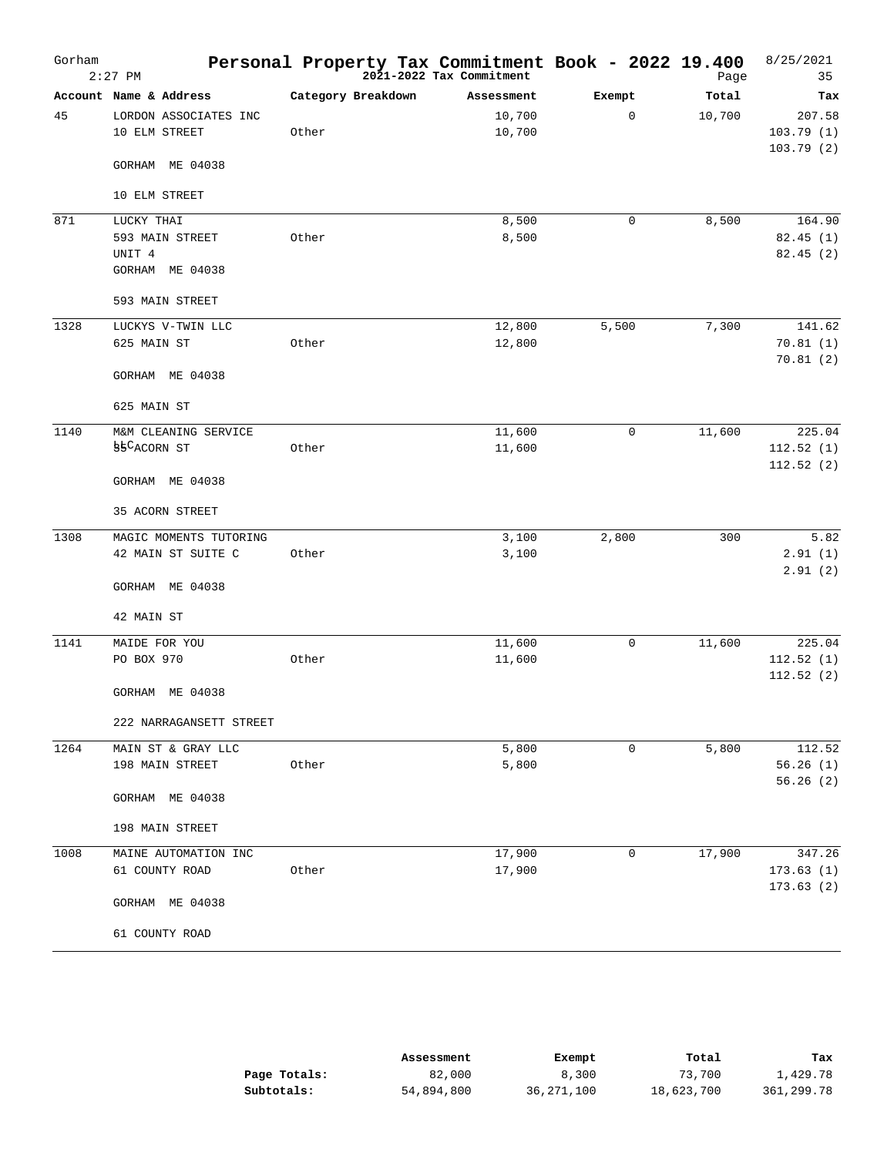| Gorham | $2:27$ PM                              | Personal Property Tax Commitment Book - 2022 19.400 | 2021-2022 Tax Commitment |             | Page   | 8/25/2021<br>35                  |
|--------|----------------------------------------|-----------------------------------------------------|--------------------------|-------------|--------|----------------------------------|
|        | Account Name & Address                 | Category Breakdown                                  | Assessment               | Exempt      | Total  | Tax                              |
| 45     | LORDON ASSOCIATES INC<br>10 ELM STREET | Other                                               | 10,700<br>10,700         | 0           | 10,700 | 207.58<br>103.79(1)<br>103.79(2) |
|        | GORHAM ME 04038                        |                                                     |                          |             |        |                                  |
|        | 10 ELM STREET                          |                                                     |                          |             |        |                                  |
| 871    | LUCKY THAI                             |                                                     | 8,500                    | $\mathbf 0$ | 8,500  | 164.90                           |
|        | 593 MAIN STREET                        | Other                                               | 8,500                    |             |        | 82.45 (1)                        |
|        | UNIT 4<br>GORHAM ME 04038              |                                                     |                          |             |        | 82.45(2)                         |
|        | 593 MAIN STREET                        |                                                     |                          |             |        |                                  |
| 1328   | LUCKYS V-TWIN LLC                      |                                                     | 12,800                   | 5,500       | 7,300  | 141.62                           |
|        | 625 MAIN ST                            | Other                                               | 12,800                   |             |        | 70.81(1)                         |
|        | GORHAM ME 04038                        |                                                     |                          |             |        | 70.81(2)                         |
|        | 625 MAIN ST                            |                                                     |                          |             |        |                                  |
| 1140   | M&M CLEANING SERVICE                   |                                                     | 11,600                   | 0           | 11,600 | 225.04                           |
|        | <b>BECACORN ST</b>                     | Other                                               | 11,600                   |             |        | 112.52(1)                        |
|        | GORHAM ME 04038                        |                                                     |                          |             |        | 112.52(2)                        |
|        | 35 ACORN STREET                        |                                                     |                          |             |        |                                  |
| 1308   | MAGIC MOMENTS TUTORING                 |                                                     | 3,100                    | 2,800       | 300    | 5.82                             |
|        | 42 MAIN ST SUITE C                     | Other                                               | 3,100                    |             |        | 2.91(1)<br>2.91(2)               |
|        | GORHAM ME 04038                        |                                                     |                          |             |        |                                  |
|        | 42 MAIN ST                             |                                                     |                          |             |        |                                  |
| 1141   | MAIDE FOR YOU                          |                                                     | 11,600                   | $\mathbf 0$ | 11,600 | 225.04                           |
|        | PO BOX 970                             | Other                                               | 11,600                   |             |        | 112.52(1)<br>112.52(2)           |
|        | GORHAM ME 04038                        |                                                     |                          |             |        |                                  |
|        | 222 NARRAGANSETT STREET                |                                                     |                          |             |        |                                  |
| 1264   | MAIN ST & GRAY LLC                     |                                                     | 5,800                    | $\mathbf 0$ | 5,800  | 112.52                           |
|        | 198 MAIN STREET                        | Other                                               | 5,800                    |             |        | 56.26(1)                         |
|        | GORHAM ME 04038                        |                                                     |                          |             |        | 56.26(2)                         |
|        | 198 MAIN STREET                        |                                                     |                          |             |        |                                  |
| 1008   | MAINE AUTOMATION INC                   |                                                     | 17,900                   | $\mathbf 0$ | 17,900 | 347.26                           |
|        | 61 COUNTY ROAD                         | Other                                               | 17,900                   |             |        | 173.63(1)                        |
|        | GORHAM ME 04038                        |                                                     |                          |             |        | 173.63(2)                        |
|        | 61 COUNTY ROAD                         |                                                     |                          |             |        |                                  |

|              | Assessment | Exempt     | Total      | Tax        |
|--------------|------------|------------|------------|------------|
| Page Totals: | 82,000     | 8,300      | 73.700     | 1,429.78   |
| Subtotals:   | 54,894,800 | 36,271,100 | 18,623,700 | 361,299.78 |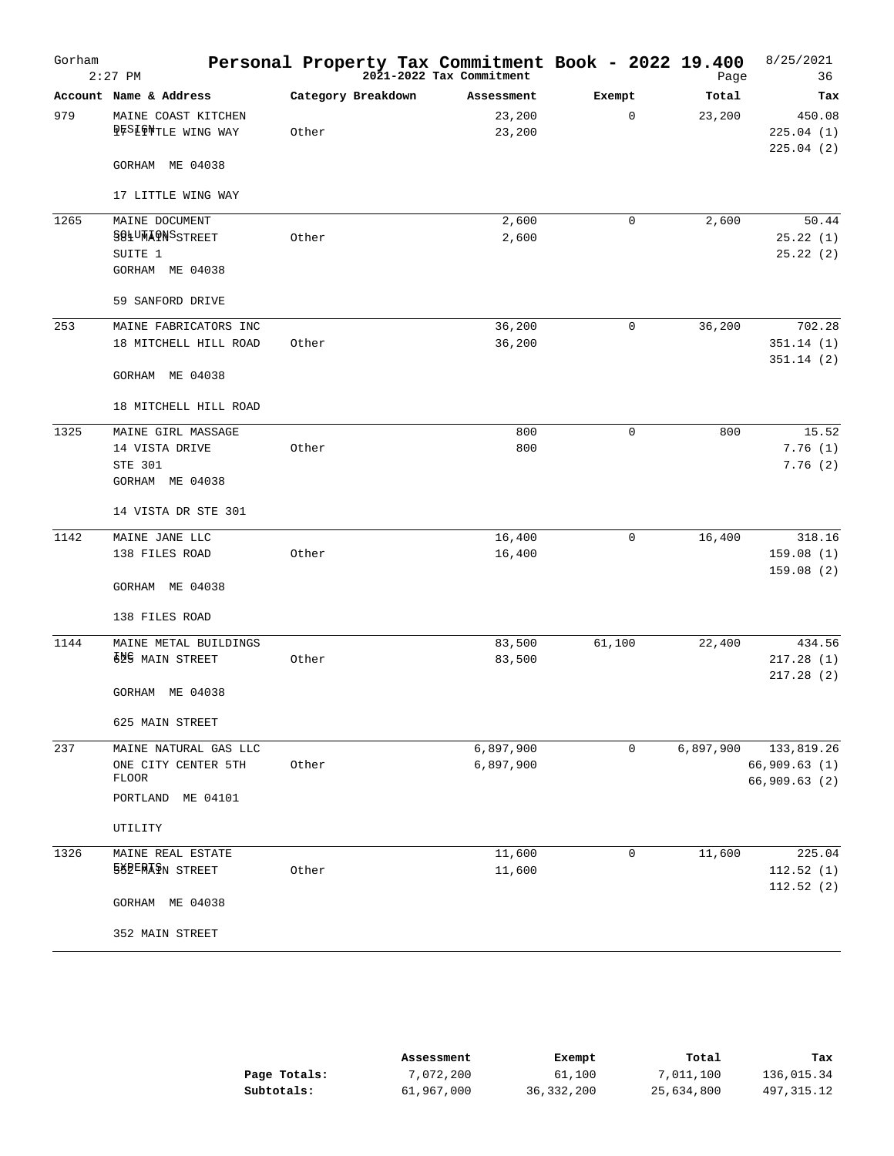| Gorham | $2:27$ PM                                             | Personal Property Tax Commitment Book - 2022 19.400 | 2021-2022 Tax Commitment |             | Page      | 8/25/2021<br>36                  |
|--------|-------------------------------------------------------|-----------------------------------------------------|--------------------------|-------------|-----------|----------------------------------|
|        | Account Name & Address                                | Category Breakdown                                  | Assessment               | Exempt      | Total     | тах                              |
| 979    | MAINE COAST KITCHEN<br>P#SLG\TLE WING WAY             | Other                                               | 23,200<br>23,200         | $\mathbf 0$ | 23,200    | 450.08<br>225.04(1)<br>225.04(2) |
|        | GORHAM ME 04038                                       |                                                     |                          |             |           |                                  |
|        | 17 LITTLE WING WAY                                    |                                                     |                          |             |           |                                  |
| 1265   | MAINE DOCUMENT                                        |                                                     | 2,600                    | $\mathbf 0$ | 2,600     | 50.44                            |
|        | <b>SOLUWAQNSSTREET</b>                                | Other                                               | 2,600                    |             |           | 25.22(1)                         |
|        | SUITE 1<br>GORHAM ME 04038                            |                                                     |                          |             |           | 25.22(2)                         |
|        | 59 SANFORD DRIVE                                      |                                                     |                          |             |           |                                  |
| 253    | MAINE FABRICATORS INC                                 |                                                     | 36,200                   | $\mathbf 0$ | 36,200    | 702.28                           |
|        | 18 MITCHELL HILL ROAD                                 | Other                                               | 36,200                   |             |           | 351.14(1)<br>351.14(2)           |
|        | GORHAM ME 04038                                       |                                                     |                          |             |           |                                  |
|        | 18 MITCHELL HILL ROAD                                 |                                                     |                          |             |           |                                  |
| 1325   | MAINE GIRL MASSAGE                                    |                                                     | 800                      | $\mathbf 0$ | 800       | 15.52                            |
|        | 14 VISTA DRIVE                                        | Other                                               | 800                      |             |           | 7.76(1)                          |
|        | STE 301                                               |                                                     |                          |             |           | 7.76(2)                          |
|        | GORHAM ME 04038                                       |                                                     |                          |             |           |                                  |
|        | 14 VISTA DR STE 301                                   |                                                     |                          |             |           |                                  |
| 1142   | MAINE JANE LLC                                        |                                                     | 16,400                   | $\mathbf 0$ | 16,400    | 318.16                           |
|        | 138 FILES ROAD                                        | Other                                               | 16,400                   |             |           | 159.08(1)<br>159.08(2)           |
|        | GORHAM ME 04038                                       |                                                     |                          |             |           |                                  |
|        | 138 FILES ROAD                                        |                                                     |                          |             |           |                                  |
| 1144   | MAINE METAL BUILDINGS                                 |                                                     | 83,500                   | 61,100      | 22,400    | 434.56                           |
|        | 625 MAIN STREET                                       | Other                                               | 83,500                   |             |           | 217.28 (1)                       |
|        | GORHAM ME 04038                                       |                                                     |                          |             |           | 217.28(2)                        |
|        | 625 MAIN STREET                                       |                                                     |                          |             |           |                                  |
| 237    | MAINE NATURAL GAS LLC<br>ONE CITY CENTER 5TH<br>FLOOR | Other                                               | 6,897,900<br>6,897,900   | 0           | 6,897,900 | 133,819.26<br>66,909.63 (1)      |
|        | PORTLAND<br>ME 04101                                  |                                                     |                          |             |           | 66,909.63(2)                     |
|        | UTILITY                                               |                                                     |                          |             |           |                                  |
| 1326   | MAINE REAL ESTATE                                     |                                                     | 11,600                   | 0           | 11,600    | 225.04                           |
|        | 559ERAPN STREET                                       | Other                                               | 11,600                   |             |           | 112.52(1)                        |
|        | GORHAM ME 04038                                       |                                                     |                          |             |           | 112.52(2)                        |
|        | 352 MAIN STREET                                       |                                                     |                          |             |           |                                  |

|              | Assessment | Exempt     | Total      | Tax        |
|--------------|------------|------------|------------|------------|
| Page Totals: | 7,072,200  | 61,100     | 7,011,100  | 136,015.34 |
| Subtotals:   | 61,967,000 | 36,332,200 | 25,634,800 | 497,315.12 |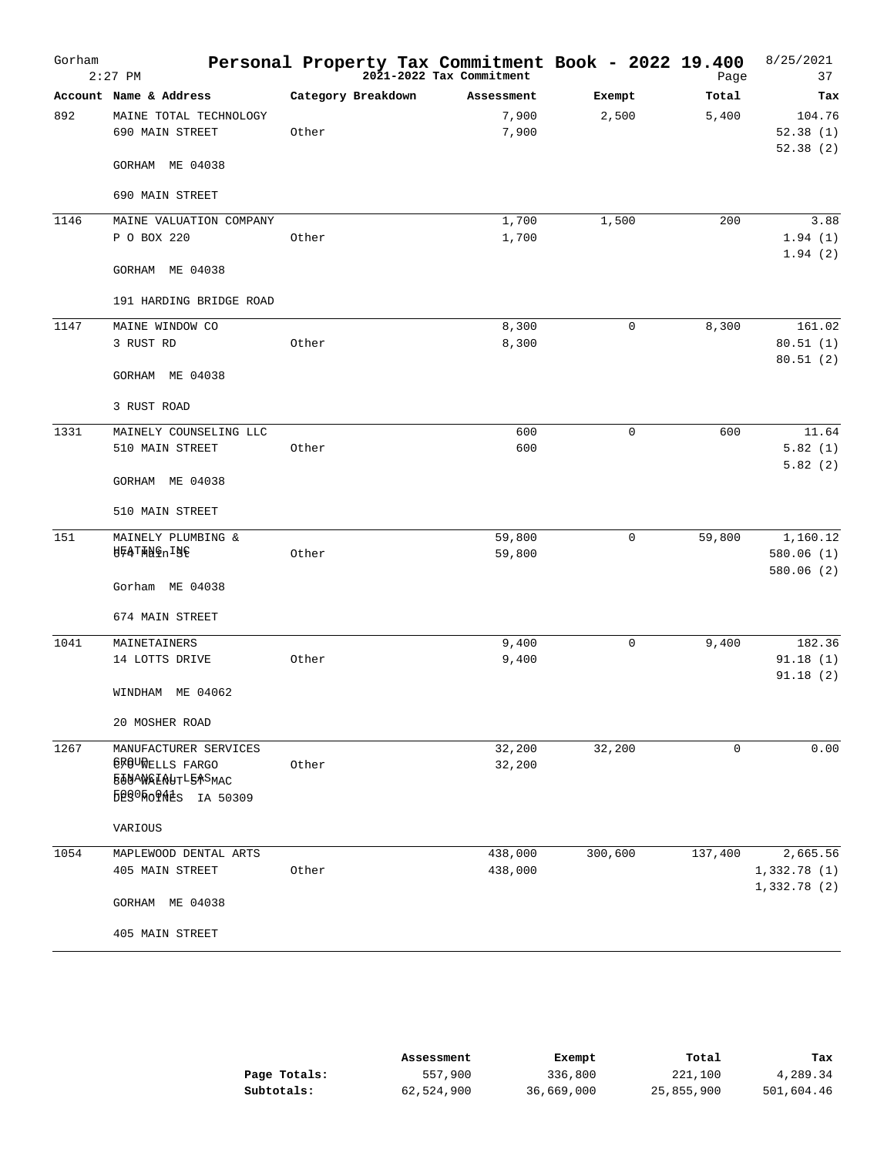| Gorham | $2:27$ PM                                                                                          | Personal Property Tax Commitment Book - 2022 19.400 | 2021-2022 Tax Commitment |             | Page    | 8/25/2021<br>37                |
|--------|----------------------------------------------------------------------------------------------------|-----------------------------------------------------|--------------------------|-------------|---------|--------------------------------|
|        | Account Name & Address                                                                             | Category Breakdown                                  | Assessment               | Exempt      | Total   | Tax                            |
| 892    | MAINE TOTAL TECHNOLOGY<br>690 MAIN STREET                                                          | Other                                               | 7,900<br>7,900           | 2,500       | 5,400   | 104.76<br>52.38(1)<br>52.38(2) |
|        | GORHAM ME 04038                                                                                    |                                                     |                          |             |         |                                |
|        | 690 MAIN STREET                                                                                    |                                                     |                          |             |         |                                |
| 1146   | MAINE VALUATION COMPANY<br>P O BOX 220                                                             | Other                                               | 1,700<br>1,700           | 1,500       | 200     | 3.88<br>1.94(1)                |
|        | GORHAM ME 04038                                                                                    |                                                     |                          |             |         | 1.94(2)                        |
|        | 191 HARDING BRIDGE ROAD                                                                            |                                                     |                          |             |         |                                |
| 1147   | MAINE WINDOW CO                                                                                    |                                                     | 8,300                    | $\mathbf 0$ | 8,300   | 161.02                         |
|        | 3 RUST RD                                                                                          | Other                                               | 8,300                    |             |         | 80.51(1)                       |
|        | GORHAM ME 04038                                                                                    |                                                     |                          |             |         | 80.51(2)                       |
|        | 3 RUST ROAD                                                                                        |                                                     |                          |             |         |                                |
| 1331   | MAINELY COUNSELING LLC                                                                             |                                                     | 600                      | $\mathbf 0$ | 600     | 11.64                          |
|        | 510 MAIN STREET                                                                                    | Other                                               | 600                      |             |         | 5.82(1)                        |
|        | GORHAM ME 04038                                                                                    |                                                     |                          |             |         | 5.82(2)                        |
|        | 510 MAIN STREET                                                                                    |                                                     |                          |             |         |                                |
| 151    | MAINELY PLUMBING &                                                                                 |                                                     | 59,800                   | $\mathbf 0$ | 59,800  | 1,160.12                       |
|        | <b>ABATMAGUIAE</b>                                                                                 | Other                                               | 59,800                   |             |         | 580.06(1)                      |
|        | Gorham ME 04038                                                                                    |                                                     |                          |             |         | 580.06 (2)                     |
|        | 674 MAIN STREET                                                                                    |                                                     |                          |             |         |                                |
| 1041   | MAINETAINERS                                                                                       |                                                     | 9,400                    | 0           | 9,400   | 182.36                         |
|        | 14 LOTTS DRIVE                                                                                     | Other                                               | 9,400                    |             |         | 91.18(1)<br>91.18(2)           |
|        | WINDHAM ME 04062                                                                                   |                                                     |                          |             |         |                                |
|        | 20 MOSHER ROAD                                                                                     |                                                     |                          |             |         |                                |
| 1267   | MANUFACTURER SERVICES<br>@FOUNELLS FARGO<br><b>SONAWSLAUTLEASMAC</b><br><b>BR90MolAES</b> IA 50309 | Other                                               | 32,200<br>32,200         | 32,200      | 0       | 0.00                           |
|        | VARIOUS                                                                                            |                                                     |                          |             |         |                                |
| 1054   | MAPLEWOOD DENTAL ARTS                                                                              |                                                     | 438,000                  | 300,600     | 137,400 | 2,665.56                       |
|        | 405 MAIN STREET                                                                                    | Other                                               | 438,000                  |             |         | 1,332.78(1)<br>1,332.78(2)     |
|        | GORHAM ME 04038                                                                                    |                                                     |                          |             |         |                                |
|        | 405 MAIN STREET                                                                                    |                                                     |                          |             |         |                                |

|              | Assessment | Exempt     | Total      | тах        |
|--------------|------------|------------|------------|------------|
| Page Totals: | 557,900    | 336,800    | 221,100    | 4,289.34   |
| Subtotals:   | 62,524,900 | 36,669,000 | 25,855,900 | 501,604.46 |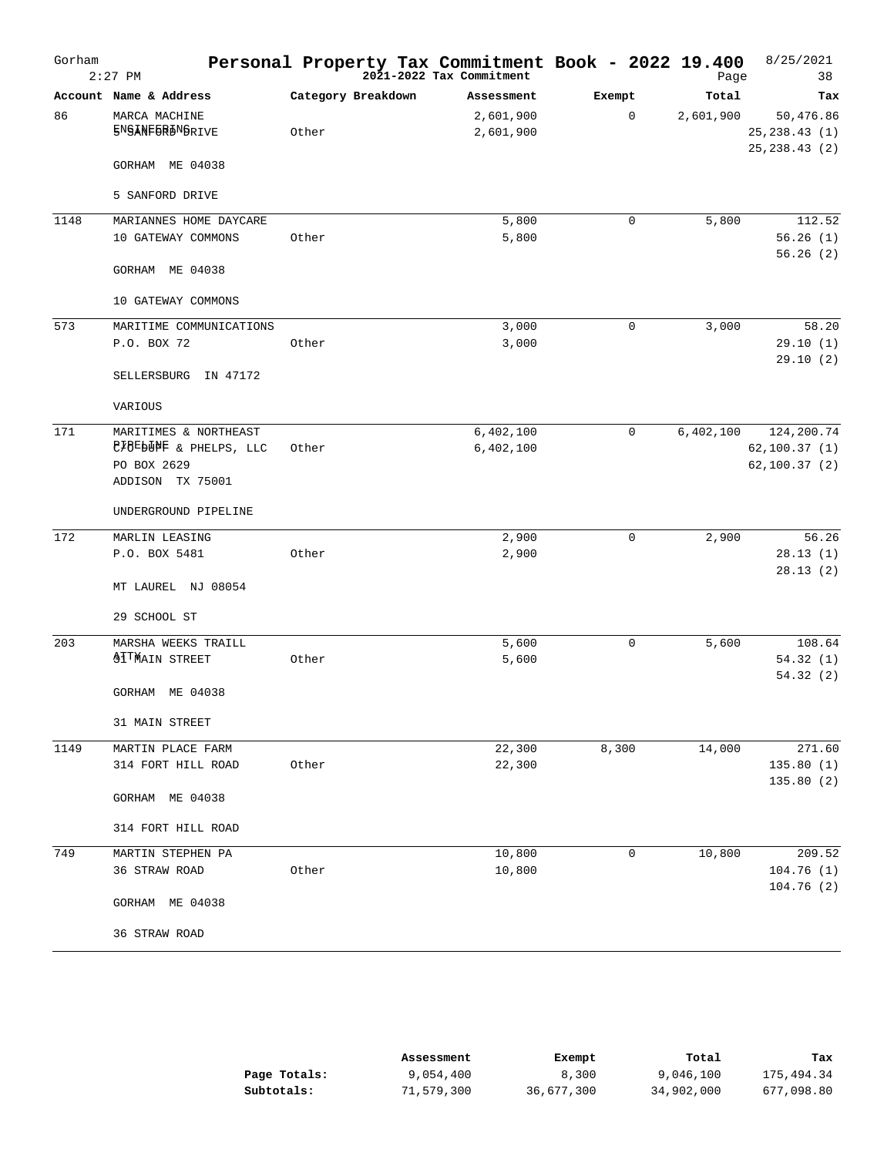| Gorham | $2:27$ PM                               | Personal Property Tax Commitment Book - 2022 19.400 | 2021-2022 Tax Commitment |             | Page      | 8/25/2021<br>38                                 |
|--------|-----------------------------------------|-----------------------------------------------------|--------------------------|-------------|-----------|-------------------------------------------------|
|        | Account Name & Address                  | Category Breakdown                                  | Assessment               | Exempt      | Total     | Tax                                             |
| 86     | MARCA MACHINE<br><b>ENGANFORDNGRIVE</b> | Other                                               | 2,601,900<br>2,601,900   | $\mathbf 0$ | 2,601,900 | 50,476.86<br>$25, 238.43$ (1)<br>25, 238.43 (2) |
|        | GORHAM ME 04038                         |                                                     |                          |             |           |                                                 |
|        | 5 SANFORD DRIVE                         |                                                     |                          |             |           |                                                 |
| 1148   | MARIANNES HOME DAYCARE                  |                                                     | 5,800                    | $\mathbf 0$ | 5,800     | 112.52                                          |
|        | 10 GATEWAY COMMONS                      | Other                                               | 5,800                    |             |           | 56.26(1)<br>56.26(2)                            |
|        | GORHAM ME 04038                         |                                                     |                          |             |           |                                                 |
|        | 10 GATEWAY COMMONS                      |                                                     |                          |             |           |                                                 |
| 573    | MARITIME COMMUNICATIONS                 |                                                     | 3,000                    | $\mathbf 0$ | 3,000     | 58.20                                           |
|        | P.O. BOX 72                             | Other                                               | 3,000                    |             |           | 29.10(1)<br>29.10(2)                            |
|        | SELLERSBURG IN 47172                    |                                                     |                          |             |           |                                                 |
|        | VARIOUS                                 |                                                     |                          |             |           |                                                 |
| 171    | MARITIMES & NORTHEAST                   |                                                     | 6,402,100                | 0           | 6,402,100 | 124,200.74                                      |
|        | <b>@J@Eb#PF</b> & PHELPS, LLC           | Other                                               | 6,402,100                |             |           | 62, 100.37(1)                                   |
|        | PO BOX 2629                             |                                                     |                          |             |           | 62, 100.37(2)                                   |
|        | ADDISON TX 75001                        |                                                     |                          |             |           |                                                 |
|        | UNDERGROUND PIPELINE                    |                                                     |                          |             |           |                                                 |
| 172    | MARLIN LEASING                          |                                                     | 2,900                    | 0           | 2,900     | 56.26                                           |
|        | P.O. BOX 5481                           | Other                                               | 2,900                    |             |           | 28.13(1)<br>28.13(2)                            |
|        | MT LAUREL NJ 08054                      |                                                     |                          |             |           |                                                 |
|        | 29 SCHOOL ST                            |                                                     |                          |             |           |                                                 |
| 203    | MARSHA WEEKS TRAILL                     |                                                     | 5,600                    | 0           | 5,600     | 108.64                                          |
|        | <b>ATTMAIN STREET</b>                   | Other                                               | 5,600                    |             |           | 54.32(1)                                        |
|        | GORHAM ME 04038                         |                                                     |                          |             |           | 54.32(2)                                        |
|        | 31 MAIN STREET                          |                                                     |                          |             |           |                                                 |
| 1149   | MARTIN PLACE FARM                       |                                                     | 22,300                   | 8,300       | 14,000    | 271.60                                          |
|        | 314 FORT HILL ROAD                      | Other                                               | 22,300                   |             |           | 135.80(1)<br>135.80 (2)                         |
|        | GORHAM ME 04038                         |                                                     |                          |             |           |                                                 |
|        | 314 FORT HILL ROAD                      |                                                     |                          |             |           |                                                 |
| 749    | MARTIN STEPHEN PA                       |                                                     | 10,800                   | 0           | 10,800    | 209.52                                          |
|        | 36 STRAW ROAD                           | Other                                               | 10,800                   |             |           | 104.76(1)<br>104.76(2)                          |
|        | GORHAM ME 04038                         |                                                     |                          |             |           |                                                 |
|        | 36 STRAW ROAD                           |                                                     |                          |             |           |                                                 |

|              | Assessment | Exempt     | Total      | Tax        |
|--------------|------------|------------|------------|------------|
| Page Totals: | 9.054.400  | 8,300      | 9,046,100  | 175,494.34 |
| Subtotals:   | 71,579,300 | 36,677,300 | 34,902,000 | 677,098.80 |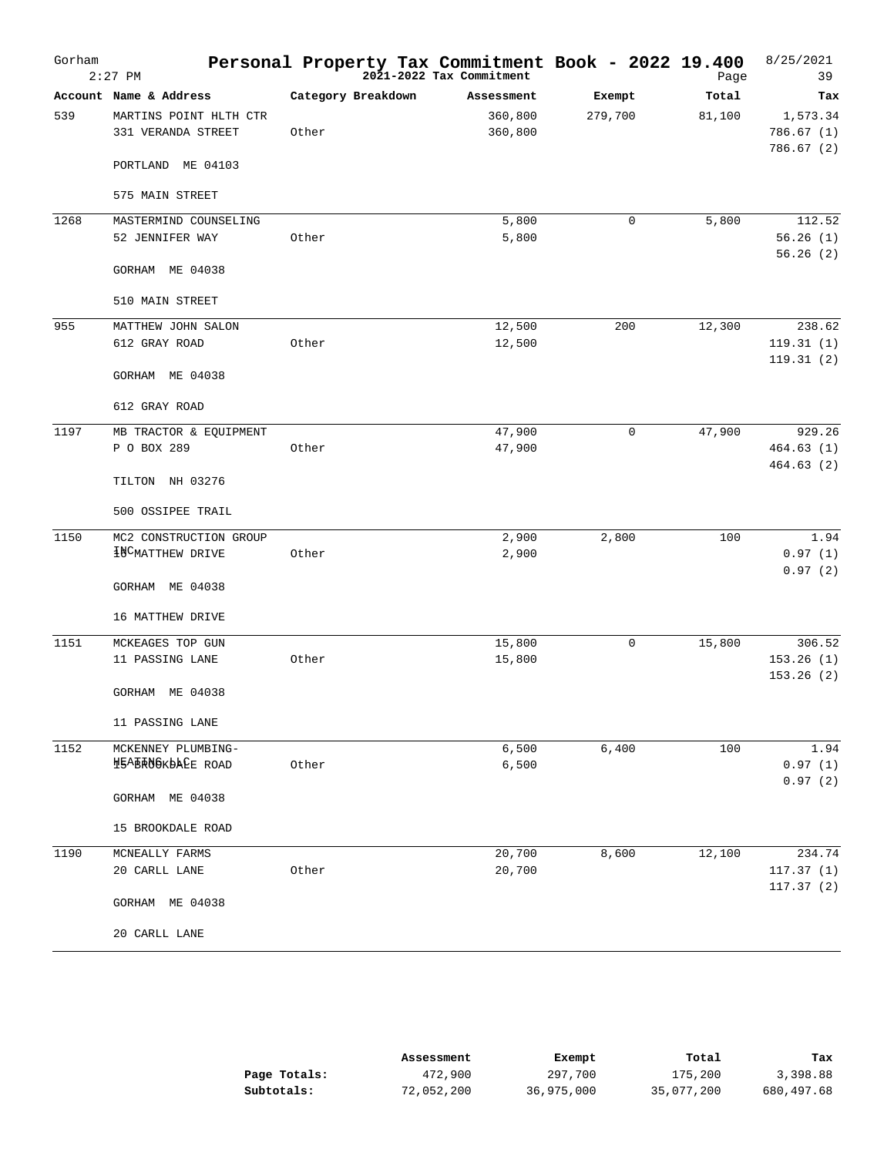| Gorham | $2:27$ PM                                    | Personal Property Tax Commitment Book - 2022 19.400 | 2021-2022 Tax Commitment |             | Page   | 8/25/2021<br>39                     |
|--------|----------------------------------------------|-----------------------------------------------------|--------------------------|-------------|--------|-------------------------------------|
|        | Account Name & Address                       | Category Breakdown                                  | Assessment               | Exempt      | Total  | Tax                                 |
| 539    | MARTINS POINT HLTH CTR<br>331 VERANDA STREET | Other                                               | 360,800<br>360,800       | 279,700     | 81,100 | 1,573.34<br>786.67(1)<br>786.67 (2) |
|        | PORTLAND ME 04103                            |                                                     |                          |             |        |                                     |
|        | 575 MAIN STREET                              |                                                     |                          |             |        |                                     |
| 1268   | MASTERMIND COUNSELING                        |                                                     | 5,800                    | $\mathbf 0$ | 5,800  | 112.52                              |
|        | 52 JENNIFER WAY                              | Other                                               | 5,800                    |             |        | 56.26(1)<br>56.26(2)                |
|        | GORHAM ME 04038                              |                                                     |                          |             |        |                                     |
|        | 510 MAIN STREET                              |                                                     |                          |             |        |                                     |
| 955    | MATTHEW JOHN SALON                           |                                                     | 12,500                   | 200         | 12,300 | 238.62                              |
|        | 612 GRAY ROAD                                | Other                                               | 12,500                   |             |        | 119.31(1)<br>119.31(2)              |
|        | GORHAM ME 04038                              |                                                     |                          |             |        |                                     |
|        | 612 GRAY ROAD                                |                                                     |                          |             |        |                                     |
| 1197   | MB TRACTOR & EQUIPMENT                       |                                                     | 47,900                   | 0           | 47,900 | 929.26                              |
|        | P O BOX 289                                  | Other                                               | 47,900                   |             |        | 464.63(1)<br>464.63(2)              |
|        | TILTON NH 03276                              |                                                     |                          |             |        |                                     |
|        | 500 OSSIPEE TRAIL                            |                                                     |                          |             |        |                                     |
| 1150   | MC2 CONSTRUCTION GROUP                       |                                                     | 2,900                    | 2,800       | 100    | 1.94                                |
|        | HUCMATTHEW DRIVE                             | Other                                               | 2,900                    |             |        | 0.97(1)<br>0.97(2)                  |
|        | GORHAM ME 04038                              |                                                     |                          |             |        |                                     |
|        | 16 MATTHEW DRIVE                             |                                                     |                          |             |        |                                     |
| 1151   | MCKEAGES TOP GUN                             |                                                     | 15,800                   | 0           | 15,800 | 306.52                              |
|        | 11 PASSING LANE                              | Other                                               | 15,800                   |             |        | 153.26(1)<br>153.26(2)              |
|        | GORHAM ME 04038                              |                                                     |                          |             |        |                                     |
|        | 11 PASSING LANE                              |                                                     |                          |             |        |                                     |
| 1152   | MCKENNEY PLUMBING-                           |                                                     | 6,500                    | $6\,,400$   | 100    | 1.94                                |
|        | HEABRUGKDALE ROAD                            | Other                                               | 6,500                    |             |        | 0.97(1)<br>0.97(2)                  |
|        | GORHAM ME 04038                              |                                                     |                          |             |        |                                     |
|        | 15 BROOKDALE ROAD                            |                                                     |                          |             |        |                                     |
| 1190   | MCNEALLY FARMS                               |                                                     | 20,700                   | 8,600       | 12,100 | 234.74                              |
|        | 20 CARLL LANE                                | Other                                               | 20,700                   |             |        | 117.37(1)<br>117.37(2)              |
|        | GORHAM ME 04038                              |                                                     |                          |             |        |                                     |
|        | 20 CARLL LANE                                |                                                     |                          |             |        |                                     |

|              | Assessment | Exempt     | Total      | Tax        |
|--------------|------------|------------|------------|------------|
| Page Totals: | 472,900    | 297,700    | 175,200    | 3,398.88   |
| Subtotals:   | 72,052,200 | 36,975,000 | 35,077,200 | 680,497.68 |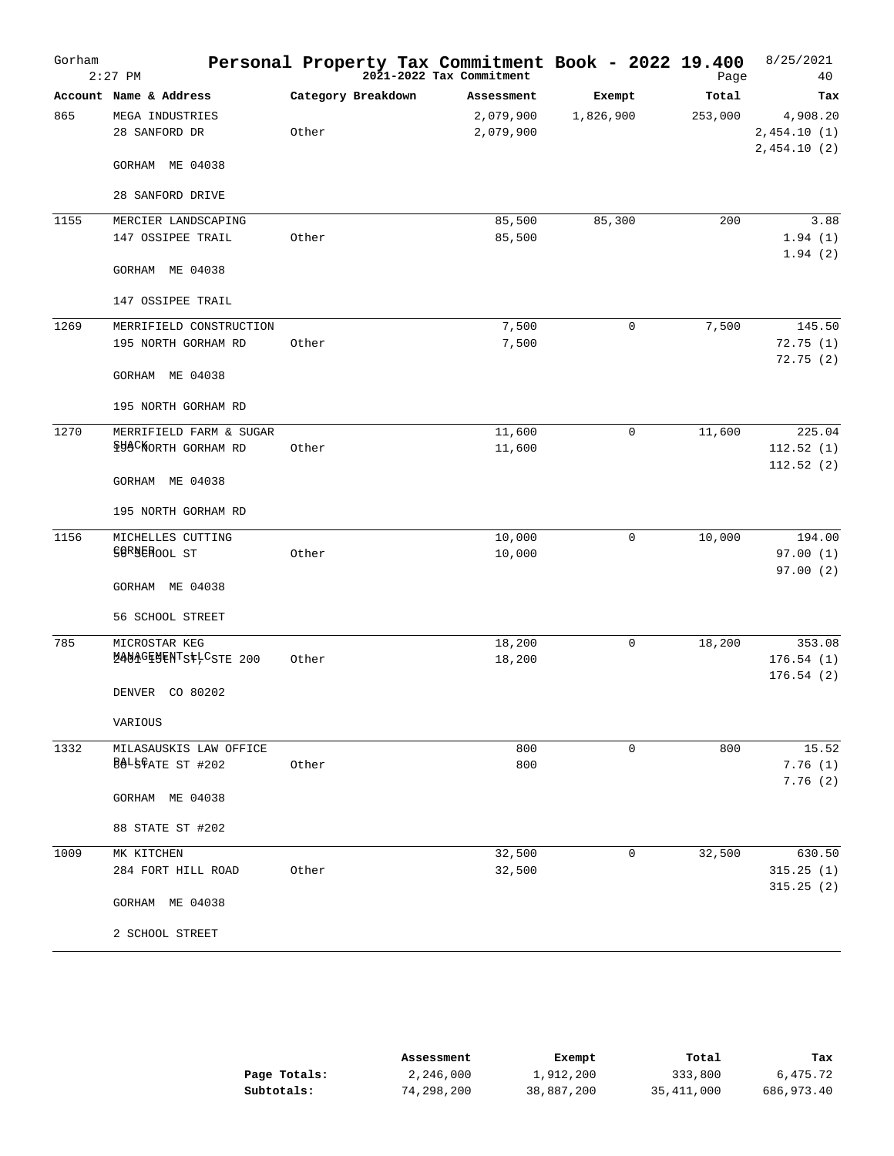| Gorham | $2:27$ PM                        | Personal Property Tax Commitment Book - 2022 19.400 | 2021-2022 Tax Commitment |              | Page    | 8/25/2021<br>40                        |
|--------|----------------------------------|-----------------------------------------------------|--------------------------|--------------|---------|----------------------------------------|
|        | Account Name & Address           | Category Breakdown                                  | Assessment               | Exempt       | Total   | Tax                                    |
| 865    | MEGA INDUSTRIES<br>28 SANFORD DR | Other                                               | 2,079,900<br>2,079,900   | 1,826,900    | 253,000 | 4,908.20<br>2,454.10(1)<br>2,454.10(2) |
|        | GORHAM ME 04038                  |                                                     |                          |              |         |                                        |
|        | 28 SANFORD DRIVE                 |                                                     |                          |              |         |                                        |
| 1155   | MERCIER LANDSCAPING              |                                                     | 85,500                   | 85,300       | 200     | 3.88                                   |
|        | 147 OSSIPEE TRAIL                | Other                                               | 85,500                   |              |         | 1.94(1)<br>1.94(2)                     |
|        | GORHAM ME 04038                  |                                                     |                          |              |         |                                        |
|        | 147 OSSIPEE TRAIL                |                                                     |                          |              |         |                                        |
| 1269   | MERRIFIELD CONSTRUCTION          |                                                     | 7,500                    | $\mathbf{0}$ | 7,500   | 145.50                                 |
|        | 195 NORTH GORHAM RD              | Other                                               | 7,500                    |              |         | 72.75(1)                               |
|        | GORHAM ME 04038                  |                                                     |                          |              |         | 72.75(2)                               |
|        | 195 NORTH GORHAM RD              |                                                     |                          |              |         |                                        |
| 1270   | MERRIFIELD FARM & SUGAR          |                                                     | 11,600                   | $\mathbf{0}$ | 11,600  | 225.04                                 |
|        | <b>\$44CHORTH GORHAM RD</b>      | Other                                               | 11,600                   |              |         | 112.52(1)                              |
|        | GORHAM ME 04038                  |                                                     |                          |              |         | 112.52(2)                              |
|        | 195 NORTH GORHAM RD              |                                                     |                          |              |         |                                        |
| 1156   | MICHELLES CUTTING                |                                                     | 10,000                   | 0            | 10,000  | 194.00                                 |
|        | SORNEHOOL ST                     | Other                                               | 10,000                   |              |         | 97.00(1)                               |
|        | GORHAM ME 04038                  |                                                     |                          |              |         | 97.00(2)                               |
|        | 56 SCHOOL STREET                 |                                                     |                          |              |         |                                        |
| 785    | MICROSTAR KEG                    |                                                     | 18,200                   | 0            | 18,200  | 353.08                                 |
|        | MANAGEMENTSPLCSTE 200            | Other                                               | 18,200                   |              |         | 176.54(1)                              |
|        | DENVER CO 80202                  |                                                     |                          |              |         | 176.54(2)                              |
|        | VARIOUS                          |                                                     |                          |              |         |                                        |
| 1332   | MILASAUSKIS LAW OFFICE           |                                                     | 800                      | 0            | 800     | 15.52                                  |
|        | 88LBPATE ST #202                 | Other                                               | 800                      |              |         | 7.76(1)                                |
|        | GORHAM ME 04038                  |                                                     |                          |              |         | 7.76(2)                                |
|        | 88 STATE ST #202                 |                                                     |                          |              |         |                                        |
| 1009   | MK KITCHEN                       |                                                     | 32,500                   | 0            | 32,500  | 630.50                                 |
|        | 284 FORT HILL ROAD               | Other                                               | 32,500                   |              |         | 315.25(1)                              |
|        | GORHAM ME 04038                  |                                                     |                          |              |         | 315.25(2)                              |
|        | 2 SCHOOL STREET                  |                                                     |                          |              |         |                                        |

|              | Assessment | Exempt     | Total      | Tax        |
|--------------|------------|------------|------------|------------|
| Page Totals: | 2,246,000  | 1,912,200  | 333,800    | 6,475.72   |
| Subtotals:   | 74,298,200 | 38,887,200 | 35,411,000 | 686,973.40 |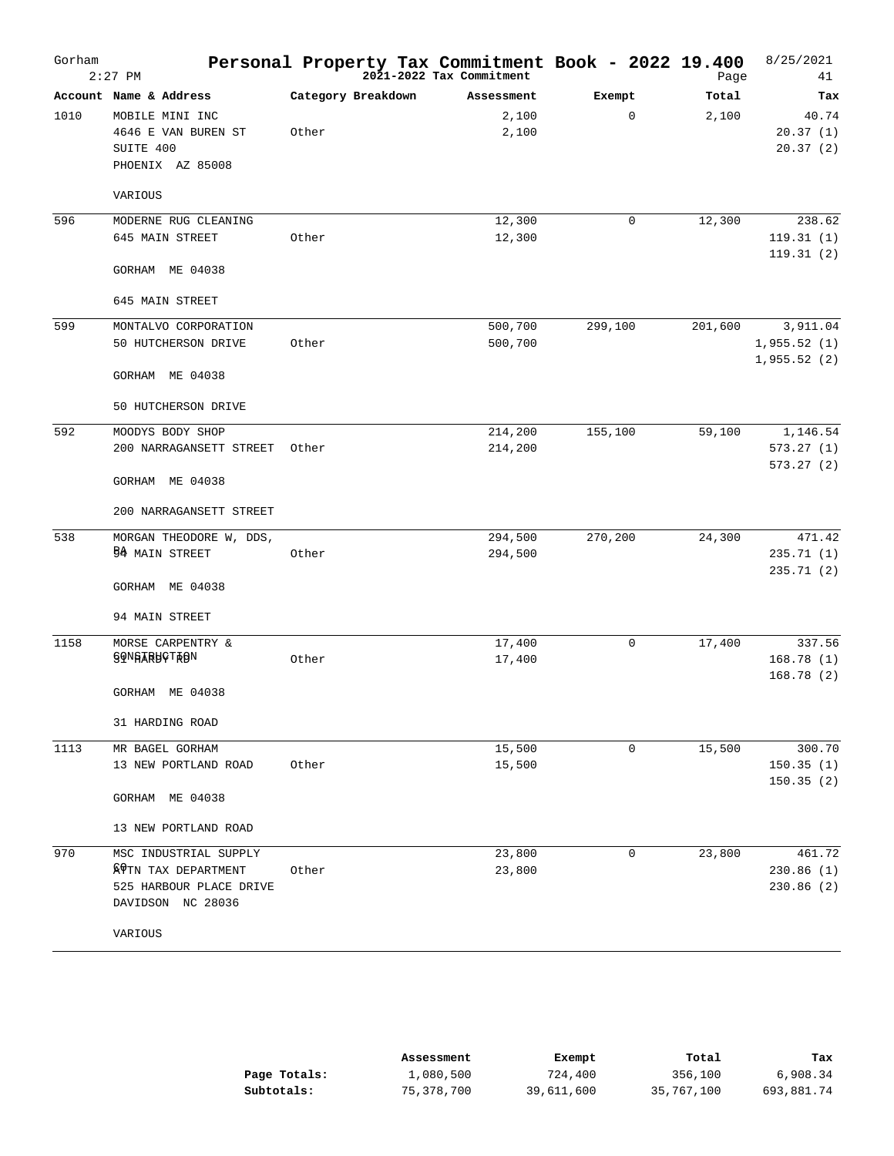| Gorham | $2:27$ PM                                    | Personal Property Tax Commitment Book - 2022 19.400 | 2021-2022 Tax Commitment |              | Page    | 8/25/2021<br>41        |
|--------|----------------------------------------------|-----------------------------------------------------|--------------------------|--------------|---------|------------------------|
|        | Account Name & Address                       | Category Breakdown                                  | Assessment               | Exempt       | Total   | Tax                    |
| 1010   | MOBILE MINI INC                              |                                                     | 2,100                    | $\mathbf{0}$ | 2,100   | 40.74                  |
|        | 4646 E VAN BUREN ST                          | Other                                               | 2,100                    |              |         | 20.37(1)               |
|        | SUITE 400                                    |                                                     |                          |              |         | 20.37(2)               |
|        | PHOENIX AZ 85008                             |                                                     |                          |              |         |                        |
|        | VARIOUS                                      |                                                     |                          |              |         |                        |
| 596    | MODERNE RUG CLEANING                         |                                                     | 12,300                   | 0            | 12,300  | 238.62                 |
|        | 645 MAIN STREET                              | Other                                               | 12,300                   |              |         | 119.31(1)<br>119.31(2) |
|        | GORHAM ME 04038                              |                                                     |                          |              |         |                        |
|        | 645 MAIN STREET                              |                                                     |                          |              |         |                        |
| 599    | MONTALVO CORPORATION                         |                                                     | 500,700                  | 299,100      | 201,600 | 3,911.04               |
|        | 50 HUTCHERSON DRIVE                          | Other                                               | 500,700                  |              |         | 1,955.52(1)            |
|        | GORHAM ME 04038                              |                                                     |                          |              |         | 1,955.52(2)            |
|        | 50 HUTCHERSON DRIVE                          |                                                     |                          |              |         |                        |
| 592    | MOODYS BODY SHOP                             |                                                     | 214,200                  | 155,100      | 59,100  | 1,146.54               |
|        | 200 NARRAGANSETT STREET                      | Other                                               | 214,200                  |              |         | 573.27(1)              |
|        | GORHAM ME 04038                              |                                                     |                          |              |         | 573.27(2)              |
|        | 200 NARRAGANSETT STREET                      |                                                     |                          |              |         |                        |
| 538    | MORGAN THEODORE W, DDS,                      |                                                     | 294,500                  | 270,200      | 24,300  | 471.42                 |
|        | 54 MAIN STREET                               | Other                                               | 294,500                  |              |         | 235.71 (1)             |
|        | GORHAM ME 04038                              |                                                     |                          |              |         | 235.71 (2)             |
|        | 94 MAIN STREET                               |                                                     |                          |              |         |                        |
| 1158   | MORSE CARPENTRY &                            |                                                     | 17,400                   | $\mathbf 0$  | 17,400  | 337.56                 |
|        | GQNGARBGTAON                                 | Other                                               | 17,400                   |              |         | 168.78(1)              |
|        | GORHAM ME 04038                              |                                                     |                          |              |         | 168.78(2)              |
|        | 31 HARDING ROAD                              |                                                     |                          |              |         |                        |
| 1113   | MR BAGEL GORHAM                              |                                                     | 15,500                   | 0            | 15,500  | 300.70                 |
|        | 13 NEW PORTLAND ROAD                         | Other                                               | 15,500                   |              |         | 150.35(1)              |
|        | GORHAM ME 04038                              |                                                     |                          |              |         | 150.35(2)              |
|        | 13 NEW PORTLAND ROAD                         |                                                     |                          |              |         |                        |
| 970    | MSC INDUSTRIAL SUPPLY                        |                                                     | 23,800                   | 0            | 23,800  | 461.72                 |
|        | ATTN TAX DEPARTMENT                          | Other                                               | 23,800                   |              |         | 230.86 (1)             |
|        | 525 HARBOUR PLACE DRIVE<br>DAVIDSON NC 28036 |                                                     |                          |              |         | 230.86 (2)             |
|        | VARIOUS                                      |                                                     |                          |              |         |                        |

|              | Assessment | Exempt     | Total      | Tax        |
|--------------|------------|------------|------------|------------|
| Page Totals: | 1,080,500  | 724,400    | 356,100    | 6,908.34   |
| Subtotals:   | 75,378,700 | 39,611,600 | 35,767,100 | 693,881.74 |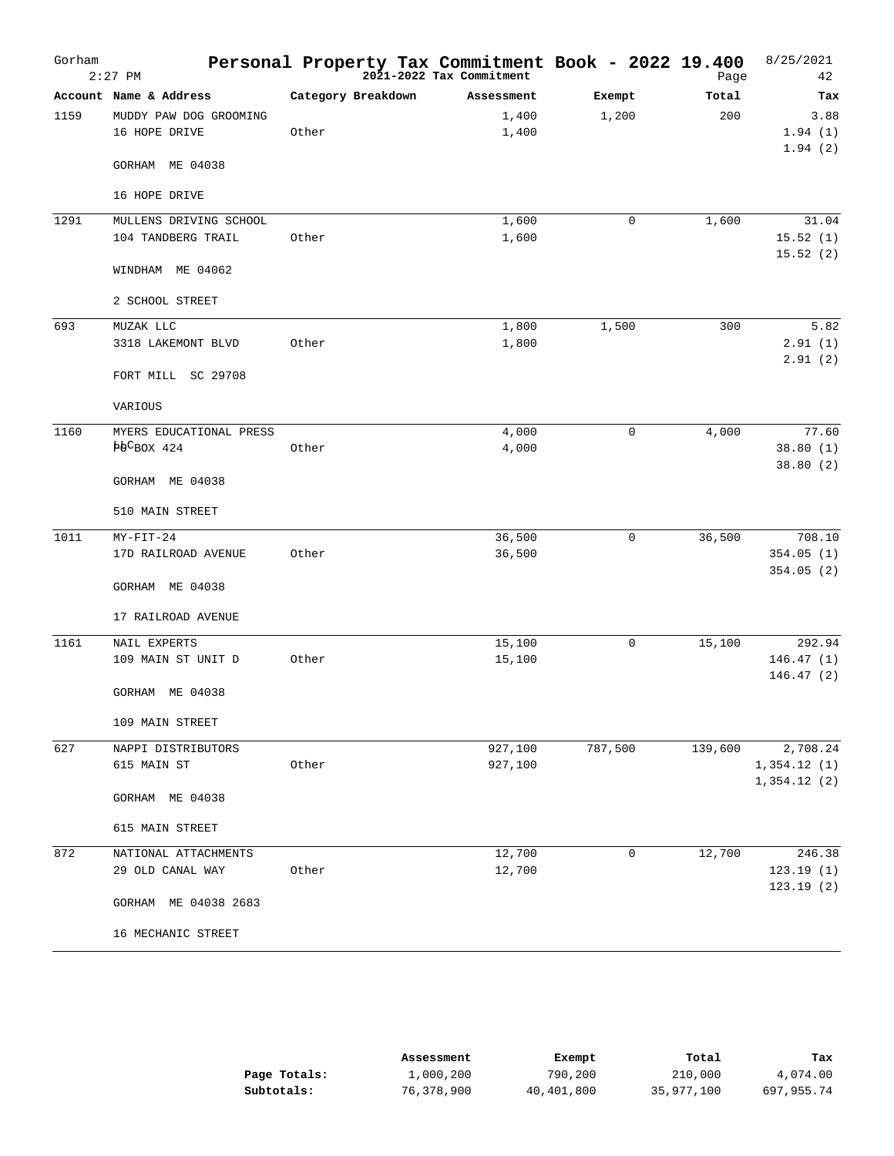| Account Name & Address<br>Category Breakdown<br>Total<br>Assessment<br>Exempt<br>1,200<br>200<br>1159<br>MUDDY PAW DOG GROOMING<br>1,400<br>16 HOPE DRIVE<br>Other<br>1,400<br>GORHAM ME 04038 | Tax<br>3.88<br>1.94(1)<br>1.94(2)<br>31.04 |
|------------------------------------------------------------------------------------------------------------------------------------------------------------------------------------------------|--------------------------------------------|
|                                                                                                                                                                                                |                                            |
|                                                                                                                                                                                                |                                            |
|                                                                                                                                                                                                |                                            |
|                                                                                                                                                                                                |                                            |
| 16 HOPE DRIVE                                                                                                                                                                                  |                                            |
| 1291<br>MULLENS DRIVING SCHOOL<br>1,600<br>$\mathbf 0$<br>1,600                                                                                                                                |                                            |
| 104 TANDBERG TRAIL<br>Other<br>1,600<br>15.52(1)                                                                                                                                               |                                            |
| 15.52(2)<br>WINDHAM ME 04062                                                                                                                                                                   |                                            |
| 2 SCHOOL STREET                                                                                                                                                                                |                                            |
| 1,500<br>693<br>MUZAK LLC<br>1,800<br>300                                                                                                                                                      | 5.82                                       |
| 3318 LAKEMONT BLVD<br>Other<br>1,800                                                                                                                                                           | 2.91(1)                                    |
|                                                                                                                                                                                                | 2.91(2)                                    |
| FORT MILL SC 29708                                                                                                                                                                             |                                            |
| VARIOUS                                                                                                                                                                                        |                                            |
| 1160<br>4,000<br>$\mathbf 0$<br>4,000<br>MYERS EDUCATIONAL PRESS                                                                                                                               | 77.60                                      |
| $\overline{PQCDOX}$ 424<br>4,000<br>Other<br>38.80(1)                                                                                                                                          |                                            |
| 38.80(2)<br>GORHAM ME 04038                                                                                                                                                                    |                                            |
| 510 MAIN STREET                                                                                                                                                                                |                                            |
| 1011<br>$MY-FTT-24$<br>36,500<br>36,500<br>0                                                                                                                                                   | 708.10                                     |
| 17D RAILROAD AVENUE<br>Other<br>36,500<br>354.05(1)                                                                                                                                            |                                            |
| 354.05(2)                                                                                                                                                                                      |                                            |
| GORHAM ME 04038                                                                                                                                                                                |                                            |
| 17 RAILROAD AVENUE                                                                                                                                                                             |                                            |
| 1161<br>15,100<br>$\mathbf 0$<br>NAIL EXPERTS<br>15,100                                                                                                                                        | 292.94                                     |
| 109 MAIN ST UNIT D<br>Other<br>15,100<br>146.47(1)                                                                                                                                             |                                            |
| 146.47(2)<br>GORHAM ME 04038                                                                                                                                                                   |                                            |
| 109 MAIN STREET                                                                                                                                                                                |                                            |
| 627<br>NAPPI DISTRIBUTORS<br>927,100<br>787,500<br>139,600                                                                                                                                     | 2,708.24                                   |
| 615 MAIN ST<br>Other<br>927,100<br>1,354.12(1)                                                                                                                                                 |                                            |
| 1,354.12(2)<br>GORHAM ME 04038                                                                                                                                                                 |                                            |
| 615 MAIN STREET                                                                                                                                                                                |                                            |
| 872<br>12,700<br>$\mathbf 0$<br>NATIONAL ATTACHMENTS<br>12,700                                                                                                                                 | 246.38                                     |
| 12,700<br>123.19(1)<br>29 OLD CANAL WAY<br>Other                                                                                                                                               |                                            |
| 123.19(2)<br>GORHAM ME 04038 2683                                                                                                                                                              |                                            |
| 16 MECHANIC STREET                                                                                                                                                                             |                                            |

|              | Assessment | Exempt     | Total      | Tax        |
|--------------|------------|------------|------------|------------|
| Page Totals: | 1,000,200  | 790,200    | 210,000    | 4,074.00   |
| Subtotals:   | 76,378,900 | 40,401,800 | 35,977,100 | 697,955.74 |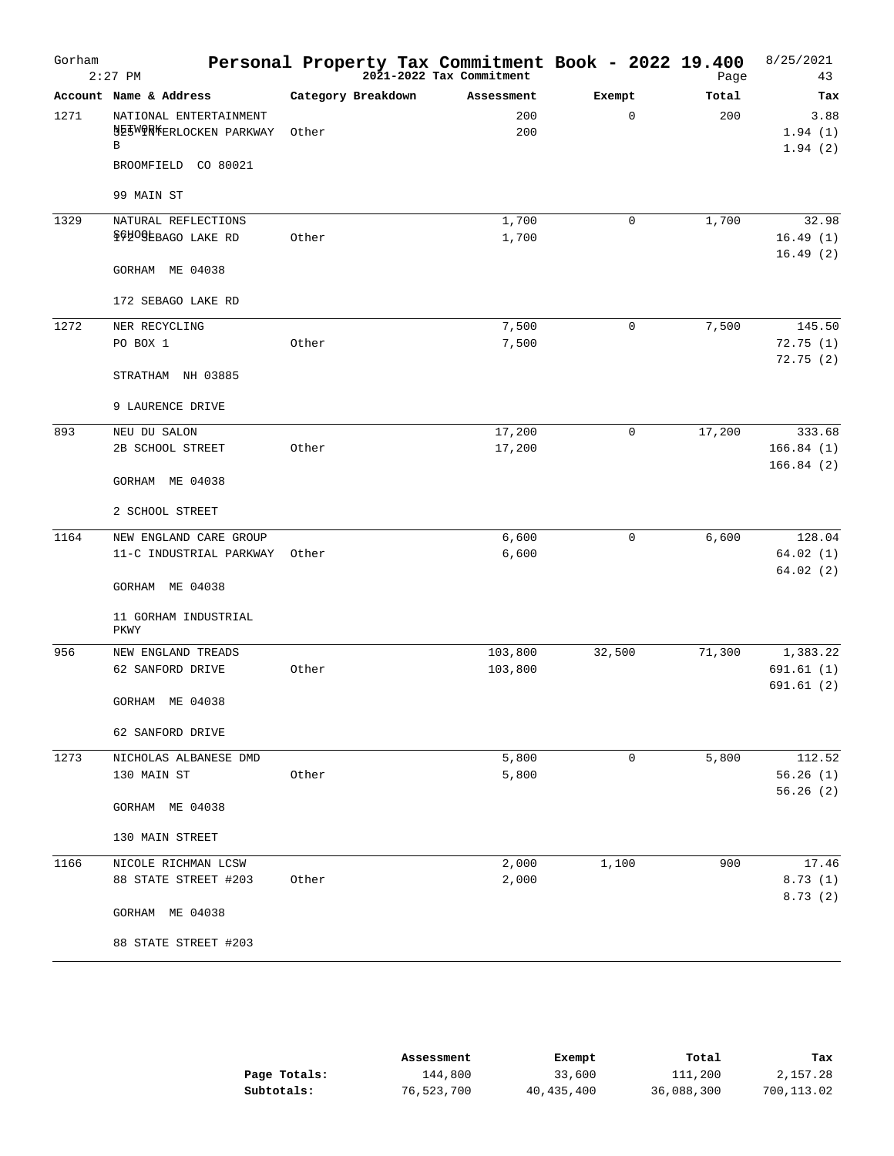| Gorham | $2:27$ PM                                                                     | Personal Property Tax Commitment Book - 2022 19.400 | 2021-2022 Tax Commitment |             | Page   | 8/25/2021<br>43            |
|--------|-------------------------------------------------------------------------------|-----------------------------------------------------|--------------------------|-------------|--------|----------------------------|
|        | Account Name & Address                                                        | Category Breakdown                                  | Assessment               | Exempt      | Total  | Tax                        |
| 1271   | NATIONAL ENTERTAINMENT<br>NETWORFERLOCKEN PARKWAY<br>В<br>BROOMFIELD CO 80021 | Other                                               | 200<br>200               | $\mathbf 0$ | 200    | 3.88<br>1.94(1)<br>1.94(2) |
|        | 99 MAIN ST                                                                    |                                                     |                          |             |        |                            |
| 1329   | NATURAL REFLECTIONS                                                           |                                                     | 1,700                    | $\mathbf 0$ | 1,700  | 32.98                      |
|        | §9200 EBAGO LAKE RD                                                           | Other                                               | 1,700                    |             |        | 16.49(1)<br>16.49(2)       |
|        | GORHAM ME 04038                                                               |                                                     |                          |             |        |                            |
|        | 172 SEBAGO LAKE RD                                                            |                                                     |                          |             |        |                            |
| 1272   | NER RECYCLING                                                                 |                                                     | 7,500                    | $\mathbf 0$ | 7,500  | 145.50                     |
|        | PO BOX 1                                                                      | Other                                               | 7,500                    |             |        | 72.75(1)<br>72.75(2)       |
|        | STRATHAM NH 03885                                                             |                                                     |                          |             |        |                            |
|        | 9 LAURENCE DRIVE                                                              |                                                     |                          |             |        |                            |
| 893    | NEU DU SALON                                                                  |                                                     | 17,200                   | $\mathbf 0$ | 17,200 | 333.68                     |
|        | 2B SCHOOL STREET                                                              | Other                                               | 17,200                   |             |        | 166.84(1)<br>166.84(2)     |
|        | GORHAM ME 04038                                                               |                                                     |                          |             |        |                            |
|        | 2 SCHOOL STREET                                                               |                                                     |                          |             |        |                            |
| 1164   | NEW ENGLAND CARE GROUP                                                        |                                                     | 6,600                    | $\mathbf 0$ | 6,600  | 128.04                     |
|        | 11-C INDUSTRIAL PARKWAY                                                       | Other                                               | 6,600                    |             |        | 64.02(1)<br>64.02(2)       |
|        | GORHAM ME 04038                                                               |                                                     |                          |             |        |                            |
|        | 11 GORHAM INDUSTRIAL<br>PKWY                                                  |                                                     |                          |             |        |                            |
| 956    | NEW ENGLAND TREADS                                                            |                                                     | 103,800                  | 32,500      | 71,300 | 1,383.22                   |
|        | 62 SANFORD DRIVE                                                              | Other                                               | 103,800                  |             |        | 691.61 (1)<br>691.61 (2)   |
|        | GORHAM ME 04038                                                               |                                                     |                          |             |        |                            |
|        | 62 SANFORD DRIVE                                                              |                                                     |                          |             |        |                            |
| 1273   | NICHOLAS ALBANESE DMD                                                         |                                                     | 5,800                    | 0           | 5,800  | 112.52                     |
|        | 130 MAIN ST                                                                   | Other                                               | 5,800                    |             |        | 56.26(1)<br>56.26(2)       |
|        | GORHAM ME 04038                                                               |                                                     |                          |             |        |                            |
|        | 130 MAIN STREET                                                               |                                                     |                          |             |        |                            |
| 1166   | NICOLE RICHMAN LCSW                                                           |                                                     | 2,000                    | 1,100       | 900    | 17.46                      |
|        | 88 STATE STREET #203                                                          | Other                                               | 2,000                    |             |        | 8.73(1)<br>8.73(2)         |
|        | GORHAM ME 04038                                                               |                                                     |                          |             |        |                            |
|        | 88 STATE STREET #203                                                          |                                                     |                          |             |        |                            |

|              | Assessment | Exempt     | Total      | Tax        |
|--------------|------------|------------|------------|------------|
| Page Totals: | 144,800    | 33,600     | 111,200    | 2,157.28   |
| Subtotals:   | 76,523,700 | 40,435,400 | 36,088,300 | 700,113.02 |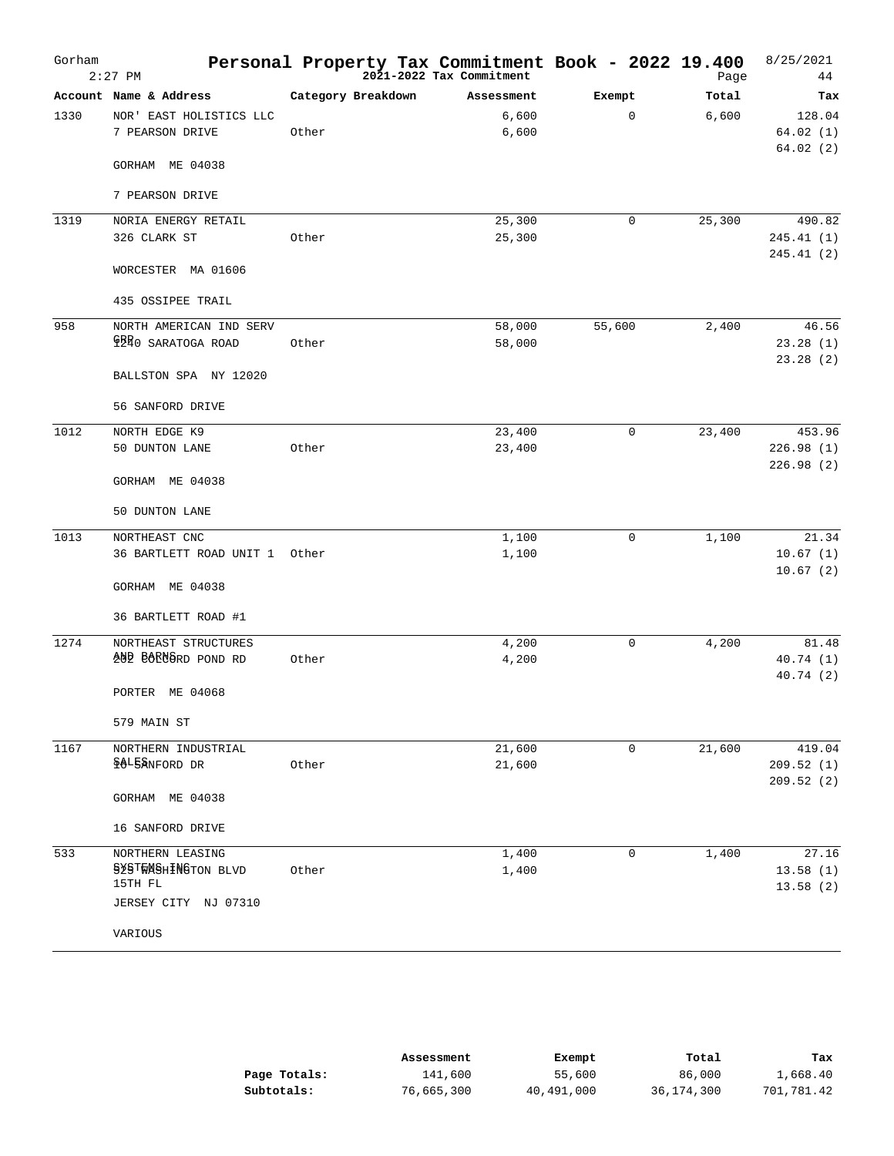| Gorham | $2:27$ PM                                  | Personal Property Tax Commitment Book - 2022 19.400 | 2021-2022 Tax Commitment |                | Page   | 8/25/2021<br>44                |
|--------|--------------------------------------------|-----------------------------------------------------|--------------------------|----------------|--------|--------------------------------|
|        | Account Name & Address                     | Category Breakdown                                  | Assessment               | Exempt         | Total  | Tax                            |
| 1330   | NOR' EAST HOLISTICS LLC<br>7 PEARSON DRIVE | Other                                               | 6,600<br>6,600           | $\overline{0}$ | 6,600  | 128.04<br>64.02(1)<br>64.02(2) |
|        | GORHAM ME 04038                            |                                                     |                          |                |        |                                |
|        | 7 PEARSON DRIVE                            |                                                     |                          |                |        |                                |
| 1319   | NORIA ENERGY RETAIL                        |                                                     | 25,300                   | $\mathbf 0$    | 25,300 | 490.82                         |
|        | 326 CLARK ST                               | Other                                               | 25,300                   |                |        | 245.41(1)<br>245.41 (2)        |
|        | WORCESTER MA 01606                         |                                                     |                          |                |        |                                |
|        | 435 OSSIPEE TRAIL                          |                                                     |                          |                |        |                                |
| 958    | NORTH AMERICAN IND SERV                    |                                                     | 58,000                   | 55,600         | 2,400  | 46.56                          |
|        | <b>FB40 SARATOGA ROAD</b>                  | Other                                               | 58,000                   |                |        | 23.28(1)<br>23.28(2)           |
|        | BALLSTON SPA NY 12020                      |                                                     |                          |                |        |                                |
|        | 56 SANFORD DRIVE                           |                                                     |                          |                |        |                                |
| 1012   | NORTH EDGE K9                              |                                                     | 23,400                   | 0              | 23,400 | 453.96                         |
|        | 50 DUNTON LANE                             | Other                                               | 23,400                   |                |        | 226.98(1)<br>226.98(2)         |
|        | GORHAM ME 04038                            |                                                     |                          |                |        |                                |
|        | 50 DUNTON LANE                             |                                                     |                          |                |        |                                |
| 1013   | NORTHEAST CNC                              |                                                     | 1,100                    | 0              | 1,100  | 21.34                          |
|        | 36 BARTLETT ROAD UNIT 1 Other              |                                                     | 1,100                    |                |        | 10.67(1)                       |
|        | GORHAM ME 04038                            |                                                     |                          |                |        | 10.67(2)                       |
|        | 36 BARTLETT ROAD #1                        |                                                     |                          |                |        |                                |
| 1274   | NORTHEAST STRUCTURES                       |                                                     | 4,200                    | 0              | 4,200  | 81.48                          |
|        | 202 86888RD POND RD                        | Other                                               | 4,200                    |                |        | 40.74(1)<br>40.74 (2)          |
|        | PORTER ME 04068                            |                                                     |                          |                |        |                                |
|        | 579 MAIN ST                                |                                                     |                          |                |        |                                |
| 1167   | NORTHERN INDUSTRIAL                        |                                                     | 21,600                   | $\mathsf{O}$   | 21,600 | 419.04                         |
|        | <b>\$&amp;LBANFORD DR</b>                  | Other                                               | 21,600                   |                |        | 209.52 (1)<br>209.52(2)        |
|        | GORHAM ME 04038                            |                                                     |                          |                |        |                                |
|        | 16 SANFORD DRIVE                           |                                                     |                          |                |        |                                |
| 533    | NORTHERN LEASING                           |                                                     | 1,400                    | $\mathsf{O}$   | 1,400  | 27.16                          |
|        | SYSTWASHINGTON BLVD                        | Other                                               | 1,400                    |                |        | 13.58(1)                       |
|        | 15TH FL<br>JERSEY CITY NJ 07310            |                                                     |                          |                |        | 13.58(2)                       |
|        | VARIOUS                                    |                                                     |                          |                |        |                                |

|              | Assessment | Exempt     | Total      | Tax        |
|--------------|------------|------------|------------|------------|
| Page Totals: | 141,600    | 55,600     | 86,000     | 1,668.40   |
| Subtotals:   | 76,665,300 | 40,491,000 | 36,174,300 | 701,781.42 |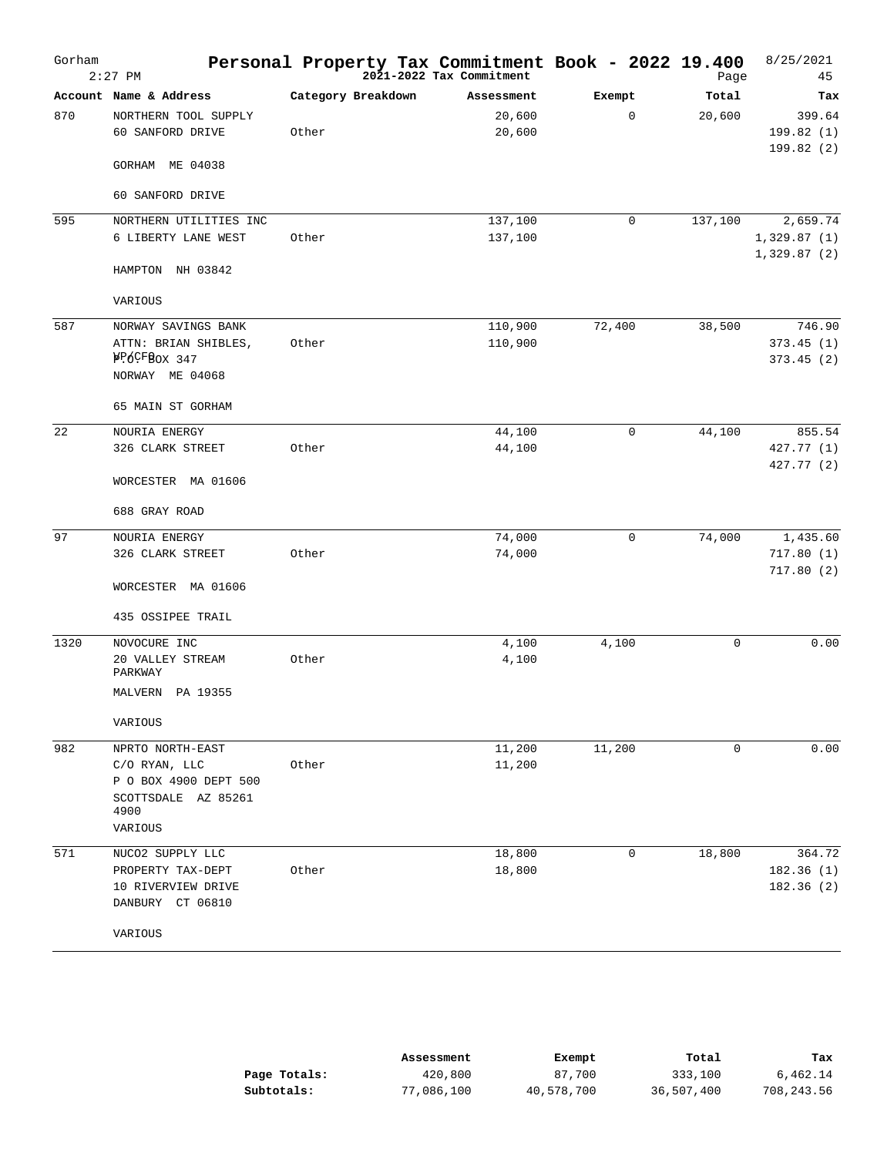| Gorham | $2:27$ PM                                               | Personal Property Tax Commitment Book - 2022 19.400 | 2021-2022 Tax Commitment |             | Page    | 8/25/2021<br>45                   |
|--------|---------------------------------------------------------|-----------------------------------------------------|--------------------------|-------------|---------|-----------------------------------|
|        | Account Name & Address                                  | Category Breakdown                                  | Assessment               | Exempt      | Total   | тах                               |
| 870    | NORTHERN TOOL SUPPLY<br>60 SANFORD DRIVE                | Other                                               | 20,600<br>20,600         | 0           | 20,600  | 399.64<br>199.82 (1)<br>199.82(2) |
|        | GORHAM ME 04038                                         |                                                     |                          |             |         |                                   |
|        | 60 SANFORD DRIVE                                        |                                                     |                          |             |         |                                   |
| 595    | NORTHERN UTILITIES INC                                  |                                                     | 137,100                  | $\mathbf 0$ | 137,100 | 2,659.74                          |
|        | 6 LIBERTY LANE WEST                                     | Other                                               | 137,100                  |             |         | 1,329.87(1)<br>1,329.87(2)        |
|        | HAMPTON NH 03842                                        |                                                     |                          |             |         |                                   |
|        | VARIOUS                                                 |                                                     |                          |             |         |                                   |
| 587    | NORWAY SAVINGS BANK                                     |                                                     | 110,900                  | 72,400      | 38,500  | 746.90                            |
|        | ATTN: BRIAN SHIBLES,<br>FP6CFBOX 347<br>NORWAY ME 04068 | Other                                               | 110,900                  |             |         | 373.45(1)<br>373.45(2)            |
|        | 65 MAIN ST GORHAM                                       |                                                     |                          |             |         |                                   |
| 22     | NOURIA ENERGY                                           |                                                     | 44,100                   | $\mathbf 0$ | 44,100  | 855.54                            |
|        | 326 CLARK STREET                                        | Other                                               | 44,100                   |             |         | 427.77 (1)<br>427.77 (2)          |
|        | WORCESTER MA 01606                                      |                                                     |                          |             |         |                                   |
|        | 688 GRAY ROAD                                           |                                                     |                          |             |         |                                   |
| 97     | NOURIA ENERGY                                           |                                                     | 74,000                   | $\mathbf 0$ | 74,000  | 1,435.60                          |
|        | 326 CLARK STREET                                        | Other                                               | 74,000                   |             |         | 717.80 (1)<br>717.80 (2)          |
|        | WORCESTER MA 01606                                      |                                                     |                          |             |         |                                   |
|        | 435 OSSIPEE TRAIL                                       |                                                     |                          |             |         |                                   |
| 1320   | NOVOCURE INC                                            |                                                     | 4,100                    | 4,100       | 0       | 0.00                              |
|        | 20 VALLEY STREAM<br>PARKWAY                             | Other                                               | 4,100                    |             |         |                                   |
|        | MALVERN PA 19355                                        |                                                     |                          |             |         |                                   |
|        | VARIOUS                                                 |                                                     |                          |             |         |                                   |
| 982    | NPRTO NORTH-EAST                                        |                                                     | 11,200                   | 11,200      | 0       | 0.00                              |
|        | C/O RYAN, LLC                                           | Other                                               | 11,200                   |             |         |                                   |
|        | P O BOX 4900 DEPT 500<br>SCOTTSDALE AZ 85261            |                                                     |                          |             |         |                                   |
|        | 4900                                                    |                                                     |                          |             |         |                                   |
|        | VARIOUS                                                 |                                                     |                          |             |         |                                   |
| 571    | NUCO2 SUPPLY LLC                                        |                                                     | 18,800                   | 0           | 18,800  | 364.72                            |
|        | PROPERTY TAX-DEPT                                       | Other                                               | 18,800                   |             |         | 182.36(1)                         |
|        | 10 RIVERVIEW DRIVE<br>DANBURY CT 06810                  |                                                     |                          |             |         | 182.36(2)                         |
|        | VARIOUS                                                 |                                                     |                          |             |         |                                   |

|              | Assessment | Exempt     | Total      | Tax        |
|--------------|------------|------------|------------|------------|
| Page Totals: | 420,800    | 87,700     | 333,100    | 6,462.14   |
| Subtotals:   | 77,086,100 | 40,578,700 | 36,507,400 | 708,243.56 |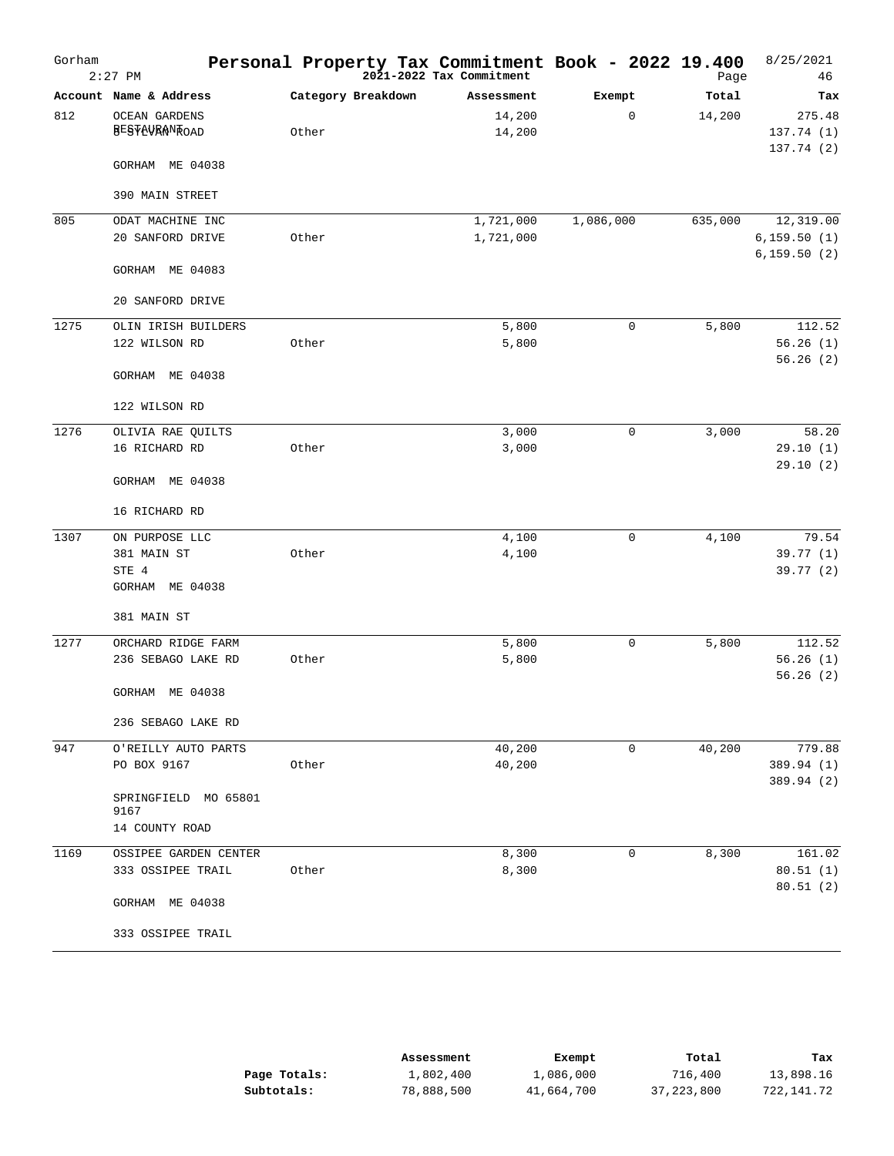| Gorham | $2:27$ PM                                    | Personal Property Tax Commitment Book - 2022 19.400 | 2021-2022 Tax Commitment |             | Page    | 8/25/2021<br>46                  |
|--------|----------------------------------------------|-----------------------------------------------------|--------------------------|-------------|---------|----------------------------------|
|        | Account Name & Address                       | Category Breakdown                                  | Assessment               | Exempt      | Total   | Tax                              |
| 812    | <b>OCEAN GARDENS</b><br><b>BESTAVRANTOAD</b> | Other                                               | 14,200<br>14,200         | 0           | 14,200  | 275.48<br>137.74(1)<br>137.74(2) |
|        | GORHAM ME 04038                              |                                                     |                          |             |         |                                  |
|        | 390 MAIN STREET                              |                                                     |                          |             |         |                                  |
| 805    | ODAT MACHINE INC                             |                                                     | 1,721,000                | 1,086,000   | 635,000 | 12,319.00                        |
|        | 20 SANFORD DRIVE                             | Other                                               | 1,721,000                |             |         | 6, 159.50(1)<br>6, 159.50(2)     |
|        | GORHAM ME 04083                              |                                                     |                          |             |         |                                  |
|        | 20 SANFORD DRIVE                             |                                                     |                          |             |         |                                  |
| 1275   | OLIN IRISH BUILDERS                          |                                                     | 5,800                    | 0           | 5,800   | 112.52                           |
|        | 122 WILSON RD                                | Other                                               | 5,800                    |             |         | 56.26(1)<br>56.26(2)             |
|        | GORHAM ME 04038                              |                                                     |                          |             |         |                                  |
|        | 122 WILSON RD                                |                                                     |                          |             |         |                                  |
| 1276   | OLIVIA RAE QUILTS                            |                                                     | 3,000                    | 0           | 3,000   | 58.20                            |
|        | 16 RICHARD RD                                | Other                                               | 3,000                    |             |         | 29.10(1)<br>29.10(2)             |
|        | GORHAM ME 04038                              |                                                     |                          |             |         |                                  |
|        | 16 RICHARD RD                                |                                                     |                          |             |         |                                  |
| 1307   | ON PURPOSE LLC                               |                                                     | 4,100                    | $\mathbf 0$ | 4,100   | 79.54                            |
|        | 381 MAIN ST                                  | Other                                               | 4,100                    |             |         | 39.77 (1)                        |
|        | STE 4                                        |                                                     |                          |             |         | 39.77 (2)                        |
|        | GORHAM ME 04038                              |                                                     |                          |             |         |                                  |
|        | 381 MAIN ST                                  |                                                     |                          |             |         |                                  |
| 1277   | ORCHARD RIDGE FARM                           |                                                     | 5,800                    | $\mathsf 0$ | 5,800   | 112.52                           |
|        | 236 SEBAGO LAKE RD                           | Other                                               | 5,800                    |             |         | 56.26(1)<br>56.26(2)             |
|        | GORHAM ME 04038                              |                                                     |                          |             |         |                                  |
|        | 236 SEBAGO LAKE RD                           |                                                     |                          |             |         |                                  |
| 947    | O'REILLY AUTO PARTS                          |                                                     | 40,200                   | 0           | 40,200  | 779.88                           |
|        | PO BOX 9167                                  | Other                                               | 40,200                   |             |         | 389.94 (1)<br>389.94 (2)         |
|        | SPRINGFIELD MO 65801<br>9167                 |                                                     |                          |             |         |                                  |
|        | 14 COUNTY ROAD                               |                                                     |                          |             |         |                                  |
| 1169   | OSSIPEE GARDEN CENTER                        |                                                     | 8,300                    | 0           | 8,300   | 161.02                           |
|        | 333 OSSIPEE TRAIL                            | Other                                               | 8,300                    |             |         | 80.51(1)<br>80.51(2)             |
|        | GORHAM ME 04038                              |                                                     |                          |             |         |                                  |
|        | 333 OSSIPEE TRAIL                            |                                                     |                          |             |         |                                  |

|              | Assessment | Exempt     | Total      | Tax        |
|--------------|------------|------------|------------|------------|
| Page Totals: | 1,802,400  | 1,086,000  | 716,400    | 13,898.16  |
| Subtotals:   | 78,888,500 | 41,664,700 | 37,223,800 | 722,141.72 |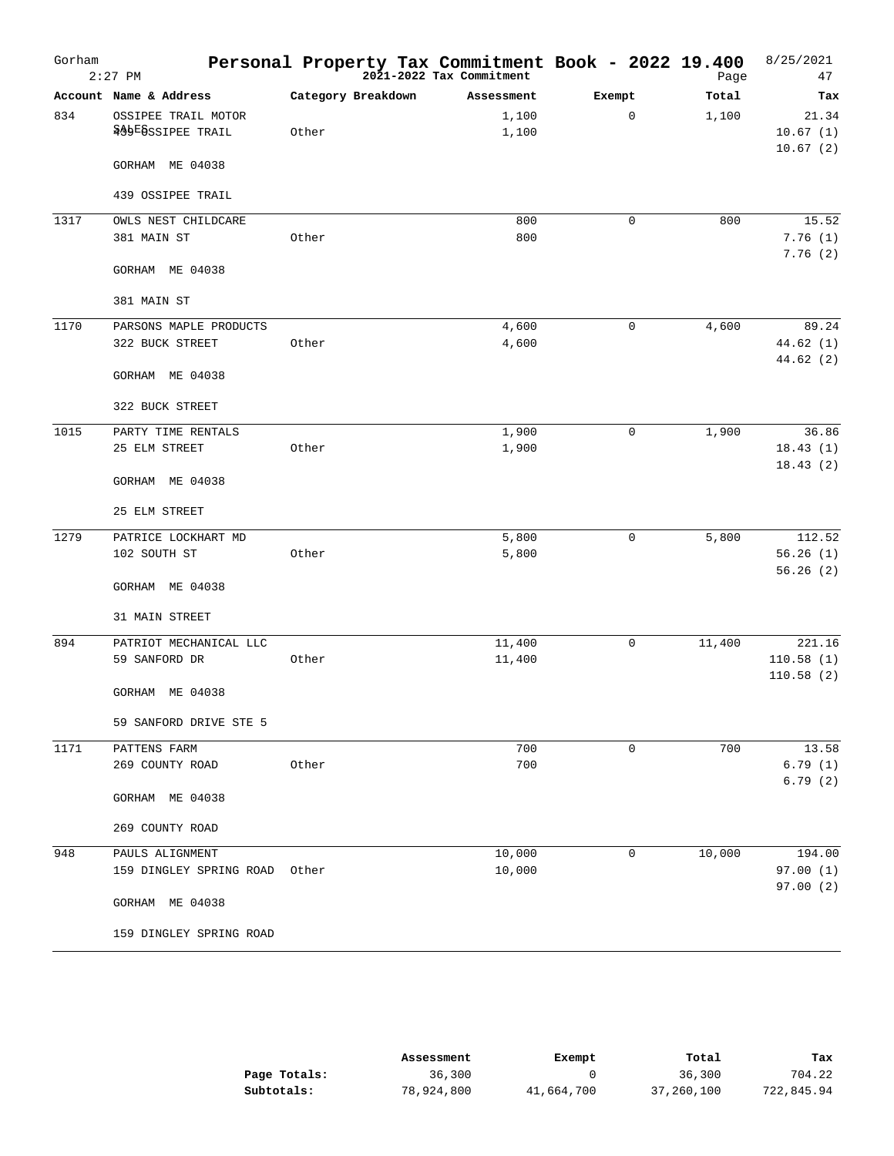| Gorham | $2:27$ PM                | Personal Property Tax Commitment Book - 2022 19.400 | 2021-2022 Tax Commitment |              | Page   | 8/25/2021<br>47 |
|--------|--------------------------|-----------------------------------------------------|--------------------------|--------------|--------|-----------------|
|        | Account Name & Address   | Category Breakdown                                  | Assessment               | Exempt       | Total  | Tax             |
| 834    | OSSIPEE TRAIL MOTOR      |                                                     | 1,100                    | $\mathbf 0$  | 1,100  | 21.34           |
|        | <b>444E8SSIPEE TRAIL</b> | Other                                               | 1,100                    |              |        | 10.67(1)        |
|        | GORHAM ME 04038          |                                                     |                          |              |        | 10.67(2)        |
|        | 439 OSSIPEE TRAIL        |                                                     |                          |              |        |                 |
| 1317   | OWLS NEST CHILDCARE      |                                                     | 800                      | $\mathbf 0$  | 800    | 15.52           |
|        | 381 MAIN ST              | Other                                               | 800                      |              |        | 7.76(1)         |
|        | GORHAM ME 04038          |                                                     |                          |              |        | 7.76(2)         |
|        | 381 MAIN ST              |                                                     |                          |              |        |                 |
| 1170   | PARSONS MAPLE PRODUCTS   |                                                     | 4,600                    | 0            | 4,600  | 89.24           |
|        | 322 BUCK STREET          | Other                                               | 4,600                    |              |        | 44.62 (1)       |
|        | GORHAM ME 04038          |                                                     |                          |              |        | 44.62(2)        |
|        | 322 BUCK STREET          |                                                     |                          |              |        |                 |
| 1015   | PARTY TIME RENTALS       |                                                     | 1,900                    | 0            | 1,900  | 36.86           |
|        | 25 ELM STREET            | Other                                               | 1,900                    |              |        | 18.43(1)        |
|        | GORHAM ME 04038          |                                                     |                          |              |        | 18.43(2)        |
|        | 25 ELM STREET            |                                                     |                          |              |        |                 |
| 1279   | PATRICE LOCKHART MD      |                                                     | 5,800                    | $\mathbf 0$  | 5,800  | 112.52          |
|        | 102 SOUTH ST             | Other                                               | 5,800                    |              |        | 56.26(1)        |
|        | GORHAM ME 04038          |                                                     |                          |              |        | 56.26(2)        |
|        | 31 MAIN STREET           |                                                     |                          |              |        |                 |
| 894    | PATRIOT MECHANICAL LLC   |                                                     | 11,400                   | $\mathbf 0$  | 11,400 | 221.16          |
|        | 59 SANFORD DR            | Other                                               | 11,400                   |              |        | 110.58(1)       |
|        | GORHAM ME 04038          |                                                     |                          |              |        | 110.58(2)       |
|        | 59 SANFORD DRIVE STE 5   |                                                     |                          |              |        |                 |
| 1171   | PATTENS FARM             |                                                     | 700                      | $\mathsf{O}$ | 700    | 13.58           |
|        | 269 COUNTY ROAD          | Other                                               | 700                      |              |        | 6.79(1)         |
|        | GORHAM ME 04038          |                                                     |                          |              |        | 6.79(2)         |
|        | 269 COUNTY ROAD          |                                                     |                          |              |        |                 |
| 948    | PAULS ALIGNMENT          |                                                     | 10,000                   | 0            | 10,000 | 194.00          |
|        | 159 DINGLEY SPRING ROAD  | Other                                               | 10,000                   |              |        | 97.00(1)        |
|        | GORHAM ME 04038          |                                                     |                          |              |        | 97.00(2)        |
|        | 159 DINGLEY SPRING ROAD  |                                                     |                          |              |        |                 |

|              | Assessment | Exempt     | Total      | тах        |
|--------------|------------|------------|------------|------------|
| Page Totals: | 36,300     |            | 36,300     | 704.22     |
| Subtotals:   | 78,924,800 | 41,664,700 | 37,260,100 | 722,845.94 |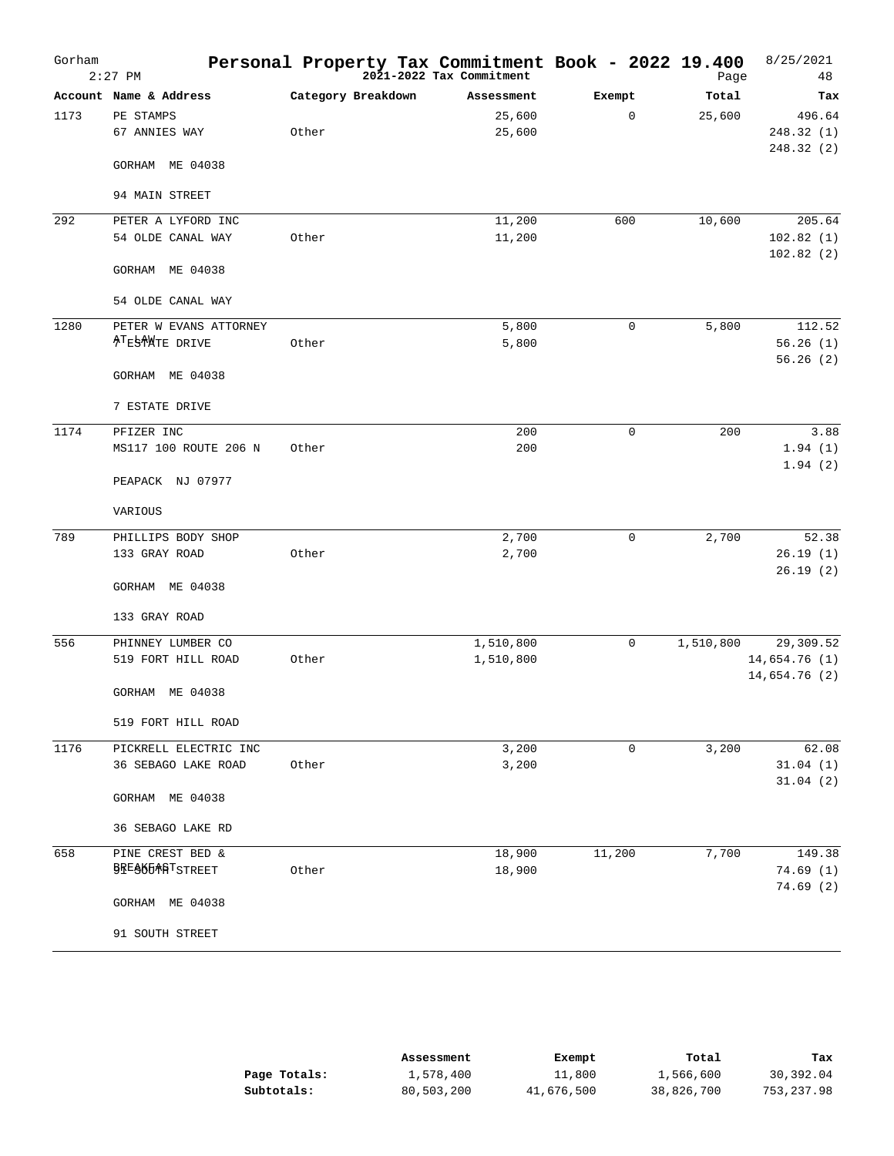| Gorham | $2:27$ PM              | Personal Property Tax Commitment Book - 2022 19.400 | 2021-2022 Tax Commitment |             | Page      | 8/25/2021<br>48                |
|--------|------------------------|-----------------------------------------------------|--------------------------|-------------|-----------|--------------------------------|
|        | Account Name & Address | Category Breakdown                                  | Assessment               | Exempt      | Total     | Tax                            |
| 1173   | PE STAMPS              |                                                     | 25,600                   | $\mathbf 0$ | 25,600    | 496.64                         |
|        | 67 ANNIES WAY          | Other                                               | 25,600                   |             |           | 248.32 (1)<br>248.32 (2)       |
|        | GORHAM ME 04038        |                                                     |                          |             |           |                                |
|        | 94 MAIN STREET         |                                                     |                          |             |           |                                |
| 292    | PETER A LYFORD INC     |                                                     | 11,200                   | 600         | 10,600    | 205.64                         |
|        | 54 OLDE CANAL WAY      | Other                                               | 11,200                   |             |           | 102.82(1)<br>102.82(2)         |
|        | GORHAM ME 04038        |                                                     |                          |             |           |                                |
|        | 54 OLDE CANAL WAY      |                                                     |                          |             |           |                                |
| 1280   | PETER W EVANS ATTORNEY |                                                     | 5,800                    | $\mathbf 0$ | 5,800     | 112.52                         |
|        | ATESTATE DRIVE         | Other                                               | 5,800                    |             |           | 56.26(1)<br>56.26(2)           |
|        | GORHAM ME 04038        |                                                     |                          |             |           |                                |
|        | 7 ESTATE DRIVE         |                                                     |                          |             |           |                                |
| 1174   | PFIZER INC             |                                                     | 200                      | $\mathbf 0$ | 200       | 3.88                           |
|        | MS117 100 ROUTE 206 N  | Other                                               | 200                      |             |           | 1.94(1)<br>1.94(2)             |
|        | PEAPACK NJ 07977       |                                                     |                          |             |           |                                |
|        | VARIOUS                |                                                     |                          |             |           |                                |
| 789    | PHILLIPS BODY SHOP     |                                                     | 2,700                    | 0           | 2,700     | 52.38                          |
|        | 133 GRAY ROAD          | Other                                               | 2,700                    |             |           | 26.19(1)<br>26.19(2)           |
|        | GORHAM ME 04038        |                                                     |                          |             |           |                                |
|        | 133 GRAY ROAD          |                                                     |                          |             |           |                                |
| 556    | PHINNEY LUMBER CO      |                                                     | 1,510,800                | 0           | 1,510,800 | 29,309.52                      |
|        | 519 FORT HILL ROAD     | Other                                               | 1,510,800                |             |           | 14,654.76 (1)<br>14,654.76 (2) |
|        | GORHAM ME 04038        |                                                     |                          |             |           |                                |
|        | 519 FORT HILL ROAD     |                                                     |                          |             |           |                                |
| 1176   | PICKRELL ELECTRIC INC  |                                                     | 3,200                    | 0           | 3,200     | 62.08                          |
|        | 36 SEBAGO LAKE ROAD    | Other                                               | 3,200                    |             |           | 31.04(1)<br>31.04(2)           |
|        | GORHAM ME 04038        |                                                     |                          |             |           |                                |
|        | 36 SEBAGO LAKE RD      |                                                     |                          |             |           |                                |
| 658    | PINE CREST BED &       |                                                     | 18,900                   | 11,200      | 7,700     | 149.38                         |
|        | <b>BREASEMATSTREET</b> | Other                                               | 18,900                   |             |           | 74.69(1)<br>74.69(2)           |
|        | GORHAM ME 04038        |                                                     |                          |             |           |                                |
|        | 91 SOUTH STREET        |                                                     |                          |             |           |                                |

|              | Assessment | Exempt     | Total      | Tax        |
|--------------|------------|------------|------------|------------|
| Page Totals: | 1,578,400  | 11,800     | 1,566,600  | 30,392.04  |
| Subtotals:   | 80,503,200 | 41,676,500 | 38,826,700 | 753,237.98 |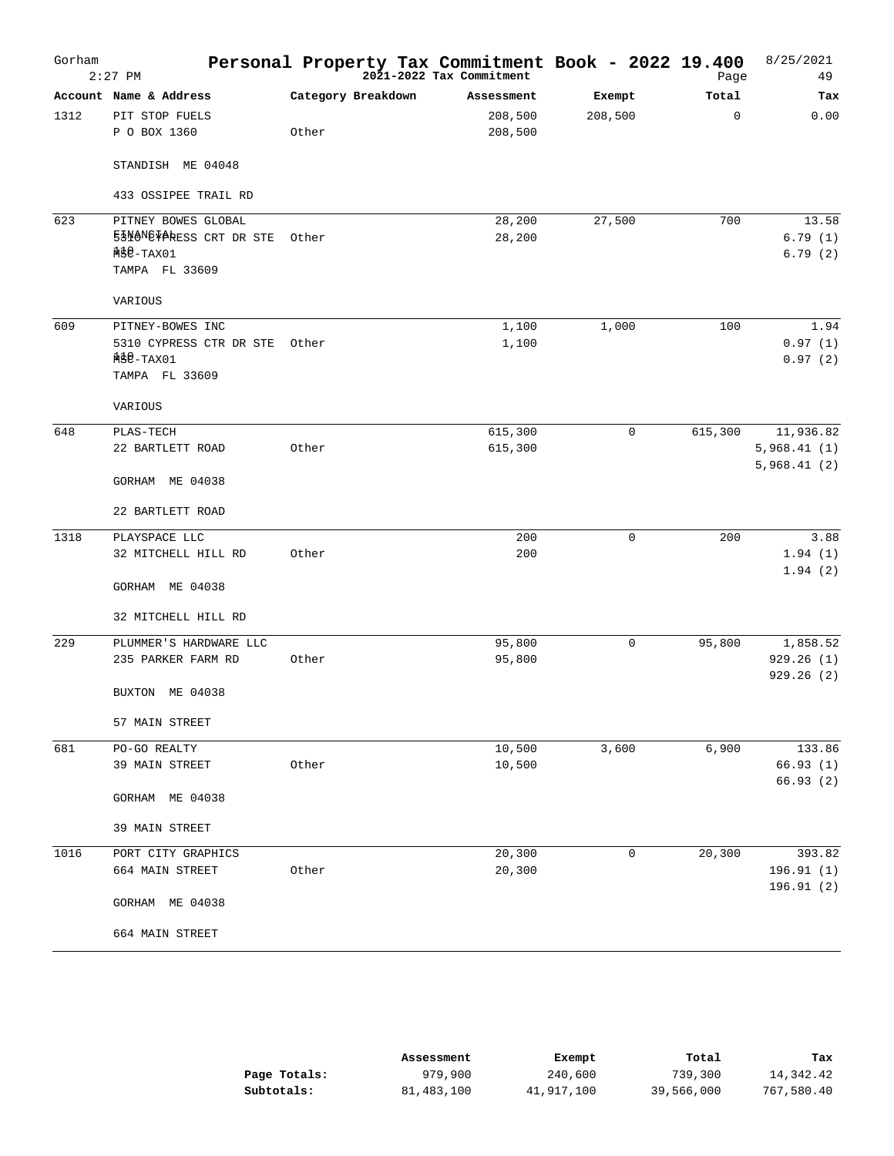| Gorham | $2:27$ PM                                                                              | Personal Property Tax Commitment Book - 2022 19.400 | 2021-2022 Tax Commitment |             | Page        | 8/25/2021<br>49                         |
|--------|----------------------------------------------------------------------------------------|-----------------------------------------------------|--------------------------|-------------|-------------|-----------------------------------------|
|        | Account Name & Address                                                                 | Category Breakdown                                  | Assessment               | Exempt      | Total       | Tax                                     |
| 1312   | PIT STOP FUELS<br>P O BOX 1360                                                         | Other                                               | 208,500<br>208,500       | 208,500     | $\mathbf 0$ | 0.00                                    |
|        | STANDISH ME 04048                                                                      |                                                     |                          |             |             |                                         |
|        | 433 OSSIPEE TRAIL RD                                                                   |                                                     |                          |             |             |                                         |
| 623    | PITNEY BOWES GLOBAL<br>53NON@FORESS CRT DR STE<br>$M30-TAX01$<br>TAMPA FL 33609        | Other                                               | 28,200<br>28,200         | 27,500      | 700         | 13.58<br>6.79(1)<br>6.79(2)             |
|        | VARIOUS                                                                                |                                                     |                          |             |             |                                         |
| 609    | PITNEY-BOWES INC<br>5310 CYPRESS CTR DR STE<br>$M_{\odot}$ $-$ TAX01<br>TAMPA FL 33609 | Other                                               | 1,100<br>1,100           | 1,000       | 100         | 1.94<br>0.97(1)<br>0.97(2)              |
|        | VARIOUS                                                                                |                                                     |                          |             |             |                                         |
| 648    | PLAS-TECH<br>22 BARTLETT ROAD                                                          | Other                                               | 615,300<br>615,300       | $\mathbf 0$ | 615,300     | 11,936.82<br>5,968.41(1)<br>5,968.41(2) |
|        | GORHAM ME 04038                                                                        |                                                     |                          |             |             |                                         |
|        | 22 BARTLETT ROAD                                                                       |                                                     |                          |             |             |                                         |
| 1318   | PLAYSPACE LLC<br>32 MITCHELL HILL RD                                                   | Other                                               | 200<br>200               | $\mathsf 0$ | 200         | 3.88<br>1.94(1)<br>1.94(2)              |
|        | GORHAM ME 04038                                                                        |                                                     |                          |             |             |                                         |
|        | 32 MITCHELL HILL RD                                                                    |                                                     |                          |             |             |                                         |
| 229    | PLUMMER'S HARDWARE LLC<br>235 PARKER FARM RD                                           | Other                                               | 95,800<br>95,800         | $\mathbf 0$ | 95,800      | 1,858.52<br>929.26(1)<br>929.26(2)      |
|        | BUXTON ME 04038                                                                        |                                                     |                          |             |             |                                         |
|        | 57 MAIN STREET                                                                         |                                                     |                          |             |             |                                         |
| 681    | PO-GO REALTY<br>39 MAIN STREET                                                         | Other                                               | 10,500<br>10,500         | 3,600       | 6,900       | 133.86<br>66.93(1)<br>66.93(2)          |
|        | GORHAM ME 04038                                                                        |                                                     |                          |             |             |                                         |
|        | 39 MAIN STREET                                                                         |                                                     |                          |             |             |                                         |
| 1016   | PORT CITY GRAPHICS<br>664 MAIN STREET                                                  | Other                                               | 20,300<br>20,300         | 0           | 20,300      | 393.82<br>196.91 (1)<br>196.91(2)       |
|        | GORHAM ME 04038                                                                        |                                                     |                          |             |             |                                         |
|        | 664 MAIN STREET                                                                        |                                                     |                          |             |             |                                         |

|              | Assessment | Exempt     | Total      | Tax        |
|--------------|------------|------------|------------|------------|
| Page Totals: | 979,900    | 240,600    | 739,300    | 14,342.42  |
| Subtotals:   | 81,483,100 | 41,917,100 | 39,566,000 | 767,580.40 |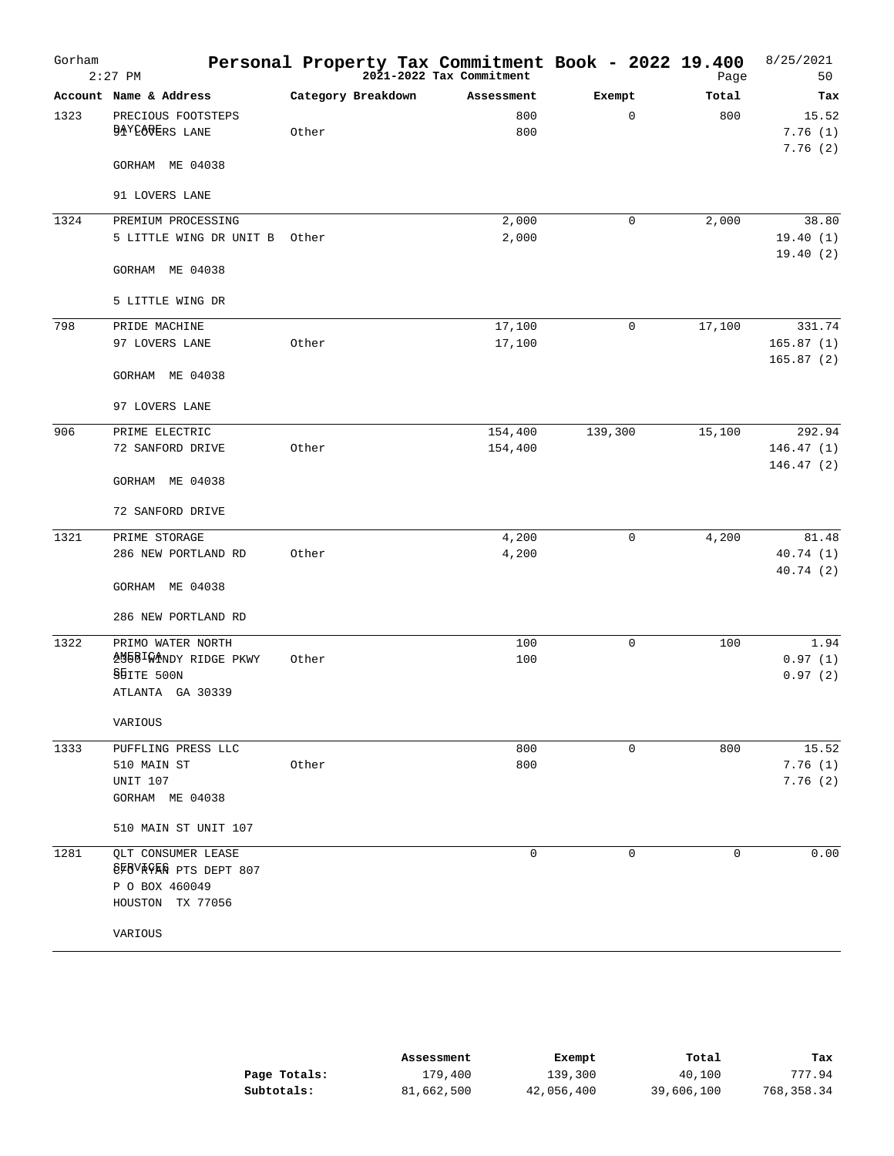| Gorham | $2:27$ PM                                   | Personal Property Tax Commitment Book - 2022 19.400 | 2021-2022 Tax Commitment |             | Page        | 8/25/2021<br>50             |
|--------|---------------------------------------------|-----------------------------------------------------|--------------------------|-------------|-------------|-----------------------------|
|        | Account Name & Address                      | Category Breakdown                                  | Assessment               | Exempt      | Total       | Tax                         |
| 1323   | PRECIOUS FOOTSTEPS<br><b>DAYCOVERS LANE</b> | Other                                               | 800<br>800               | 0           | 800         | 15.52<br>7.76(1)<br>7.76(2) |
|        | GORHAM ME 04038                             |                                                     |                          |             |             |                             |
|        | 91 LOVERS LANE                              |                                                     |                          |             |             |                             |
| 1324   | PREMIUM PROCESSING                          |                                                     | 2,000                    | $\mathbf 0$ | 2,000       | 38.80                       |
|        | 5 LITTLE WING DR UNIT B Other               |                                                     | 2,000                    |             |             | 19.40(1)<br>19.40(2)        |
|        | GORHAM ME 04038                             |                                                     |                          |             |             |                             |
|        | 5 LITTLE WING DR                            |                                                     |                          |             |             |                             |
| 798    | PRIDE MACHINE                               |                                                     | 17,100                   | $\mathbf 0$ | 17,100      | 331.74                      |
|        | 97 LOVERS LANE                              | Other                                               | 17,100                   |             |             | 165.87(1)<br>165.87(2)      |
|        | GORHAM ME 04038                             |                                                     |                          |             |             |                             |
|        | 97 LOVERS LANE                              |                                                     |                          |             |             |                             |
| 906    | PRIME ELECTRIC                              |                                                     | 154,400                  | 139,300     | 15,100      | 292.94                      |
|        | 72 SANFORD DRIVE                            | Other                                               | 154,400                  |             |             | 146.47(1)<br>146.47(2)      |
|        | GORHAM ME 04038                             |                                                     |                          |             |             |                             |
|        | 72 SANFORD DRIVE                            |                                                     |                          |             |             |                             |
| 1321   | PRIME STORAGE                               |                                                     | 4,200                    | 0           | 4,200       | 81.48                       |
|        | 286 NEW PORTLAND RD                         | Other                                               | 4,200                    |             |             | 40.74 (1)<br>40.74 (2)      |
|        | GORHAM ME 04038                             |                                                     |                          |             |             |                             |
|        | 286 NEW PORTLAND RD                         |                                                     |                          |             |             |                             |
| 1322   | PRIMO WATER NORTH                           |                                                     | 100                      | $\mathbf 0$ | 100         | 1.94                        |
|        | 29561 WANDY RIDGE PKWY                      | Other                                               | 100                      |             |             | 0.97(1)                     |
|        | SUITE 500N                                  |                                                     |                          |             |             | 0.97(2)                     |
|        | ATLANTA GA 30339                            |                                                     |                          |             |             |                             |
|        | VARIOUS                                     |                                                     |                          |             |             |                             |
| 1333   | PUFFLING PRESS LLC                          |                                                     | 800                      | $\mathbf 0$ | 800         | 15.52                       |
|        | 510 MAIN ST                                 | Other                                               | 800                      |             |             | 7.76(1)                     |
|        | <b>UNIT 107</b><br>GORHAM ME 04038          |                                                     |                          |             |             | 7.76(2)                     |
|        | 510 MAIN ST UNIT 107                        |                                                     |                          |             |             |                             |
| 1281   | QLT CONSUMER LEASE                          |                                                     | $\mathbf 0$              | $\mathbf 0$ | $\mathbf 0$ | 0.00                        |
|        | 8FBVRGKR PTS DEPT 807                       |                                                     |                          |             |             |                             |
|        | P O BOX 460049                              |                                                     |                          |             |             |                             |
|        | HOUSTON TX 77056                            |                                                     |                          |             |             |                             |
|        | VARIOUS                                     |                                                     |                          |             |             |                             |

|              | Assessment | Exempt     | Total      | Tax        |
|--------------|------------|------------|------------|------------|
| Page Totals: | 179,400    | 139,300    | 40,100     | 777.94     |
| Subtotals:   | 81,662,500 | 42,056,400 | 39,606,100 | 768,358.34 |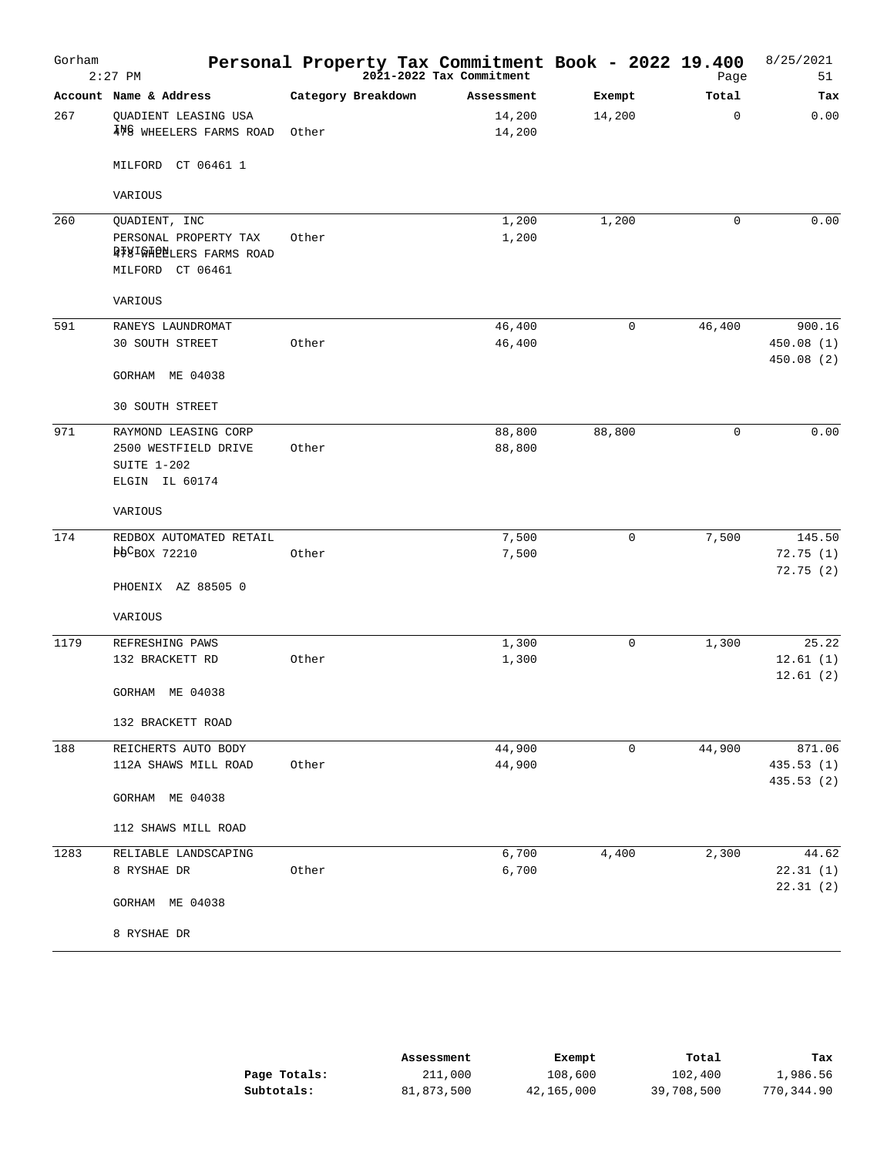| Account Name & Address<br>Category Breakdown<br>Exempt<br>Total<br>Tax<br>Assessment<br>QUADIENT LEASING USA<br>14,200<br>$\mathbf 0$<br>0.00<br>267<br>14,200<br>4MG WHEELERS FARMS ROAD<br>Other<br>14,200<br>MILFORD CT 06461 1<br>VARIOUS<br>1,200<br>1,200<br>0.00<br>QUADIENT, INC<br>$\mathbf 0$<br>1,200<br>PERSONAL PROPERTY TAX<br>Other<br>478IGHQNLERS FARMS ROAD<br>MILFORD CT 06461<br>VARIOUS<br>591<br>46,400<br>46,400<br>RANEYS LAUNDROMAT<br>0<br>900.16<br><b>30 SOUTH STREET</b><br>450.08 (1)<br>Other<br>46,400<br>450.08(2)<br>GORHAM ME 04038<br><b>30 SOUTH STREET</b><br>971<br>88,800<br>88,800<br>0.00<br>RAYMOND LEASING CORP<br>0<br>2500 WESTFIELD DRIVE<br>Other<br>88,800<br>SUITE 1-202<br>ELGIN IL 60174<br>VARIOUS<br>7,500<br>REDBOX AUTOMATED RETAIL<br>7,500<br>$\mathbf 0$<br>145.50<br>∌еСвох 72210<br>7,500<br>72.75(1)<br>Other<br>72.75(2)<br>PHOENIX AZ 88505 0<br>VARIOUS<br>25.22<br>1,300<br>$\mathbf 0$<br>1,300<br>REFRESHING PAWS<br>132 BRACKETT RD<br>1,300<br>Other<br>12.61(1)<br>12.61(2)<br>GORHAM ME 04038<br>132 BRACKETT ROAD<br>188<br>44,900<br>$\mathbf 0$<br>871.06<br>REICHERTS AUTO BODY<br>44,900<br>435.53 (1)<br>112A SHAWS MILL ROAD<br>Other<br>44,900<br>435.53 (2)<br>GORHAM ME 04038<br>112 SHAWS MILL ROAD<br>6,700<br>2,300<br>44.62<br>RELIABLE LANDSCAPING<br>4,400<br>6,700<br>8 RYSHAE DR<br>Other<br>22.31(1)<br>22.31(2)<br>GORHAM ME 04038 | Gorham | $2:27$ PM   |  | Personal Property Tax Commitment Book - 2022 19.400<br>2021-2022 Tax Commitment | Page | 8/25/2021<br>51 |
|--------------------------------------------------------------------------------------------------------------------------------------------------------------------------------------------------------------------------------------------------------------------------------------------------------------------------------------------------------------------------------------------------------------------------------------------------------------------------------------------------------------------------------------------------------------------------------------------------------------------------------------------------------------------------------------------------------------------------------------------------------------------------------------------------------------------------------------------------------------------------------------------------------------------------------------------------------------------------------------------------------------------------------------------------------------------------------------------------------------------------------------------------------------------------------------------------------------------------------------------------------------------------------------------------------------------------------------------------------------------------------------------------------------------------------|--------|-------------|--|---------------------------------------------------------------------------------|------|-----------------|
|                                                                                                                                                                                                                                                                                                                                                                                                                                                                                                                                                                                                                                                                                                                                                                                                                                                                                                                                                                                                                                                                                                                                                                                                                                                                                                                                                                                                                                |        |             |  |                                                                                 |      |                 |
|                                                                                                                                                                                                                                                                                                                                                                                                                                                                                                                                                                                                                                                                                                                                                                                                                                                                                                                                                                                                                                                                                                                                                                                                                                                                                                                                                                                                                                |        |             |  |                                                                                 |      |                 |
|                                                                                                                                                                                                                                                                                                                                                                                                                                                                                                                                                                                                                                                                                                                                                                                                                                                                                                                                                                                                                                                                                                                                                                                                                                                                                                                                                                                                                                |        |             |  |                                                                                 |      |                 |
|                                                                                                                                                                                                                                                                                                                                                                                                                                                                                                                                                                                                                                                                                                                                                                                                                                                                                                                                                                                                                                                                                                                                                                                                                                                                                                                                                                                                                                |        |             |  |                                                                                 |      |                 |
|                                                                                                                                                                                                                                                                                                                                                                                                                                                                                                                                                                                                                                                                                                                                                                                                                                                                                                                                                                                                                                                                                                                                                                                                                                                                                                                                                                                                                                | 260    |             |  |                                                                                 |      |                 |
|                                                                                                                                                                                                                                                                                                                                                                                                                                                                                                                                                                                                                                                                                                                                                                                                                                                                                                                                                                                                                                                                                                                                                                                                                                                                                                                                                                                                                                |        |             |  |                                                                                 |      |                 |
|                                                                                                                                                                                                                                                                                                                                                                                                                                                                                                                                                                                                                                                                                                                                                                                                                                                                                                                                                                                                                                                                                                                                                                                                                                                                                                                                                                                                                                |        |             |  |                                                                                 |      |                 |
|                                                                                                                                                                                                                                                                                                                                                                                                                                                                                                                                                                                                                                                                                                                                                                                                                                                                                                                                                                                                                                                                                                                                                                                                                                                                                                                                                                                                                                |        |             |  |                                                                                 |      |                 |
|                                                                                                                                                                                                                                                                                                                                                                                                                                                                                                                                                                                                                                                                                                                                                                                                                                                                                                                                                                                                                                                                                                                                                                                                                                                                                                                                                                                                                                |        |             |  |                                                                                 |      |                 |
|                                                                                                                                                                                                                                                                                                                                                                                                                                                                                                                                                                                                                                                                                                                                                                                                                                                                                                                                                                                                                                                                                                                                                                                                                                                                                                                                                                                                                                |        |             |  |                                                                                 |      |                 |
|                                                                                                                                                                                                                                                                                                                                                                                                                                                                                                                                                                                                                                                                                                                                                                                                                                                                                                                                                                                                                                                                                                                                                                                                                                                                                                                                                                                                                                | 174    |             |  |                                                                                 |      |                 |
|                                                                                                                                                                                                                                                                                                                                                                                                                                                                                                                                                                                                                                                                                                                                                                                                                                                                                                                                                                                                                                                                                                                                                                                                                                                                                                                                                                                                                                |        |             |  |                                                                                 |      |                 |
|                                                                                                                                                                                                                                                                                                                                                                                                                                                                                                                                                                                                                                                                                                                                                                                                                                                                                                                                                                                                                                                                                                                                                                                                                                                                                                                                                                                                                                |        |             |  |                                                                                 |      |                 |
|                                                                                                                                                                                                                                                                                                                                                                                                                                                                                                                                                                                                                                                                                                                                                                                                                                                                                                                                                                                                                                                                                                                                                                                                                                                                                                                                                                                                                                | 1179   |             |  |                                                                                 |      |                 |
|                                                                                                                                                                                                                                                                                                                                                                                                                                                                                                                                                                                                                                                                                                                                                                                                                                                                                                                                                                                                                                                                                                                                                                                                                                                                                                                                                                                                                                |        |             |  |                                                                                 |      |                 |
|                                                                                                                                                                                                                                                                                                                                                                                                                                                                                                                                                                                                                                                                                                                                                                                                                                                                                                                                                                                                                                                                                                                                                                                                                                                                                                                                                                                                                                |        |             |  |                                                                                 |      |                 |
|                                                                                                                                                                                                                                                                                                                                                                                                                                                                                                                                                                                                                                                                                                                                                                                                                                                                                                                                                                                                                                                                                                                                                                                                                                                                                                                                                                                                                                |        |             |  |                                                                                 |      |                 |
|                                                                                                                                                                                                                                                                                                                                                                                                                                                                                                                                                                                                                                                                                                                                                                                                                                                                                                                                                                                                                                                                                                                                                                                                                                                                                                                                                                                                                                |        |             |  |                                                                                 |      |                 |
|                                                                                                                                                                                                                                                                                                                                                                                                                                                                                                                                                                                                                                                                                                                                                                                                                                                                                                                                                                                                                                                                                                                                                                                                                                                                                                                                                                                                                                |        |             |  |                                                                                 |      |                 |
|                                                                                                                                                                                                                                                                                                                                                                                                                                                                                                                                                                                                                                                                                                                                                                                                                                                                                                                                                                                                                                                                                                                                                                                                                                                                                                                                                                                                                                | 1283   |             |  |                                                                                 |      |                 |
|                                                                                                                                                                                                                                                                                                                                                                                                                                                                                                                                                                                                                                                                                                                                                                                                                                                                                                                                                                                                                                                                                                                                                                                                                                                                                                                                                                                                                                |        | 8 RYSHAE DR |  |                                                                                 |      |                 |

|              | Assessment | Exempt     | Total      | Tax        |
|--------------|------------|------------|------------|------------|
| Page Totals: | 211,000    | 108,600    | 102,400    | 1,986.56   |
| Subtotals:   | 81,873,500 | 42,165,000 | 39,708,500 | 770,344.90 |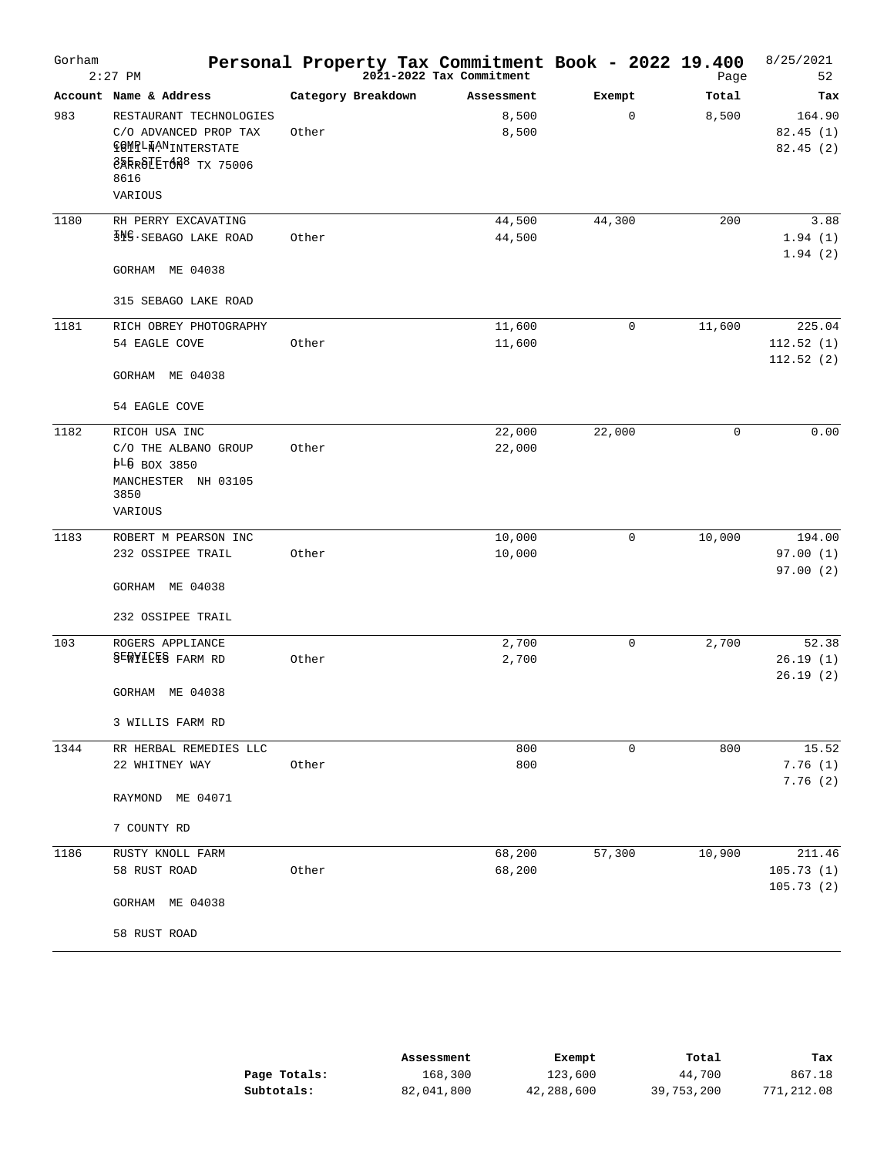| Gorham | $2:27$ PM                                                                                                     |                    | Personal Property Tax Commitment Book - 2022 19.400<br>Page |             | Page        | 8/25/2021<br>52                  |
|--------|---------------------------------------------------------------------------------------------------------------|--------------------|-------------------------------------------------------------|-------------|-------------|----------------------------------|
|        | Account Name & Address                                                                                        | Category Breakdown | Assessment                                                  | Exempt      | Total       | Tax                              |
| 983    | RESTAURANT TECHNOLOGIES<br>C/O ADVANCED PROP TAX<br><b>TOMPLWANINTERSTATE</b><br>eARROLETON8 TX 75006<br>8616 | Other              | 8,500<br>8,500                                              | $\mathbf 0$ | 8,500       | 164.90<br>82.45(1)<br>82.45(2)   |
|        | VARIOUS                                                                                                       |                    |                                                             |             |             |                                  |
| 1180   | RH PERRY EXCAVATING<br><b>INE SEBAGO LAKE ROAD</b>                                                            | Other              | 44,500<br>44,500                                            | 44,300      | 200         | 3.88<br>1.94(1)<br>1.94(2)       |
|        | GORHAM ME 04038                                                                                               |                    |                                                             |             |             |                                  |
|        | 315 SEBAGO LAKE ROAD                                                                                          |                    |                                                             |             |             |                                  |
| 1181   | RICH OBREY PHOTOGRAPHY<br>54 EAGLE COVE<br>GORHAM ME 04038                                                    | Other              | 11,600<br>11,600                                            | $\mathbf 0$ | 11,600      | 225.04<br>112.52(1)<br>112.52(2) |
|        | 54 EAGLE COVE                                                                                                 |                    |                                                             |             |             |                                  |
| 1182   | RICOH USA INC<br>C/O THE ALBANO GROUP<br>PL6 BOX 3850<br>MANCHESTER NH 03105<br>3850                          | Other              | 22,000<br>22,000                                            | 22,000      | $\mathbf 0$ | 0.00                             |
|        | VARIOUS                                                                                                       |                    |                                                             |             |             |                                  |
| 1183   | ROBERT M PEARSON INC<br>232 OSSIPEE TRAIL<br>GORHAM ME 04038                                                  | Other              | 10,000<br>10,000                                            | 0           | 10,000      | 194.00<br>97.00(1)<br>97.00(2)   |
|        | 232 OSSIPEE TRAIL                                                                                             |                    |                                                             |             |             |                                  |
| 103    | ROGERS APPLIANCE<br>SERYLEES FARM RD<br>GORHAM ME 04038                                                       | Other              | 2,700<br>2,700                                              | $\mathbf 0$ | 2,700       | 52.38<br>26.19(1)<br>26.19(2)    |
|        | 3 WILLIS FARM RD                                                                                              |                    |                                                             |             |             |                                  |
| 1344   | RR HERBAL REMEDIES LLC<br>22 WHITNEY WAY                                                                      | Other              | 800<br>800                                                  | $\mathbf 0$ | 800         | 15.52<br>7.76(1)<br>7.76(2)      |
|        | RAYMOND ME 04071                                                                                              |                    |                                                             |             |             |                                  |
|        | 7 COUNTY RD                                                                                                   |                    |                                                             |             |             |                                  |
| 1186   | RUSTY KNOLL FARM<br>58 RUST ROAD<br>GORHAM ME 04038<br>58 RUST ROAD                                           | Other              | 68,200<br>68,200                                            | 57,300      | 10,900      | 211.46<br>105.73(1)<br>105.73(2) |
|        |                                                                                                               |                    |                                                             |             |             |                                  |

|              | Assessment | Exempt     | Total      | Tax        |
|--------------|------------|------------|------------|------------|
| Page Totals: | 168,300    | 123,600    | 44,700     | 867.18     |
| Subtotals:   | 82,041,800 | 42,288,600 | 39,753,200 | 771,212.08 |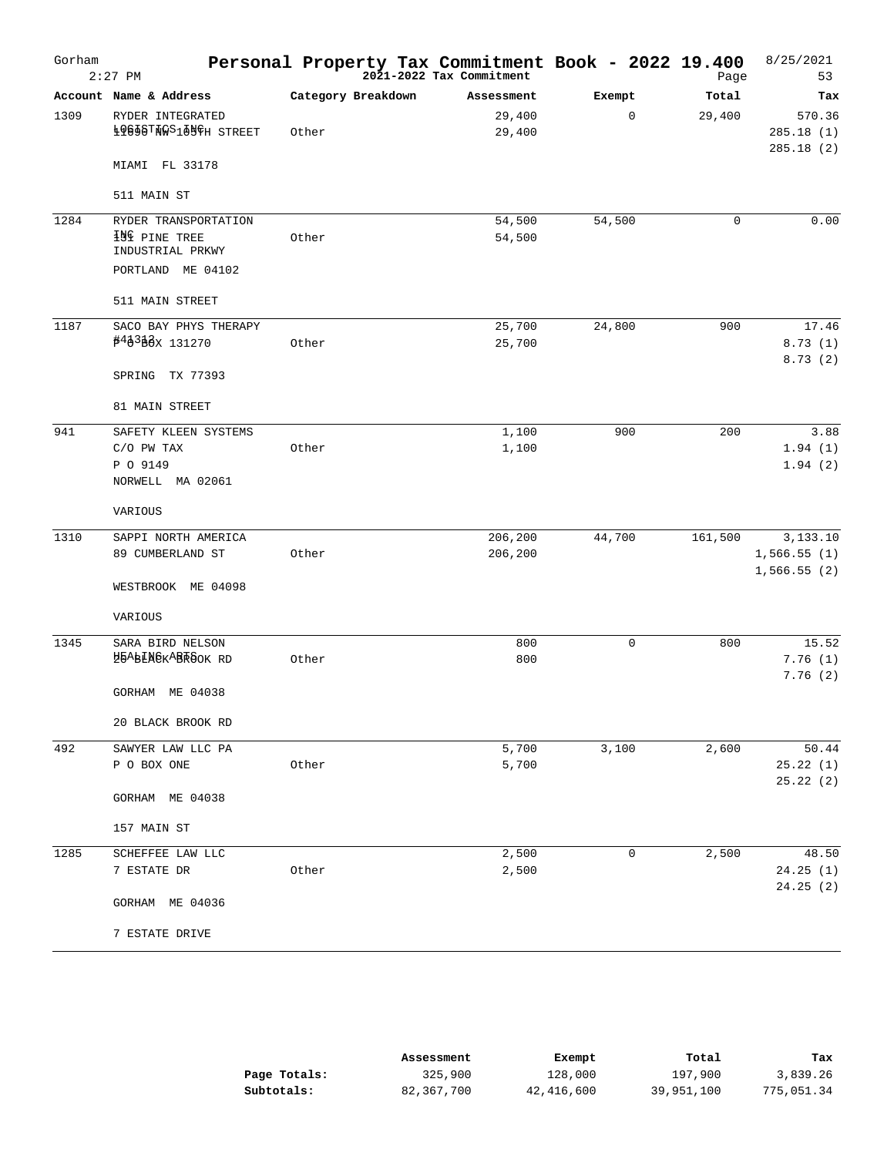| Gorham | $2:27$ PM                                                            | Personal Property Tax Commitment Book - 2022 19.400 | 2021-2022 Tax Commitment |        | Page        | 8/25/2021<br>53                        |
|--------|----------------------------------------------------------------------|-----------------------------------------------------|--------------------------|--------|-------------|----------------------------------------|
|        | Account Name & Address                                               | Category Breakdown                                  | Assessment               | Exempt | Total       | Tax                                    |
| 1309   | RYDER INTEGRATED<br>19656TNGS165TH STREET                            | Other                                               | 29,400<br>29,400         | 0      | 29,400      | 570.36<br>285.18(1)<br>285.18(2)       |
|        | MIAMI FL 33178                                                       |                                                     |                          |        |             |                                        |
|        | 511 MAIN ST                                                          |                                                     |                          |        |             |                                        |
| 1284   | RYDER TRANSPORTATION<br><b>IME</b> PINE TREE<br>INDUSTRIAL PRKWY     | Other                                               | 54,500<br>54,500         | 54,500 | $\mathbf 0$ | 0.00                                   |
|        | PORTLAND ME 04102                                                    |                                                     |                          |        |             |                                        |
|        | 511 MAIN STREET                                                      |                                                     |                          |        |             |                                        |
| 1187   | SACO BAY PHYS THERAPY<br>#4∂3 № 131270                               | Other                                               | 25,700<br>25,700         | 24,800 | 900         | 17.46<br>8.73(1)<br>8.73(2)            |
|        | SPRING TX 77393                                                      |                                                     |                          |        |             |                                        |
|        | 81 MAIN STREET                                                       |                                                     |                          |        |             |                                        |
| 941    | SAFETY KLEEN SYSTEMS<br>$C/O$ PW TAX<br>P O 9149<br>NORWELL MA 02061 | Other                                               | 1,100<br>1,100           | 900    | 200         | 3.88<br>1.94(1)<br>1.94(2)             |
|        | VARIOUS                                                              |                                                     |                          |        |             |                                        |
| 1310   | SAPPI NORTH AMERICA<br>89 CUMBERLAND ST                              | Other                                               | 206,200<br>206,200       | 44,700 | 161,500     | 3,133.10<br>1,566.55(1)<br>1,566.55(2) |
|        | WESTBROOK ME 04098                                                   |                                                     |                          |        |             |                                        |
|        | VARIOUS                                                              |                                                     |                          |        |             |                                        |
| 1345   | SARA BIRD NELSON<br>H5ABLNGKABRSOK RD                                | Other                                               | 800<br>800               | 0      | 800         | 15.52<br>7.76(1)<br>7.76(2)            |
|        | GORHAM ME 04038                                                      |                                                     |                          |        |             |                                        |
|        | 20 BLACK BROOK RD                                                    |                                                     |                          |        |             |                                        |
| 492    | SAWYER LAW LLC PA                                                    |                                                     | 5,700                    | 3,100  | 2,600       | 50.44                                  |
|        | P O BOX ONE                                                          | Other                                               | 5,700                    |        |             | 25.22(1)<br>25.22(2)                   |
|        | GORHAM ME 04038                                                      |                                                     |                          |        |             |                                        |
|        | 157 MAIN ST                                                          |                                                     |                          |        |             |                                        |
| 1285   | SCHEFFEE LAW LLC<br>7 ESTATE DR                                      | Other                                               | 2,500<br>2,500           | 0      | 2,500       | 48.50<br>24.25(1)<br>24.25(2)          |
|        | GORHAM ME 04036                                                      |                                                     |                          |        |             |                                        |
|        | 7 ESTATE DRIVE                                                       |                                                     |                          |        |             |                                        |

|              | Assessment | Exempt     | Total      | Tax        |
|--------------|------------|------------|------------|------------|
| Page Totals: | 325,900    | 128,000    | 197,900    | 3,839.26   |
| Subtotals:   | 82,367,700 | 42,416,600 | 39,951,100 | 775,051.34 |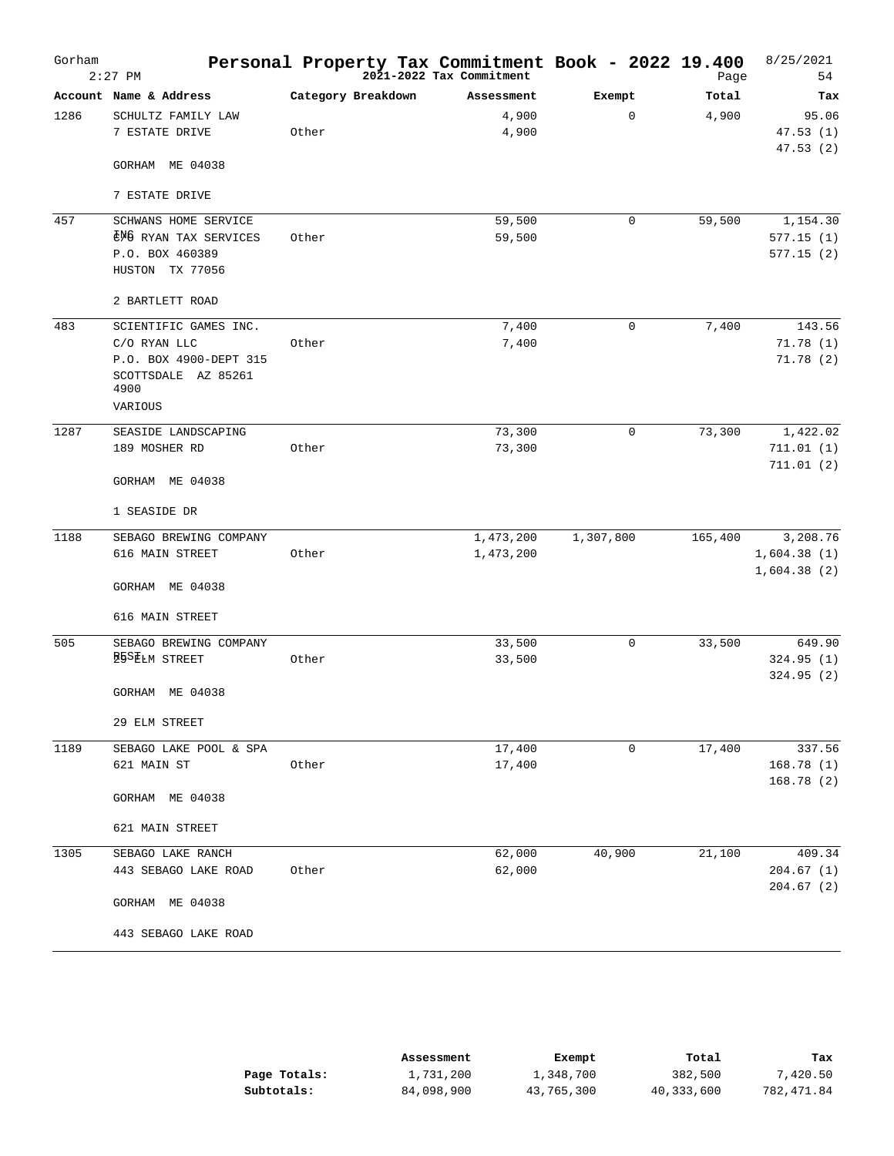| Gorham | $2:27$ PM                                             | Personal Property Tax Commitment Book - 2022 19.400 | 2021-2022 Tax Commitment |             | Page    | 8/25/2021<br>54            |
|--------|-------------------------------------------------------|-----------------------------------------------------|--------------------------|-------------|---------|----------------------------|
|        | Account Name & Address                                | Category Breakdown                                  | Assessment               | Exempt      | Total   | Tax                        |
| 1286   | SCHULTZ FAMILY LAW                                    |                                                     | 4,900                    | 0           | 4,900   | 95.06                      |
|        | 7 ESTATE DRIVE                                        | Other                                               | 4,900                    |             |         | 47.53(1)<br>47.53(2)       |
|        | GORHAM ME 04038                                       |                                                     |                          |             |         |                            |
|        | 7 ESTATE DRIVE                                        |                                                     |                          |             |         |                            |
| 457    | SCHWANS HOME SERVICE                                  |                                                     | 59,500                   | $\mathbf 0$ | 59,500  | 1,154.30                   |
|        | ENG RYAN TAX SERVICES                                 | Other                                               | 59,500                   |             |         | 577.15(1)                  |
|        | P.O. BOX 460389<br>HUSTON TX 77056                    |                                                     |                          |             |         | 577.15 (2)                 |
|        | 2 BARTLETT ROAD                                       |                                                     |                          |             |         |                            |
| 483    | SCIENTIFIC GAMES INC.                                 |                                                     | 7,400                    | $\mathbf 0$ | 7,400   | 143.56                     |
|        | C/O RYAN LLC                                          | Other                                               | 7,400                    |             |         | 71.78(1)                   |
|        | P.O. BOX 4900-DEPT 315<br>SCOTTSDALE AZ 85261<br>4900 |                                                     |                          |             |         | 71.78(2)                   |
|        | VARIOUS                                               |                                                     |                          |             |         |                            |
| 1287   | SEASIDE LANDSCAPING                                   |                                                     | 73,300                   | 0           | 73,300  | 1,422.02                   |
|        | 189 MOSHER RD                                         | Other                                               | 73,300                   |             |         | 711.01(1)<br>711.01(2)     |
|        | GORHAM ME 04038                                       |                                                     |                          |             |         |                            |
|        | 1 SEASIDE DR                                          |                                                     |                          |             |         |                            |
| 1188   | SEBAGO BREWING COMPANY                                |                                                     | 1,473,200                | 1,307,800   | 165,400 | 3,208.76                   |
|        | 616 MAIN STREET                                       | Other                                               | 1,473,200                |             |         | 1,604.38(1)<br>1,604.38(2) |
|        | GORHAM ME 04038                                       |                                                     |                          |             |         |                            |
|        | 616 MAIN STREET                                       |                                                     |                          |             |         |                            |
| 505    | SEBAGO BREWING COMPANY                                |                                                     | 33,500                   | $\mathbf 0$ | 33,500  | 649.90                     |
|        | <b>BESTLM STREET</b>                                  | Other                                               | 33,500                   |             |         | 324.95(1)<br>324.95 (2)    |
|        | GORHAM ME 04038                                       |                                                     |                          |             |         |                            |
|        | 29 ELM STREET                                         |                                                     |                          |             |         |                            |
| 1189   | SEBAGO LAKE POOL & SPA                                |                                                     | 17,400                   | $\mathbf 0$ | 17,400  | 337.56                     |
|        | 621 MAIN ST                                           | Other                                               | 17,400                   |             |         | 168.78(1)<br>168.78(2)     |
|        | GORHAM ME 04038                                       |                                                     |                          |             |         |                            |
|        | 621 MAIN STREET                                       |                                                     |                          |             |         |                            |
| 1305   | SEBAGO LAKE RANCH                                     |                                                     | 62,000                   | 40,900      | 21,100  | 409.34                     |
|        | 443 SEBAGO LAKE ROAD                                  | Other                                               | 62,000                   |             |         | 204.67(1)<br>204.67(2)     |
|        | GORHAM ME 04038                                       |                                                     |                          |             |         |                            |
|        | 443 SEBAGO LAKE ROAD                                  |                                                     |                          |             |         |                            |

|              | Assessment | Exempt     | Total      | Tax        |
|--------------|------------|------------|------------|------------|
| Page Totals: | 1,731,200  | 1,348,700  | 382,500    | 7,420.50   |
| Subtotals:   | 84,098,900 | 43,765,300 | 40,333,600 | 782,471.84 |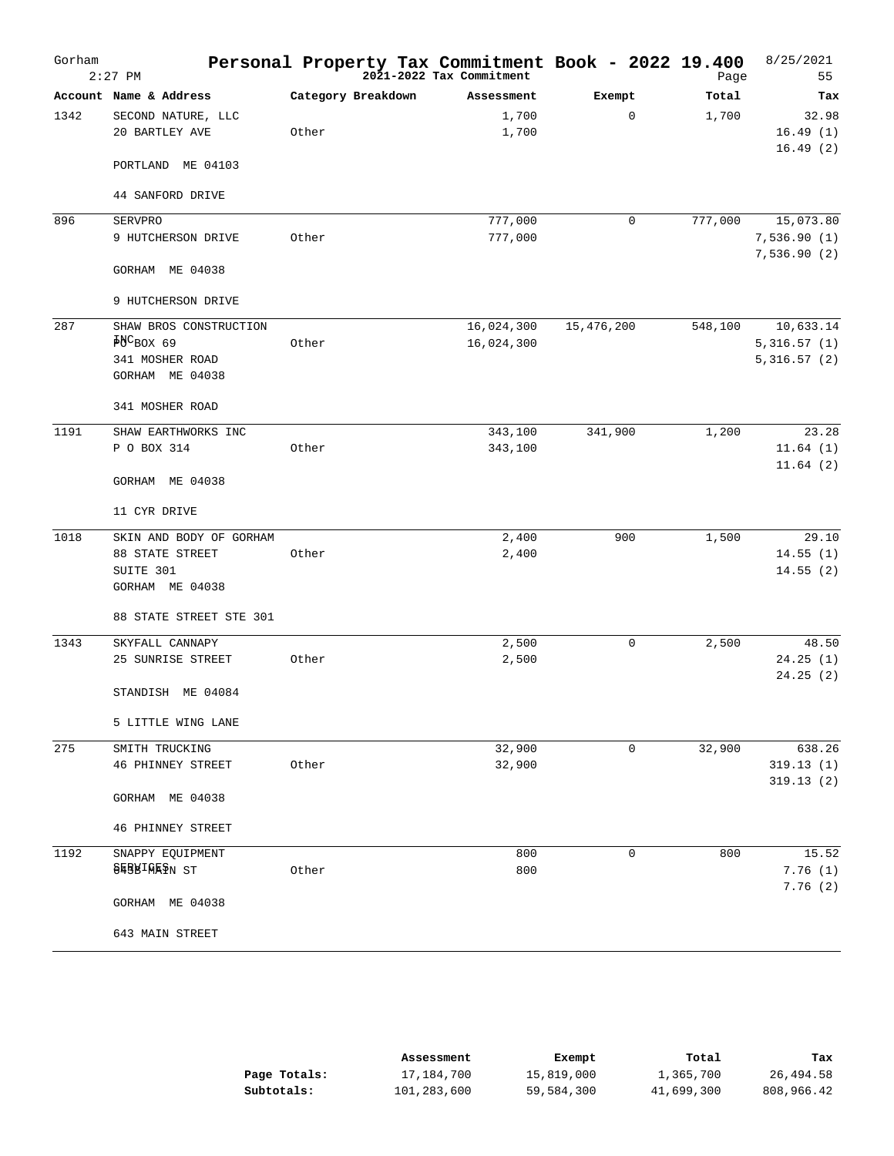| Gorham | $2:27$ PM                          | Personal Property Tax Commitment Book - 2022 19.400 | 2021-2022 Tax Commitment |             | Page    | 8/25/2021<br>55            |
|--------|------------------------------------|-----------------------------------------------------|--------------------------|-------------|---------|----------------------------|
|        | Account Name & Address             | Category Breakdown                                  | Assessment               | Exempt      | Total   | Tax                        |
| 1342   | SECOND NATURE, LLC                 |                                                     | 1,700                    | 0           | 1,700   | 32.98                      |
|        | 20 BARTLEY AVE                     | Other                                               | 1,700                    |             |         | 16.49(1)<br>16.49(2)       |
|        | PORTLAND ME 04103                  |                                                     |                          |             |         |                            |
|        | 44 SANFORD DRIVE                   |                                                     |                          |             |         |                            |
| 896    | <b>SERVPRO</b>                     |                                                     | 777,000                  | 0           | 777,000 | 15,073.80                  |
|        | 9 HUTCHERSON DRIVE                 | Other                                               | 777,000                  |             |         | 7,536.90(1)<br>7,536.90(2) |
|        | GORHAM ME 04038                    |                                                     |                          |             |         |                            |
|        | 9 HUTCHERSON DRIVE                 |                                                     |                          |             |         |                            |
| 287    | SHAW BROS CONSTRUCTION             |                                                     | 16,024,300               | 15,476,200  | 548,100 | 10,633.14                  |
|        | $\frac{1}{2}NC_{\text{BOX}}$ 69    | Other                                               | 16,024,300               |             |         | 5,316.57(1)                |
|        | 341 MOSHER ROAD<br>GORHAM ME 04038 |                                                     |                          |             |         | 5,316.57(2)                |
|        | 341 MOSHER ROAD                    |                                                     |                          |             |         |                            |
| 1191   | SHAW EARTHWORKS INC                |                                                     | 343,100                  | 341,900     | 1,200   | 23.28                      |
|        | P O BOX 314                        | Other                                               | 343,100                  |             |         | 11.64(1)<br>11.64(2)       |
|        | GORHAM ME 04038                    |                                                     |                          |             |         |                            |
|        | 11 CYR DRIVE                       |                                                     |                          |             |         |                            |
| 1018   | SKIN AND BODY OF GORHAM            |                                                     | 2,400                    | 900         | 1,500   | 29.10                      |
|        | 88 STATE STREET                    | Other                                               | 2,400                    |             |         | 14.55(1)                   |
|        | SUITE 301                          |                                                     |                          |             |         | 14.55(2)                   |
|        | GORHAM ME 04038                    |                                                     |                          |             |         |                            |
|        | 88 STATE STREET STE 301            |                                                     |                          |             |         |                            |
| 1343   | SKYFALL CANNAPY                    |                                                     | 2,500                    | $\mathbf 0$ | 2,500   | 48.50                      |
|        | 25 SUNRISE STREET                  | Other                                               | 2,500                    |             |         | 24.25(1)<br>24.25(2)       |
|        | STANDISH ME 04084                  |                                                     |                          |             |         |                            |
|        | 5 LITTLE WING LANE                 |                                                     |                          |             |         |                            |
| 275    | SMITH TRUCKING                     |                                                     | 32,900                   | $\mathbf 0$ | 32,900  | 638.26                     |
|        | <b>46 PHINNEY STREET</b>           | Other                                               | 32,900                   |             |         | 319.13(1)<br>319.13(2)     |
|        | GORHAM ME 04038                    |                                                     |                          |             |         |                            |
|        | <b>46 PHINNEY STREET</b>           |                                                     |                          |             |         |                            |
| 1192   | SNAPPY EQUIPMENT                   |                                                     | 800                      | $\mathbf 0$ | 800     | 15.52                      |
|        | 843BIGAPN ST                       | Other                                               | 800                      |             |         | 7.76(1)<br>7.76(2)         |
|        | GORHAM ME 04038                    |                                                     |                          |             |         |                            |
|        | 643 MAIN STREET                    |                                                     |                          |             |         |                            |

|              | Assessment  | Exempt     | Total      | Tax        |
|--------------|-------------|------------|------------|------------|
| Page Totals: | 17,184,700  | 15,819,000 | 1,365,700  | 26,494.58  |
| Subtotals:   | 101,283,600 | 59,584,300 | 41,699,300 | 808,966.42 |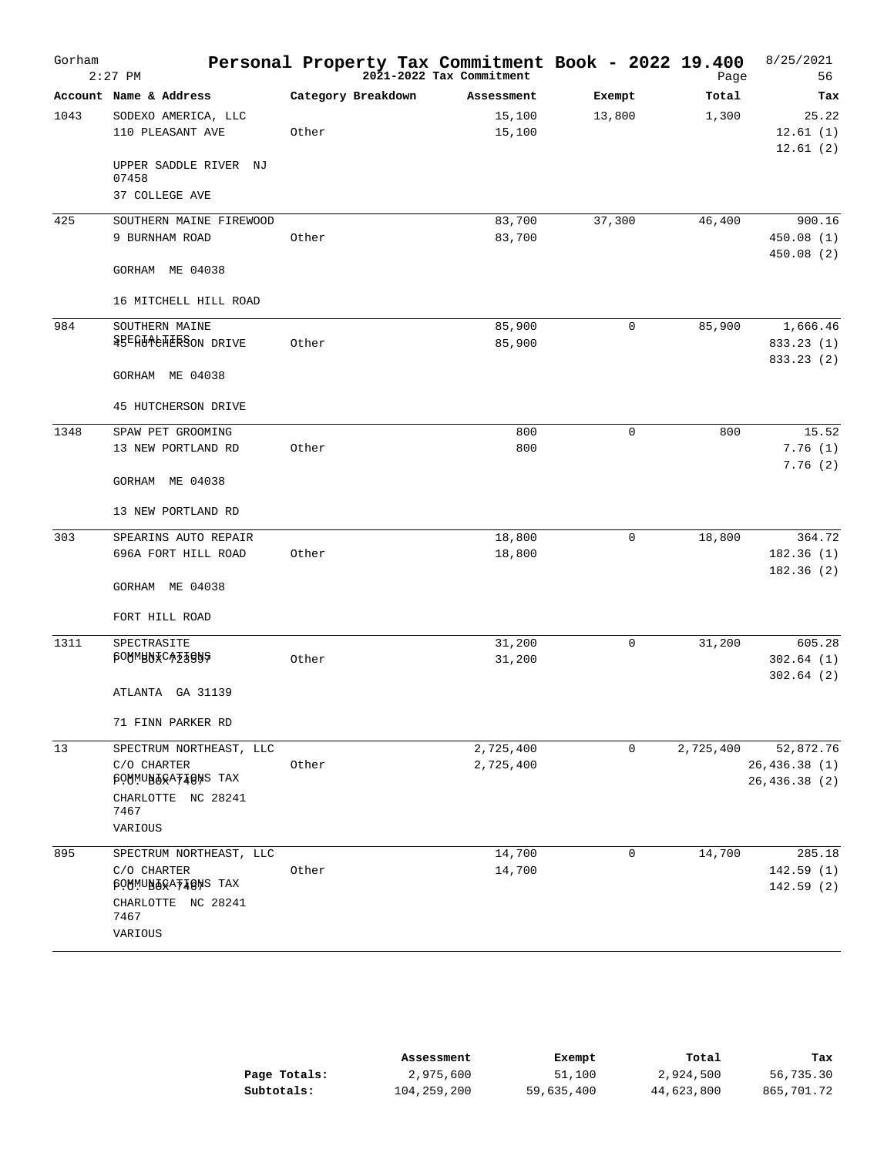| Gorham | $2:27$ PM                             | Personal Property Tax Commitment Book - 2022 19.400 | 2021-2022 Tax Commitment |             | Page      | 8/25/2021<br>56                |
|--------|---------------------------------------|-----------------------------------------------------|--------------------------|-------------|-----------|--------------------------------|
|        | Account Name & Address                | Category Breakdown                                  | Assessment               | Exempt      | Total     | Tax                            |
| 1043   | SODEXO AMERICA, LLC                   |                                                     | 15,100                   | 13,800      | 1,300     | 25.22                          |
|        | 110 PLEASANT AVE                      | Other                                               | 15,100                   |             |           | 12.61(1)<br>12.61(2)           |
|        | UPPER SADDLE RIVER NJ<br>07458        |                                                     |                          |             |           |                                |
|        | 37 COLLEGE AVE                        |                                                     |                          |             |           |                                |
| 425    | SOUTHERN MAINE FIREWOOD               |                                                     | 83,700                   | 37,300      | 46,400    | 900.16                         |
|        | 9 BURNHAM ROAD                        | Other                                               | 83,700                   |             |           | 450.08 (1)<br>450.08 (2)       |
|        | GORHAM ME 04038                       |                                                     |                          |             |           |                                |
|        | 16 MITCHELL HILL ROAD                 |                                                     |                          |             |           |                                |
| 984    | SOUTHERN MAINE                        |                                                     | 85,900                   | 0           | 85,900    | 1,666.46                       |
|        | <b>&amp;BEGUGGERERSON DRIVE</b>       | Other                                               | 85,900                   |             |           | 833.23(1)<br>833.23 (2)        |
|        | GORHAM ME 04038                       |                                                     |                          |             |           |                                |
|        | 45 HUTCHERSON DRIVE                   |                                                     |                          |             |           |                                |
| 1348   | SPAW PET GROOMING                     |                                                     | 800                      | $\mathbf 0$ | 800       | 15.52                          |
|        | 13 NEW PORTLAND RD                    | Other                                               | 800                      |             |           | 7.76(1)<br>7.76(2)             |
|        | GORHAM ME 04038                       |                                                     |                          |             |           |                                |
|        | 13 NEW PORTLAND RD                    |                                                     |                          |             |           |                                |
| 303    | SPEARINS AUTO REPAIR                  |                                                     | 18,800                   | $\mathbf 0$ | 18,800    | 364.72                         |
|        | 696A FORT HILL ROAD                   | Other                                               | 18,800                   |             |           | 182.36(1)<br>182.36(2)         |
|        | GORHAM ME 04038                       |                                                     |                          |             |           |                                |
|        | FORT HILL ROAD                        |                                                     |                          |             |           |                                |
| 1311   | SPECTRASITE                           |                                                     | 31,200                   | 0           | 31,200    | 605.28                         |
|        | <b>CORWBAXCAZ3GAS</b>                 | Other                                               | 31,200                   |             |           | 302.64(1)                      |
|        | ATLANTA GA 31139                      |                                                     |                          |             |           | 302.64(2)                      |
|        | 71 FINN PARKER RD                     |                                                     |                          |             |           |                                |
| 13     | SPECTRUM NORTHEAST, LLC               |                                                     | 2,725,400                | 0           | 2,725,400 | 52,872.76                      |
|        | C/O CHARTER<br>COMMUNDEXTIGNS TAX     | Other                                               | 2,725,400                |             |           | 26, 436.38(1)<br>26,436.38 (2) |
|        | CHARLOTTE NC 28241<br>7467            |                                                     |                          |             |           |                                |
|        | VARIOUS                               |                                                     |                          |             |           |                                |
| 895    | SPECTRUM NORTHEAST, LLC               |                                                     | 14,700                   | 0           | 14,700    | 285.18                         |
|        | C/O CHARTER<br>BOWNUNGKATIONS TAX     | Other                                               | 14,700                   |             |           | 142.59(1)<br>142.59 (2)        |
|        | CHARLOTTE NC 28241<br>7467<br>VARIOUS |                                                     |                          |             |           |                                |

|              | Assessment  | Exempt     | Total      | Tax        |
|--------------|-------------|------------|------------|------------|
| Page Totals: | 2,975,600   | 51,100     | 2,924,500  | 56,735.30  |
| Subtotals:   | 104,259,200 | 59,635,400 | 44,623,800 | 865,701.72 |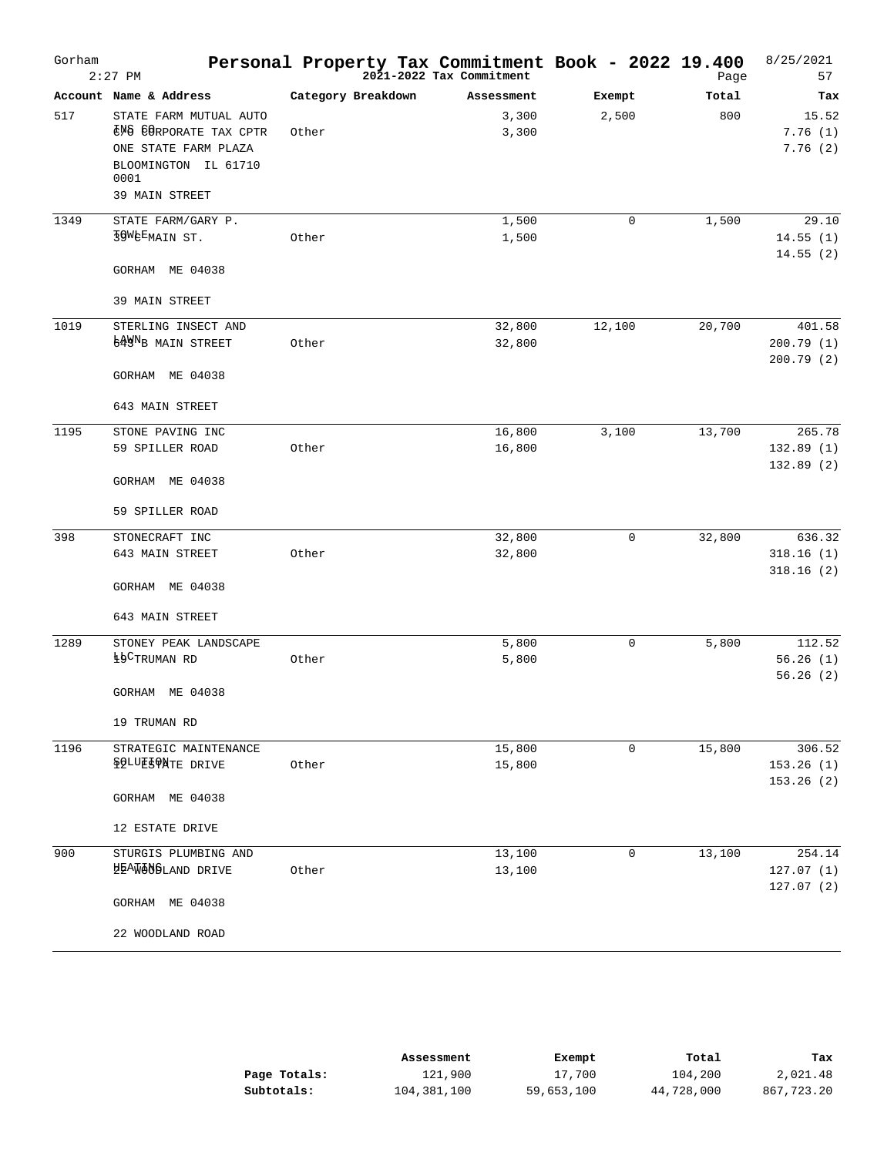| Gorham | $2:27$ PM                                                                                                                                | Personal Property Tax Commitment Book - 2022 19.400 | 2021-2022 Tax Commitment |             | Page   | 8/25/2021<br>57             |
|--------|------------------------------------------------------------------------------------------------------------------------------------------|-----------------------------------------------------|--------------------------|-------------|--------|-----------------------------|
|        | Account Name & Address                                                                                                                   | Category Breakdown                                  | Assessment               | Exempt      | Total  | Tax                         |
| 517    | STATE FARM MUTUAL AUTO<br><b><i>ANS CORPORATE TAX CPTR</i></b><br>ONE STATE FARM PLAZA<br>BLOOMINGTON IL 61710<br>0001<br>39 MAIN STREET | Other                                               | 3,300<br>3,300           | 2,500       | 800    | 15.52<br>7.76(1)<br>7.76(2) |
| 1349   | STATE FARM/GARY P.                                                                                                                       |                                                     | 1,500                    | $\mathbf 0$ | 1,500  | 29.10                       |
|        | <b>JOWEEMAIN ST.</b>                                                                                                                     | Other                                               | 1,500                    |             |        | 14.55(1)<br>14.55(2)        |
|        | GORHAM ME 04038                                                                                                                          |                                                     |                          |             |        |                             |
|        | 39 MAIN STREET                                                                                                                           |                                                     |                          |             |        |                             |
| 1019   | STERLING INSECT AND                                                                                                                      |                                                     | 32,800                   | 12,100      | 20,700 | 401.58                      |
|        | <b>64WNB MAIN STREET</b>                                                                                                                 | Other                                               | 32,800                   |             |        | 200.79(1)                   |
|        | GORHAM ME 04038                                                                                                                          |                                                     |                          |             |        | 200.79(2)                   |
|        | 643 MAIN STREET                                                                                                                          |                                                     |                          |             |        |                             |
| 1195   | STONE PAVING INC                                                                                                                         |                                                     | 16,800                   | 3,100       | 13,700 | 265.78                      |
|        | 59 SPILLER ROAD                                                                                                                          | Other                                               | 16,800                   |             |        | 132.89(1)                   |
|        | GORHAM ME 04038                                                                                                                          |                                                     |                          |             |        | 132.89(2)                   |
|        | 59 SPILLER ROAD                                                                                                                          |                                                     |                          |             |        |                             |
| 398    | STONECRAFT INC                                                                                                                           |                                                     | 32,800                   | $\mathbf 0$ | 32,800 | 636.32                      |
|        | 643 MAIN STREET                                                                                                                          | Other                                               | 32,800                   |             |        | 318.16(1)                   |
|        | GORHAM ME 04038                                                                                                                          |                                                     |                          |             |        | 318.16(2)                   |
|        | 643 MAIN STREET                                                                                                                          |                                                     |                          |             |        |                             |
| 1289   | STONEY PEAK LANDSCAPE                                                                                                                    |                                                     | 5,800                    | $\mathbf 0$ | 5,800  | 112.52                      |
|        | 49 <sup>C</sup> TRUMAN RD                                                                                                                | Other                                               | 5,800                    |             |        | 56.26(1)                    |
|        | GORHAM ME 04038                                                                                                                          |                                                     |                          |             |        | 56.26(2)                    |
|        | 19 TRUMAN RD                                                                                                                             |                                                     |                          |             |        |                             |
| 1196   | STRATEGIC MAINTENANCE                                                                                                                    |                                                     | 15,800                   | 0           | 15,800 | 306.52                      |
|        | <b>\$QLUE5QNTE DRIVE</b>                                                                                                                 | Other                                               | 15,800                   |             |        | 153.26(1)                   |
|        | GORHAM ME 04038                                                                                                                          |                                                     |                          |             |        | 153.26(2)                   |
|        | 12 ESTATE DRIVE                                                                                                                          |                                                     |                          |             |        |                             |
| 900    | STURGIS PLUMBING AND                                                                                                                     |                                                     | 13,100                   | 0           | 13,100 | 254.14                      |
|        | HEAWONSLAND DRIVE                                                                                                                        | Other                                               | 13,100                   |             |        | 127.07(1)<br>127.07(2)      |
|        | GORHAM ME 04038                                                                                                                          |                                                     |                          |             |        |                             |
|        | 22 WOODLAND ROAD                                                                                                                         |                                                     |                          |             |        |                             |

|              | Assessment  | Exempt     | Total      | Tax        |
|--------------|-------------|------------|------------|------------|
| Page Totals: | 121,900     | 17,700     | 104,200    | 2,021.48   |
| Subtotals:   | 104,381,100 | 59,653,100 | 44,728,000 | 867,723.20 |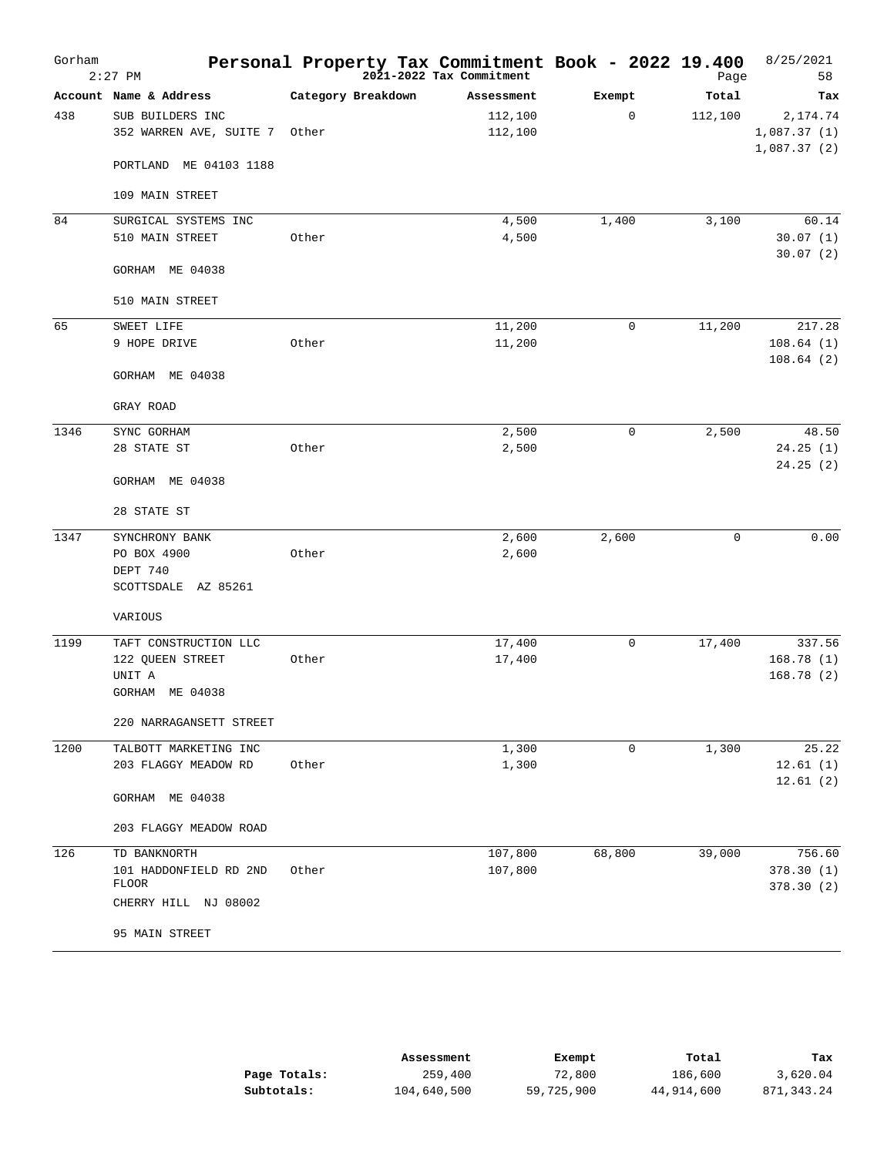| Gorham | $2:27$ PM                                   | Personal Property Tax Commitment Book - 2022 19.400 | 2021-2022 Tax Commitment |        | Page    | 8/25/2021<br>58                        |
|--------|---------------------------------------------|-----------------------------------------------------|--------------------------|--------|---------|----------------------------------------|
|        | Account Name & Address                      | Category Breakdown                                  | Assessment               | Exempt | Total   | Tax                                    |
| 438    | SUB BUILDERS INC<br>352 WARREN AVE, SUITE 7 | Other                                               | 112,100<br>112,100       | 0      | 112,100 | 2,174.74<br>1,087.37(1)<br>1,087.37(2) |
|        | PORTLAND ME 04103 1188                      |                                                     |                          |        |         |                                        |
|        | 109 MAIN STREET                             |                                                     |                          |        |         |                                        |
| 84     | SURGICAL SYSTEMS INC<br>510 MAIN STREET     | Other                                               | 4,500<br>4,500           | 1,400  | 3,100   | 60.14<br>30.07(1)<br>30.07(2)          |
|        | GORHAM ME 04038                             |                                                     |                          |        |         |                                        |
|        | 510 MAIN STREET                             |                                                     |                          |        |         |                                        |
| 65     | SWEET LIFE                                  |                                                     | 11,200                   | 0      | 11,200  | 217.28                                 |
|        | 9 HOPE DRIVE                                | Other                                               | 11,200                   |        |         | 108.64(1)<br>108.64(2)                 |
|        | GORHAM ME 04038                             |                                                     |                          |        |         |                                        |
|        | GRAY ROAD                                   |                                                     |                          |        |         |                                        |
| 1346   | SYNC GORHAM                                 |                                                     | 2,500                    | 0      | 2,500   | 48.50                                  |
|        | 28 STATE ST                                 | Other                                               | 2,500                    |        |         | 24.25(1)<br>24.25(2)                   |
|        | GORHAM ME 04038                             |                                                     |                          |        |         |                                        |
|        | 28 STATE ST                                 |                                                     |                          |        |         |                                        |
| 1347   | SYNCHRONY BANK                              |                                                     | 2,600                    | 2,600  | 0       | 0.00                                   |
|        | PO BOX 4900                                 | Other                                               | 2,600                    |        |         |                                        |
|        | DEPT 740                                    |                                                     |                          |        |         |                                        |
|        | SCOTTSDALE AZ 85261                         |                                                     |                          |        |         |                                        |
|        | VARIOUS                                     |                                                     |                          |        |         |                                        |
| 1199   | TAFT CONSTRUCTION LLC                       |                                                     | 17,400                   | 0      | 17,400  | 337.56                                 |
|        | 122 QUEEN STREET                            | Other                                               | 17,400                   |        |         | 168.78(1)                              |
|        | UNIT A                                      |                                                     |                          |        |         | 168.78(2)                              |
|        | GORHAM ME 04038                             |                                                     |                          |        |         |                                        |
|        | 220 NARRAGANSETT STREET                     |                                                     |                          |        |         |                                        |
| 1200   | TALBOTT MARKETING INC                       |                                                     | 1,300                    | 0      | 1,300   | 25.22                                  |
|        | 203 FLAGGY MEADOW RD                        | Other                                               | 1,300                    |        |         | 12.61(1)<br>12.61(2)                   |
|        | GORHAM ME 04038                             |                                                     |                          |        |         |                                        |
|        | 203 FLAGGY MEADOW ROAD                      |                                                     |                          |        |         |                                        |
| 126    | TD BANKNORTH                                |                                                     | 107,800                  | 68,800 | 39,000  | 756.60                                 |
|        | 101 HADDONFIELD RD 2ND<br><b>FLOOR</b>      | Other                                               | 107,800                  |        |         | 378.30(1)<br>378.30(2)                 |
|        | CHERRY HILL NJ 08002                        |                                                     |                          |        |         |                                        |
|        | 95 MAIN STREET                              |                                                     |                          |        |         |                                        |

|              | Assessment  | Exempt     | Total      | Tax        |
|--------------|-------------|------------|------------|------------|
| Page Totals: | 259,400     | 72,800     | 186,600    | 3,620.04   |
| Subtotals:   | 104,640,500 | 59,725,900 | 44,914,600 | 871,343.24 |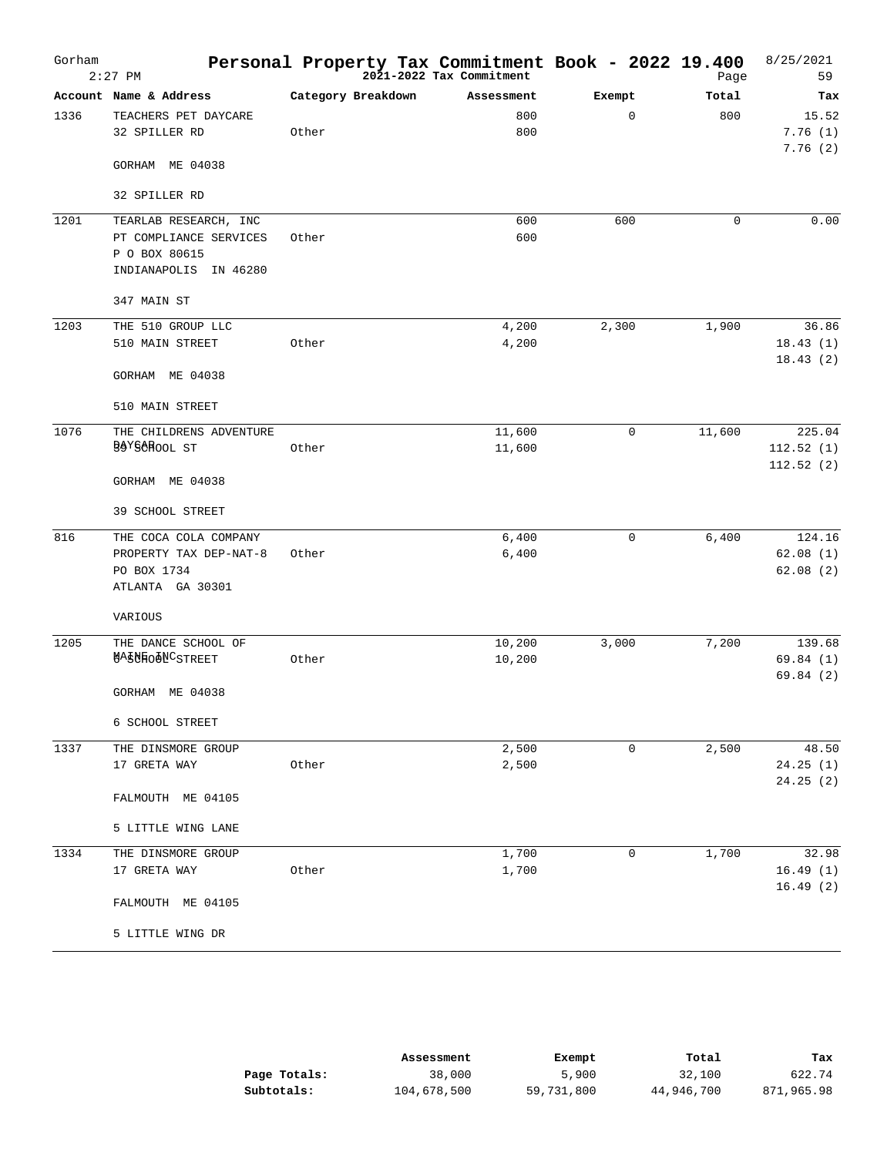| Gorham | $2:27$ PM                                                                                 | Personal Property Tax Commitment Book - 2022 19.400 | 2021-2022 Tax Commitment |              | Page   | 8/25/2021<br>59                  |
|--------|-------------------------------------------------------------------------------------------|-----------------------------------------------------|--------------------------|--------------|--------|----------------------------------|
|        | Account Name & Address                                                                    | Category Breakdown                                  | Assessment               | Exempt       | Total  | тах                              |
| 1336   | TEACHERS PET DAYCARE<br>32 SPILLER RD                                                     | Other                                               | 800<br>800               | 0            | 800    | 15.52<br>7.76(1)<br>7.76(2)      |
|        | GORHAM ME 04038                                                                           |                                                     |                          |              |        |                                  |
|        | 32 SPILLER RD                                                                             |                                                     |                          |              |        |                                  |
| 1201   | TEARLAB RESEARCH, INC<br>PT COMPLIANCE SERVICES<br>P O BOX 80615<br>INDIANAPOLIS IN 46280 | Other                                               | 600<br>600               | 600          | 0      | 0.00                             |
|        | 347 MAIN ST                                                                               |                                                     |                          |              |        |                                  |
| 1203   | THE 510 GROUP LLC<br>510 MAIN STREET<br>GORHAM ME 04038                                   | Other                                               | 4,200<br>4,200           | 2,300        | 1,900  | 36.86<br>18.43(1)<br>18.43(2)    |
|        | 510 MAIN STREET                                                                           |                                                     |                          |              |        |                                  |
| 1076   | THE CHILDRENS ADVENTURE<br>BAYSCHOOL ST                                                   | Other                                               | 11,600<br>11,600         | $\mathbf{0}$ | 11,600 | 225.04<br>112.52(1)<br>112.52(2) |
|        | GORHAM ME 04038                                                                           |                                                     |                          |              |        |                                  |
|        | 39 SCHOOL STREET                                                                          |                                                     |                          |              |        |                                  |
| 816    | THE COCA COLA COMPANY<br>PROPERTY TAX DEP-NAT-8<br>PO BOX 1734<br>ATLANTA GA 30301        | Other                                               | 6,400<br>6,400           | 0            | 6,400  | 124.16<br>62.08(1)<br>62.08(2)   |
|        | VARIOUS                                                                                   |                                                     |                          |              |        |                                  |
| 1205   | THE DANCE SCHOOL OF<br><b>WA&amp;WHO&amp;NCSTREET</b>                                     | Other                                               | 10,200<br>10,200         | 3,000        | 7,200  | 139.68<br>69.84 (1)<br>69.84 (2) |
|        | GORHAM ME 04038                                                                           |                                                     |                          |              |        |                                  |
|        | 6 SCHOOL STREET                                                                           |                                                     |                          |              |        |                                  |
| 1337   | THE DINSMORE GROUP<br>17 GRETA WAY                                                        | Other                                               | 2,500<br>2,500           | 0            | 2,500  | 48.50<br>24.25(1)<br>24.25(2)    |
|        | FALMOUTH ME 04105                                                                         |                                                     |                          |              |        |                                  |
|        | 5 LITTLE WING LANE                                                                        |                                                     |                          |              |        |                                  |
| 1334   | THE DINSMORE GROUP<br>17 GRETA WAY                                                        | Other                                               | 1,700<br>1,700           | 0            | 1,700  | 32.98<br>16.49(1)<br>16.49(2)    |
|        | FALMOUTH ME 04105                                                                         |                                                     |                          |              |        |                                  |
|        | 5 LITTLE WING DR                                                                          |                                                     |                          |              |        |                                  |

|              | Assessment  | Exempt     | Total      | Tax        |
|--------------|-------------|------------|------------|------------|
| Page Totals: | 38,000      | 5,900      | 32,100     | 622.74     |
| Subtotals:   | 104,678,500 | 59,731,800 | 44,946,700 | 871,965.98 |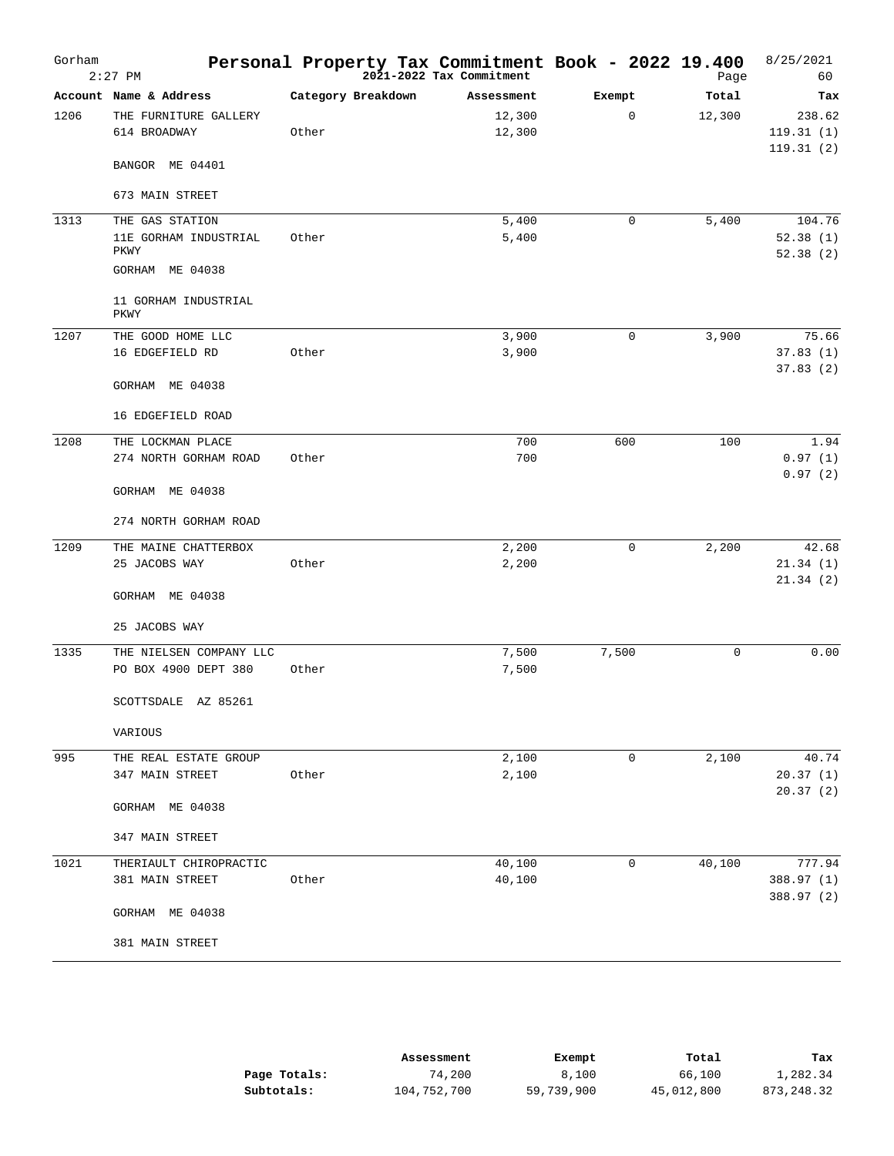| Gorham | $2:27$ PM                                        | Personal Property Tax Commitment Book - 2022 19.400 | 2021-2022 Tax Commitment |              | Page        | 8/25/2021<br>60                  |
|--------|--------------------------------------------------|-----------------------------------------------------|--------------------------|--------------|-------------|----------------------------------|
|        | Account Name & Address                           | Category Breakdown                                  | Assessment               | Exempt       | Total       | Tax                              |
| 1206   | THE FURNITURE GALLERY<br>614 BROADWAY            | Other                                               | 12,300<br>12,300         | 0            | 12,300      | 238.62<br>119.31(1)<br>119.31(2) |
|        | BANGOR ME 04401                                  |                                                     |                          |              |             |                                  |
|        | 673 MAIN STREET                                  |                                                     |                          |              |             |                                  |
| 1313   | THE GAS STATION<br>11E GORHAM INDUSTRIAL<br>PKWY | Other                                               | 5,400<br>5,400           | 0            | 5,400       | 104.76<br>52.38(1)<br>52.38(2)   |
|        | GORHAM ME 04038                                  |                                                     |                          |              |             |                                  |
|        | 11 GORHAM INDUSTRIAL<br>PKWY                     |                                                     |                          |              |             |                                  |
| 1207   | THE GOOD HOME LLC                                |                                                     | 3,900                    | 0            | 3,900       | 75.66                            |
|        | 16 EDGEFIELD RD                                  | Other                                               | 3,900                    |              |             | 37.83(1)                         |
|        | GORHAM ME 04038                                  |                                                     |                          |              |             | 37.83(2)                         |
|        | 16 EDGEFIELD ROAD                                |                                                     |                          |              |             |                                  |
| 1208   | THE LOCKMAN PLACE                                |                                                     | 700                      | 600          | 100         | 1.94                             |
|        | 274 NORTH GORHAM ROAD                            | Other                                               | 700                      |              |             | 0.97(1)                          |
|        | GORHAM ME 04038                                  |                                                     |                          |              |             | 0.97(2)                          |
|        | 274 NORTH GORHAM ROAD                            |                                                     |                          |              |             |                                  |
| 1209   | THE MAINE CHATTERBOX                             |                                                     | 2,200                    | $\mathbf{0}$ | 2,200       | 42.68                            |
|        | 25 JACOBS WAY                                    | Other                                               | 2,200                    |              |             | 21.34(1)                         |
|        | GORHAM ME 04038                                  |                                                     |                          |              |             | 21.34(2)                         |
|        | 25 JACOBS WAY                                    |                                                     |                          |              |             |                                  |
| 1335   | THE NIELSEN COMPANY LLC                          |                                                     | 7,500                    | 7,500        | $\mathbf 0$ | 0.00                             |
|        | PO BOX 4900 DEPT 380                             | Other                                               | 7,500                    |              |             |                                  |
|        | SCOTTSDALE<br>AZ 85261                           |                                                     |                          |              |             |                                  |
|        | VARIOUS                                          |                                                     |                          |              |             |                                  |
| 995    | THE REAL ESTATE GROUP                            |                                                     | 2,100                    | 0            | 2,100       | 40.74                            |
|        | 347 MAIN STREET                                  | Other                                               | 2,100                    |              |             | 20.37(1)<br>20.37(2)             |
|        | GORHAM ME 04038                                  |                                                     |                          |              |             |                                  |
|        | 347 MAIN STREET                                  |                                                     |                          |              |             |                                  |
| 1021   | THERIAULT CHIROPRACTIC                           |                                                     | 40,100                   | 0            | 40,100      | 777.94                           |
|        | 381 MAIN STREET                                  | Other                                               | 40,100                   |              |             | 388.97 (1)<br>388.97 (2)         |
|        | GORHAM ME 04038                                  |                                                     |                          |              |             |                                  |
|        | 381 MAIN STREET                                  |                                                     |                          |              |             |                                  |

|              | Assessment  | Exempt     | Total      | Tax        |
|--------------|-------------|------------|------------|------------|
| Page Totals: | 74,200      | 8,100      | 66,100     | 1,282.34   |
| Subtotals:   | 104,752,700 | 59,739,900 | 45,012,800 | 873,248.32 |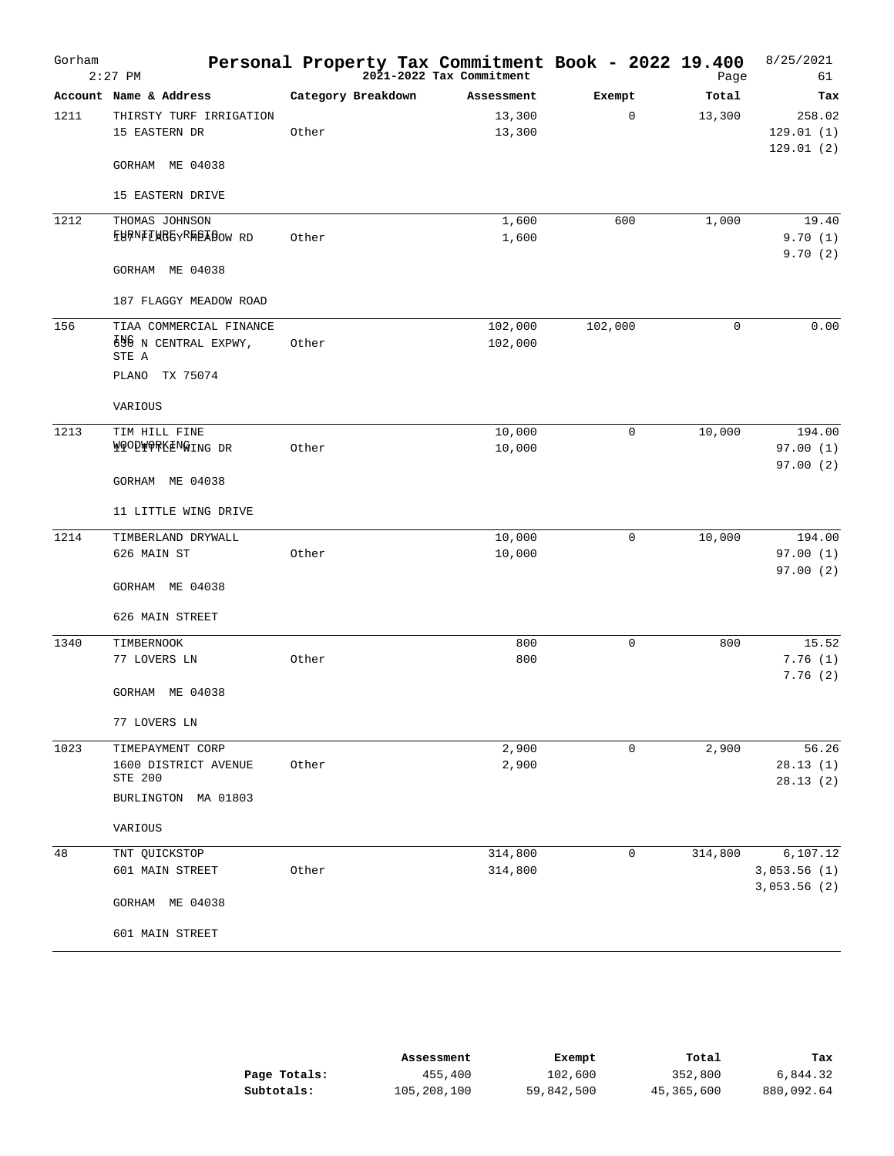| Gorham | $2:27$ PM                                                                  | Personal Property Tax Commitment Book - 2022 19.400 | 2021-2022 Tax Commitment |              | Page        | 8/25/2021<br>61                         |
|--------|----------------------------------------------------------------------------|-----------------------------------------------------|--------------------------|--------------|-------------|-----------------------------------------|
|        | Account Name & Address                                                     | Category Breakdown                                  | Assessment               | Exempt       | Total       | Tax                                     |
| 1211   | THIRSTY TURF IRRIGATION<br>15 EASTERN DR                                   | Other                                               | 13,300<br>13,300         | 0            | 13,300      | 258.02<br>129.01(1)<br>129.01(2)        |
|        | GORHAM ME 04038                                                            |                                                     |                          |              |             |                                         |
|        | 15 EASTERN DRIVE                                                           |                                                     |                          |              |             |                                         |
| 1212   | THOMAS JOHNSON<br>FURNFENGEYRNEABOW RD                                     | Other                                               | 1,600<br>1,600           | 600          | 1,000       | 19.40<br>9.70(1)<br>9.70(2)             |
|        | GORHAM ME 04038                                                            |                                                     |                          |              |             |                                         |
|        | 187 FLAGGY MEADOW ROAD                                                     |                                                     |                          |              |             |                                         |
| 156    | TIAA COMMERCIAL FINANCE<br>696 N CENTRAL EXPWY,<br>STE A<br>PLANO TX 75074 | Other                                               | 102,000<br>102,000       | 102,000      | $\mathbf 0$ | 0.00                                    |
|        | VARIOUS                                                                    |                                                     |                          |              |             |                                         |
| 1213   | TIM HILL FINE<br><b>MOODMOFKENGING DR</b>                                  | Other                                               | 10,000<br>10,000         | 0            | 10,000      | 194.00<br>97.00(1)                      |
|        | GORHAM ME 04038                                                            |                                                     |                          |              |             | 97.00(2)                                |
|        | 11 LITTLE WING DRIVE                                                       |                                                     |                          |              |             |                                         |
| 1214   | TIMBERLAND DRYWALL<br>626 MAIN ST                                          | Other                                               | 10,000<br>10,000         | 0            | 10,000      | 194.00<br>97.00(1)<br>97.00(2)          |
|        | GORHAM ME 04038                                                            |                                                     |                          |              |             |                                         |
|        | 626 MAIN STREET                                                            |                                                     |                          |              |             |                                         |
| 1340   | TIMBERNOOK                                                                 |                                                     | 800                      | $\mathbf 0$  | 800         | 15.52                                   |
|        | 77 LOVERS LN                                                               | Other                                               | 800                      |              |             | 7.76(1)<br>7.76(2)                      |
|        | GORHAM ME 04038                                                            |                                                     |                          |              |             |                                         |
|        | 77 LOVERS LN                                                               |                                                     |                          |              |             |                                         |
| 1023   | TIMEPAYMENT CORP<br>1600 DISTRICT AVENUE<br>STE 200                        | Other                                               | 2,900<br>2,900           | $\mathsf{O}$ | 2,900       | 56.26<br>28.13(1)<br>28.13(2)           |
|        | BURLINGTON MA 01803                                                        |                                                     |                          |              |             |                                         |
|        | VARIOUS                                                                    |                                                     |                          |              |             |                                         |
| 48     | TNT QUICKSTOP<br>601 MAIN STREET                                           | Other                                               | 314,800<br>314,800       | $\mathsf{O}$ | 314,800     | 6, 107.12<br>3,053.56(1)<br>3,053.56(2) |
|        | GORHAM ME 04038                                                            |                                                     |                          |              |             |                                         |
|        | 601 MAIN STREET                                                            |                                                     |                          |              |             |                                         |

|              | Assessment  | Exempt     | Total      | тах        |
|--------------|-------------|------------|------------|------------|
| Page Totals: | 455,400     | 102,600    | 352,800    | 6,844.32   |
| Subtotals:   | 105,208,100 | 59,842,500 | 45,365,600 | 880,092.64 |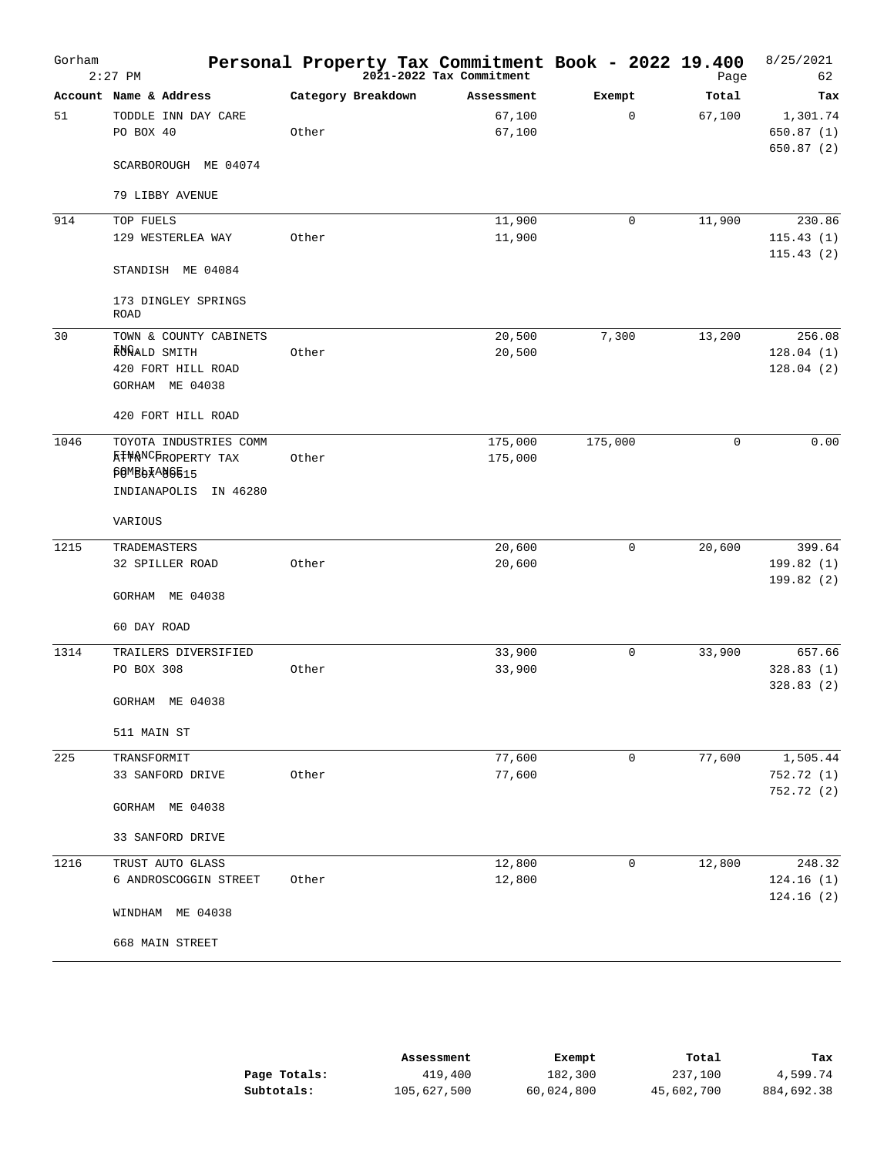| Gorham | $2:27$ PM                   | Personal Property Tax Commitment Book - 2022 19.400 | 2021-2022 Tax Commitment |                | Page        | 8/25/2021<br>62    |
|--------|-----------------------------|-----------------------------------------------------|--------------------------|----------------|-------------|--------------------|
|        | Account Name & Address      | Category Breakdown                                  | Assessment               | Exempt         | Total       | Tax                |
| 51     | TODDLE INN DAY CARE         |                                                     | 67,100                   | $\overline{0}$ | 67,100      | 1,301.74           |
|        | PO BOX 40                   | Other                                               | 67,100                   |                |             | 650.87(1)          |
|        | SCARBOROUGH ME 04074        |                                                     |                          |                |             | 650.87 (2)         |
|        | 79 LIBBY AVENUE             |                                                     |                          |                |             |                    |
| 914    | TOP FUELS                   |                                                     | 11,900                   | 0              | 11,900      | 230.86             |
|        | 129 WESTERLEA WAY           | Other                                               | 11,900                   |                |             | 115.43(1)          |
|        | STANDISH ME 04084           |                                                     |                          |                |             | 115.43(2)          |
|        | 173 DINGLEY SPRINGS<br>ROAD |                                                     |                          |                |             |                    |
| 30     | TOWN & COUNTY CABINETS      |                                                     | 20,500                   | 7,300          | 13,200      | 256.08             |
|        | RONALD SMITH                | Other                                               | 20,500                   |                |             | 128.04(1)          |
|        | 420 FORT HILL ROAD          |                                                     |                          |                |             | 128.04(2)          |
|        | GORHAM ME 04038             |                                                     |                          |                |             |                    |
|        | 420 FORT HILL ROAD          |                                                     |                          |                |             |                    |
| 1046   | TOYOTA INDUSTRIES COMM      |                                                     | 175,000                  | 175,000        | $\mathbf 0$ | 0.00               |
|        | KINANCBROPERTY TAX          | Other                                               | 175,000                  |                |             |                    |
|        | FOMBOXANGE15                |                                                     |                          |                |             |                    |
|        | INDIANAPOLIS IN 46280       |                                                     |                          |                |             |                    |
|        | VARIOUS                     |                                                     |                          |                |             |                    |
| 1215   | TRADEMASTERS                |                                                     | 20,600                   | $\mathbf{0}$   | 20,600      | 399.64             |
|        | 32 SPILLER ROAD             | Other                                               | 20,600                   |                |             | 199.82(1)          |
|        | GORHAM ME 04038             |                                                     |                          |                |             | 199.82(2)          |
|        | 60 DAY ROAD                 |                                                     |                          |                |             |                    |
| 1314   | TRAILERS DIVERSIFIED        |                                                     | 33,900                   | $\mathbf{0}$   | 33,900      | 657.66             |
|        | PO BOX 308                  | Other                                               | 33,900                   |                |             | 328.83 (1)         |
|        |                             |                                                     |                          |                |             | 328.83(2)          |
|        | GORHAM ME 04038             |                                                     |                          |                |             |                    |
|        | 511 MAIN ST                 |                                                     |                          |                |             |                    |
| 225    | TRANSFORMIT                 |                                                     | 77,600                   | 0              | 77,600      | $1\,, 505\,. \,44$ |
|        | 33 SANFORD DRIVE            | Other                                               | 77,600                   |                |             | 752.72 (1)         |
|        | GORHAM ME 04038             |                                                     |                          |                |             | 752.72 (2)         |
|        | 33 SANFORD DRIVE            |                                                     |                          |                |             |                    |
| 1216   | TRUST AUTO GLASS            |                                                     | 12,800                   | 0              | 12,800      | 248.32             |
|        | 6 ANDROSCOGGIN STREET       | Other                                               | 12,800                   |                |             | 124.16(1)          |
|        | WINDHAM ME 04038            |                                                     |                          |                |             | 124.16(2)          |
|        | 668 MAIN STREET             |                                                     |                          |                |             |                    |
|        |                             |                                                     |                          |                |             |                    |

|              | Assessment  | Exempt     | Total      | Tax        |
|--------------|-------------|------------|------------|------------|
| Page Totals: | 419,400     | 182,300    | 237,100    | 4,599.74   |
| Subtotals:   | 105,627,500 | 60,024,800 | 45,602,700 | 884,692.38 |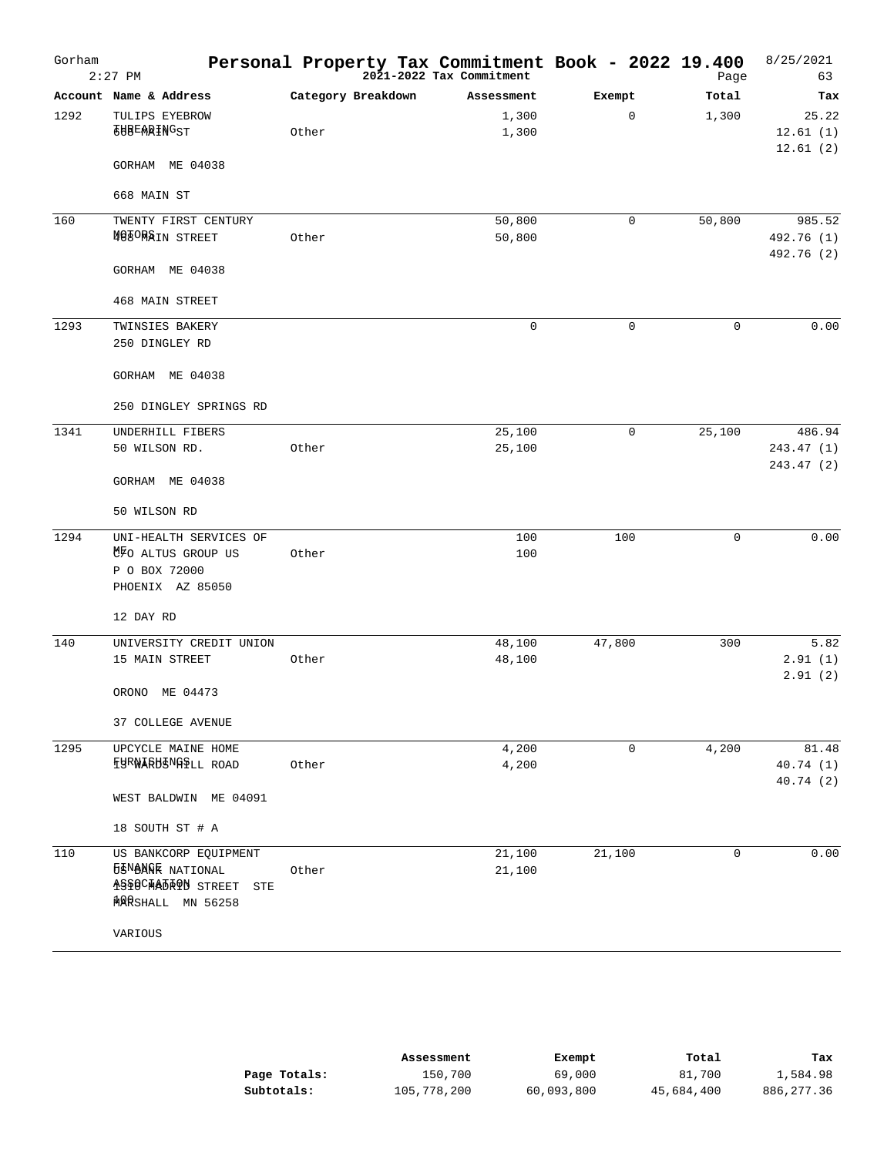| Gorham | $2:27$ PM                                                                                                 | Personal Property Tax Commitment Book - 2022 19.400<br>Page 2021-2022 Tax Commitment |                  |             | Page        | 8/25/2021<br>63                    |
|--------|-----------------------------------------------------------------------------------------------------------|--------------------------------------------------------------------------------------|------------------|-------------|-------------|------------------------------------|
|        | Account Name & Address                                                                                    | Category Breakdown                                                                   | Assessment       | Exempt      | Total       | Tax                                |
| 1292   | TULIPS EYEBROW<br><b>THBEARINGST</b>                                                                      | Other                                                                                | 1,300<br>1,300   | 0           | 1,300       | 25.22<br>12.61(1)                  |
|        | GORHAM ME 04038                                                                                           |                                                                                      |                  |             |             | 12.61(2)                           |
|        | 668 MAIN ST                                                                                               |                                                                                      |                  |             |             |                                    |
| 160    | TWENTY FIRST CENTURY<br>4080MAIN STREET                                                                   | Other                                                                                | 50,800<br>50,800 | $\mathbf 0$ | 50,800      | 985.52<br>492.76 (1)<br>492.76 (2) |
|        | GORHAM ME 04038                                                                                           |                                                                                      |                  |             |             |                                    |
|        | <b>468 MAIN STREET</b>                                                                                    |                                                                                      |                  |             |             |                                    |
| 1293   | TWINSIES BAKERY<br>250 DINGLEY RD                                                                         |                                                                                      | $\mathbf 0$      | $\mathbf 0$ | $\mathbf 0$ | 0.00                               |
|        | GORHAM ME 04038                                                                                           |                                                                                      |                  |             |             |                                    |
|        | 250 DINGLEY SPRINGS RD                                                                                    |                                                                                      |                  |             |             |                                    |
| 1341   | UNDERHILL FIBERS<br>50 WILSON RD.                                                                         | Other                                                                                | 25,100<br>25,100 | $\mathbf 0$ | 25,100      | 486.94<br>243.47(1)<br>243.47 (2)  |
|        | GORHAM ME 04038                                                                                           |                                                                                      |                  |             |             |                                    |
|        | 50 WILSON RD                                                                                              |                                                                                      |                  |             |             |                                    |
| 1294   | UNI-HEALTH SERVICES OF<br><b>MFO ALTUS GROUP US</b><br>P O BOX 72000<br>PHOENIX AZ 85050                  | Other                                                                                | 100<br>100       | 100         | $\mathbf 0$ | 0.00                               |
|        | 12 DAY RD                                                                                                 |                                                                                      |                  |             |             |                                    |
| 140    | UNIVERSITY CREDIT UNION<br>15 MAIN STREET                                                                 | Other                                                                                | 48,100<br>48,100 | 47,800      | 300         | 5.82<br>2.91(1)                    |
|        | ORONO ME 04473                                                                                            |                                                                                      |                  |             |             | 2.91(2)                            |
|        | 37 COLLEGE AVENUE                                                                                         |                                                                                      |                  |             |             |                                    |
| 1295   | UPCYCLE MAINE HOME<br><b>TURWARHENGSLL ROAD</b>                                                           | Other                                                                                | 4,200<br>4,200   | $\mathbf 0$ | 4,200       | 81.48<br>40.74(1)<br>40.74(2)      |
|        | WEST BALDWIN ME 04091                                                                                     |                                                                                      |                  |             |             |                                    |
|        | 18 SOUTH ST # A                                                                                           |                                                                                      |                  |             |             |                                    |
| 110    | US BANKCORP EQUIPMENT<br><b>F5NANGE NATIONAL</b><br>ASPOCMABRON STREET<br><b>STE</b><br>MARSHALL MN 56258 | Other                                                                                | 21,100<br>21,100 | 21,100      | 0           | 0.00                               |
|        | VARIOUS                                                                                                   |                                                                                      |                  |             |             |                                    |

|              | Assessment  | Exempt     | Total      | Tax          |
|--------------|-------------|------------|------------|--------------|
| Page Totals: | 150,700     | 69,000     | 81,700     | 1,584.98     |
| Subtotals:   | 105,778,200 | 60,093,800 | 45,684,400 | 886, 277, 36 |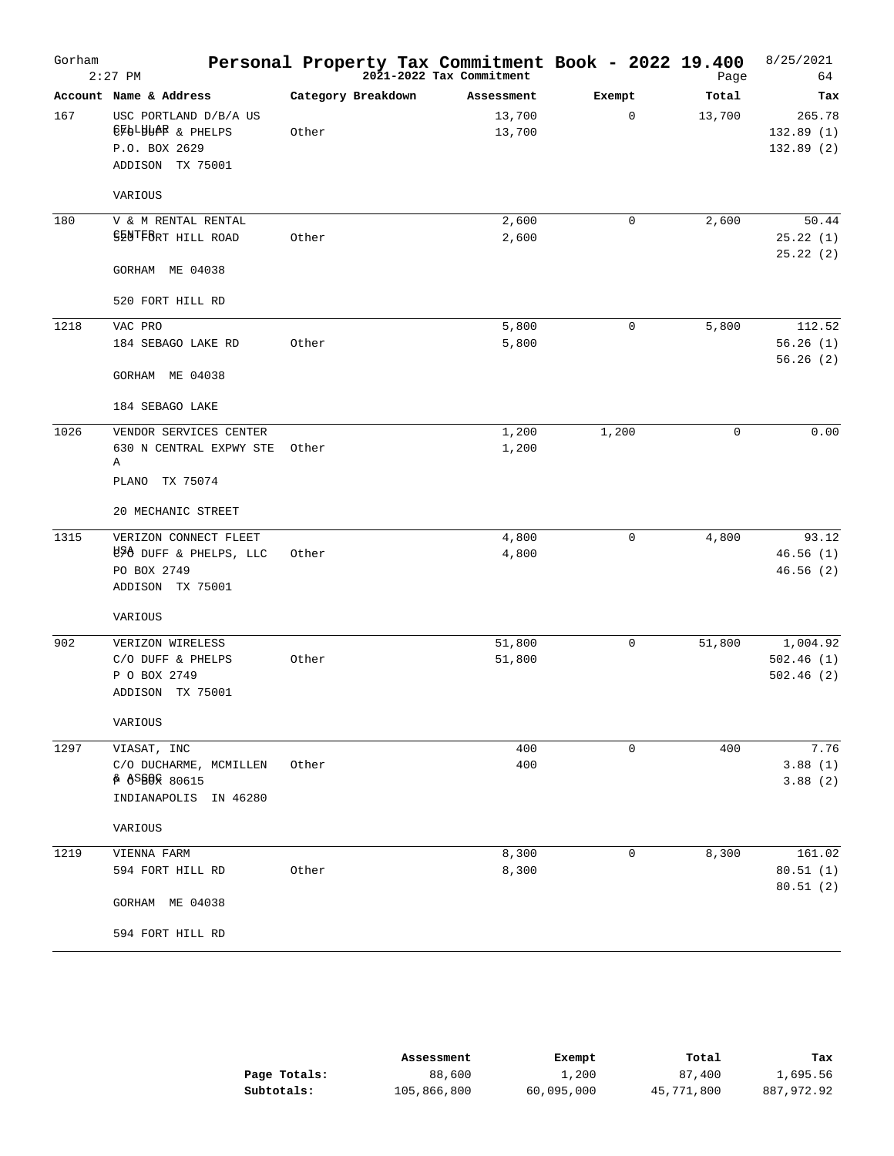| Gorham | $2:27$ PM                                                                                    | Personal Property Tax Commitment Book - 2022 19.400 | 2021-2022 Tax Commitment |             | Page   | 8/25/2021<br>64                    |
|--------|----------------------------------------------------------------------------------------------|-----------------------------------------------------|--------------------------|-------------|--------|------------------------------------|
|        | Account Name & Address                                                                       | Category Breakdown                                  | Assessment               | Exempt      | Total  | Tax                                |
| 167    | USC PORTLAND D/B/A US<br>@FOLBUPE & PHELPS<br>P.O. BOX 2629<br>ADDISON TX 75001              | Other                                               | 13,700<br>13,700         | 0           | 13,700 | 265.78<br>132.89(1)<br>132.89(2)   |
|        | VARIOUS                                                                                      |                                                     |                          |             |        |                                    |
| 180    | V & M RENTAL RENTAL<br>SENTFORT HILL ROAD                                                    | Other                                               | 2,600<br>2,600           | $\mathbf 0$ | 2,600  | 50.44<br>25.22(1)<br>25.22(2)      |
|        | GORHAM ME 04038                                                                              |                                                     |                          |             |        |                                    |
|        | 520 FORT HILL RD                                                                             |                                                     |                          |             |        |                                    |
| 1218   | VAC PRO<br>184 SEBAGO LAKE RD<br>GORHAM ME 04038<br>184 SEBAGO LAKE                          | Other                                               | 5,800<br>5,800           | 0           | 5,800  | 112.52<br>56.26(1)<br>56.26(2)     |
| 1026   | VENDOR SERVICES CENTER<br>630 N CENTRAL EXPWY STE<br>Α<br>PLANO TX 75074                     | Other                                               | 1,200<br>1,200           | 1,200       | 0      | 0.00                               |
|        | 20 MECHANIC STREET                                                                           |                                                     |                          |             |        |                                    |
| 1315   | VERIZON CONNECT FLEET<br>$E\$ $\theta$ DUFF & PHELPS, LLC<br>PO BOX 2749<br>ADDISON TX 75001 | Other                                               | 4,800<br>4,800           | $\mathbf 0$ | 4,800  | 93.12<br>46.56(1)<br>46.56(2)      |
|        | VARIOUS                                                                                      |                                                     |                          |             |        |                                    |
| 902    | VERIZON WIRELESS<br>C/O DUFF & PHELPS<br>P O BOX 2749<br>ADDISON TX 75001                    | Other                                               | 51,800<br>51,800         | $\mathbf 0$ | 51,800 | 1,004.92<br>502.46(1)<br>502.46(2) |
|        | VARIOUS                                                                                      |                                                     |                          |             |        |                                    |
| 1297   | VIASAT, INC<br>C/O DUCHARME, MCMILLEN<br><b>∲ ∂SBO</b> 80615<br>INDIANAPOLIS IN 46280        | Other                                               | 400<br>400               | $\mathbf 0$ | 400    | 7.76<br>3.88(1)<br>3.88(2)         |
|        | VARIOUS                                                                                      |                                                     |                          |             |        |                                    |
| 1219   | VIENNA FARM<br>594 FORT HILL RD                                                              | Other                                               | 8,300<br>8,300           | $\mathbf 0$ | 8,300  | 161.02<br>80.51(1)<br>80.51(2)     |
|        | GORHAM ME 04038                                                                              |                                                     |                          |             |        |                                    |
|        | 594 FORT HILL RD                                                                             |                                                     |                          |             |        |                                    |

|              | Assessment  | Exempt     | Total      | Tax        |
|--------------|-------------|------------|------------|------------|
| Page Totals: | 88,600      | 1,200      | 87,400     | 1,695.56   |
| Subtotals:   | 105,866,800 | 60,095,000 | 45,771,800 | 887,972.92 |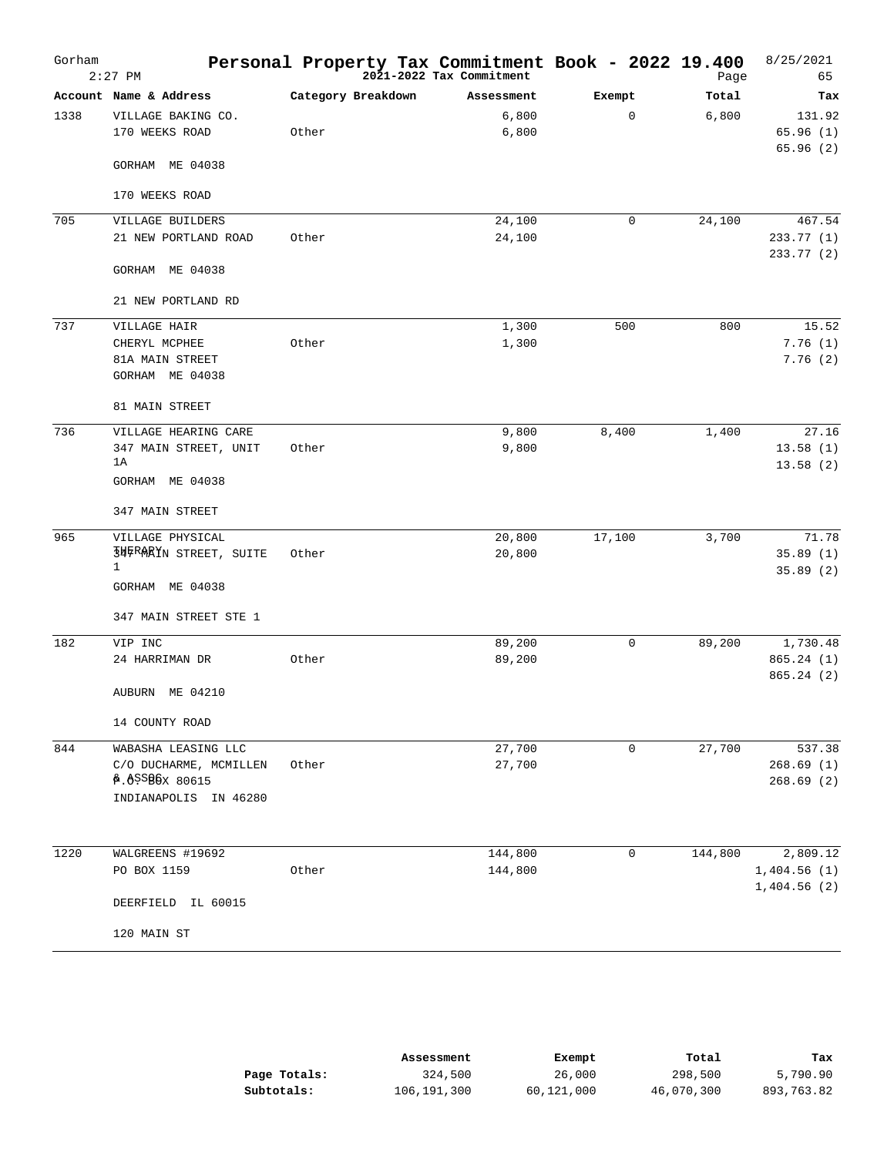| Gorham | $2:27$ PM                                       | Personal Property Tax Commitment Book - 2022 19.400 | 2021-2022 Tax Commitment |             | Page    | 8/25/2021<br>65        |
|--------|-------------------------------------------------|-----------------------------------------------------|--------------------------|-------------|---------|------------------------|
|        | Account Name & Address                          | Category Breakdown                                  | Assessment               | Exempt      | Total   | Tax                    |
| 1338   | VILLAGE BAKING CO.                              |                                                     | 6,800                    | 0           | 6,800   | 131.92                 |
|        | 170 WEEKS ROAD                                  | Other                                               | 6,800                    |             |         | 65.96(1)<br>65.96(2)   |
|        | GORHAM ME 04038                                 |                                                     |                          |             |         |                        |
|        | 170 WEEKS ROAD                                  |                                                     |                          |             |         |                        |
| 705    | VILLAGE BUILDERS                                |                                                     | 24,100                   | $\mathbf 0$ | 24,100  | 467.54                 |
|        | 21 NEW PORTLAND ROAD                            | Other                                               | 24,100                   |             |         | 233.77(1)<br>233.77(2) |
|        | GORHAM ME 04038                                 |                                                     |                          |             |         |                        |
|        | 21 NEW PORTLAND RD                              |                                                     |                          |             |         |                        |
| 737    | VILLAGE HAIR                                    |                                                     | 1,300                    | 500         | 800     | 15.52                  |
|        | CHERYL MCPHEE                                   | Other                                               | 1,300                    |             |         | 7.76(1)                |
|        | 81A MAIN STREET<br>GORHAM ME 04038              |                                                     |                          |             |         | 7.76(2)                |
|        | 81 MAIN STREET                                  |                                                     |                          |             |         |                        |
| 736    | VILLAGE HEARING CARE                            |                                                     | 9,800                    | 8,400       | 1,400   | 27.16                  |
|        | 347 MAIN STREET, UNIT<br>1A                     | Other                                               | 9,800                    |             |         | 13.58(1)<br>13.58(2)   |
|        | GORHAM ME 04038                                 |                                                     |                          |             |         |                        |
|        | 347 MAIN STREET                                 |                                                     |                          |             |         |                        |
| 965    | VILLAGE PHYSICAL                                |                                                     | 20,800                   | 17,100      | 3,700   | 71.78                  |
|        | <b>JWFRARIN STREET, SUITE</b><br>1              | Other                                               | 20,800                   |             |         | 35.89(1)<br>35.89(2)   |
|        | GORHAM ME 04038                                 |                                                     |                          |             |         |                        |
|        | 347 MAIN STREET STE 1                           |                                                     |                          |             |         |                        |
| 182    | VIP INC                                         |                                                     | 89,200                   | $\mathbf 0$ | 89,200  | 1,730.48               |
|        | 24 HARRIMAN DR                                  | Other                                               | 89,200                   |             |         | 865.24(1)<br>865.24(2) |
|        | AUBURN ME 04210                                 |                                                     |                          |             |         |                        |
|        | 14 COUNTY ROAD                                  |                                                     |                          |             |         |                        |
| 844    | WABASHA LEASING LLC                             |                                                     | 27,700                   | $\mathbf 0$ | 27,700  | 537.38                 |
|        | C/O DUCHARME, MCMILLEN<br><b>P.ASSBOX 80615</b> | Other                                               | 27,700                   |             |         | 268.69(1)<br>268.69(2) |
|        | INDIANAPOLIS IN 46280                           |                                                     |                          |             |         |                        |
| 1220   | WALGREENS #19692                                |                                                     | 144,800                  | $\mathbf 0$ | 144,800 | 2,809.12               |
|        | PO BOX 1159                                     | Other                                               | 144,800                  |             |         | 1,404.56(1)            |
|        |                                                 |                                                     |                          |             |         | 1,404.56(2)            |
|        | DEERFIELD IL 60015                              |                                                     |                          |             |         |                        |
|        | 120 MAIN ST                                     |                                                     |                          |             |         |                        |

|              | Assessment  | Exempt     | Total      | Tax        |
|--------------|-------------|------------|------------|------------|
| Page Totals: | 324,500     | 26,000     | 298,500    | 5,790.90   |
| Subtotals:   | 106,191,300 | 60,121,000 | 46,070,300 | 893,763.82 |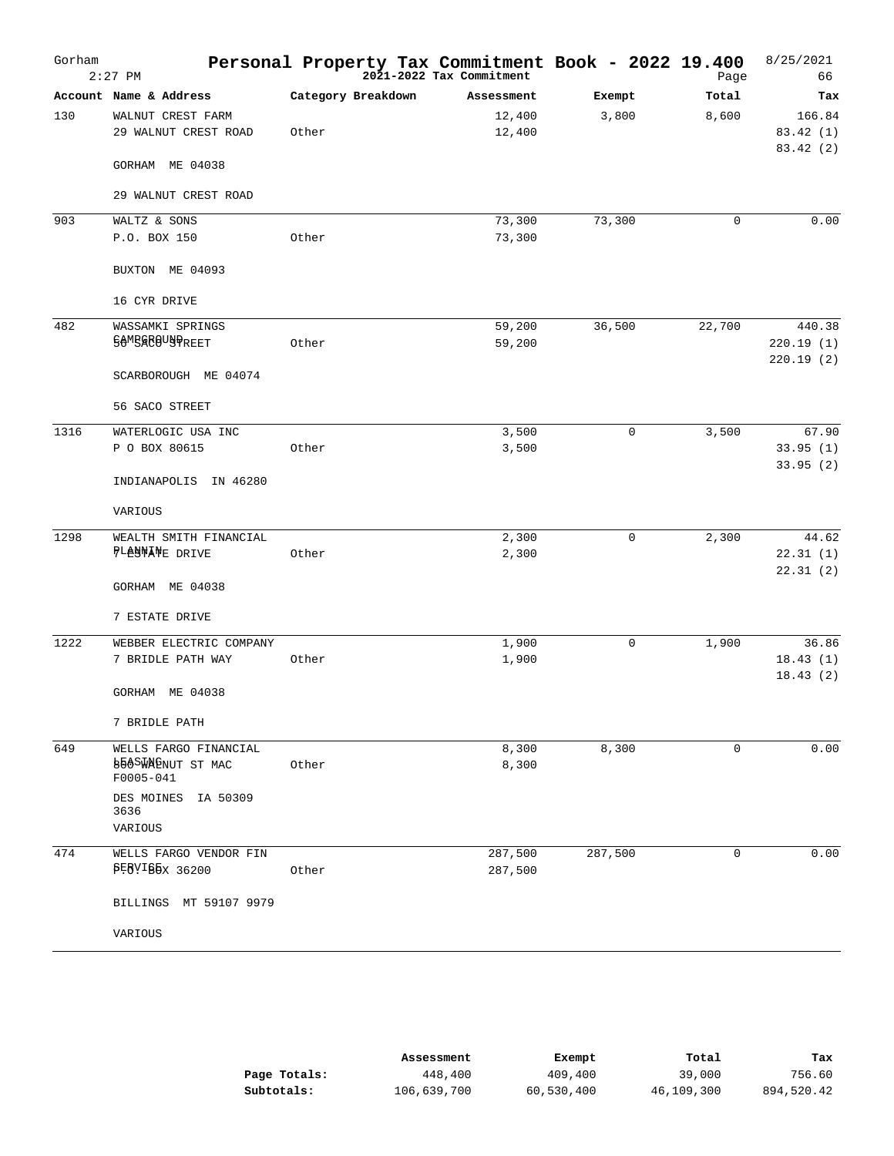| Gorham | $2:27$ PM                            | Personal Property Tax Commitment Book - 2022 19.400 | 2021-2022 Tax Commitment |             | Page        | 8/25/2021<br>66 |
|--------|--------------------------------------|-----------------------------------------------------|--------------------------|-------------|-------------|-----------------|
|        | Account Name & Address               | Category Breakdown                                  | Assessment               | Exempt      | Total       | Tax             |
| 130    | WALNUT CREST FARM                    |                                                     | 12,400                   | 3,800       | 8,600       | 166.84          |
|        | 29 WALNUT CREST ROAD                 | Other                                               | 12,400                   |             |             | 83.42(1)        |
|        | GORHAM ME 04038                      |                                                     |                          |             |             | 83.42(2)        |
|        | 29 WALNUT CREST ROAD                 |                                                     |                          |             |             |                 |
| 903    | WALTZ & SONS                         |                                                     | 73,300                   | 73,300      | $\mathbf 0$ | 0.00            |
|        | P.O. BOX 150                         | Other                                               | 73,300                   |             |             |                 |
|        |                                      |                                                     |                          |             |             |                 |
|        | BUXTON ME 04093                      |                                                     |                          |             |             |                 |
|        | 16 CYR DRIVE                         |                                                     |                          |             |             |                 |
|        |                                      |                                                     |                          |             |             |                 |
| 482    | WASSAMKI SPRINGS                     |                                                     | 59,200                   | 36,500      | 22,700      | 440.38          |
|        | <b>SAMBRAGUNPREET</b>                | Other                                               | 59,200                   |             |             | 220.19(1)       |
|        |                                      |                                                     |                          |             |             | 220.19(2)       |
|        | SCARBOROUGH ME 04074                 |                                                     |                          |             |             |                 |
|        | 56 SACO STREET                       |                                                     |                          |             |             |                 |
| 1316   | WATERLOGIC USA INC                   |                                                     | 3,500                    | $\mathbf 0$ | 3,500       | 67.90           |
|        | P O BOX 80615                        | Other                                               | 3,500                    |             |             | 33.95(1)        |
|        | INDIANAPOLIS IN 46280                |                                                     |                          |             |             | 33.95(2)        |
|        |                                      |                                                     |                          |             |             |                 |
|        | VARIOUS                              |                                                     |                          |             |             |                 |
| 1298   | WEALTH SMITH FINANCIAL               |                                                     | 2,300                    | $\mathbf 0$ | 2,300       | 44.62           |
|        | PLANNANE DRIVE                       | Other                                               | 2,300                    |             |             | 22.31(1)        |
|        |                                      |                                                     |                          |             |             | 22.31(2)        |
|        | GORHAM ME 04038                      |                                                     |                          |             |             |                 |
|        | 7 ESTATE DRIVE                       |                                                     |                          |             |             |                 |
| 1222   | WEBBER ELECTRIC COMPANY              |                                                     | 1,900                    | $\mathbf 0$ | 1,900       | 36.86           |
|        | 7 BRIDLE PATH WAY                    | Other                                               | 1,900                    |             |             | 18.43(1)        |
|        | GORHAM ME 04038                      |                                                     |                          |             |             | 18.43(2)        |
|        | 7 BRIDLE PATH                        |                                                     |                          |             |             |                 |
| 649    | WELLS FARGO FINANCIAL                |                                                     | 8,300                    | 8,300       | 0           | 0.00            |
|        | <b>BEASWENUT ST MAC</b><br>F0005-041 | Other                                               | 8,300                    |             |             |                 |
|        | DES MOINES<br>IA 50309               |                                                     |                          |             |             |                 |
|        | 3636                                 |                                                     |                          |             |             |                 |
|        | VARIOUS                              |                                                     |                          |             |             |                 |
| 474    | WELLS FARGO VENDOR FIN               |                                                     | 287,500                  | 287,500     | 0           | 0.00            |
|        | <b>PEBVISEX 36200</b>                | Other                                               | 287,500                  |             |             |                 |
|        |                                      |                                                     |                          |             |             |                 |
|        | BILLINGS<br>MT 59107 9979            |                                                     |                          |             |             |                 |
|        |                                      |                                                     |                          |             |             |                 |
|        | VARIOUS                              |                                                     |                          |             |             |                 |

|              | Assessment  | Exempt     | Total      | Tax        |
|--------------|-------------|------------|------------|------------|
| Page Totals: | 448,400     | 409,400    | 39,000     | 756.60     |
| Subtotals:   | 106,639,700 | 60,530,400 | 46,109,300 | 894,520.42 |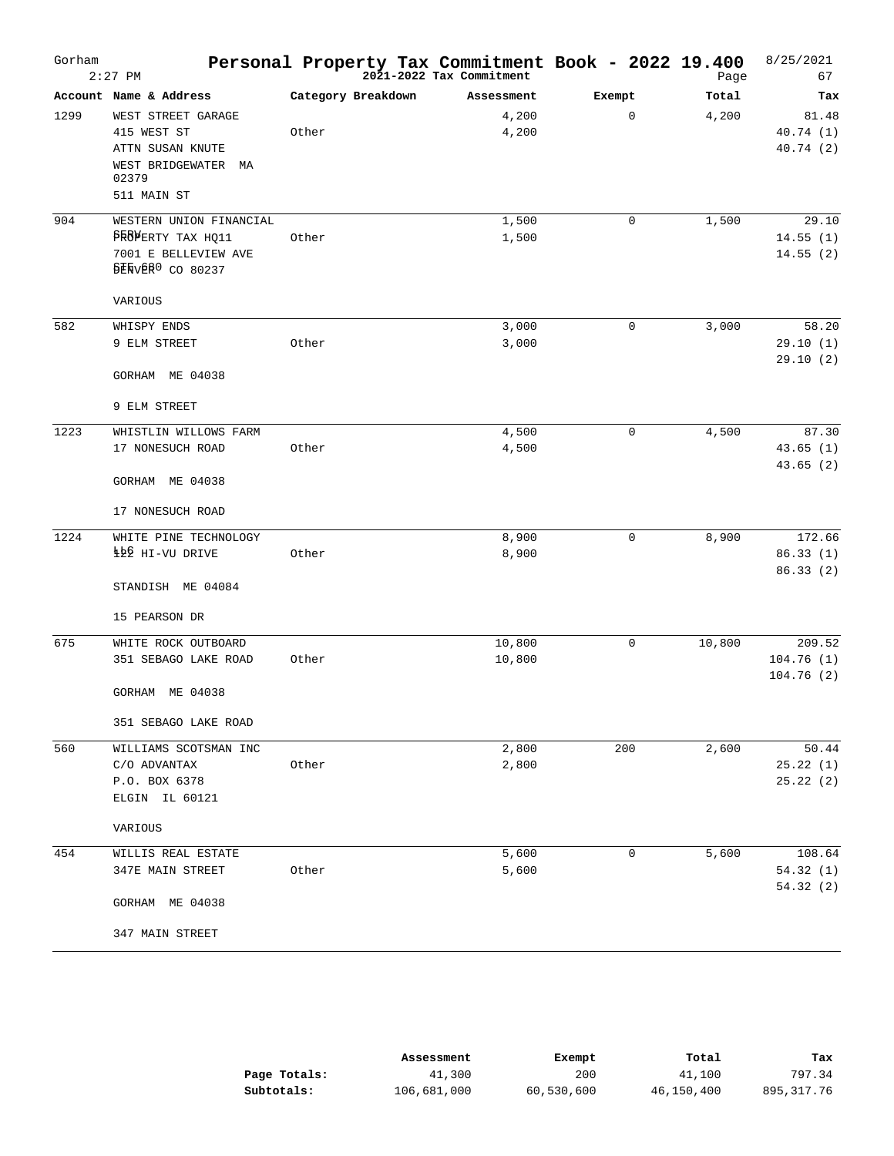| Gorham | $2:27$ PM                                                                    |       |                    |                | Personal Property Tax Commitment Book - 2022 19.400<br>Page | Page   | 8/25/2021<br>67                |
|--------|------------------------------------------------------------------------------|-------|--------------------|----------------|-------------------------------------------------------------|--------|--------------------------------|
|        | Account Name & Address                                                       |       | Category Breakdown | Assessment     | Exempt                                                      | Total  | Tax                            |
| 1299   | WEST STREET GARAGE<br>415 WEST ST<br>ATTN SUSAN KNUTE<br>WEST BRIDGEWATER MA | Other |                    | 4,200<br>4,200 | $\mathbf 0$                                                 | 4,200  | 81.48<br>40.74(1)<br>40.74(2)  |
|        | 02379<br>511 MAIN ST                                                         |       |                    |                |                                                             |        |                                |
| 904    | WESTERN UNION FINANCIAL<br>PROVERTY TAX HQ11<br>7001 E BELLEVIEW AVE         | Other |                    | 1,500<br>1,500 | 0                                                           | 1,500  | 29.10<br>14.55(1)<br>14.55(2)  |
|        | <b>BEAVERO</b> CO 80237<br>VARIOUS                                           |       |                    |                |                                                             |        |                                |
|        | WHISPY ENDS                                                                  |       |                    | 3,000          | 0                                                           | 3,000  | 58.20                          |
| 582    | 9 ELM STREET                                                                 | Other |                    | 3,000          |                                                             |        | 29.10(1)<br>29.10(2)           |
|        | GORHAM ME 04038                                                              |       |                    |                |                                                             |        |                                |
|        | 9 ELM STREET                                                                 |       |                    |                |                                                             |        |                                |
| 1223   | WHISTLIN WILLOWS FARM<br>17 NONESUCH ROAD                                    | Other |                    | 4,500<br>4,500 | $\mathbf 0$                                                 | 4,500  | 87.30<br>43.65(1)              |
|        | GORHAM ME 04038                                                              |       |                    |                |                                                             |        | 43.65(2)                       |
|        | 17 NONESUCH ROAD                                                             |       |                    |                |                                                             |        |                                |
| 1224   | WHITE PINE TECHNOLOGY<br>442 HI-VU DRIVE                                     | Other |                    | 8,900<br>8,900 | 0                                                           | 8,900  | 172.66<br>86.33(1)             |
|        | STANDISH ME 04084                                                            |       |                    |                |                                                             |        | 86.33(2)                       |
|        | 15 PEARSON DR                                                                |       |                    |                |                                                             |        |                                |
| 675    | WHITE ROCK OUTBOARD                                                          |       |                    | 10,800         | $\mathbf 0$                                                 | 10,800 | 209.52                         |
|        | 351 SEBAGO LAKE ROAD                                                         | Other |                    | 10,800         |                                                             |        | 104.76(1)<br>104.76(2)         |
|        | GORHAM ME 04038                                                              |       |                    |                |                                                             |        |                                |
|        | 351 SEBAGO LAKE ROAD                                                         |       |                    |                |                                                             |        |                                |
| 560    | WILLIAMS SCOTSMAN INC<br>C/O ADVANTAX<br>P.O. BOX 6378<br>ELGIN IL 60121     | Other |                    | 2,800<br>2,800 | 200                                                         | 2,600  | 50.44<br>25.22(1)<br>25.22(2)  |
|        | VARIOUS                                                                      |       |                    |                |                                                             |        |                                |
| 454    | WILLIS REAL ESTATE<br>347E MAIN STREET                                       | Other |                    | 5,600<br>5,600 | 0                                                           | 5,600  | 108.64<br>54.32(1)<br>54.32(2) |
|        | GORHAM ME 04038<br>347 MAIN STREET                                           |       |                    |                |                                                             |        |                                |

|              | Assessment  | Exempt     | Total      | Tax        |
|--------------|-------------|------------|------------|------------|
| Page Totals: | 41,300      | 200        | 41,100     | 797.34     |
| Subtotals:   | 106,681,000 | 60,530,600 | 46,150,400 | 895,317.76 |